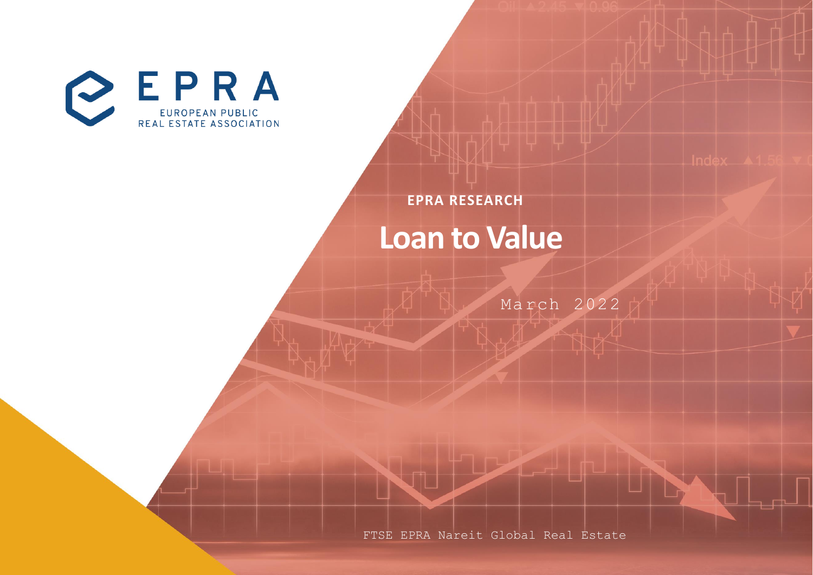

**EPRA RESEARCH**

## **Loan to Value**

March 2022

FTSE EPRA Nareit Global Real Estate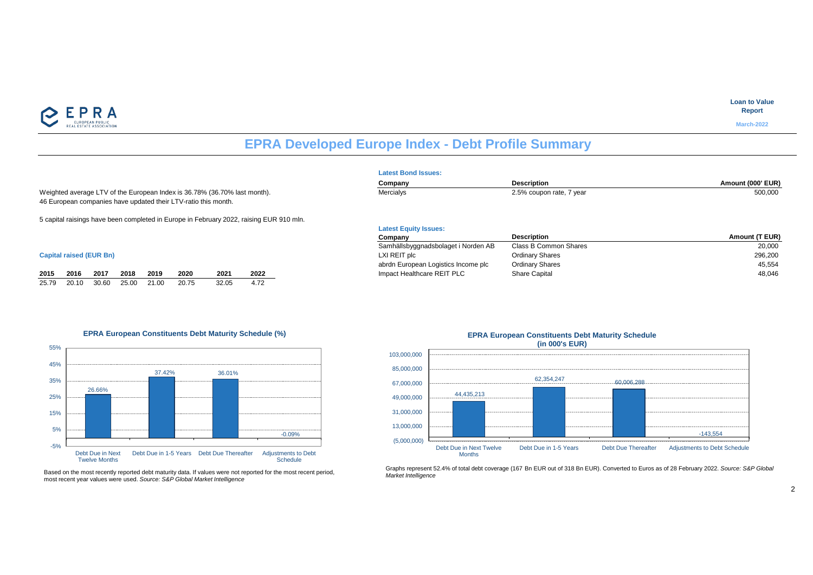

#### **Loan to Value Report**

**March-2022**

## **EPRA Developed Europe Index - Debt Profile Summary**

**Latest Equity Issues:**

**2015 2016 2016 2016 2016 2020 2020 2020 2020 2020 2020 2020 2020 2020 2020 2020 2020 2020 2020 2020 2020 2020 2020 2020 2020 2020 2020 2020 2020 2020 2020 2020** 

Samhällsbyggnadsbolaget i Norden AB

|                                                                                                                                             | <b>Latest Bond Issues:</b> |                          |                  |  |  |  |  |
|---------------------------------------------------------------------------------------------------------------------------------------------|----------------------------|--------------------------|------------------|--|--|--|--|
|                                                                                                                                             | Company                    | <b>Description</b>       | Amount (000' EUR |  |  |  |  |
| Weighted average LTV of the European Index is 36.78% (36.70% last month).<br>46 European companies have updated their LTV-ratio this month. | Mercialys                  | 2.5% coupon rate, 7 year | 500,000          |  |  |  |  |
| 5 capital raisings have been completed in Europe in February 2022, raising EUR 910 mln.                                                     |                            |                          |                  |  |  |  |  |

#### **Capital raised (EUR Bn)** LXI REIT plc Ordinary Shares 296,200

|  | 2015 2016 2017 2018 2019 | 2020 | 2021  | 2022 |
|--|--------------------------|------|-------|------|
|  |                          |      | 32.05 | 4.72 |

#### **EPRA European Constituents Debt Maturity Schedule (%)**





#### 44,435,213 62,354,247 60,006,288 -143,554 (5,000,000) 13,000,000 31,000,000 49,000,000 67,000,000 85,000,000 103,000,000 Debt Due in Next Twelve **Months** Debt Due in 1-5 Years Debt Due Thereafter Adjustments to Debt Schedule **(in 000's EUR)**

**Company Description**<br> **Company Description**<br> **Class B Common Shares Amount (T EUR)**<br> **COLOGY** 

abrdn European Logistics Income plc abruit of Ordinary Shares 45,554 abruit 1999 and 45,554 abruit 15,554 abruit 15,554 abruit 16,654 abruit 17,000 abruit 17,000 abruit 17,000 abruit 17,000 abruit 17,000 abruit 17,000 abru

Graphs represent 52.4% of total debt coverage (167 Bn EUR out of 318 Bn EUR). Converted to Euros as of 28 February 2022. *Source: S&P Global Market Intelligence*

## **EPRA European Constituents Debt Maturity Schedule**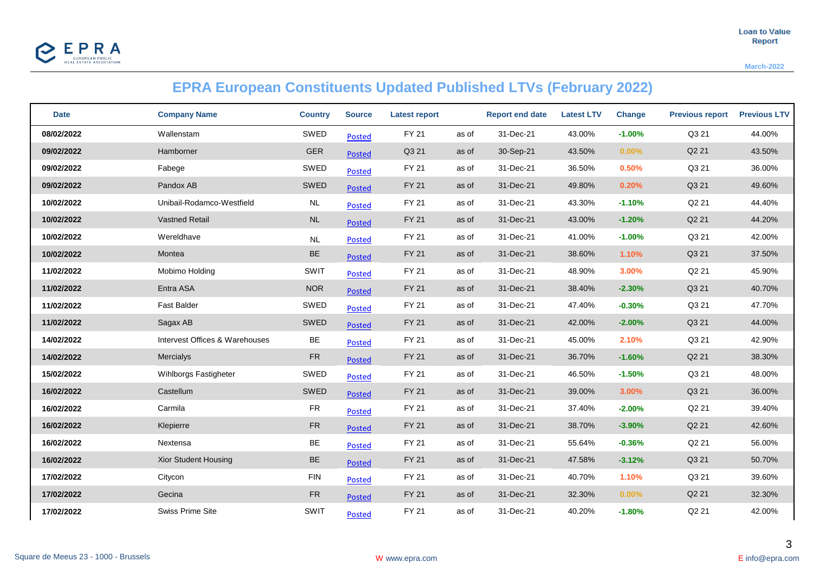

**March-2022**

## **EPRA European Constituents Updated Published LTVs (February 2022)**

| <b>Date</b> | <b>Company Name</b>            | <b>Country</b> | <b>Source</b> | <b>Latest report</b> |       | <b>Report end date</b> | <b>Latest LTV</b> | <b>Change</b> | <b>Previous report</b> | <b>Previous LTV</b> |
|-------------|--------------------------------|----------------|---------------|----------------------|-------|------------------------|-------------------|---------------|------------------------|---------------------|
| 08/02/2022  | Wallenstam                     | SWED           | Posted        | <b>FY 21</b>         | as of | 31-Dec-21              | 43.00%            | $-1.00%$      | Q3 21                  | 44.00%              |
| 09/02/2022  | Hamborner                      | <b>GER</b>     | <b>Posted</b> | Q3 21                | as of | 30-Sep-21              | 43.50%            | 0.00%         | Q2 21                  | 43.50%              |
| 09/02/2022  | Fabege                         | SWED           | Posted        | <b>FY 21</b>         | as of | 31-Dec-21              | 36.50%            | 0.50%         | Q3 21                  | 36.00%              |
| 09/02/2022  | Pandox AB                      | SWED           | Posted        | <b>FY 21</b>         | as of | 31-Dec-21              | 49.80%            | 0.20%         | Q3 21                  | 49.60%              |
| 10/02/2022  | Unibail-Rodamco-Westfield      | NL             | <b>Posted</b> | FY 21                | as of | 31-Dec-21              | 43.30%            | $-1.10%$      | Q2 21                  | 44.40%              |
| 10/02/2022  | <b>Vastned Retail</b>          | $\sf NL$       | <b>Posted</b> | <b>FY 21</b>         | as of | 31-Dec-21              | 43.00%            | $-1.20%$      | Q2 21                  | 44.20%              |
| 10/02/2022  | Wereldhave                     | $\sf NL$       | Posted        | FY 21                | as of | 31-Dec-21              | 41.00%            | $-1.00%$      | Q3 21                  | 42.00%              |
| 10/02/2022  | Montea                         | BE             | Posted        | <b>FY 21</b>         | as of | 31-Dec-21              | 38.60%            | 1.10%         | Q3 21                  | 37.50%              |
| 11/02/2022  | Mobimo Holding                 | SWIT           | <b>Posted</b> | FY 21                | as of | 31-Dec-21              | 48.90%            | 3.00%         | Q2 21                  | 45.90%              |
| 11/02/2022  | Entra ASA                      | <b>NOR</b>     | <b>Posted</b> | <b>FY 21</b>         | as of | 31-Dec-21              | 38.40%            | $-2.30%$      | Q3 21                  | 40.70%              |
| 11/02/2022  | <b>Fast Balder</b>             | SWED           | <b>Posted</b> | <b>FY 21</b>         | as of | 31-Dec-21              | 47.40%            | $-0.30%$      | Q3 21                  | 47.70%              |
| 11/02/2022  | Sagax AB                       | SWED           | <b>Posted</b> | <b>FY 21</b>         | as of | 31-Dec-21              | 42.00%            | $-2.00%$      | Q3 21                  | 44.00%              |
| 14/02/2022  | Intervest Offices & Warehouses | BE             | <b>Posted</b> | <b>FY 21</b>         | as of | 31-Dec-21              | 45.00%            | 2.10%         | Q3 21                  | 42.90%              |
| 14/02/2022  | Mercialys                      | <b>FR</b>      | <b>Posted</b> | <b>FY 21</b>         | as of | 31-Dec-21              | 36.70%            | $-1.60%$      | Q2 21                  | 38.30%              |
| 15/02/2022  | Wihlborgs Fastigheter          | SWED           | <b>Posted</b> | FY 21                | as of | 31-Dec-21              | 46.50%            | $-1.50%$      | Q3 21                  | 48.00%              |
| 16/02/2022  | Castellum                      | SWED           | Posted        | <b>FY 21</b>         | as of | 31-Dec-21              | 39.00%            | 3.00%         | Q3 21                  | 36.00%              |
| 16/02/2022  | Carmila                        | <b>FR</b>      | Posted        | FY 21                | as of | 31-Dec-21              | 37.40%            | $-2.00%$      | Q2 21                  | 39.40%              |
| 16/02/2022  | Klepierre                      | ${\sf FR}$     | <b>Posted</b> | <b>FY 21</b>         | as of | 31-Dec-21              | 38.70%            | $-3.90%$      | Q2 21                  | 42.60%              |
| 16/02/2022  | Nextensa                       | BE             | Posted        | <b>FY 21</b>         | as of | 31-Dec-21              | 55.64%            | $-0.36%$      | Q2 21                  | 56.00%              |
| 16/02/2022  | Xior Student Housing           | BE             | <b>Posted</b> | <b>FY 21</b>         | as of | 31-Dec-21              | 47.58%            | $-3.12%$      | Q3 21                  | 50.70%              |
| 17/02/2022  | Citycon                        | <b>FIN</b>     | <b>Posted</b> | FY 21                | as of | 31-Dec-21              | 40.70%            | 1.10%         | Q3 21                  | 39.60%              |
| 17/02/2022  | Gecina                         | <b>FR</b>      | <b>Posted</b> | <b>FY 21</b>         | as of | 31-Dec-21              | 32.30%            | $0.00\%$      | Q <sub>2</sub> 21      | 32.30%              |
| 17/02/2022  | Swiss Prime Site               | SWIT           | <b>Posted</b> | FY 21                | as of | 31-Dec-21              | 40.20%            | $-1.80%$      | Q2 21                  | 42.00%              |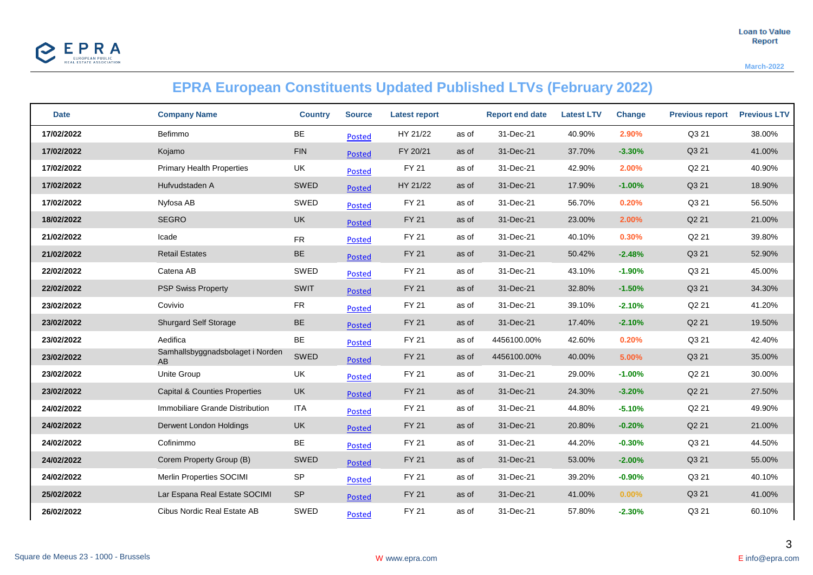

**March-2022**

## **EPRA European Constituents Updated Published LTVs (February 2022)**

| <b>Date</b> | <b>Company Name</b>                      | <b>Country</b> | <b>Source</b> | Latest report |       | <b>Report end date</b> | <b>Latest LTV</b> | <b>Change</b> | <b>Previous report</b> | <b>Previous LTV</b> |
|-------------|------------------------------------------|----------------|---------------|---------------|-------|------------------------|-------------------|---------------|------------------------|---------------------|
| 17/02/2022  | Befimmo                                  | BE             | <b>Posted</b> | HY 21/22      | as of | 31-Dec-21              | 40.90%            | 2.90%         | Q3 21                  | 38.00%              |
| 17/02/2022  | Kojamo                                   | <b>FIN</b>     | <b>Posted</b> | FY 20/21      | as of | 31-Dec-21              | 37.70%            | $-3.30%$      | Q3 21                  | 41.00%              |
| 17/02/2022  | <b>Primary Health Properties</b>         | UK             | <b>Posted</b> | FY 21         | as of | 31-Dec-21              | 42.90%            | 2.00%         | Q2 21                  | 40.90%              |
| 17/02/2022  | Hufvudstaden A                           | SWED           | <b>Posted</b> | HY 21/22      | as of | 31-Dec-21              | 17.90%            | $-1.00%$      | Q3 21                  | 18.90%              |
| 17/02/2022  | Nyfosa AB                                | SWED           | <b>Posted</b> | FY 21         | as of | 31-Dec-21              | 56.70%            | 0.20%         | Q3 21                  | 56.50%              |
| 18/02/2022  | <b>SEGRO</b>                             | <b>UK</b>      | <b>Posted</b> | <b>FY 21</b>  | as of | 31-Dec-21              | 23.00%            | 2.00%         | Q2 21                  | 21.00%              |
| 21/02/2022  | Icade                                    | ${\sf FR}$     | <b>Posted</b> | FY 21         | as of | 31-Dec-21              | 40.10%            | 0.30%         | Q2 21                  | 39.80%              |
| 21/02/2022  | <b>Retail Estates</b>                    | BE             | <b>Posted</b> | <b>FY 21</b>  | as of | 31-Dec-21              | 50.42%            | $-2.48%$      | Q3 21                  | 52.90%              |
| 22/02/2022  | Catena AB                                | SWED           | <b>Posted</b> | FY 21         | as of | 31-Dec-21              | 43.10%            | $-1.90%$      | Q3 21                  | 45.00%              |
| 22/02/2022  | <b>PSP Swiss Property</b>                | SWIT           | <b>Posted</b> | <b>FY 21</b>  | as of | 31-Dec-21              | 32.80%            | $-1.50%$      | Q3 21                  | 34.30%              |
| 23/02/2022  | Covivio                                  | <b>FR</b>      | <b>Posted</b> | FY 21         | as of | 31-Dec-21              | 39.10%            | $-2.10%$      | Q2 21                  | 41.20%              |
| 23/02/2022  | <b>Shurgard Self Storage</b>             | BE             | <b>Posted</b> | <b>FY 21</b>  | as of | 31-Dec-21              | 17.40%            | $-2.10%$      | Q2 21                  | 19.50%              |
| 23/02/2022  | Aedifica                                 | BE             | <b>Posted</b> | FY 21         | as of | 4456100.00%            | 42.60%            | 0.20%         | Q3 21                  | 42.40%              |
| 23/02/2022  | Samhallsbyggnadsbolaget i Norden<br>AB   | SWED           | <b>Posted</b> | <b>FY 21</b>  | as of | 4456100.00%            | 40.00%            | 5.00%         | Q3 21                  | 35.00%              |
| 23/02/2022  | Unite Group                              | UK             | <b>Posted</b> | FY 21         | as of | 31-Dec-21              | 29.00%            | $-1.00%$      | Q2 21                  | 30.00%              |
| 23/02/2022  | <b>Capital &amp; Counties Properties</b> | <b>UK</b>      | <b>Posted</b> | <b>FY 21</b>  | as of | 31-Dec-21              | 24.30%            | $-3.20%$      | Q2 21                  | 27.50%              |
| 24/02/2022  | Immobiliare Grande Distribution          | <b>ITA</b>     | <b>Posted</b> | FY 21         | as of | 31-Dec-21              | 44.80%            | $-5.10%$      | Q2 21                  | 49.90%              |
| 24/02/2022  | Derwent London Holdings                  | UK             | <b>Posted</b> | <b>FY 21</b>  | as of | 31-Dec-21              | 20.80%            | $-0.20%$      | Q2 21                  | 21.00%              |
| 24/02/2022  | Cofinimmo                                | BE             | Posted        | <b>FY 21</b>  | as of | 31-Dec-21              | 44.20%            | $-0.30%$      | Q3 21                  | 44.50%              |
| 24/02/2022  | Corem Property Group (B)                 | SWED           | <b>Posted</b> | <b>FY 21</b>  | as of | 31-Dec-21              | 53.00%            | $-2.00%$      | Q3 21                  | 55.00%              |
| 24/02/2022  | Merlin Properties SOCIMI                 | SP             | <b>Posted</b> | <b>FY 21</b>  | as of | 31-Dec-21              | 39.20%            | $-0.90%$      | Q3 21                  | 40.10%              |
| 25/02/2022  | Lar Espana Real Estate SOCIMI            | <b>SP</b>      | <b>Posted</b> | <b>FY 21</b>  | as of | 31-Dec-21              | 41.00%            | $0.00\%$      | Q3 21                  | 41.00%              |
| 26/02/2022  | Cibus Nordic Real Estate AB              | SWED           | <b>Posted</b> | FY 21         | as of | 31-Dec-21              | 57.80%            | $-2.30%$      | Q3 21                  | 60.10%              |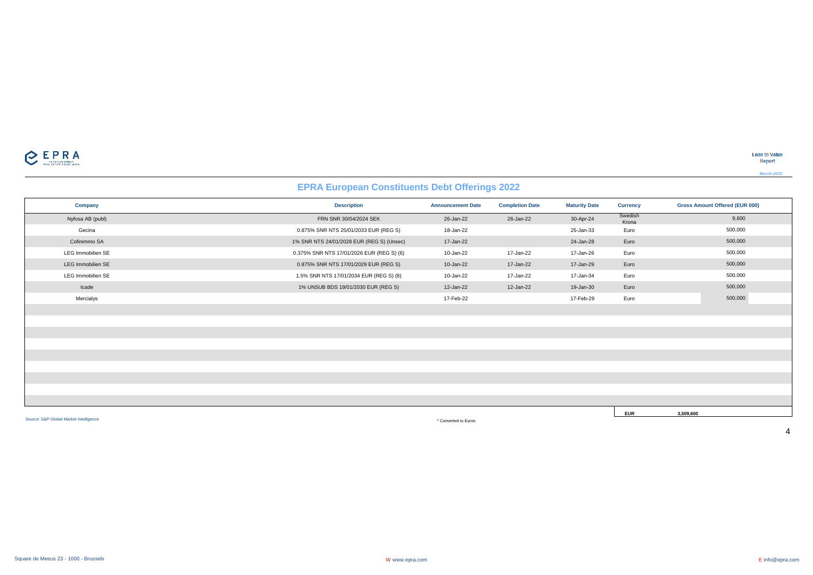

**Loan to Value** Report

**March-2022**

## **EPRA European Constituents Debt Offerings 2022**

| <b>Company</b>                         | <b>Description</b>                        | <b>Announcement Date</b> | <b>Completion Date</b> | <b>Maturity Date</b> | <b>Currency</b>  | <b>Gross Amount Offered (EUR 000)</b> |
|----------------------------------------|-------------------------------------------|--------------------------|------------------------|----------------------|------------------|---------------------------------------|
| Nyfosa AB (publ)                       | FRN SNR 30/04/2024 SEK                    | 26-Jan-22                | 26-Jan-22              | 30-Apr-24            | Swedish<br>Krona | 9,600                                 |
| Gecina                                 | 0.875% SNR NTS 25/01/2033 EUR (REG S)     | 18-Jan-22                |                        | 25-Jan-33            | Euro             | 500,000                               |
| Cofinimmo SA                           | 1% SNR NTS 24/01/2028 EUR (REG S) (Unsec) | 17-Jan-22                |                        | 24-Jan-28            | Euro             | 500,000                               |
| <b>LEG Immobilien SE</b>               | 0.375% SNR NTS 17/01/2026 EUR (REG S) (6) | 10-Jan-22                | 17-Jan-22              | 17-Jan-26            | Euro             | 500,000                               |
| LEG Immobilien SE                      | 0.875% SNR NTS 17/01/2029 EUR (REG S)     | 10-Jan-22                | 17-Jan-22              | 17-Jan-29            | Euro             | 500,000                               |
| <b>LEG Immobilien SE</b>               | 1.5% SNR NTS 17/01/2034 EUR (REG S) (8)   | 10-Jan-22                | 17-Jan-22              | 17-Jan-34            | Euro             | 500,000                               |
| Icade                                  | 1% UNSUB BDS 19/01/2030 EUR (REG S)       | 12-Jan-22                | 12-Jan-22              | 19-Jan-30            | Euro             | 500,000                               |
| Mercialys                              |                                           | 17-Feb-22                |                        | 17-Feb-29            | Euro             | 500,000                               |
|                                        |                                           |                          |                        |                      |                  |                                       |
|                                        |                                           |                          |                        |                      |                  |                                       |
|                                        |                                           |                          |                        |                      |                  |                                       |
|                                        |                                           |                          |                        |                      |                  |                                       |
|                                        |                                           |                          |                        |                      |                  |                                       |
|                                        |                                           |                          |                        |                      |                  |                                       |
|                                        |                                           |                          |                        |                      |                  |                                       |
|                                        |                                           |                          |                        |                      |                  |                                       |
|                                        |                                           |                          |                        |                      |                  |                                       |
|                                        |                                           |                          |                        |                      | <b>EUR</b>       | 3,509,600                             |
| Source: S&P Global Market Intelligence |                                           | * Converted to Euros     |                        |                      |                  |                                       |

\* Converted to Euros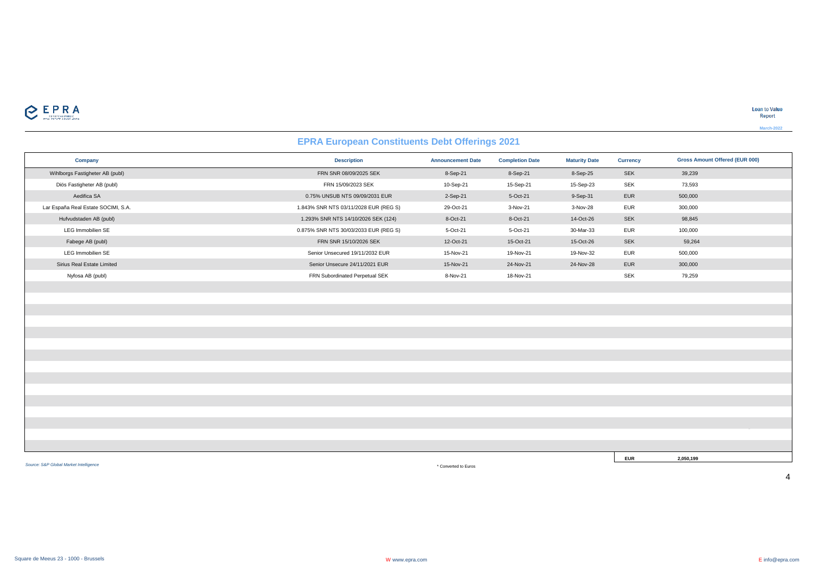

## **EPRA European Constituents Debt Offerings 2021**

| Company                             | <b>Description</b>                    | <b>Announcement Date</b> | <b>Completion Date</b> | <b>Maturity Date</b> | <b>Currency</b> | <b>Gross Amount Offered (EUR 000)</b> |
|-------------------------------------|---------------------------------------|--------------------------|------------------------|----------------------|-----------------|---------------------------------------|
| Wihlborgs Fastigheter AB (publ)     | FRN SNR 08/09/2025 SEK                | 8-Sep-21                 | 8-Sep-21               | 8-Sep-25             | SEK             | 39,239                                |
| Diös Fastigheter AB (publ)          | FRN 15/09/2023 SEK                    | 10-Sep-21                | 15-Sep-21              | 15-Sep-23            | <b>SEK</b>      | 73,593                                |
| Aedifica SA                         | 0.75% UNSUB NTS 09/09/2031 EUR        | 2-Sep-21                 | 5-Oct-21               | 9-Sep-31             | EUR             | 500,000                               |
| Lar España Real Estate SOCIMI, S.A. | 1.843% SNR NTS 03/11/2028 EUR (REG S) | 29-Oct-21                | 3-Nov-21               | 3-Nov-28             | EUR             | 300,000                               |
| Hufvudstaden AB (publ)              | 1.293% SNR NTS 14/10/2026 SEK (124)   | 8-Oct-21                 | 8-Oct-21               | 14-Oct-26            | SEK             | 98,845                                |
| LEG Immobilien SE                   | 0.875% SNR NTS 30/03/2033 EUR (REG S) | 5-Oct-21                 | 5-Oct-21               | 30-Mar-33            | EUR             | 100,000                               |
| Fabege AB (publ)                    | FRN SNR 15/10/2026 SEK                | 12-Oct-21                | 15-Oct-21              | 15-Oct-26            | SEK             | 59,264                                |
| LEG Immobilien SE                   | Senior Unsecured 19/11/2032 EUR       | 15-Nov-21                | 19-Nov-21              | 19-Nov-32            | EUR             | 500,000                               |
| Sirius Real Estate Limited          | Senior Unsecure 24/11/2021 EUR        | 15-Nov-21                | 24-Nov-21              | 24-Nov-28            | EUR             | 300,000                               |
| Nyfosa AB (publ)                    | FRN Subordinated Perpetual SEK        | 8-Nov-21                 | 18-Nov-21              |                      | <b>SEK</b>      | 79,259                                |
|                                     |                                       |                          |                        |                      |                 |                                       |
|                                     |                                       |                          |                        |                      |                 |                                       |
|                                     |                                       |                          |                        |                      |                 |                                       |
|                                     |                                       |                          |                        |                      |                 |                                       |
|                                     |                                       |                          |                        |                      |                 |                                       |
|                                     |                                       |                          |                        |                      |                 |                                       |
|                                     |                                       |                          |                        |                      |                 |                                       |
|                                     |                                       |                          |                        |                      |                 |                                       |
|                                     |                                       |                          |                        |                      |                 |                                       |
|                                     |                                       |                          |                        |                      |                 |                                       |
|                                     |                                       |                          |                        |                      |                 |                                       |
|                                     |                                       |                          |                        |                      |                 |                                       |
|                                     |                                       |                          |                        |                      |                 |                                       |
|                                     |                                       |                          |                        |                      |                 |                                       |
|                                     |                                       |                          |                        |                      |                 |                                       |
|                                     |                                       |                          |                        |                      | <b>EUR</b>      | 2,050,199                             |

*Source: S&P Global Market Intelligence*

\* Converted to Euros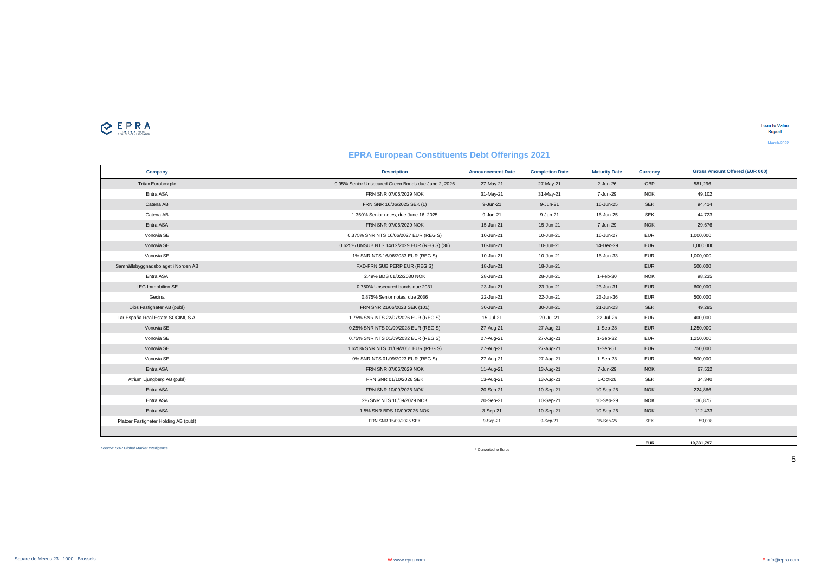$\sum_{\text{minimize}}$ 

#### **EPRA European Constituents Debt Offerings 2021**

| Company                               | <b>Description</b>                                  | <b>Announcement Date</b> | <b>Completion Date</b> | <b>Maturity Date</b> | <b>Currency</b> | <b>Gross Amount Offered (EUR 000)</b> |
|---------------------------------------|-----------------------------------------------------|--------------------------|------------------------|----------------------|-----------------|---------------------------------------|
| Tritax Eurobox plc                    | 0.95% Senior Unsecured Green Bonds due June 2, 2026 | 27-May-21                | 27-May-21              | 2-Jun-26             | <b>GBP</b>      | 581,296                               |
| Entra ASA                             | FRN SNR 07/06/2029 NOK                              | 31-May-21                | 31-May-21              | 7-Jun-29             | <b>NOK</b>      | 49,102                                |
| Catena AB                             | FRN SNR 16/06/2025 SEK (1)                          | 9-Jun-21                 | 9-Jun-21               | 16-Jun-25            | <b>SEK</b>      | 94,414                                |
| Catena AB                             | 1.350% Senior notes, due June 16, 2025              | 9-Jun-21                 | 9-Jun-21               | 16-Jun-25            | <b>SEK</b>      | 44,723                                |
| Entra ASA                             | FRN SNR 07/06/2029 NOK                              | 15-Jun-21                | 15-Jun-21              | 7-Jun-29             | <b>NOK</b>      | 29,676                                |
| Vonovia SE                            | 0.375% SNR NTS 16/06/2027 EUR (REG S)               | 10-Jun-21                | 10-Jun-21              | 16-Jun-27            | <b>EUR</b>      | 1,000,000                             |
| Vonovia SE                            | 0.625% UNSUB NTS 14/12/2029 EUR (REG S) (36)        | 10-Jun-21                | 10-Jun-21              | 14-Dec-29            | <b>EUR</b>      | 1,000,000                             |
| Vonovia SE                            | 1% SNR NTS 16/06/2033 EUR (REG S)                   | 10-Jun-21                | 10-Jun-21              | 16-Jun-33            | <b>EUR</b>      | 1,000,000                             |
| Samhällsbyggnadsbolaget i Norden AB   | FXD-FRN SUB PERP EUR (REG S)                        | 18-Jun-21                | 18-Jun-21              |                      | <b>EUR</b>      | 500,000                               |
| Entra ASA                             | 2.49% BDS 01/02/2030 NOK                            | 28-Jun-21                | 28-Jun-21              | 1-Feb-30             | <b>NOK</b>      | 98,235                                |
| LEG Immobilien SE                     | 0.750% Unsecured bonds due 2031                     | 23-Jun-21                | 23-Jun-21              | 23-Jun-31            | <b>EUR</b>      | 600,000                               |
| Gecina                                | 0.875% Senior notes, due 2036                       | 22-Jun-21                | 22-Jun-21              | 23-Jun-36            | <b>EUR</b>      | 500,000                               |
| Diös Fastigheter AB (publ)            | FRN SNR 21/06/2023 SEK (101)                        | 30-Jun-21                | 30-Jun-21              | 21-Jun-23            | <b>SEK</b>      | 49,295                                |
| Lar España Real Estate SOCIMI, S.A.   | 1.75% SNR NTS 22/07/2026 EUR (REG S)                | 15-Jul-21                | 20-Jul-21              | 22-Jul-26            | <b>EUR</b>      | 400.000                               |
| Vonovia SE                            | 0.25% SNR NTS 01/09/2028 EUR (REG S)                | 27-Aug-21                | 27-Aug-21              | 1-Sep-28             | <b>EUR</b>      | 1,250,000                             |
| Vonovia SE                            | 0.75% SNR NTS 01/09/2032 EUR (REG S)                | 27-Aug-21                | 27-Aug-21              | 1-Sep-32             | <b>EUR</b>      | 1,250,000                             |
| Vonovia SE                            | 1.625% SNR NTS 01/09/2051 EUR (REG S)               | 27-Aug-21                | 27-Aug-21              | 1-Sep-51             | <b>EUR</b>      | 750,000                               |
| Vonovia SE                            | 0% SNR NTS 01/09/2023 EUR (REG S)                   | 27-Aug-21                | 27-Aug-21              | 1-Sep-23             | <b>EUR</b>      | 500,000                               |
| Entra ASA                             | FRN SNR 07/06/2029 NOK                              | 11-Aug-21                | 13-Aug-21              | 7-Jun-29             | <b>NOK</b>      | 67,532                                |
| Atrium Ljungberg AB (publ)            | FRN SNR 01/10/2026 SEK                              | 13-Aug-21                | 13-Aug-21              | 1-Oct-26             | <b>SEK</b>      | 34,340                                |
| Entra ASA                             | FRN SNR 10/09/2026 NOK                              | 20-Sep-21                | 10-Sep-21              | 10-Sep-26            | <b>NOK</b>      | 224,866                               |
| Entra ASA                             | 2% SNR NTS 10/09/2029 NOK                           | 20-Sep-21                | 10-Sep-21              | 10-Sep-29            | <b>NOK</b>      | 136,875                               |
| Entra ASA                             | 1.5% SNR BDS 10/09/2026 NOK                         | 3-Sep-21                 | 10-Sep-21              | 10-Sep-26            | <b>NOK</b>      | 112,433                               |
| Platzer Fastigheter Holding AB (publ) | FRN SNR 15/09/2025 SEK                              | 9-Sep-21                 | 9-Sep-21               | 15-Sep-25            | <b>SEK</b>      | 59,008                                |
|                                       |                                                     |                          |                        |                      |                 |                                       |

*Source: S&P Global Market Intelligence*

\* Converted to Euros

**EUR 10,331,797**

Square de Meeus 23 - 1000 - Brussels www.espea.com **E** info@epra.com **E** info@epra.com **E** info@epra.com **E** info@epra.com **E** info@epra.com **E** info@epra.com **E** info@epra.com **E** info@epra.com **E** info@epra.com **E** info@

5

**Loan to Value** Report **March-2022**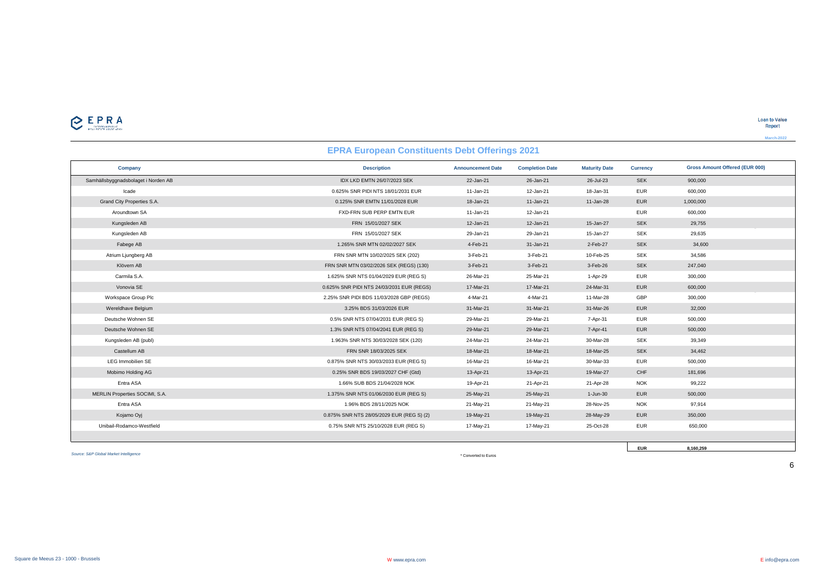**March-2022**

| <b>EPRA European Constituents Debt Offerings 2021</b> |                                           |                          |                        |                      |                 |                                       |  |  |
|-------------------------------------------------------|-------------------------------------------|--------------------------|------------------------|----------------------|-----------------|---------------------------------------|--|--|
| Company                                               | <b>Description</b>                        | <b>Announcement Date</b> | <b>Completion Date</b> | <b>Maturity Date</b> | <b>Currency</b> | <b>Gross Amount Offered (EUR 000)</b> |  |  |
| Samhällsbyggnadsbolaget i Norden AB                   | IDX LKD EMTN 26/07/2023 SEK               | 22-Jan-21                | 26-Jan-21              | 26-Jul-23            | <b>SEK</b>      | 900,000                               |  |  |
| Icade                                                 | 0.625% SNR PIDI NTS 18/01/2031 EUR        | 11-Jan-21                | 12-Jan-21              | 18-Jan-31            | <b>EUR</b>      | 600,000                               |  |  |
| Grand City Properties S.A.                            | 0.125% SNR EMTN 11/01/2028 EUR            | 18-Jan-21                | 11-Jan-21              | 11-Jan-28            | <b>EUR</b>      | 1,000,000                             |  |  |
| Aroundtown SA                                         | FXD-FRN SUB PERP EMTN EUR                 | 11-Jan-21                | 12-Jan-21              |                      | <b>EUR</b>      | 600,000                               |  |  |
| Kungsleden AB                                         | FRN 15/01/2027 SEK                        | 12-Jan-21                | 12-Jan-21              | 15-Jan-27            | <b>SEK</b>      | 29,755                                |  |  |
| Kungsleden AB                                         | FRN 15/01/2027 SEK                        | 29-Jan-21                | 29-Jan-21              | 15-Jan-27            | <b>SEK</b>      | 29,635                                |  |  |
| Fabege AB                                             | 1.265% SNR MTN 02/02/2027 SEK             | 4-Feb-21                 | 31-Jan-21              | 2-Feb-27             | <b>SEK</b>      | 34,600                                |  |  |
| Atrium Ljungberg AB                                   | FRN SNR MTN 10/02/2025 SEK (202)          | 3-Feb-21                 | 3-Feb-21               | 10-Feb-25            | <b>SEK</b>      | 34,586                                |  |  |
| Klövern AB                                            | FRN SNR MTN 03/02/2026 SEK (REGS) (130)   | 3-Feb-21                 | 3-Feb-21               | 3-Feb-26             | <b>SEK</b>      | 247,040                               |  |  |
| Carmila S.A.                                          | 1.625% SNR NTS 01/04/2029 EUR (REG S)     | 26-Mar-21                | 25-Mar-21              | 1-Apr-29             | <b>EUR</b>      | 300,000                               |  |  |
| Vonovia SE                                            | 0.625% SNR PIDI NTS 24/03/2031 EUR (REGS) | 17-Mar-21                | 17-Mar-21              | 24-Mar-31            | <b>EUR</b>      | 600,000                               |  |  |
| Workspace Group Plc                                   | 2.25% SNR PIDI BDS 11/03/2028 GBP (REGS)  | 4-Mar-21                 | 4-Mar-21               | 11-Mar-28            | GBP             | 300,000                               |  |  |
| Wereldhave Belgium                                    | 3.25% BDS 31/03/2026 EUR                  | 31-Mar-21                | 31-Mar-21              | 31-Mar-26            | <b>EUR</b>      | 32,000                                |  |  |
| Deutsche Wohnen SE                                    | 0.5% SNR NTS 07/04/2031 EUR (REG S)       | 29-Mar-21                | 29-Mar-21              | 7-Apr-31             | <b>EUR</b>      | 500,000                               |  |  |
| Deutsche Wohnen SE                                    | 1.3% SNR NTS 07/04/2041 EUR (REG S)       | 29-Mar-21                | 29-Mar-21              | 7-Apr-41             | <b>EUR</b>      | 500,000                               |  |  |
| Kungsleden AB (publ)                                  | 1.963% SNR NTS 30/03/2028 SEK (120)       | 24-Mar-21                | 24-Mar-21              | 30-Mar-28            | <b>SEK</b>      | 39,349                                |  |  |
| Castellum AB                                          | FRN SNR 18/03/2025 SEK                    | 18-Mar-21                | 18-Mar-21              | 18-Mar-25            | <b>SEK</b>      | 34,462                                |  |  |
| <b>LEG Immobilien SE</b>                              | 0.875% SNR NTS 30/03/2033 EUR (REG S)     | 16-Mar-21                | 16-Mar-21              | 30-Mar-33            | <b>EUR</b>      | 500,000                               |  |  |
| Mobimo Holding AG                                     | 0.25% SNR BDS 19/03/2027 CHF (Gtd)        | 13-Apr-21                | 13-Apr-21              | 19-Mar-27            | CHF             | 181,696                               |  |  |
| Entra ASA                                             | 1.66% SUB BDS 21/04/2028 NOK              | 19-Apr-21                | 21-Apr-21              | 21-Apr-28            | <b>NOK</b>      | 99,222                                |  |  |
| MERLIN Properties SOCIMI, S.A.                        | 1.375% SNR NTS 01/06/2030 EUR (REG S)     | 25-May-21                | 25-May-21              | $1-Jun-30$           | <b>EUR</b>      | 500,000                               |  |  |
| Entra ASA                                             | 1.96% BDS 28/11/2025 NOK                  | 21-May-21                | 21-May-21              | 28-Nov-25            | <b>NOK</b>      | 97,914                                |  |  |
| Kojamo Oyj                                            | 0.875% SNR NTS 28/05/2029 EUR (REG S) (2) | 19-May-21                | 19-May-21              | 28-May-29            | <b>EUR</b>      | 350,000                               |  |  |
| Unibail-Rodamco-Westfield                             | 0.75% SNR NTS 25/10/2028 EUR (REG S)      | 17-May-21                | 17-May-21              | 25-Oct-28            | <b>EUR</b>      | 650,000                               |  |  |
|                                                       |                                           |                          |                        |                      |                 |                                       |  |  |

*Source: S&P Global Market Intelligence*

\* Converted to Euros

6

**EUR 8,160,259**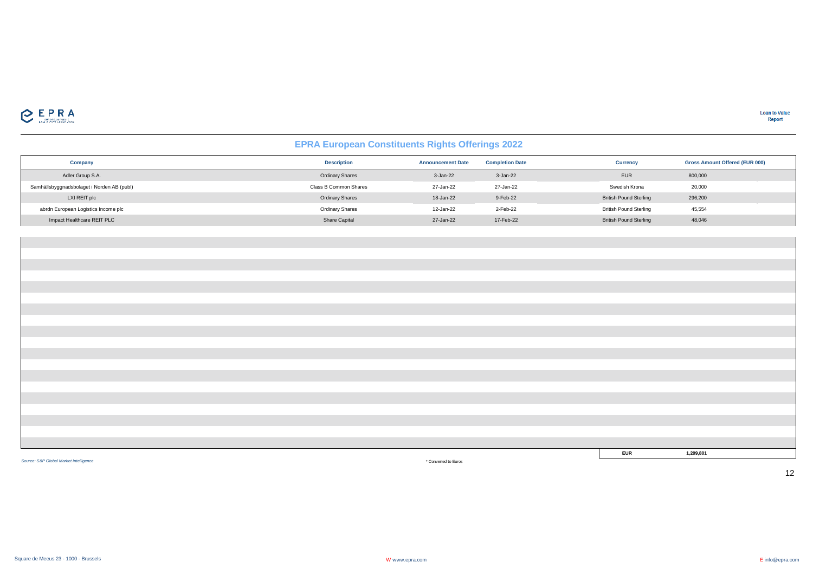

## **EPRA European Constituents Rights Offerings 2022**

| Company                                    | <b>Description</b>     | <b>Announcement Date</b> | <b>Completion Date</b> | <b>Currency</b>               | <b>Gross Amount Offered (EUR 000)</b> |
|--------------------------------------------|------------------------|--------------------------|------------------------|-------------------------------|---------------------------------------|
| Adler Group S.A.                           | <b>Ordinary Shares</b> | 3-Jan-22                 | $3-Jan-22$             | <b>EUR</b>                    | 800,000                               |
| Samhällsbyggnadsbolaget i Norden AB (publ) | Class B Common Shares  | 27-Jan-22                | 27-Jan-22              | Swedish Krona                 | 20,000                                |
| LXI REIT plc                               | <b>Ordinary Shares</b> | 18-Jan-22                | 9-Feb-22               | <b>British Pound Sterling</b> | 296,200                               |
| abrdn European Logistics Income plc        | <b>Ordinary Shares</b> | 12-Jan-22                | 2-Feb-22               | <b>British Pound Sterling</b> | 45,554                                |
| Impact Healthcare REIT PLC                 | Share Capital          | 27-Jan-22                | 17-Feb-22              | <b>British Pound Sterling</b> | 48,046                                |

| <b>EUR</b> | 1,209,801 |  |
|------------|-----------|--|

*Source: S&P Global Market Intelligence*

\* Converted to Euros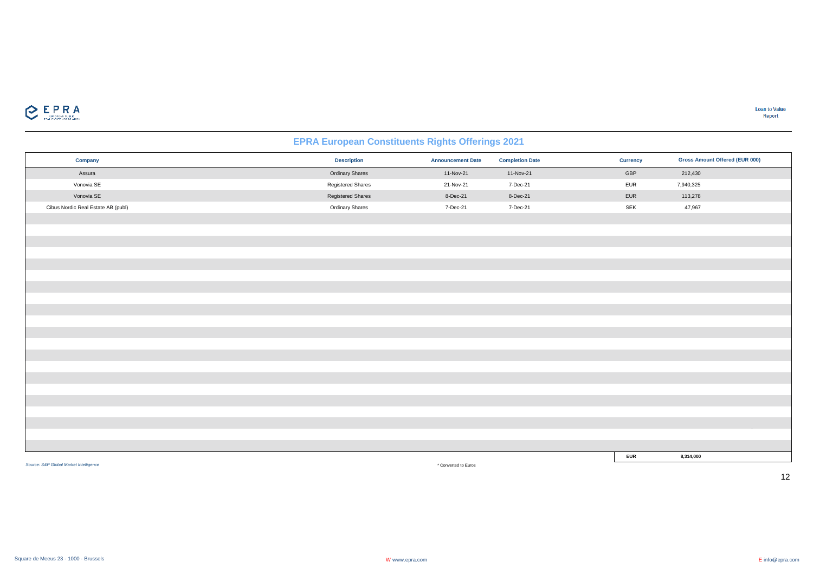

## **EPRA European Constituents Rights Offerings 2021**

| Company                                | <b>Description</b>       | <b>Announcement Date</b> | <b>Completion Date</b> | <b>Currency</b> | <b>Gross Amount Offered (EUR 000)</b> |
|----------------------------------------|--------------------------|--------------------------|------------------------|-----------------|---------------------------------------|
| Assura                                 | <b>Ordinary Shares</b>   | 11-Nov-21                | 11-Nov-21              | GBP             | 212,430                               |
| Vonovia SE                             | Registered Shares        | 21-Nov-21                | 7-Dec-21               | <b>EUR</b>      | 7,940,325                             |
| Vonovia SE                             | <b>Registered Shares</b> | 8-Dec-21                 | 8-Dec-21               | EUR             | 113,278                               |
| Cibus Nordic Real Estate AB (publ)     | Ordinary Shares          | 7-Dec-21                 | 7-Dec-21               | SEK             | 47,967                                |
|                                        |                          |                          |                        |                 |                                       |
|                                        |                          |                          |                        |                 |                                       |
|                                        |                          |                          |                        |                 |                                       |
|                                        |                          |                          |                        |                 |                                       |
|                                        |                          |                          |                        |                 |                                       |
|                                        |                          |                          |                        |                 |                                       |
|                                        |                          |                          |                        |                 |                                       |
|                                        |                          |                          |                        |                 |                                       |
|                                        |                          |                          |                        |                 |                                       |
|                                        |                          |                          |                        |                 |                                       |
|                                        |                          |                          |                        |                 |                                       |
|                                        |                          |                          |                        |                 |                                       |
|                                        |                          |                          |                        |                 |                                       |
|                                        |                          |                          |                        |                 |                                       |
|                                        |                          |                          |                        |                 |                                       |
|                                        |                          |                          |                        |                 |                                       |
|                                        |                          |                          |                        |                 |                                       |
|                                        |                          |                          |                        |                 |                                       |
|                                        |                          |                          |                        |                 |                                       |
|                                        |                          |                          |                        |                 |                                       |
|                                        |                          |                          |                        |                 |                                       |
|                                        |                          |                          |                        | <b>EUR</b>      | 8,314,000                             |
| Source: S&P Global Market Intelligence |                          | * Converted to Euros     |                        |                 |                                       |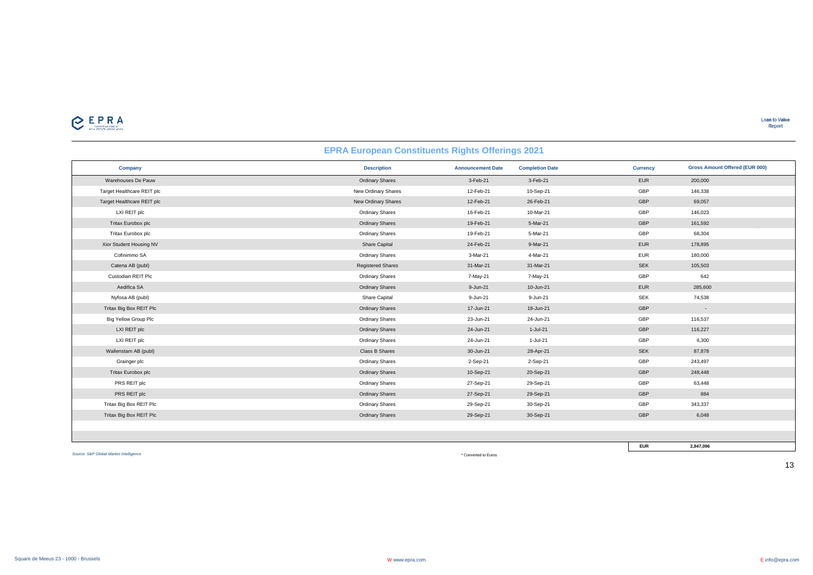| <b>EPRA European Constituents Rights Offerings 2021</b> |                          |                          |                        |                 |                                       |  |  |  |
|---------------------------------------------------------|--------------------------|--------------------------|------------------------|-----------------|---------------------------------------|--|--|--|
| Company                                                 | <b>Description</b>       | <b>Announcement Date</b> | <b>Completion Date</b> | <b>Currency</b> | <b>Gross Amount Offered (EUR 000)</b> |  |  |  |
| Warehouses De Pauw                                      | <b>Ordinary Shares</b>   | 3-Feb-21                 | 3-Feb-21               | <b>EUR</b>      | 200,000                               |  |  |  |
| Target Healthcare REIT plc                              | New Ordinary Shares      | 12-Feb-21                | 10-Sep-21              | GBP             | 146,338                               |  |  |  |
| Target Healthcare REIT plc                              | New Ordinary Shares      | 12-Feb-21                | 26-Feb-21              | GBP             | 69,057                                |  |  |  |
| LXI REIT plc                                            | <b>Ordinary Shares</b>   | 16-Feb-21                | 10-Mar-21              | GBP             | 146,023                               |  |  |  |
| Tritax Eurobox plc                                      | <b>Ordinary Shares</b>   | 19-Feb-21                | 5-Mar-21               | GBP             | 161,592                               |  |  |  |
| Tritax Eurobox plc                                      | <b>Ordinary Shares</b>   | 19-Feb-21                | 5-Mar-21               | GBP             | 68,304                                |  |  |  |
| Xior Student Housing NV                                 | Share Capital            | 24-Feb-21                | 9-Mar-21               | <b>EUR</b>      | 178,895                               |  |  |  |
| Cofinimmo SA                                            | <b>Ordinary Shares</b>   | 3-Mar-21                 | 4-Mar-21               | <b>EUR</b>      | 180,000                               |  |  |  |
| Catena AB (publ)                                        | <b>Registered Shares</b> | 31-Mar-21                | 31-Mar-21              | <b>SEK</b>      | 105,503                               |  |  |  |
| Custodian REIT Plc                                      | <b>Ordinary Shares</b>   | 7-May-21                 | 7-May-21               | GBP             | 642                                   |  |  |  |
| Aedifica SA                                             | <b>Ordinary Shares</b>   | 9-Jun-21                 | 10-Jun-21              | <b>EUR</b>      | 285,600                               |  |  |  |
| Nyfosa AB (publ)                                        | Share Capital            | 9-Jun-21                 | 9-Jun-21               | <b>SEK</b>      | 74,538                                |  |  |  |
| Tritax Big Box REIT Plc                                 | <b>Ordinary Shares</b>   | 17-Jun-21                | 18-Jun-21              | GBP             | $\sim$                                |  |  |  |
| <b>Big Yellow Group Plc</b>                             | <b>Ordinary Shares</b>   | 23-Jun-21                | 24-Jun-21              | GBP             | 116,537                               |  |  |  |
| LXI REIT plc                                            | <b>Ordinary Shares</b>   | 24-Jun-21                | $1-Jul-21$             | GBP             | 116,227                               |  |  |  |
| LXI REIT plc                                            | <b>Ordinary Shares</b>   | 24-Jun-21                | $1-Jul-21$             | GBP             | 4,300                                 |  |  |  |
| Wallenstam AB (publ)                                    | Class B Shares           | 30-Jun-21                | 28-Apr-21              | <b>SEK</b>      | 87,878                                |  |  |  |
| Grainger plc                                            | <b>Ordinary Shares</b>   | 2-Sep-21                 | 2-Sep-21               | GBP             | 243,497                               |  |  |  |
| Tritax Eurobox plc                                      | <b>Ordinary Shares</b>   | 10-Sep-21                | 20-Sep-21              | GBP             | 248,448                               |  |  |  |
| PRS REIT plc                                            | <b>Ordinary Shares</b>   | 27-Sep-21                | 29-Sep-21              | GBP             | 63,448                                |  |  |  |
| PRS REIT plc                                            | <b>Ordinary Shares</b>   | 27-Sep-21                | 29-Sep-21              | GBP             | 884                                   |  |  |  |
| Tritax Big Box REIT Plc                                 | <b>Ordinary Shares</b>   | 29-Sep-21                | 30-Sep-21              | GBP             | 343,337                               |  |  |  |
| Tritax Big Box REIT Plc                                 | <b>Ordinary Shares</b>   | 29-Sep-21                | 30-Sep-21              | GBP             | 6,048                                 |  |  |  |
|                                                         |                          |                          |                        |                 |                                       |  |  |  |
|                                                         |                          |                          |                        |                 |                                       |  |  |  |

*Source: S&P Global Market Intelligence*

\* Converted to Euros

**EUR 2,847,096**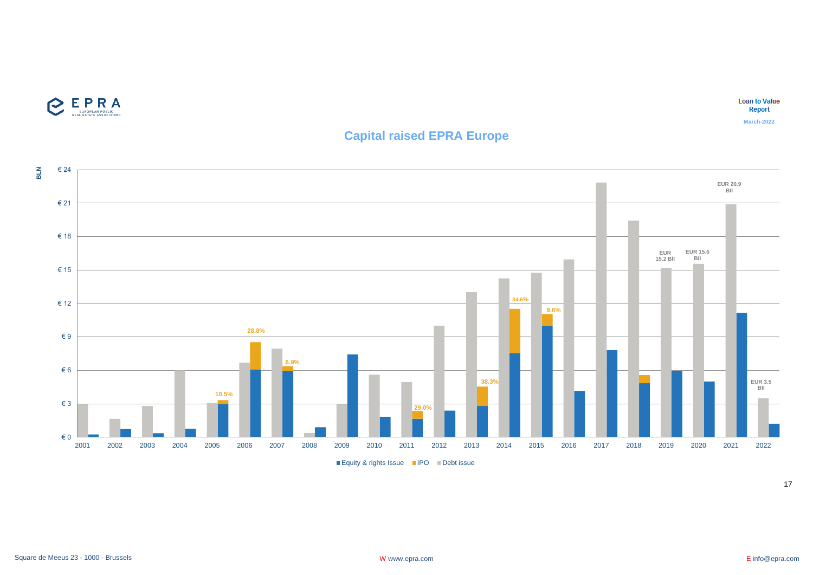

**Loan to Value** Report

**March-2022**

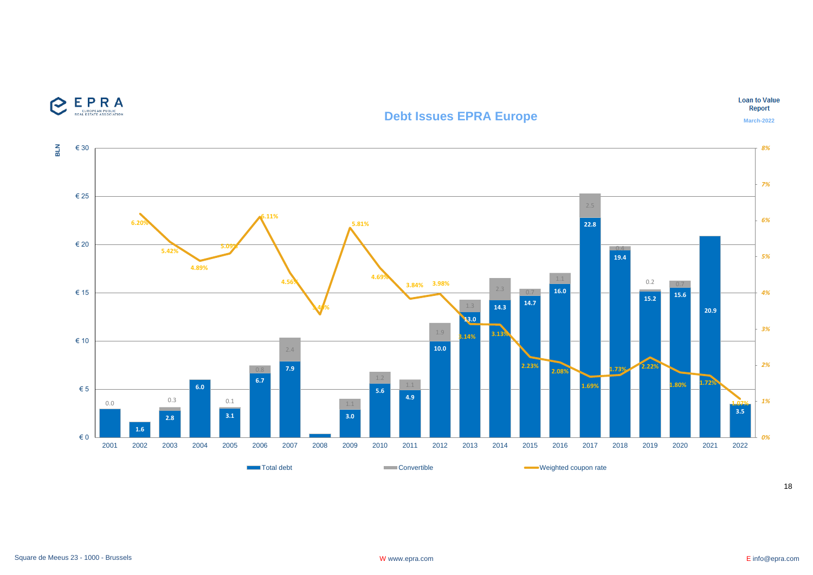

## **Debt Issues EPRA Europe**

**Loan to Value** Report

**March-2022**

Square de Meeus 23 - 1000 - Brussels **Example 23 - 1000 - Brussels** W www.epra.com **W** www.epra.com **E** info@epra.com **E** info@epra.com

**EPRA** 

e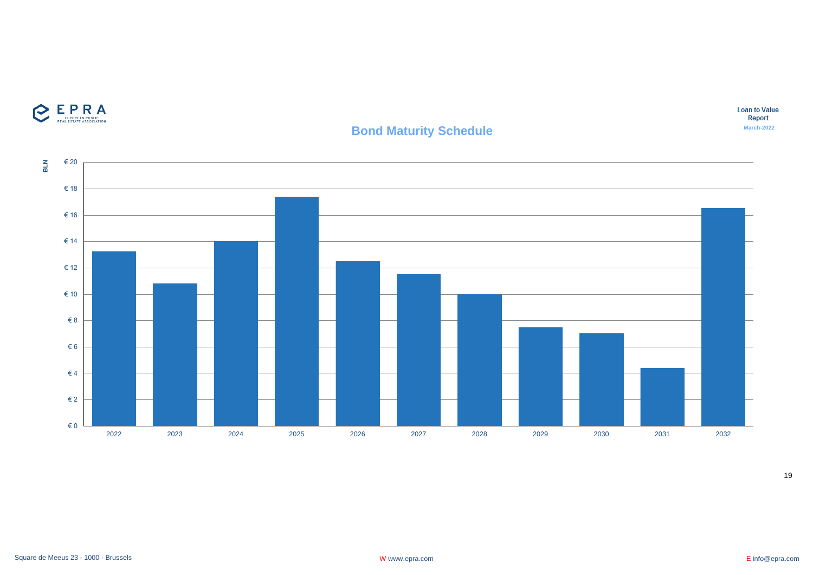

EPRA

## **Bond Maturity Schedule**

19

**March-2022**

**Loan to Value** Report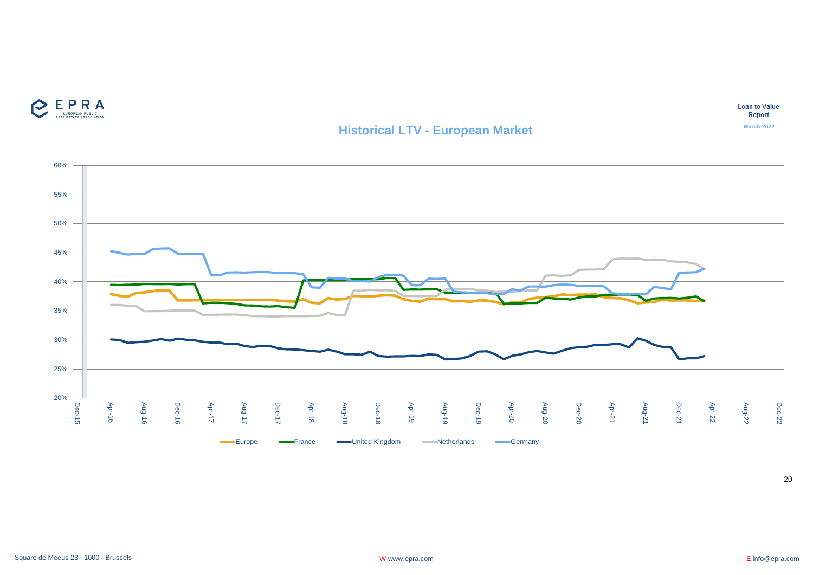

## **Historical LTV - European Market**

**Loan to Value** Report

**March-2022**

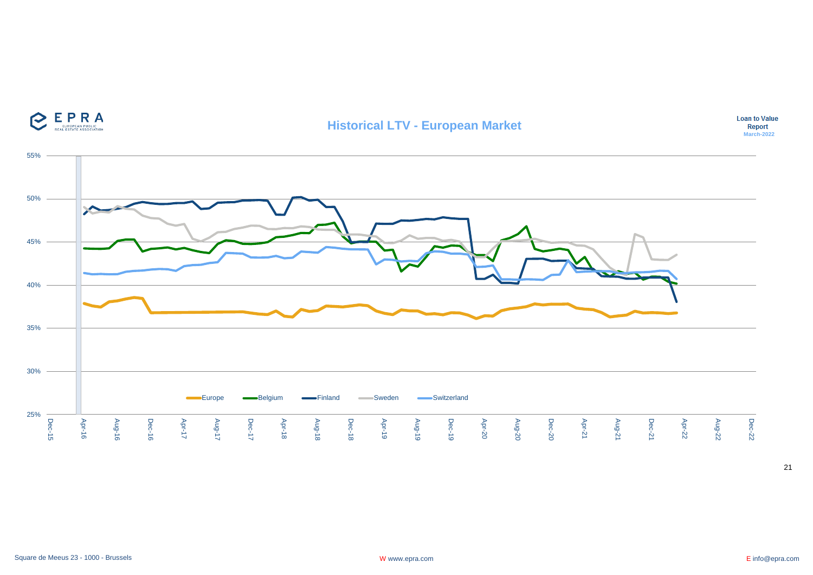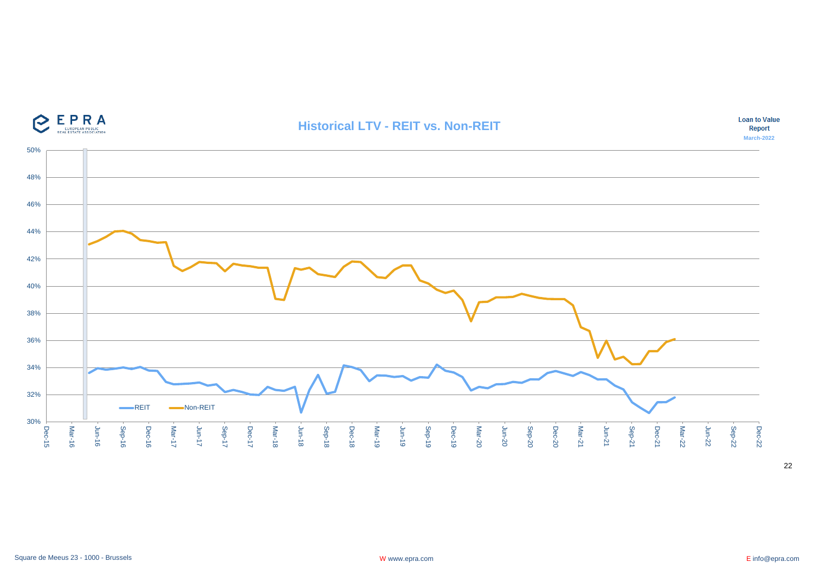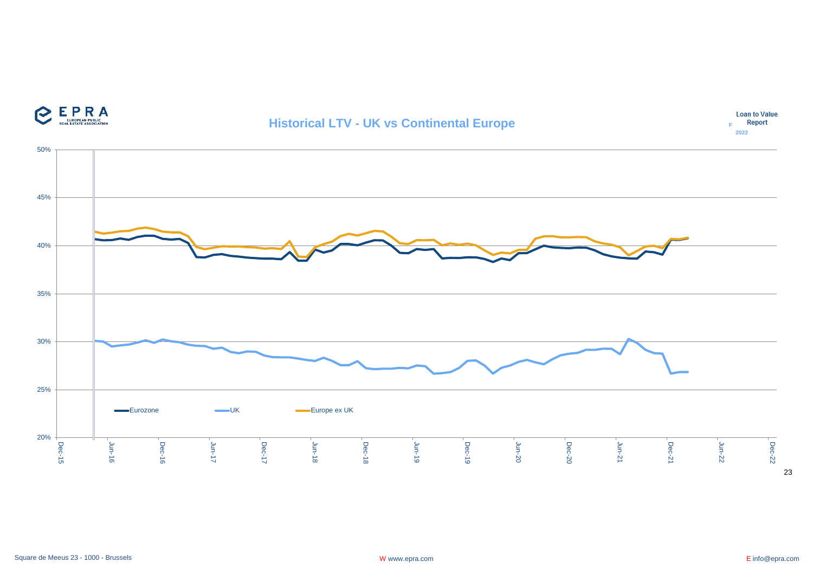

## **Historical LTV - UK vs Continental Europe**



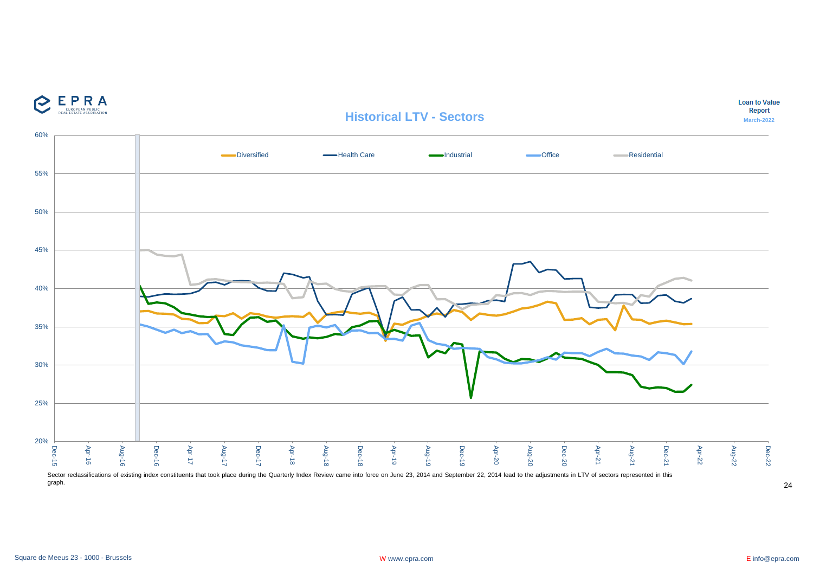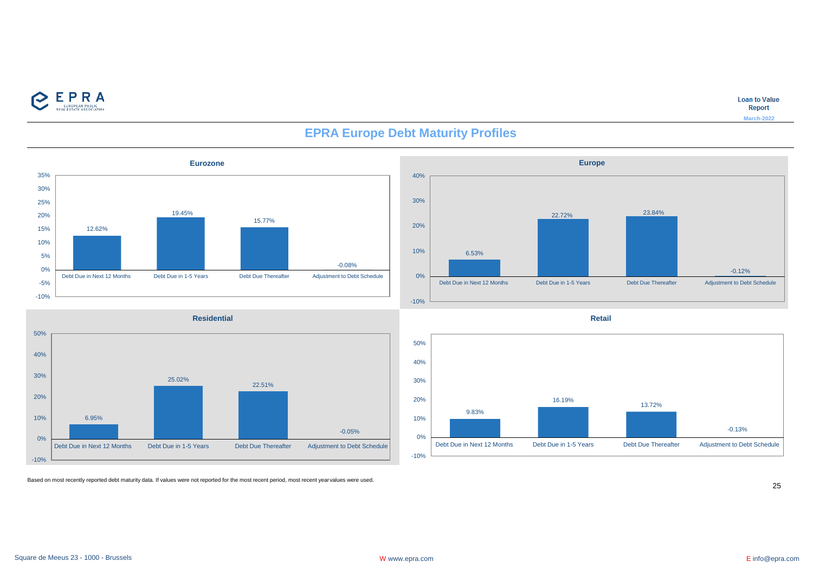

**Loan to Value** Report **March-2022**



## **EPRA Europe Debt Maturity Profiles**

22.72% 23.84% -0.12% Debt Due in Next 12 Months Debt Due in 1-5 Years Debt Due Thereafter Adjustment to Debt Schedule **Retail**

16.19%

**Europe**



Based on most recently reported debt maturity data. If values were not reported for the most recent period, most recent year values were used.

25

-0.13%

-10%

0%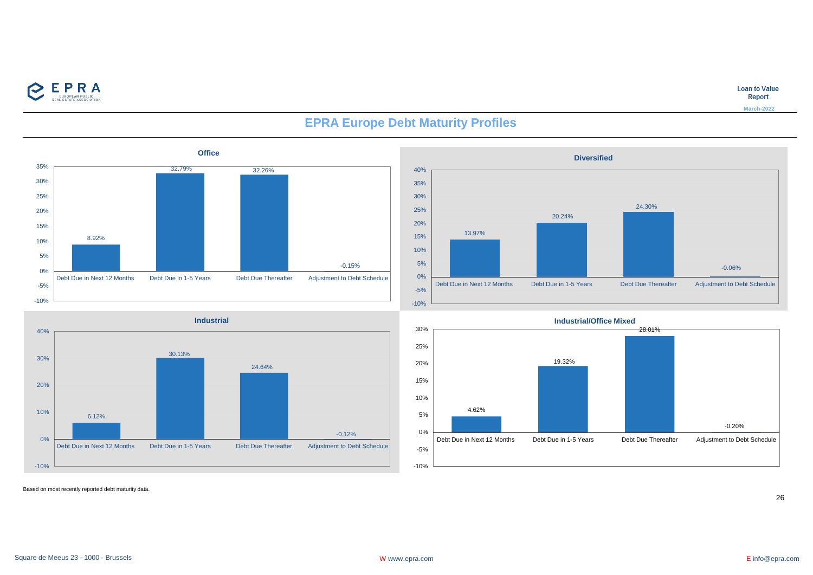

**Loan to Value** Report

**March-2022**



**Industrial**

24.64%

30.13%

## **EPRA Europe Debt Maturity Profiles**





Based on most recently reported debt maturity data.

-10%

0%

10%

20%

30%

40%

6.12%

26

-0.12%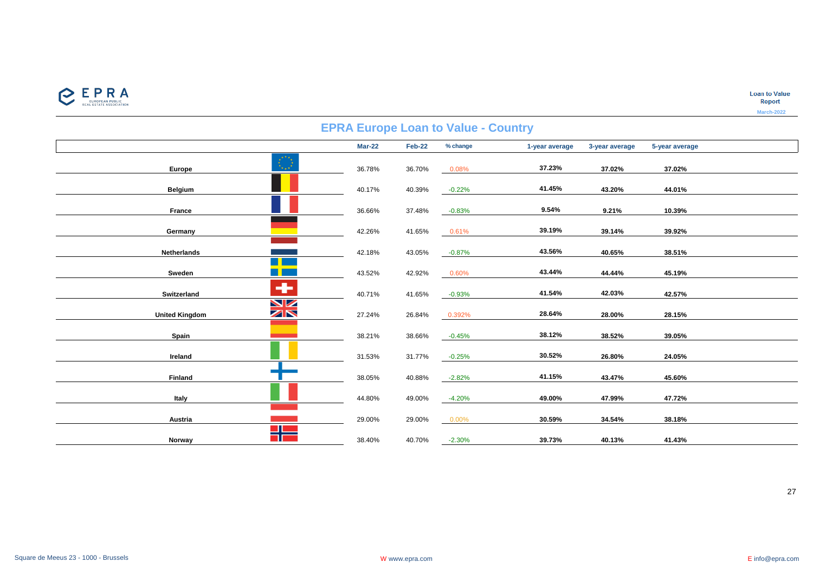

|                       |                |               |        | $\blacksquare$ The $\blacksquare$ which is value southly |                |                |                |
|-----------------------|----------------|---------------|--------|----------------------------------------------------------|----------------|----------------|----------------|
|                       |                | <b>Mar-22</b> | Feb-22 | % change                                                 | 1-year average | 3-year average | 5-year average |
| Europe                | $\mathbb{C}^*$ | 36.78%        | 36.70% | 0.08%                                                    | 37.23%         | 37.02%         | 37.02%         |
| <b>Belgium</b>        |                | 40.17%        | 40.39% | $-0.22%$                                                 | 41.45%         | 43.20%         | 44.01%         |
| France                |                | 36.66%        | 37.48% | $-0.83%$                                                 | 9.54%          | 9.21%          | 10.39%         |
| Germany               |                | 42.26%        | 41.65% | 0.61%                                                    | 39.19%         | 39.14%         | 39.92%         |
| Netherlands           |                | 42.18%        | 43.05% | $-0.87%$                                                 | 43.56%         | 40.65%         | 38.51%         |
| Sweden                |                | 43.52%        | 42.92% | 0.60%                                                    | 43.44%         | 44.44%         | 45.19%         |
| Switzerland           | ÷              | 40.71%        | 41.65% | $-0.93%$                                                 | 41.54%         | 42.03%         | 42.57%         |
| <b>United Kingdom</b> | VZ<br>ZN       | 27.24%        | 26.84% | 0.392%                                                   | 28.64%         | 28.00%         | 28.15%         |
| Spain                 |                | 38.21%        | 38.66% | $-0.45%$                                                 | 38.12%         | 38.52%         | 39.05%         |
| Ireland               |                | 31.53%        | 31.77% | $-0.25%$                                                 | 30.52%         | 26.80%         | 24.05%         |
| Finland               |                | 38.05%        | 40.88% | $-2.82%$                                                 | 41.15%         | 43.47%         | 45.60%         |
| Italy                 |                | 44.80%        | 49.00% | -4.20%                                                   | 49.00%         | 47.99%         | 47.72%         |
| Austria               |                | 29.00%        | 29.00% | $0.00\%$                                                 | 30.59%         | 34.54%         | 38.18%         |
| Norway                |                | 38.40%        | 40.70% | $-2.30%$                                                 | 39.73%         | 40.13%         | 41.43%         |

# **EPRA Europe Loan to Value - Country**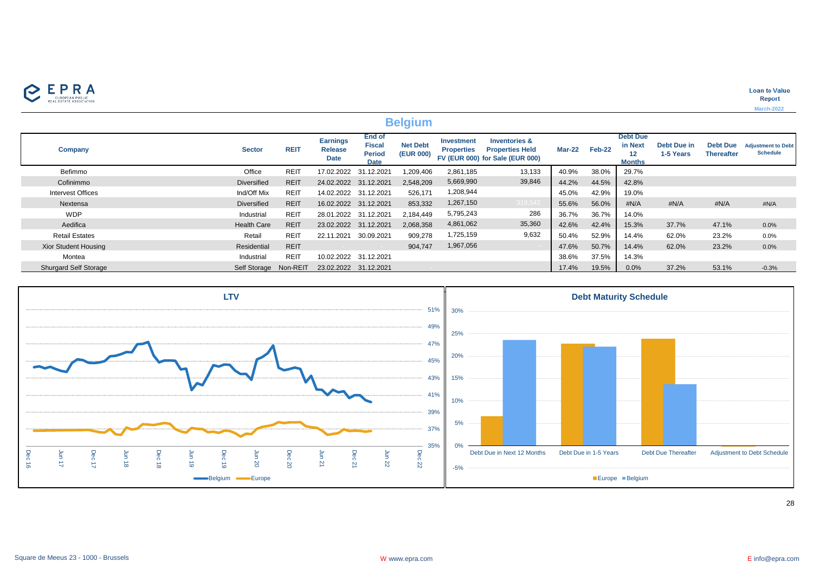

|                              |                       |             |                                                  |                                                                | <b>Belgium</b>               |                                        |                                                                                       |               |        |                                             |                                 |                                      |                                              |
|------------------------------|-----------------------|-------------|--------------------------------------------------|----------------------------------------------------------------|------------------------------|----------------------------------------|---------------------------------------------------------------------------------------|---------------|--------|---------------------------------------------|---------------------------------|--------------------------------------|----------------------------------------------|
| Company                      | <b>Sector</b>         | <b>REIT</b> | <b>Earnings</b><br><b>Release</b><br><b>Date</b> | <b>End of</b><br><b>Fiscal</b><br><b>Period</b><br><b>Date</b> | <b>Net Debt</b><br>(EUR 000) | <b>Investment</b><br><b>Properties</b> | <b>Inventories &amp;</b><br><b>Properties Held</b><br>FV (EUR 000) for Sale (EUR 000) | <b>Mar-22</b> | Feb-22 | <b>Debt Due</b><br>in Next<br><b>Months</b> | <b>Debt Due in</b><br>1-5 Years | <b>Debt Due</b><br><b>Thereafter</b> | <b>Adjustment to Debt</b><br><b>Schedule</b> |
| Befimmo                      | Office                | <b>REIT</b> | 17.02.2022                                       | 31.12.2021                                                     | 1,209,406                    | 2,861,185                              | 13,133                                                                                | 40.9%         | 38.0%  | 29.7%                                       |                                 |                                      |                                              |
| Cofinimmo                    | <b>Diversified</b>    | <b>REIT</b> | 24.02.2022 31.12.2021                            |                                                                | 2,548,209                    | 5,669,990                              | 39,846                                                                                | 44.2%         | 44.5%  | 42.8%                                       |                                 |                                      |                                              |
| <b>Intervest Offices</b>     | Ind/Off Mix           | <b>REIT</b> | 14.02.2022 31.12.2021                            |                                                                | 526,171                      | 1,208,944                              |                                                                                       | 45.0%         | 42.9%  | 19.0%                                       |                                 |                                      |                                              |
| Nextensa                     | <b>Diversified</b>    | <b>REIT</b> | 16.02.2022 31.12.2021                            |                                                                | 853,332                      | 1,267,150                              | 319,542                                                                               | 55.6%         | 56.0%  | #N/A                                        | #N/A                            | #N/A                                 | #N/A                                         |
| <b>WDP</b>                   | Industrial            | <b>REIT</b> | 28.01.2022 31.12.2021                            |                                                                | 2,184,449                    | 5,795,243                              | 286                                                                                   | 36.7%         | 36.7%  | 14.0%                                       |                                 |                                      |                                              |
| Aedifica                     | <b>Health Care</b>    | <b>REIT</b> | 23.02.2022 31.12.2021                            |                                                                | 2,068,358                    | 4,861,062                              | 35,360                                                                                | 42.6%         | 42.4%  | 15.3%                                       | 37.7%                           | 47.1%                                | 0.0%                                         |
| <b>Retail Estates</b>        | Retail                | <b>REIT</b> | 22.11.2021                                       | 30.09.2021                                                     | 909,278                      | 1,725,159                              | 9,632                                                                                 | 50.4%         | 52.9%  | 14.4%                                       | 62.0%                           | 23.2%                                | 0.0%                                         |
| <b>Xior Student Housing</b>  | Residential           | <b>REIT</b> |                                                  |                                                                | 904,747                      | 1,967,056                              |                                                                                       | 47.6%         | 50.7%  | 14.4%                                       | 62.0%                           | 23.2%                                | 0.0%                                         |
| Montea                       | Industrial            | <b>REIT</b> |                                                  | 10.02.2022 31.12.2021                                          |                              |                                        |                                                                                       | 38.6%         | 37.5%  | 14.3%                                       |                                 |                                      |                                              |
| <b>Shurgard Self Storage</b> | Self Storage Non-REIT |             | 23.02.2022 31.12.2021                            |                                                                |                              |                                        |                                                                                       | 17.4%         | 19.5%  | 0.0%                                        | 37.2%                           | 53.1%                                | $-0.3%$                                      |

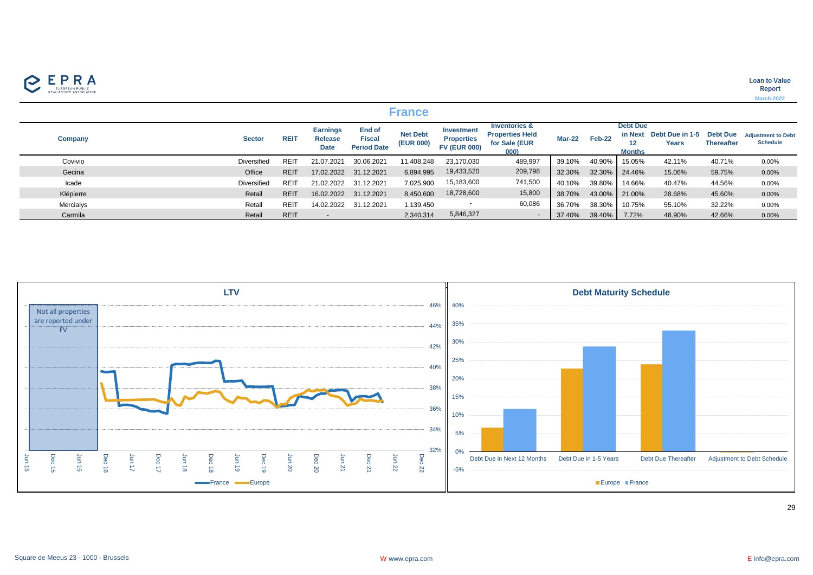

**Loan to Value** Report **March-2022**

|                |               |             |                                                  |                                                      | <b>France</b>                |                                                               |                                                                             |               |        |                                  |                                  |                                      |                                              |
|----------------|---------------|-------------|--------------------------------------------------|------------------------------------------------------|------------------------------|---------------------------------------------------------------|-----------------------------------------------------------------------------|---------------|--------|----------------------------------|----------------------------------|--------------------------------------|----------------------------------------------|
| <b>Company</b> | <b>Sector</b> | <b>REIT</b> | <b>Earnings</b><br><b>Release</b><br><b>Date</b> | <b>End of</b><br><b>Fiscal</b><br><b>Period Date</b> | <b>Net Debt</b><br>(EUR 000) | <b>Investment</b><br><b>Properties</b><br><b>FV (EUR 000)</b> | <b>Inventories &amp;</b><br><b>Properties Held</b><br>for Sale (EUR<br>000) | <b>Mar-22</b> | Feb-22 | <b>Debt Due</b><br><b>Months</b> | in Next Debt Due in 1-5<br>Years | <b>Debt Due</b><br><b>Thereafter</b> | <b>Adiustment to Debt</b><br><b>Schedule</b> |
| Covivio        | Diversified   | <b>REI</b>  | 21.07.2021                                       | 30.06.2021                                           | 11,408,248                   | 23,170,030                                                    | 489,997                                                                     | 39.10%        | 40.90% | 15.05%                           | 42.11%                           | 40.71%                               | 0.00%                                        |
| Gecina         | Office        | <b>REIT</b> | 17.02.2022                                       | 31.12.2021                                           | 6,894,995                    | 19,433,520                                                    | 209,798                                                                     | 32.30%        | 32.30% | 24.46%                           | 15.06%                           | 59.75%                               | 0.00%                                        |
| Icade          | Diversified   | REIT        | 21.02.2022                                       | 31.12.2021                                           | 7,025,900                    | 15,183,600                                                    | 741,500                                                                     | 40.10%        | 39.80% | 14.66%                           | 40.47%                           | 44.56%                               | 0.00%                                        |
| Klépierre      | Retail        | <b>REIT</b> | 16.02.2022                                       | 31.12.2021                                           | 8,450,600                    | 18,728,600                                                    | 15,800                                                                      | 38.70%        | 43.00% | 21.00%                           | 28.68%                           | 45.60%                               | 0.00%                                        |
| Mercialys      | Retail        | REIT        | 14.02.2022                                       | 31.12.2021                                           | 1,139,450                    | $\overline{\phantom{a}}$                                      | 60,086                                                                      | 36.70%        | 38.30% | 10.75%                           | 55.10%                           | 32.22%                               | 0.00%                                        |
| Carmila        | Retail        | <b>REIT</b> |                                                  |                                                      | 2,340,314                    | 5,846,327                                                     |                                                                             | 37.40%        | 39.40% | 7.72%                            | 48.90%                           | 42.66%                               | 0.00%                                        |

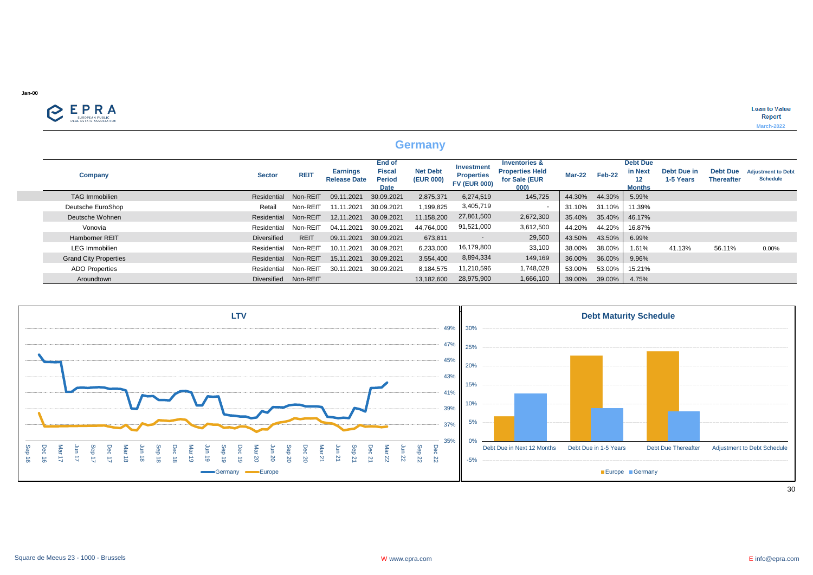

|                              |                      |             |                                        |                                                  | <b>Germany</b>               |                                                               |                                                                             |               |           |                                             |                          |                                      |                                              |
|------------------------------|----------------------|-------------|----------------------------------------|--------------------------------------------------|------------------------------|---------------------------------------------------------------|-----------------------------------------------------------------------------|---------------|-----------|---------------------------------------------|--------------------------|--------------------------------------|----------------------------------------------|
| Company                      | <b>Sector</b>        | <b>REIT</b> | <b>Earnings</b><br><b>Release Date</b> | End of<br><b>Fiscal</b><br><b>Period</b><br>Date | <b>Net Debt</b><br>(EUR 000) | <b>Investment</b><br><b>Properties</b><br><b>FV (EUR 000)</b> | <b>Inventories &amp;</b><br><b>Properties Held</b><br>for Sale (EUR<br>000) | <b>Mar-22</b> | Feb-22    | <b>Debt Due</b><br>in Next<br><b>Months</b> | Debt Due in<br>1-5 Years | <b>Debt Due</b><br><b>Thereafter</b> | <b>Adjustment to Debt</b><br><b>Schedule</b> |
| <b>TAG Immobilien</b>        | Residential          | Non-REIT    | 09.11.2021                             | 30.09.2021                                       | 2,875,371                    | 6,274,519                                                     | 145,725                                                                     | 44.30%        | 44.30%    | 5.99%                                       |                          |                                      |                                              |
| Deutsche EuroShop            | Retail               | Non-REIT    | 11.11.2021                             | 30.09.2021                                       | 1,199,825                    | 3,405,719                                                     |                                                                             | 31.10%        | 31.10%    | 11.39%                                      |                          |                                      |                                              |
| Deutsche Wohnen              | Residential          | Non-REIT    | 12.11.2021                             | 30.09.2021                                       | 11,158,200                   | 27,861,500                                                    | 2,672,300                                                                   | 35.40%        | 35.40%    | 46.17%                                      |                          |                                      |                                              |
| Vonovia                      | Residential          | Non-REIT    | 04.11.2021                             | 30.09.2021                                       | 44,764,000                   | 91,521,000                                                    | 3,612,500                                                                   | 44.20%        | 44.20%    | 16.87%                                      |                          |                                      |                                              |
| Hamborner REIT               | Diversified          | <b>REIT</b> | 09.11.2021                             | 30.09.2021                                       | 673,811                      | $\sim$                                                        | 29,500                                                                      | 43.50%        | 43.50%    | 6.99%                                       |                          |                                      |                                              |
| <b>LEG</b> Immobilien        | Residential          | Non-REIT    | 10.11.2021                             | 30.09.2021                                       | 6,233,000                    | 16,179,800                                                    | 33,100                                                                      | 38.00%        | 38.00%    | 1.61%                                       | 41.13%                   | 56.11%                               | 0.00%                                        |
| <b>Grand City Properties</b> | Residential          | Non-REIT    | 15.11.2021                             | 30.09.2021                                       | 3,554,400                    | 8,894,334                                                     | 149,169                                                                     | 36.00%        | 36.00%    | 9.96%                                       |                          |                                      |                                              |
| <b>ADO Properties</b>        | Residential          | Non-REIT    | 30.11.2021                             | 30.09.2021                                       | 8,184,575                    | 11,210,596                                                    | 1,748,028                                                                   | 53.00%        | 53.00%    | 15.21%                                      |                          |                                      |                                              |
| Aroundtown                   | Diversified Non-REIT |             |                                        |                                                  | 13,182,600                   | 28,975,900                                                    | 1,666,100                                                                   | 39.00%        | $39.00\%$ | 4.75%                                       |                          |                                      |                                              |

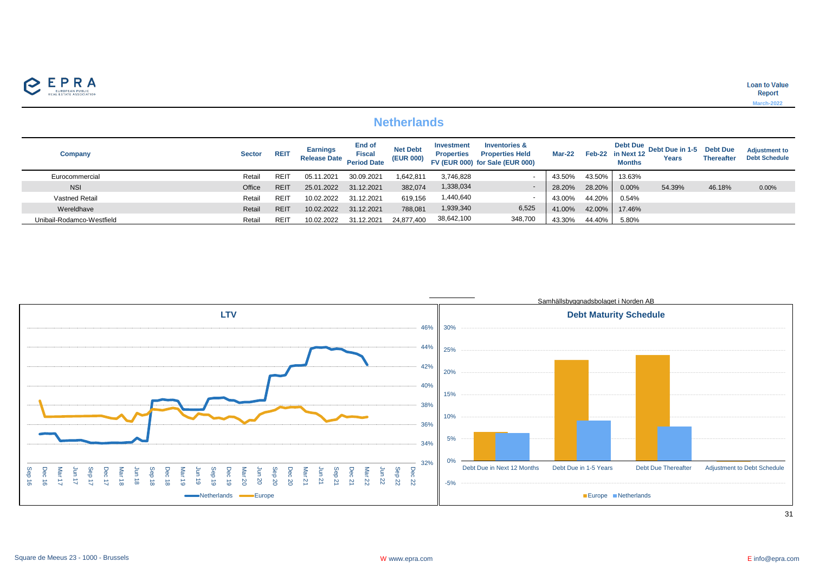

## **Netherlands**

| Company                   | <b>Sector</b> | <b>REIT</b> | <b>Earnings</b><br><b>Release Date</b> | End of<br><b>Fiscal</b><br><b>Period Date</b> | <b>Net Debt</b><br><b>(EUR 000)</b> | Investment<br><b>Properties</b> | <b>Inventories &amp;</b><br><b>Properties Held</b><br>FV (EUR 000) for Sale (EUR 000) | Mar-22 |        | <b>Debt Due</b><br>Feb-22 in Next 12<br><b>Months</b> | Debt Due in 1-5 Debt Due<br><b>Years</b> | <b>Thereafter</b> | <b>Adjustment to</b><br><b>Debt Schedule</b> |
|---------------------------|---------------|-------------|----------------------------------------|-----------------------------------------------|-------------------------------------|---------------------------------|---------------------------------------------------------------------------------------|--------|--------|-------------------------------------------------------|------------------------------------------|-------------------|----------------------------------------------|
| Eurocommercial            | Retail        | <b>REI</b>  | 05.11.2021                             | 30.09.2021                                    | .642,811                            | 3,746,828                       |                                                                                       | 43.50% | 43.50% | 13.63%                                                |                                          |                   |                                              |
| <b>NSI</b>                | Office        | <b>REIT</b> | 25.01.2022                             | 31.12.2021                                    | 382,074                             | 1,338,034                       |                                                                                       | 28.20% | 28.20% | 0.00%                                                 | 54.39%                                   | 46.18%            | 0.00%                                        |
| Vastned Retail            | Retail        | <b>REI</b>  | 10.02.2022                             | 31.12.2021                                    | 619,156                             | 1,440,640                       |                                                                                       | 43.00% | 44.20% | 0.54%                                                 |                                          |                   |                                              |
| Wereldhave                | Retail        | <b>REIT</b> | 10.02.2022                             | 31.12.2021                                    | 788,081                             | 1,939,340                       | 6,525                                                                                 | 41.00% | 42.00% | 17.46%                                                |                                          |                   |                                              |
| Unibail-Rodamco-Westfield | Retail        | <b>REI</b>  | 10.02.2022                             | 31.12.2021                                    | 24.877.400                          | 38,642,100                      | 348,700                                                                               | 43.30% | 44.40% | 5.80%                                                 |                                          |                   |                                              |

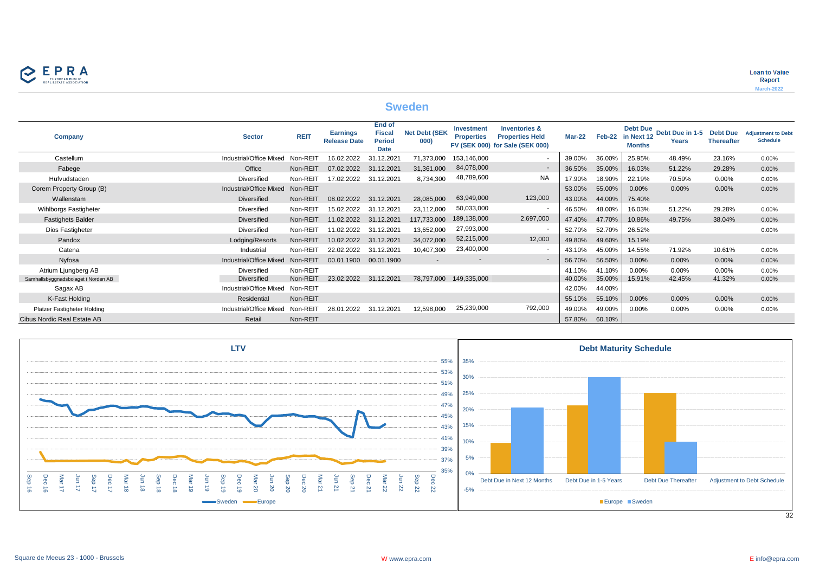

**Loan to Value** Report **March-2022**

## **Sweden**

| Company                             | <b>Sector</b>           | <b>REIT</b> | <b>Earnings</b><br><b>Release Date</b> | <b>End of</b><br><b>Fiscal</b><br><b>Period</b><br><b>Date</b> | <b>Net Debt (SEK</b><br>000) | <b>Investment</b><br><b>Properties</b> | <b>Inventories &amp;</b><br><b>Properties Held</b><br>FV (SEK 000) for Sale (SEK 000) | $Mar-22$ | Feb-22 | <b>Debt Due</b><br>in Next 12<br><b>Months</b> | Debt Due in 1-5 Debt Due<br>Years | <b>Thereafter</b> | <b>Adjustment to Debt</b><br><b>Schedule</b> |
|-------------------------------------|-------------------------|-------------|----------------------------------------|----------------------------------------------------------------|------------------------------|----------------------------------------|---------------------------------------------------------------------------------------|----------|--------|------------------------------------------------|-----------------------------------|-------------------|----------------------------------------------|
| Castellum                           | Industrial/Office Mixed | Non-REIT    | 16.02.2022                             | 31.12.2021                                                     | 71,373,000                   | 153.146.000                            |                                                                                       | 39.00%   | 36.00% | 25.95%                                         | 48.49%                            | 23.16%            | 0.00%                                        |
| Fabege                              | Office                  | Non-REIT    | 07.02.2022                             | 31.12.2021                                                     | 31,361,000                   | 84,078,000                             | $\sim$                                                                                | 36.50%   | 35.00% | 16.03%                                         | 51.22%                            | 29.28%            | 0.00%                                        |
| Hufvudstaden                        | Diversified             | Non-REIT    | 17.02.2022                             | 31.12.2021                                                     | 8,734,300                    | 48,789,600                             | <b>NA</b>                                                                             | 17.90%   | 18.90% | 22.19%                                         | 70.59%                            | 0.00%             | 0.00%                                        |
| Corem Property Group (B)            | Industrial/Office Mixed | Non-REIT    |                                        |                                                                |                              |                                        |                                                                                       | 53.00%   | 55.00% | 0.00%                                          | 0.00%                             | 0.00%             | 0.00%                                        |
| Wallenstam                          | <b>Diversified</b>      | Non-REIT    | 08.02.2022                             | 31.12.2021                                                     | 28,085,000                   | 63,949,000                             | 123,000                                                                               | 43.00%   | 44.00% | 75.40%                                         |                                   |                   |                                              |
| Wihlborgs Fastigheter               | Diversified             | Non-REIT    | 15.02.2022                             | 31.12.2021                                                     | 23,112,000                   | 50,033,000                             |                                                                                       | 46.50%   | 48.00% | 16.03%                                         | 51.22%                            | 29.28%            | 0.00%                                        |
| <b>Fastighets Balder</b>            | <b>Diversified</b>      | Non-REIT    | 11.02.2022                             | 31.12.2021                                                     | 117,733,000                  | 189,138,000                            | 2,697,000                                                                             | 47.40%   | 47.70% | 10.86%                                         | 49.75%                            | 38.04%            | 0.00%                                        |
| Dios Fastigheter                    | Diversified             | Non-REIT    | 11.02.2022                             | 31.12.2021                                                     | 13,652,000                   | 27,993,000                             |                                                                                       | 52.70%   | 52.70% | 26.52%                                         |                                   |                   | 0.00%                                        |
| Pandox                              | Lodging/Resorts         | Non-REIT    | 10.02.2022                             | 31.12.2021                                                     | 34,072,000                   | 52,215,000                             | 12,000                                                                                | 49.80%   | 49.60% | 15.19%                                         |                                   |                   |                                              |
| Catena                              | Industrial              | Non-REIT    | 22.02.2022                             | 31.12.2021                                                     | 10,407,300                   | 23,400,000                             |                                                                                       | 43.10%   | 45.00% | 14.55%                                         | 71.92%                            | 10.61%            | 0.00%                                        |
| Nyfosa                              | Industrial/Office Mixed | Non-REIT    | 00.01.1900                             | 00.01.1900                                                     |                              |                                        | $\sim$                                                                                | 56.70%   | 56.50% | 0.00%                                          | 0.00%                             | 0.00%             | 0.00%                                        |
| Atrium Ljungberg AB                 | Diversified             | Non-REIT    |                                        |                                                                |                              |                                        |                                                                                       | 41.10%   | 41.10% | 0.00%                                          | $0.00\%$                          | 0.00%             | 0.00%                                        |
| Samhallsbyggnadsbolaget i Norden AB | Diversified             | Non-REIT    | 23.02.2022                             | 31.12.2021                                                     | 78.797.000                   | 149.335.000                            |                                                                                       | 40.00%   | 35.00% | 15.91%                                         | 42.45%                            | 41.32%            | 0.00%                                        |
| Sagax AB                            | Industrial/Office Mixed | Non-REIT    |                                        |                                                                |                              |                                        |                                                                                       | 42.00%   | 44.00% |                                                |                                   |                   |                                              |
| K-Fast Holding                      | Residential             | Non-REIT    |                                        |                                                                |                              |                                        |                                                                                       | 55.10%   | 55.10% | 0.00%                                          | 0.00%                             | 0.00%             | 0.00%                                        |
| Platzer Fastigheter Holding         | Industrial/Office Mixed | Non-REIT    | 28.01.2022                             | 31.12.2021                                                     | 12,598,000                   | 25,239,000                             | 792,000                                                                               | 49.00%   | 49.00% | 0.00%                                          | $0.00\%$                          | 0.00%             | 0.00%                                        |
| Cibus Nordic Real Estate AB         | Retail                  | Non-REIT    |                                        |                                                                |                              |                                        |                                                                                       | 57.80%   | 60.10% |                                                |                                   |                   |                                              |



 $\overline{32}$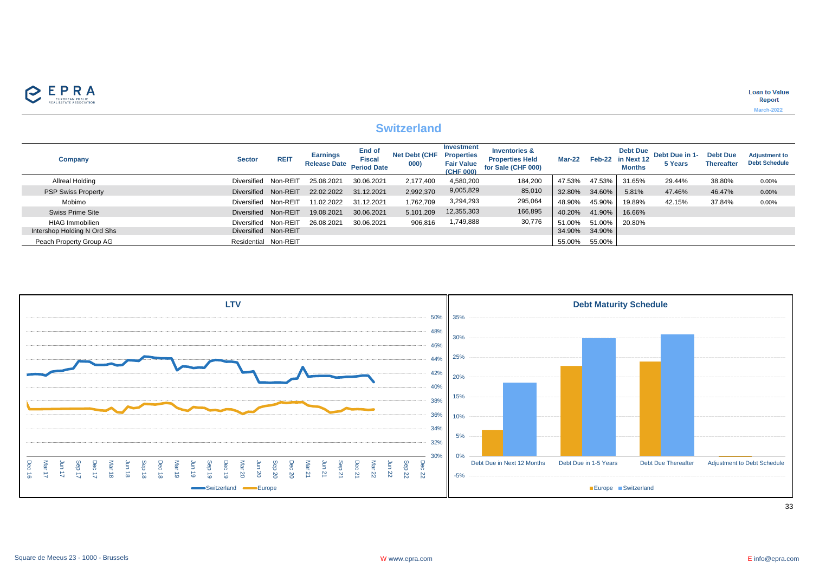

## **Switzerland**

| Company                     | <b>Sector</b>        | <b>REIT</b> | <b>Earnings</b><br><b>Release Date</b> | End of<br><b>Fiscal</b><br><b>Period Date</b> | <b>Net Debt (CHF</b><br>000) | Investment<br><b>Properties</b><br><b>Fair Value</b><br>(CHF 000) | <b>Inventories &amp;</b><br><b>Properties Held</b><br>for Sale (CHF 000) | Mar-22 |        | <b>Debt Due</b><br>Feb-22 in Next 12<br><b>Months</b> | Debt Due in 1-<br>5 Years | <b>Debt Due</b><br><b>Thereafter</b> | <b>Adjustment to</b><br><b>Debt Schedule</b> |
|-----------------------------|----------------------|-------------|----------------------------------------|-----------------------------------------------|------------------------------|-------------------------------------------------------------------|--------------------------------------------------------------------------|--------|--------|-------------------------------------------------------|---------------------------|--------------------------------------|----------------------------------------------|
| Allreal Holding             | Diversified          | Non-REIT    | 25.08.2021                             | 30.06.2021                                    | 2.177.400                    | 4.580.200                                                         | 184,200                                                                  | 47.53% | 47.53% | 31.65%                                                | 29.44%                    | 38.80%                               | 0.00%                                        |
| <b>PSP Swiss Property</b>   | Diversified          | Non-REIT    | 22.02.2022                             | 31.12.2021                                    | 2,992,370                    | 9,005,829                                                         | 85,010                                                                   | 32.80% | 34.60% | 5.81%                                                 | 47.46%                    | 46.47%                               | 0.00%                                        |
| Mobimo                      | Diversified          | Non-REIT    | 11.02.2022                             | 31.12.2021                                    | 1,762,709                    | 3,294,293                                                         | 295,064                                                                  | 48.90% | 45.90% | 19.89%                                                | 42.15%                    | 37.84%                               | 0.00%                                        |
| Swiss Prime Site            | Diversified          | Non-REIT    | 19.08.2021                             | 30.06.2021                                    | 5,101,209                    | 12,355,303                                                        | 166,895                                                                  | 40.20% | 41.90% | 16.66%                                                |                           |                                      |                                              |
| <b>HIAG Immobilien</b>      | Diversified          | Non-REIT    | 26.08.2021                             | 30.06.2021                                    | 906,816                      | 1,749,888                                                         | 30,776                                                                   | 51.00% |        | 51.00% 20.80%                                         |                           |                                      |                                              |
| Intershop Holding N Ord Shs | Diversified Non-REIT |             |                                        |                                               |                              |                                                                   |                                                                          | 34.90% | 34.90% |                                                       |                           |                                      |                                              |
| Peach Property Group AG     | Residential Non-REIT |             |                                        |                                               |                              |                                                                   |                                                                          | 55.00% | 55.00% |                                                       |                           |                                      |                                              |

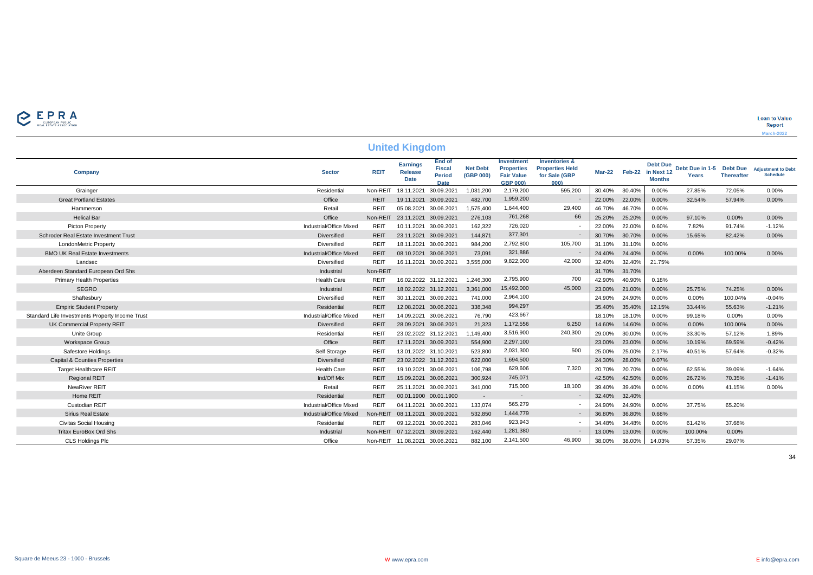

|                                                 |                         |             | <b>United Kingdom</b>                            |                                                  |                              |                                                                         |                                                                             |        |        |                                                              |                          |                                      |                                              |
|-------------------------------------------------|-------------------------|-------------|--------------------------------------------------|--------------------------------------------------|------------------------------|-------------------------------------------------------------------------|-----------------------------------------------------------------------------|--------|--------|--------------------------------------------------------------|--------------------------|--------------------------------------|----------------------------------------------|
| Company                                         | <b>Sector</b>           | <b>REIT</b> | <b>Earnings</b><br><b>Release</b><br><b>Date</b> | End of<br><b>Fiscal</b><br>Period<br><b>Date</b> | <b>Net Debt</b><br>(GBP 000) | Investment<br><b>Properties</b><br><b>Fair Value</b><br><b>GBP 000)</b> | <b>Inventories &amp;</b><br><b>Properties Held</b><br>for Sale (GBP<br>000) |        |        | <b>Debt Due</b><br>Mar-22 Feb-22 in Next 12<br><b>Months</b> | Debt Due in 1-5<br>Years | <b>Debt Due</b><br><b>Thereafter</b> | <b>Adjustment to Debt</b><br><b>Schedule</b> |
| Grainger                                        | Residential             | Non-REIT    | 18.11.2021                                       | 30.09.2021                                       | 1,031,200                    | 2,179,200                                                               | 595,200                                                                     | 30.40% | 30.40% | 0.00%                                                        | 27.85%                   | 72.05%                               | 0.00%                                        |
| <b>Great Portland Estates</b>                   | Office                  | <b>REIT</b> | 19.11.2021 30.09.2021                            |                                                  | 482,700                      | 1,959,200                                                               | $\sim$                                                                      | 22.00% | 22.00% | 0.00%                                                        | 32.54%                   | 57.94%                               | 0.00%                                        |
| Hammerson                                       | Retail                  | REIT        | 05.08.2021 30.06.2021                            |                                                  | 1,575,400                    | 1,644,400                                                               | 29,400                                                                      | 46.70% | 46.70% | 0.00%                                                        |                          |                                      |                                              |
| <b>Helical Bar</b>                              | Office                  | Non-REIT    | 23.11.2021 30.09.2021                            |                                                  | 276,103                      | 761,268                                                                 | 66                                                                          | 25.20% | 25.20% | 0.00%                                                        | 97.10%                   | 0.00%                                | 0.00%                                        |
| Picton Property                                 | Industrial/Office Mixed | <b>REIT</b> | 10.11.2021 30.09.2021                            |                                                  | 162,322                      | 726,020                                                                 |                                                                             | 22.00% | 22.00% | 0.60%                                                        | 7.82%                    | 91.74%                               | $-1.12%$                                     |
| Schroder Real Estate Investment Trust           | <b>Diversified</b>      | <b>REIT</b> | 23.11.2021 30.09.2021                            |                                                  | 144,871                      | 377,301                                                                 |                                                                             | 30.70% | 30.70% | 0.00%                                                        | 15.65%                   | 82.42%                               | 0.00%                                        |
| LondonMetric Property                           | <b>Diversified</b>      | REIT        | 18.11.2021 30.09.2021                            |                                                  | 984,200                      | 2,792,800                                                               | 105,700                                                                     | 31.10% | 31.10% | 0.00%                                                        |                          |                                      |                                              |
| <b>BMO UK Real Estate Investments</b>           | Industrial/Office Mixed | <b>REIT</b> | 08.10.2021 30.06.2021                            |                                                  | 73,091                       | 321,886                                                                 |                                                                             | 24.40% | 24.40% | 0.00%                                                        | 0.00%                    | 100.00%                              | 0.00%                                        |
| Landsec                                         | Diversified             | <b>REIT</b> | 16.11.2021 30.09.2021                            |                                                  | 3,555,000                    | 9,822,000                                                               | 42,000                                                                      | 32.40% | 32.40% | 21.75%                                                       |                          |                                      |                                              |
| Aberdeen Standard European Ord Shs              | Industrial              | Non-REIT    |                                                  |                                                  |                              |                                                                         |                                                                             | 31.70% | 31.70% |                                                              |                          |                                      |                                              |
| <b>Primary Health Properties</b>                | Health Care             | REIT        | 16.02.2022 31.12.2021                            |                                                  | 1,246,300                    | 2,795,900                                                               | 700                                                                         | 42.90% | 40.90% | 0.18%                                                        |                          |                                      |                                              |
| <b>SEGRO</b>                                    | Industrial              | <b>REIT</b> | 18.02.2022 31.12.2021                            |                                                  | 3,361,000                    | 15,492,000                                                              | 45,000                                                                      | 23.00% | 21.00% | 0.00%                                                        | 25.75%                   | 74.25%                               | 0.00%                                        |
| Shaftesbury                                     | Diversified             | <b>REIT</b> | 30.11.2021 30.09.2021                            |                                                  | 741,000                      | 2,964,100                                                               |                                                                             | 24.90% | 24.90% | 0.00%                                                        | 0.00%                    | 100.04%                              | $-0.04%$                                     |
| <b>Empiric Student Property</b>                 | Residential             | <b>REIT</b> | 12.08.2021 30.06.2021                            |                                                  | 338,348                      | 994,297                                                                 |                                                                             | 35.40% | 35.40% | 12.15%                                                       | 33.44%                   | 55.63%                               | $-1.21%$                                     |
| Standard Life Investments Property Income Trust | Industrial/Office Mixed | <b>REIT</b> | 14.09.2021 30.06.2021                            |                                                  | 76.790                       | 423,667                                                                 |                                                                             | 18.10% | 18.10% | 0.00%                                                        | 99.18%                   | $0.00\%$                             | 0.00%                                        |
| UK Commercial Property REIT                     | Diversified             | <b>REIT</b> | 28.09.2021 30.06.2021                            |                                                  | 21,323                       | 1,172,556                                                               | 6,250                                                                       | 14.60% | 14.60% | 0.00%                                                        | 0.00%                    | 100.00%                              | 0.00%                                        |
| Unite Group                                     | Residential             | REIT        | 23.02.2022 31.12.2021                            |                                                  | 1,149,400                    | 3,516,900                                                               | 240,300                                                                     | 29.00% | 30.00% | 0.00%                                                        | 33.30%                   | 57.12%                               | 1.89%                                        |
| Workspace Group                                 | Office                  | <b>REIT</b> | 17.11.2021 30.09.2021                            |                                                  | 554,900                      | 2,297,100                                                               |                                                                             | 23.00% | 23.00% | 0.00%                                                        | 10.19%                   | 69.59%                               | $-0.42%$                                     |
| Safestore Holdings                              | Self Storage            | REIT        | 13.01.2022 31.10.2021                            |                                                  | 523,800                      | 2,031,300                                                               | 500                                                                         | 25.00% | 25.00% | 2.17%                                                        | 40.51%                   | 57.64%                               | $-0.32%$                                     |
| <b>Capital &amp; Counties Properties</b>        | <b>Diversified</b>      | <b>REIT</b> | 23.02.2022 31.12.2021                            |                                                  | 622,000                      | 1,694,500                                                               |                                                                             | 24.30% | 28.00% | 0.07%                                                        |                          |                                      |                                              |
| <b>Target Healthcare REIT</b>                   | <b>Health Care</b>      | <b>REIT</b> | 19.10.2021 30.06.2021                            |                                                  | 106,798                      | 629,606                                                                 | 7,320                                                                       | 20.70% | 20.70% | 0.00%                                                        | 62.55%                   | 39.09%                               | $-1.64%$                                     |
| <b>Regional REIT</b>                            | Ind/Off Mix             | <b>REIT</b> | 15.09.2021 30.06.2021                            |                                                  | 300,924                      | 745,071                                                                 |                                                                             | 42.50% | 42.50% | 0.00%                                                        | 26.72%                   | 70.35%                               | $-1.41%$                                     |
| NewRiver REIT                                   | Retail                  | REIT        | 25.11.2021 30.09.2021                            |                                                  | 341,000                      | 715,000                                                                 | 18,100                                                                      | 39.40% | 39.40% | 0.00%                                                        | 0.00%                    | 41.15%                               | 0.00%                                        |
| Home REIT                                       | Residential             | <b>REIT</b> |                                                  | 00.01.1900 00.01.1900                            | $\sim$                       | $\sim$                                                                  | $\sim$                                                                      | 32.40% | 32.40% |                                                              |                          |                                      |                                              |
| Custodian REIT                                  | Industrial/Office Mixed | REIT        | 04.11.2021 30.09.2021                            |                                                  | 133,074                      | 565,279                                                                 |                                                                             | 24.90% | 24.90% | 0.00%                                                        | 37.75%                   | 65.20%                               |                                              |
| <b>Sirius Real Estate</b>                       | Industrial/Office Mixed | Non-REIT    | 08.11.2021 30.09.2021                            |                                                  | 532,850                      | 1,444,779                                                               | $\sim$                                                                      | 36.80% | 36.80% | 0.68%                                                        |                          |                                      |                                              |
| <b>Civitas Social Housing</b>                   | Residential             | <b>REIT</b> | 09.12.2021 30.09.2021                            |                                                  | 283,046                      | 923,943                                                                 |                                                                             | 34.48% | 34.48% | 0.00%                                                        | 61.42%                   | 37.68%                               |                                              |
| <b>Tritax EuroBox Ord Shs</b>                   | Industrial              | Non-REIT    | 07.12.2021 30.09.2021                            |                                                  | 162,440                      | 1,281,380                                                               |                                                                             | 13.00% | 13.00% | 0.00%                                                        | 100.00%                  | 0.00%                                |                                              |
| <b>CLS Holdings Plc</b>                         | Office                  |             | Non-REIT 11.08.2021 30.06.2021                   |                                                  | 882.100                      | 2,141,500                                                               | 46,900                                                                      | 38.00% | 38.00% | 14.03%                                                       | 57.35%                   | 29.07%                               |                                              |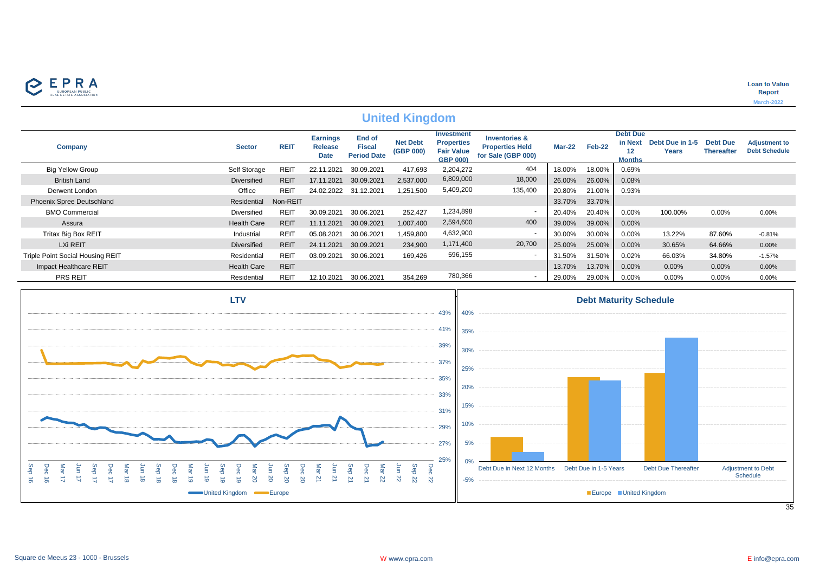

## **United Kingdom**

| <b>Company</b>                   | <b>Sector</b>      | <b>REIT</b> | <b>Earnings</b><br><b>Release</b><br><b>Date</b> | End of<br><b>Fiscal</b><br><b>Period Date</b> | <b>Net Debt</b><br>(GBP 000) | <b>Investment</b><br><b>Properties</b><br><b>Fair Value</b><br><b>GBP 000)</b> | <b>Inventories &amp;</b><br><b>Properties Held</b><br>for Sale (GBP 000) | <b>Mar-22</b> | Feb-22 | <b>Debt Due</b><br>in Next<br><b>Months</b> | Debt Due in 1-5<br>Years | <b>Debt Due</b><br><b>Thereafter</b> | <b>Adjustment to</b><br><b>Debt Schedule</b> |
|----------------------------------|--------------------|-------------|--------------------------------------------------|-----------------------------------------------|------------------------------|--------------------------------------------------------------------------------|--------------------------------------------------------------------------|---------------|--------|---------------------------------------------|--------------------------|--------------------------------------|----------------------------------------------|
| <b>Big Yellow Group</b>          | Self Storage       | REIT        | 22.11<br>.202'                                   | 30.09.2021                                    | 417,693                      | 2,204,272                                                                      | 404                                                                      | 18.00%        | 18.00% | 0.69%                                       |                          |                                      |                                              |
| <b>British Land</b>              | <b>Diversified</b> | <b>REIT</b> | 17.11.2021                                       | 30.09.2021                                    | 2,537,000                    | 6,809,000                                                                      | 18,000                                                                   | 26.00%        | 26.00% | 0.08%                                       |                          |                                      |                                              |
| Derwent London                   | Office             | REIT        | 24.02.2022                                       | 31.12.2021                                    | 1,251,500                    | 5,409,200                                                                      | 135,400                                                                  | 20.80%        | 21.00% | 0.93%                                       |                          |                                      |                                              |
| <b>Phoenix Spree Deutschland</b> | Residential        | Non-REIT    |                                                  |                                               |                              |                                                                                |                                                                          | 33.70%        | 33.70% |                                             |                          |                                      |                                              |
| <b>BMO Commercial</b>            | <b>Diversified</b> | REIT        | 30.09.2021                                       | 30.06.2021                                    | 252,427                      | 1,234,898                                                                      | . .                                                                      | 20.40%        | 20.40% | 0.00%                                       | 100.00%                  | $0.00\%$                             | 0.00%                                        |
| Assura                           | <b>Health Care</b> | <b>REIT</b> | 11.11.2021                                       | 30.09.2021                                    | 1.007.400                    | 2,594,600                                                                      | 400                                                                      | 39.00%        | 39.00% | 0.00%                                       |                          |                                      |                                              |
| <b>Tritax Big Box REIT</b>       | Industrial         | <b>REIT</b> | 05.08.2021                                       | 30.06.2021                                    | 1,459,800                    | 4,632,900                                                                      | . .                                                                      | 30.00%        | 30.00% | 0.00%                                       | 13.22%                   | 87.60%                               | $-0.81%$                                     |
| LXi REIT                         | <b>Diversified</b> | <b>REIT</b> | 24.11.2021                                       | 30.09.2021                                    | 234,900                      | 1,171,400                                                                      | 20,700                                                                   | 25.00%        | 25.00% | 0.00%                                       | 30.65%                   | 64.66%                               | 0.00%                                        |
| Triple Point Social Housing REIT | Residential        | <b>REIT</b> | 03.09.2021                                       | 30.06.2021                                    | 169,426                      | 596,155                                                                        | $\overline{\phantom{a}}$                                                 | 31.50%        | 31.50% | 0.02%                                       | 66.03%                   | 34.80%                               | $-1.57%$                                     |
| Impact Healthcare REIT           | <b>Health Care</b> | <b>REIT</b> |                                                  |                                               |                              |                                                                                |                                                                          | 13.70%        | 13.70% | $0.00\%$                                    | 0.00%                    | 0.00%                                | 0.00%                                        |
| <b>PRS REIT</b>                  | Residential        | REIT        | 12.10.2021                                       | 30.06.2021                                    | 354,269                      | 780,366                                                                        |                                                                          | 29.00%        | 29.00% | 0.00%                                       | 0.00%                    | 0.00%                                | 0.00%                                        |

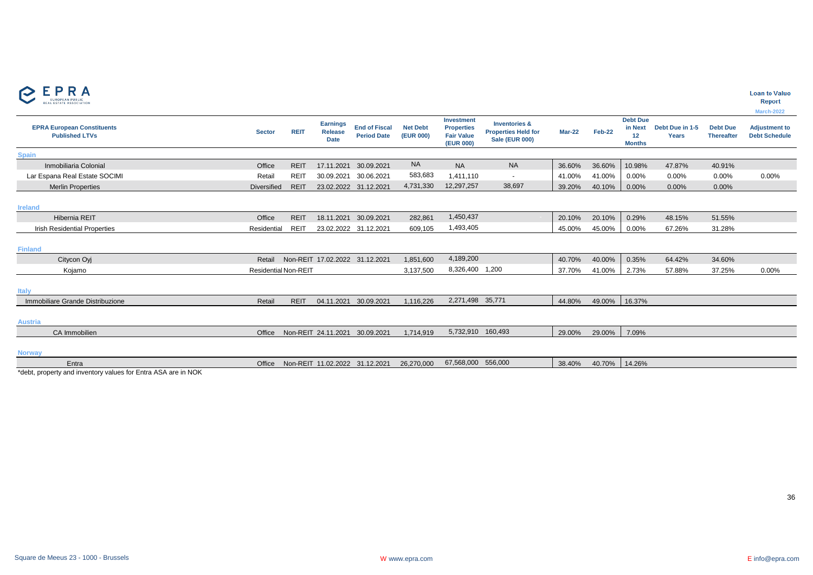

|  | Loan to Value |  |  |  |
|--|---------------|--|--|--|
|--|---------------|--|--|--|

|                                                              |                             |             |                                                  |                                            |                              |                                                                   |                                                                                 |               |        |                                                   |                                 |                                      | March-2022                                   |
|--------------------------------------------------------------|-----------------------------|-------------|--------------------------------------------------|--------------------------------------------|------------------------------|-------------------------------------------------------------------|---------------------------------------------------------------------------------|---------------|--------|---------------------------------------------------|---------------------------------|--------------------------------------|----------------------------------------------|
| <b>EPRA European Constituents</b><br><b>Published LTVs</b>   | <b>Sector</b>               | <b>REIT</b> | <b>Earnings</b><br><b>Release</b><br><b>Date</b> | <b>End of Fiscal</b><br><b>Period Date</b> | <b>Net Debt</b><br>(EUR 000) | Investment<br><b>Properties</b><br><b>Fair Value</b><br>(EUR 000) | <b>Inventories &amp;</b><br><b>Properties Held for</b><br><b>Sale (EUR 000)</b> | <b>Mar-22</b> | Feb-22 | <b>Debt Due</b><br>in Next<br>12<br><b>Months</b> | Debt Due in 1-5<br><b>Years</b> | <b>Debt Due</b><br><b>Thereafter</b> | <b>Adjustment to</b><br><b>Debt Schedule</b> |
| <b>Spain</b>                                                 |                             |             |                                                  |                                            |                              |                                                                   |                                                                                 |               |        |                                                   |                                 |                                      |                                              |
| Inmobiliaria Colonial                                        | Office                      | <b>REIT</b> | 17.11.2021                                       | 30.09.2021                                 | <b>NA</b>                    | <b>NA</b>                                                         | <b>NA</b>                                                                       | 36.60%        | 36.60% | 10.98%                                            | 47.87%                          | 40.91%                               |                                              |
| Lar Espana Real Estate SOCIMI                                | Retail                      | <b>REIT</b> | 30.09.2021                                       | 30.06.2021                                 | 583,683                      | 1,411,110                                                         | $\overline{\phantom{a}}$                                                        | 41.00%        | 41.00% | 0.00%                                             | $0.00\%$                        | 0.00%                                | 0.00%                                        |
| <b>Merlin Properties</b>                                     | Diversified                 | <b>REIT</b> |                                                  | 23.02.2022 31.12.2021                      | 4,731,330                    | 12,297,257                                                        | 38,697                                                                          | 39.20%        | 40.10% | 0.00%                                             | 0.00%                           | 0.00%                                |                                              |
| <b>Ireland</b>                                               |                             |             |                                                  |                                            |                              |                                                                   |                                                                                 |               |        |                                                   |                                 |                                      |                                              |
| <b>Hibernia REIT</b>                                         | Office                      | <b>REIT</b> | 18.11.2021                                       | 30.09.2021                                 | 282,861                      | 1,450,437                                                         |                                                                                 | 20.10%        | 20.10% | 0.29%                                             | 48.15%                          | 51.55%                               |                                              |
| <b>Irish Residential Properties</b>                          | Residential                 | <b>REIT</b> |                                                  | 23.02.2022 31.12.2021                      | 609,105                      | 1,493,405                                                         |                                                                                 | 45.00%        | 45.00% | 0.00%                                             | 67.26%                          | 31.28%                               |                                              |
| <b>Finland</b>                                               |                             |             |                                                  |                                            |                              |                                                                   |                                                                                 |               |        |                                                   |                                 |                                      |                                              |
| Citycon Oyj                                                  | Retail                      |             | Non-REIT 17.02.2022 31.12.2021                   |                                            | 1,851,600                    | 4,189,200                                                         |                                                                                 | 40.70%        | 40.00% | 0.35%                                             | 64.42%                          | 34.60%                               |                                              |
| Kojamo                                                       | <b>Residential Non-REIT</b> |             |                                                  |                                            | 3,137,500                    | 8,326,400 1,200                                                   |                                                                                 | 37.70%        | 41.00% | 2.73%                                             | 57.88%                          | 37.25%                               | 0.00%                                        |
| <b>Italy</b>                                                 |                             |             |                                                  |                                            |                              |                                                                   |                                                                                 |               |        |                                                   |                                 |                                      |                                              |
| Immobiliare Grande Distribuzione                             | Retail                      | <b>REIT</b> |                                                  | 04.11.2021 30.09.2021                      | 1,116,226                    | 2,271,498 35,771                                                  |                                                                                 | 44.80%        | 49.00% | 16.37%                                            |                                 |                                      |                                              |
| <b>Austria</b>                                               |                             |             |                                                  |                                            |                              |                                                                   |                                                                                 |               |        |                                                   |                                 |                                      |                                              |
| CA Immobilien                                                | Office                      |             | Non-REIT 24.11.2021 30.09.2021                   |                                            | 1,714,919                    | 5,732,910 160,493                                                 |                                                                                 | 29.00%        | 29.00% | 7.09%                                             |                                 |                                      |                                              |
| <b>Norway</b>                                                |                             |             |                                                  |                                            |                              |                                                                   |                                                                                 |               |        |                                                   |                                 |                                      |                                              |
| Entra                                                        | Office                      |             | Non-REIT 11.02.2022 31.12.2021                   |                                            | 26,270,000                   | 67,568,000                                                        | 556.000                                                                         | 38.40%        | 40.70% | 14.26%                                            |                                 |                                      |                                              |
| *debt_property and inventory values for Entra ASA are in NOK |                             |             |                                                  |                                            |                              |                                                                   |                                                                                 |               |        |                                                   |                                 |                                      |                                              |

\*debt, property and inventory values for Entra ASA are in NOK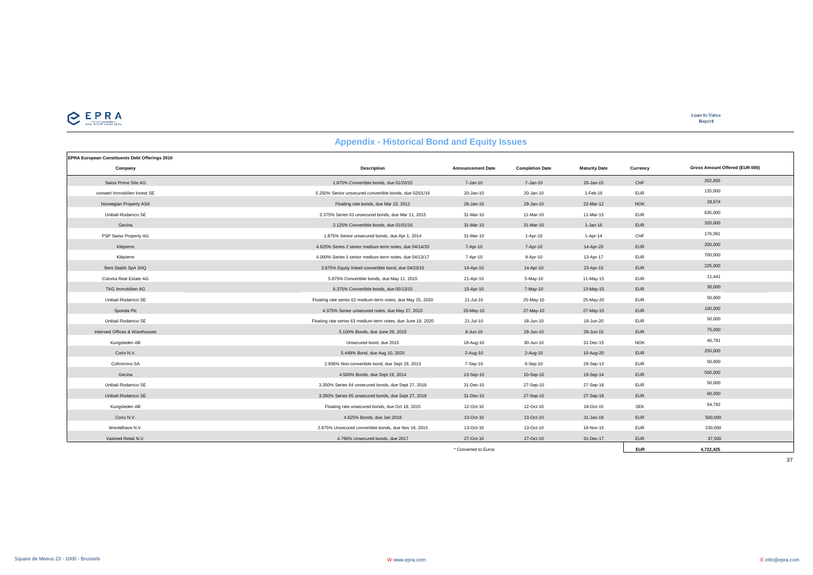

**Loan to Value**<br>Report

| Appendix - Historical Bolld and Equity issues         |                                                              |                          |                        |                      |            |                                |  |  |  |  |  |
|-------------------------------------------------------|--------------------------------------------------------------|--------------------------|------------------------|----------------------|------------|--------------------------------|--|--|--|--|--|
| <b>EPRA European Constituents Debt Offerings 2010</b> |                                                              |                          |                        |                      |            |                                |  |  |  |  |  |
| Company                                               | <b>Description</b>                                           | <b>Announcement Date</b> | <b>Completion Date</b> | <b>Maturity Date</b> | Currency   | Gross Amount Offered (EUR 000) |  |  |  |  |  |
| Swiss Prime Site AG                                   | 1.875% Convertible bonds, due 01/20/15                       | 7-Jan-10                 | 7-Jan-10               | 20-Jan-15            | CHF        | 202,856                        |  |  |  |  |  |
| conwert Immobilien Invest SE                          | 5.250% Senior unsecured convertible bonds, due 02/01/16      | 20-Jan-10                | 20-Jan-10              | 1-Feb-16             | <b>EUR</b> | 135,000                        |  |  |  |  |  |
| Norwegian Property ASA                                | Floating rate bonds, due Mar 22, 2012                        | 26-Jan-10                | 29-Jan-10              | 22-Mar-12            | <b>NOK</b> | 28,674                         |  |  |  |  |  |
| Unibail-Rodamco SE                                    | 3.375% Series 61 unsecured bonds, due Mar 11, 2015           | 31-Mar-10                | 11-Mar-10              | 11-Mar-15            | <b>EUR</b> | 635,000                        |  |  |  |  |  |
| Gecina                                                | 2.125% Convertible bonds, due 01/01/16                       | 31-Mar-10                | 31-Mar-10              | $1 - Jan-16$         | <b>EUR</b> | 320,000                        |  |  |  |  |  |
| PSP Swiss Property AG                                 | 1.875% Senior unsecured bonds, due Apr 1, 2014               | 31-Mar-10                | 1-Apr-10               | 1-Apr-14             | CHF        | 176,391                        |  |  |  |  |  |
| Klépierre                                             | 4.625% Series 2 senior medium-term notes, due 04/14/20       | 7-Apr-10                 | 7-Apr-10               | 14-Apr-20            | <b>EUR</b> | 200,000                        |  |  |  |  |  |
| Klépierre                                             | 4.000% Series 1 senior medium-term notes, due 04/13/17       | 7-Apr-10                 | 9-Apr-10               | 13-Apr-17            | <b>EUR</b> | 700,000                        |  |  |  |  |  |
| Beni Stabili SpA SIIQ                                 | 3.875% Equity linked convertible bond, due 04/23/15          | 14-Apr-10                | 14-Apr-10              | 23-Apr-15            | <b>EUR</b> | 225,000                        |  |  |  |  |  |
| Colonia Real Estate AG                                | 5.875% Convertible bonds, due May 11, 2015                   | 21-Apr-10                | 5-May-10               | 11-May-15            | <b>EUR</b> | 11,441                         |  |  |  |  |  |
| TAG Immobilien AG                                     | 6.375% Convertible bonds, due 05/13/15                       | 15-Apr-10                | 7-May-10               | 13-May-15            | <b>EUR</b> | 30,000                         |  |  |  |  |  |
| Unibail-Rodamco SE                                    | Floating rate series 62 medium-term notes, due May 25, 2020  | 21-Jul-10                | 25-May-10              | 25-May-20            | <b>EUR</b> | 50,000                         |  |  |  |  |  |
| Sponda Plc                                            | 4.375% Senior unsecured notes, due May 27, 2015              | 20-May-10                | 27-May-10              | 27-May-15            | <b>EUR</b> | 100,000                        |  |  |  |  |  |
| Unibail-Rodamco SE                                    | Floating rate series 63 medium-term notes, due June 18, 2020 | 21-Jul-10                | 18-Jun-10              | 18-Jun-20            | <b>EUR</b> | 50,000                         |  |  |  |  |  |
| Intervest Offices & Warehouses                        | 5.100% Bonds, due June 29, 2015                              | 8-Jun-10                 | 29-Jun-10              | 29-Jun-15            | <b>EUR</b> | 75,000                         |  |  |  |  |  |
| Kungsleden AB                                         | Unsecured bond, due 2015                                     | 18-Aug-10                | 30-Jun-10              | 31-Dec-15            | <b>NOK</b> | 40,781                         |  |  |  |  |  |
| Corio N.V.                                            | 5.448% Bond, due Aug 10, 2020                                | 2-Aug-10                 | $2 - Aug-10$           | 10-Aug-20            | <b>EUR</b> | 250,000                        |  |  |  |  |  |
| Cofinimmo SA                                          | 2.936% Non-convertible bond, due Sept 29, 2013               | 7-Sep-10                 | $6-Sep-10$             | 29-Sep-13            | <b>EUR</b> | 50,000                         |  |  |  |  |  |
| Gecina                                                | 4.500% Bonds, due Sept 19, 2014                              | 13-Sep-10                | 10-Sep-10              | 19-Sep-14            | <b>EUR</b> | 500,000                        |  |  |  |  |  |
| Unibail-Rodamco SE                                    | 3.350% Series 64 unsecured bonds, due Sept 27, 2018          | 31-Dec-10                | 27-Sep-10              | 27-Sep-18            | <b>EUR</b> | 50,000                         |  |  |  |  |  |
| Unibail-Rodamco SE                                    | 3.350% Series 65 unsecured bonds, due Sept 27, 2018          | 31-Dec-10                | 27-Sep-10              | 27-Sep-18            | <b>EUR</b> | 60,000                         |  |  |  |  |  |
| Kungsleden AB                                         | Floating rate unsecured bonds, due Oct 18, 2015              | 12-Oct-10                | 12-Oct-10              | 18-Oct-15            | <b>SEK</b> | 64,782                         |  |  |  |  |  |
| Corio N.V.                                            | 4.625% Bonds, due Jan 2018                                   | 13-Oct-10                | 13-Oct-10              | 31-Jan-18            | <b>EUR</b> | 500,000                        |  |  |  |  |  |
| Wereldhave N.V.                                       | 2.875% Unsecured convertible bonds, due Nov 18, 2015         | 13-Oct-10                | 13-Oct-10              | 18-Nov-15            | <b>EUR</b> | 230,000                        |  |  |  |  |  |
| Vastned Retail N.V.                                   | 4.790% Unsecured bonds, due 2017                             | 27-Oct-10                | 27-Oct-10              | 31-Dec-17            | <b>EUR</b> | 37,500                         |  |  |  |  |  |
|                                                       |                                                              | * Converted to Euros     |                        |                      | <b>EUR</b> | 4.722.425                      |  |  |  |  |  |

#### **Appendix - Historical Bond and Equity Issues**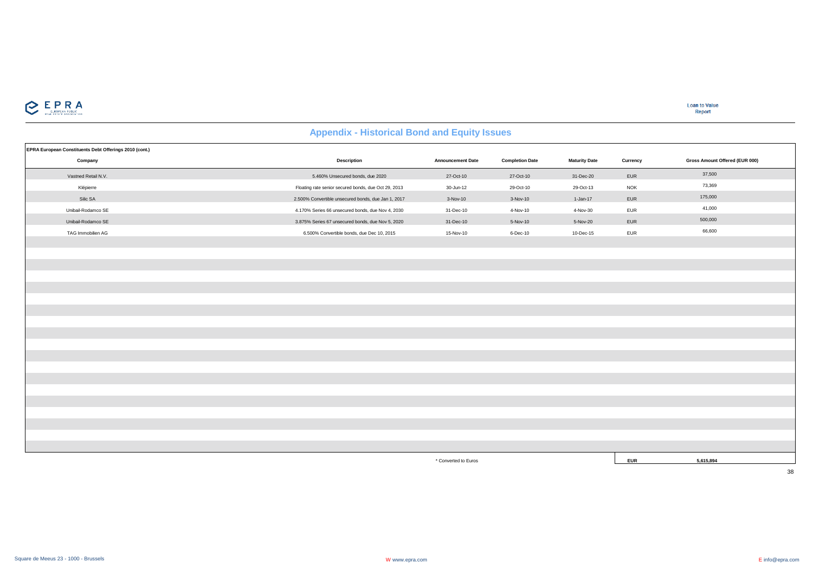

**Loan to Value** Report

## **Appendix - Historical Bond and Equity Issues**

| EPRA European Constituents Debt Offerings 2010 (cont.) |                                                      |                          |                        |                      |            |                                |
|--------------------------------------------------------|------------------------------------------------------|--------------------------|------------------------|----------------------|------------|--------------------------------|
| Company                                                | <b>Description</b>                                   | <b>Announcement Date</b> | <b>Completion Date</b> | <b>Maturity Date</b> | Currency   | Gross Amount Offered (EUR 000) |
| Vastned Retail N.V.                                    | 5.460% Unsecured bonds, due 2020                     | 27-Oct-10                | 27-Oct-10              | 31-Dec-20            | EUR        | 37,500                         |
| Klépierre                                              | Floating rate senior secured bonds, due Oct 29, 2013 | 30-Jun-12                | 29-Oct-10              | 29-Oct-13            | <b>NOK</b> | 73,369                         |
| Silic SA                                               | 2.500% Convertible unsecured bonds, due Jan 1, 2017  | 3-Nov-10                 | 3-Nov-10               | 1-Jan-17             | EUR        | 175,000                        |
| Unibail-Rodamco SE                                     | 4.170% Series 66 unsecured bonds, due Nov 4, 2030    | 31-Dec-10                | 4-Nov-10               | 4-Nov-30             | <b>EUR</b> | 41,000                         |
| Unibail-Rodamco SE                                     | 3.875% Series 67 unsecured bonds, due Nov 5, 2020    | 31-Dec-10                | 5-Nov-10               | 5-Nov-20             | EUR        | 500,000                        |
| TAG Immobilien AG                                      | 6.500% Convertible bonds, due Dec 10, 2015           | 15-Nov-10                | 6-Dec-10               | 10-Dec-15            | EUR        | 66,600                         |
|                                                        |                                                      |                          |                        |                      |            |                                |
|                                                        |                                                      |                          |                        |                      |            |                                |
|                                                        |                                                      |                          |                        |                      |            |                                |
|                                                        |                                                      |                          |                        |                      |            |                                |
|                                                        |                                                      |                          |                        |                      |            |                                |
|                                                        |                                                      |                          |                        |                      |            |                                |
|                                                        |                                                      |                          |                        |                      |            |                                |
|                                                        |                                                      |                          |                        |                      |            |                                |
|                                                        |                                                      |                          |                        |                      |            |                                |
|                                                        |                                                      |                          |                        |                      |            |                                |
|                                                        |                                                      |                          |                        |                      |            |                                |
|                                                        |                                                      |                          |                        |                      |            |                                |
|                                                        |                                                      |                          |                        |                      |            |                                |
|                                                        |                                                      |                          |                        |                      |            |                                |
|                                                        |                                                      |                          |                        |                      |            |                                |
|                                                        |                                                      |                          |                        |                      |            |                                |
|                                                        |                                                      |                          |                        |                      |            |                                |
|                                                        |                                                      |                          |                        |                      |            |                                |
|                                                        |                                                      |                          |                        |                      |            |                                |
|                                                        |                                                      | * Converted to Euros     |                        |                      | <b>EUR</b> | 5,615,894                      |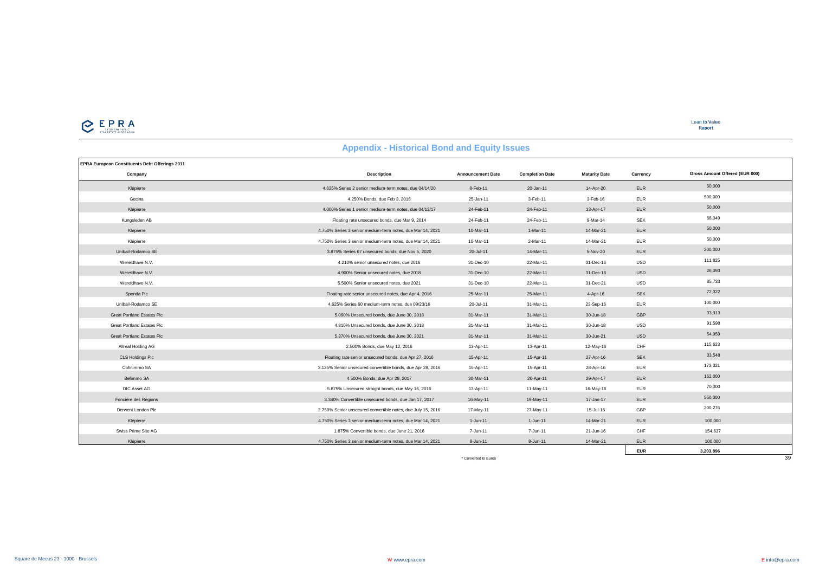

**EUR 3,203,896**

#### **EPRA European Constituents Debt Offerings 2011 Company Description Announcement Date Completion Date Maturity Date Currency** Klépierre 4.625% Series 2 senior medium-term notes, due 04/14/20 8-Feb-11 20-Jan-11 14-Apr-20 EUR 50,000 Gecina 4.250% Bonds, due Feb 3, 2016 25-Jan-11 3-Feb-11 3-Feb-16 EUR 500,000 Klépierre 4.000% Series 1 senior medium-term notes, due 04/13/17 24-Feb-11 24-Feb-11 13-Apr-17 EUR 50,000 Kungsleden AB Floating rate unsecured bonds, due Mar 9, 2014 24-Feb-11 24-Feb-11 9-Mar-14 SEK 68,049 86,049 Klépierre 4.750% Series 3 senior medium-term notes, due Mar 14, 2021 10-Mar-11 1-Mar-11 14-Mar-21 EUR 50,000 Klépierre 4.750% Series 3 senior medium-term notes, due Mar 14, 2021 10-Mar-11 2-Mar-11 14-Mar-21 EUR 50,000 Unibail-Rodamco SE 3.875% Series 67 unsecured bonds, due Nov 5, 2020 20-Jul-11 14-Mar-11 5-Nov-20 EUR 200,000 Wereldhave N.V. 4.210% senior unsecured notes, due 2016 31-Dec-10 22-Mar-11 31-Dec-16 USD 111,825 Wereldhave N.V. 4.900% Senior unsecured notes, due 2018 31-Dec-10 22-Mar-11 31-Dec-18 USD 26,093 Wereldhave N.V. 5.500% Senior unsecured notes, due 2021 31-Dec-10 22-Mar-11 31-Dec-21 USD 85,733 Sponda Plc **Floating rate senior unsecured notes, due Apr 4, 2016** 25-Mar-11 25-Mar-11 4-Apr-16 SEK 72,322<br>Sponda Plc Unibail-Rodamco SE 4.625% Series 60 medium-term notes, due 09/23/16 20-Jul-11 31-Mar-11 23-Sep-16 EUR 100,000 Great Portland Estates Plc 5.090% Unsecured bonds, due June 30, 2018 31-Mar-11 31-Mar-11 31-Mar-11 30-Jun-18 GBP 33,913 Great Portland Estates Plc **6.810 Contract Plume 30, 2018** 31-Marting 31-Marting 31-Marting 31-Marting 31-Marting 31-Marting 31-Marting 31-Marting 31-Marting 31-Marting 30-Jun-18 USD 91,598 Great Portland Estates Plc 54,959 Critical Contract Contract Contract Contract Contract Contract Contract Contract Contract Contract Contract Contract Contract Contract Contract Contract Contract Contract Contract Contract Allreal Holding AG 2.500% Bonds, due May 12, 2016 13-Apr-11 13-Apr-11 12-May-16 CHF 115,623 CLS Holdings Plc Floating rate senior unsecured bonds, due Apr 27, 2016 15-Apr-11 15-Apr-11 27-Apr-16 SEK 33,548 Cofinimmo SA 3.125% Senior unsecured convertible bonds, due Apr 28, 2016 15-Apr-11 15-Apr-11 28-Apr-16 EUR 173,321 Befimmo SA 4.500% Bonds, due Apr 29, 2017 30-Mar-11 26-Apr-11 29-Apr-17 EUR 162,000 DIC Asset AG 5.875% Unsecured straight bonds, due May 16, 2016 13-Apr-11 11-May-11 16-May-16 EUR 70,000 Foncière des Régions 3.340% Convertible unsecured bonds, due Jan 17, 2017 16-May-11 19-May-11 17-Jan-17 EUR 550,000 Derwent London Plc 2.750% Senior unsecured convertible notes, due July 15, 2016 17-May-11 27-May-11 15-Jul-16 GBP 200,276 Klépierre 4.750% Series 3 senior medium-term notes, due Mar 14, 2021 1-Jun-11 1-Jun-11 14-Mar-21 FUR 100,000 Swiss Prime Site AG **1.875% Convertible bonds, due June 21, 2016** 7-Jun-11 7-Jun-11 7-Jun-11 21-Jun-16 CHF 154,637 Klépierre 4.750% Series 3 senior medium-term notes, due Mar 14, 2021 8-Jun-11 8-Jun-11 14-Mar-21 EUR 100,000 100,000 **Gross Amount Offered (EUR 000)**

#### **Appendix - Historical Bond and Equity Issues**

\* Converted to Euros 39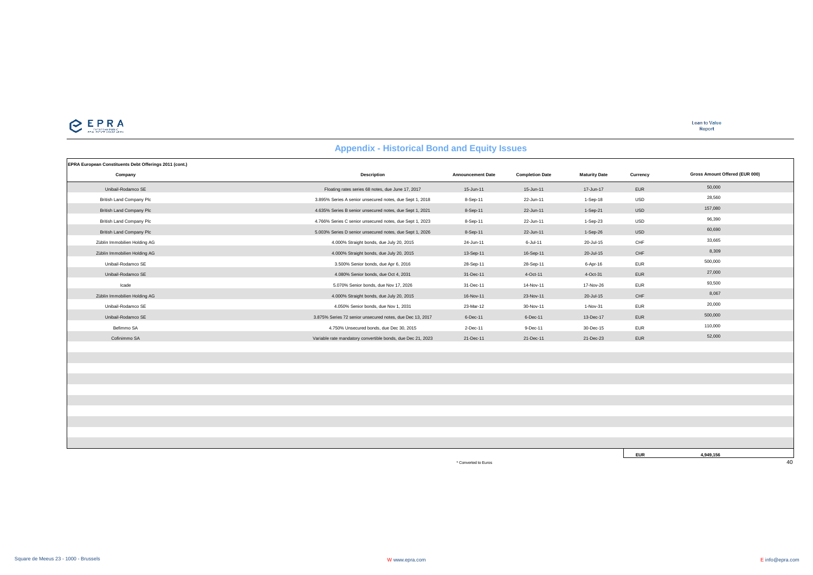

**EUR 4,949,156**

## **Appendix - Historical Bond and Equity Issues**

| EPRA European Constituents Debt Offerings 2011 (cont.) |                                                             |                          |                        |                      |            |                                |
|--------------------------------------------------------|-------------------------------------------------------------|--------------------------|------------------------|----------------------|------------|--------------------------------|
| Company                                                | <b>Description</b>                                          | <b>Announcement Date</b> | <b>Completion Date</b> | <b>Maturity Date</b> | Currency   | Gross Amount Offered (EUR 000) |
| Unibail-Rodamco SE                                     | Floating rates series 68 notes, due June 17, 2017           | 15-Jun-11                | 15-Jun-11              | 17-Jun-17            | EUR        | 50,000                         |
| <b>British Land Company Plc</b>                        | 3.895% Series A senior unsecured notes, due Sept 1, 2018    | 8-Sep-11                 | 22-Jun-11              | 1-Sep-18             | <b>USD</b> | 28,560                         |
| <b>British Land Company Plc</b>                        | 4.635% Series B senior unsecured notes, due Sept 1, 2021    | 8-Sep-11                 | 22-Jun-11              | 1-Sep-21             | USD        | 157,080                        |
| <b>British Land Company Plc</b>                        | 4.766% Series C senior unsecured notes, due Sept 1, 2023    | 8-Sep-11                 | 22-Jun-11              | 1-Sep-23             | <b>USD</b> | 96,390                         |
| <b>British Land Company Plc</b>                        | 5.003% Series D senior unsecured notes, due Sept 1, 2026    | 8-Sep-11                 | 22-Jun-11              | 1-Sep-26             | USD        | 60,690                         |
| Züblin Immobilien Holding AG                           | 4.000% Straight bonds, due July 20, 2015                    | 24-Jun-11                | 6-Jul-11               | 20-Jul-15            | CHF        | 33,665                         |
| Züblin Immobilien Holding AG                           | 4.000% Straight bonds, due July 20, 2015                    | 13-Sep-11                | 16-Sep-11              | 20-Jul-15            | CHF        | 8,309                          |
| Unibail-Rodamco SE                                     | 3.500% Senior bonds, due Apr 6, 2016                        | 28-Sep-11                | 28-Sep-11              | 6-Apr-16             | <b>EUR</b> | 500,000                        |
| Unibail-Rodamco SE                                     | 4.080% Senior bonds, due Oct 4, 2031                        | 31-Dec-11                | 4-Oct-11               | 4-Oct-31             | EUR        | 27,000                         |
| Icade                                                  | 5.070% Senior bonds, due Nov 17, 2026                       | 31-Dec-11                | 14-Nov-11              | 17-Nov-26            | <b>EUR</b> | 93,500                         |
| Züblin Immobilien Holding AG                           | 4.000% Straight bonds, due July 20, 2015                    | 16-Nov-11                | 23-Nov-11              | 20-Jul-15            | CHF        | 8,067                          |
| Unibail-Rodamco SE                                     | 4.050% Senior bonds, due Nov 1, 2031                        | 23-Mar-12                | 30-Nov-11              | 1-Nov-31             | <b>EUR</b> | 20,000                         |
| Unibail-Rodamco SE                                     | 3.875% Series 72 senior unsecured notes, due Dec 13, 2017   | 6-Dec-11                 | 6-Dec-11               | 13-Dec-17            | <b>EUR</b> | 500,000                        |
| Befimmo SA                                             | 4.750% Unsecured bonds, due Dec 30, 2015                    | 2-Dec-11                 | 9-Dec-11               | 30-Dec-15            | <b>EUR</b> | 110,000                        |
| Cofinimmo SA                                           | Variable rate mandatory convertible bonds, due Dec 21, 2023 | 21-Dec-11                | 21-Dec-11              | 21-Dec-23            | EUR        | 52,000                         |
|                                                        |                                                             |                          |                        |                      |            |                                |
|                                                        |                                                             |                          |                        |                      |            |                                |
|                                                        |                                                             |                          |                        |                      |            |                                |
|                                                        |                                                             |                          |                        |                      |            |                                |
|                                                        |                                                             |                          |                        |                      |            |                                |
|                                                        |                                                             |                          |                        |                      |            |                                |
|                                                        |                                                             |                          |                        |                      |            |                                |
|                                                        |                                                             |                          |                        |                      |            |                                |
|                                                        |                                                             |                          |                        |                      |            |                                |

\* Converted to Euros 40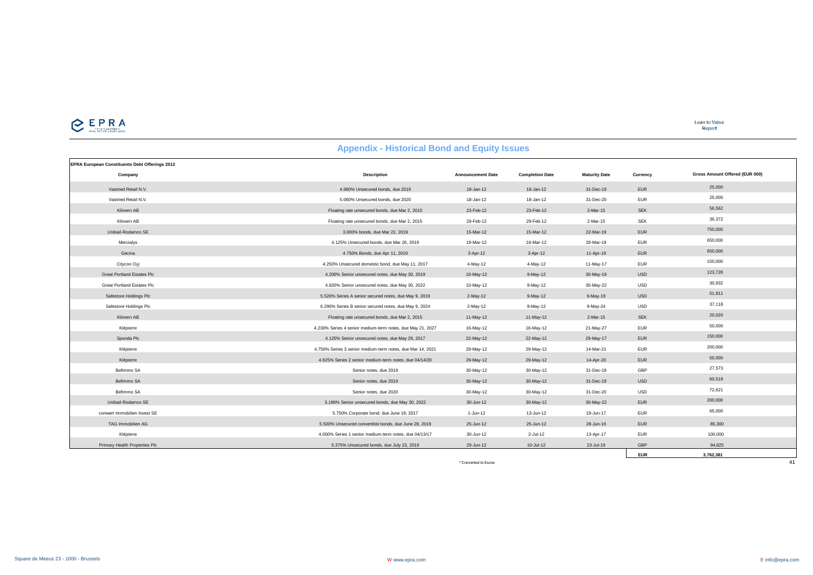

## **Appendix - Historical Bond and Equity Issues**

| EPRA European Constituents Debt Offerings 2012 |                                                            |                          |                        |                      |            |                                |
|------------------------------------------------|------------------------------------------------------------|--------------------------|------------------------|----------------------|------------|--------------------------------|
| Company                                        | Description                                                | <b>Announcement Date</b> | <b>Completion Date</b> | <b>Maturity Date</b> | Currency   | Gross Amount Offered (EUR 000) |
| Vastned Retail N.V.                            | 4.880% Unsecured bonds, due 2019                           | 18-Jan-12                | 18-Jan-12              | 31-Dec-19            | <b>EUR</b> | 25,000                         |
| Vastned Retail N.V.                            | 5.060% Unsecured bonds, due 2020                           | 18-Jan-12                | 18-Jan-12              | 31-Dec-20            | <b>EUR</b> | 25,000                         |
| Klövern AB                                     | Floating rate unsecured bonds, due Mar 2, 2015             | 23-Feb-12                | 23-Feb-12              | 2-Mar-15             | <b>SEK</b> | 56,562                         |
| Klövern AB                                     | Floating rate unsecured bonds, due Mar 2, 2015             | 29-Feb-12                | 29-Feb-12              | 2-Mar-15             | <b>SEK</b> | 36,372                         |
| Unibail-Rodamco SE                             | 3.000% bonds, due Mar 22, 2019                             | 15-Mar-12                | 15-Mar-12              | 22-Mar-19            | <b>EUR</b> | 750,000                        |
| Mercialys                                      | 4.125% Unsecured bonds, due Mar 26, 2019                   | 19-Mar-12                | 16-Mar-12              | 26-Mar-19            | <b>EUR</b> | 650,000                        |
| Gecina                                         | 4.750% Bonds, due Apr 11, 2019                             | $3-Apr-12$               | 3-Apr-12               | 11-Apr-19            | <b>EUR</b> | 650,000                        |
| Citycon Oyj                                    | 4.250% Unsecured domestic bond, due May 11, 2017           | 4-May-12                 | 4-May-12               | 11-May-17            | <b>EUR</b> | 150,000                        |
| <b>Great Portland Estates Plc</b>              | 4.200% Senior unsecured notes, due May 30, 2019            | 10-May-12                | $9-May-12$             | 30-May-19            | <b>USD</b> | 123,728                        |
| <b>Great Portland Estates Plc</b>              | 4.820% Senior unsecured notes, due May 30, 2022            | 10-May-12                | 9-May-12               | 30-May-22            | <b>USD</b> | 30,932                         |
| Safestore Holdings Plc                         | 5.520% Series A senior secured notes, due May 9, 2019      | $2-May-12$               | $9-May-12$             | $9-May-19$           | <b>USD</b> | 51,811                         |
| Safestore Holdings Plc                         | 6.290% Series B senior secured notes, due May 9, 2024      | $2-May-12$               | $9-May-12$             | 9-May-24             | <b>USD</b> | 37,118                         |
| Klövern AB                                     | Floating rate unsecured bonds, due Mar 2, 2015             | 11-May-12                | 11-May-12              | 2-Mar-15             | <b>SEK</b> | 20,020                         |
| Klépierre                                      | 4.230% Series 4 senior medium-term notes, due May 21, 2027 | 16-May-12                | 16-May-12              | 21-May-27            | <b>EUR</b> | 50,000                         |
| Sponda Plc                                     | 4.125% Senior unsecured notes, due May 29, 2017            | 22-May-12                | 22-May-12              | 29-May-17            | <b>EUR</b> | 150,000                        |
| Klépierre                                      | 4.750% Series 3 senior medium-term notes, due Mar 14, 2021 | 29-May-12                | 29-May-12              | 14-Mar-21            | <b>EUR</b> | 200,000                        |
| Klépierre                                      | 4.625% Series 2 senior medium-term notes, due 04/14/20     | 29-May-12                | 29-May-12              | 14-Apr-20            | <b>EUR</b> | 50,000                         |
| Befimmo SA                                     | Senior notes, due 2019                                     | 30-May-12                | 30-May-12              | 31-Dec-19            | GBP        | 27,573                         |
| Befimmo SA                                     | Senior notes, due 2019                                     | 30-May-12                | 30-May-12              | 31-Dec-19            | <b>USD</b> | 60,518                         |
| Befimmo SA                                     | Senior notes, due 2020                                     | 30-May-12                | 30-May-12              | 31-Dec-20            | <b>USD</b> | 72,621                         |
| Unibail-Rodamco SE                             | 3.196% Senior unsecured bonds, due May 30, 2022            | 30-Jun-12                | 30-May-12              | 30-May-22            | <b>EUR</b> | 200,000                        |
| conwert Immobilien Invest SE                   | 5.750% Corporate bond, due June 19, 2017                   | 1-Jun-12                 | 13-Jun-12              | 19-Jun-17            | <b>EUR</b> | 65,000                         |
| <b>TAG Immobilien AG</b>                       | 5.500% Unsecured convertible bonds, due June 28, 2019      | 25-Jun-12                | 25-Jun-12              | 28-Jun-19            | <b>EUR</b> | 85,300                         |
| Klépierre                                      | 4.000% Series 1 senior medium-term notes, due 04/13/17     | 30-Jun-12                | 2-Jul-12               | 13-Apr-17            | <b>EUR</b> | 100,000                        |
| Primary Health Properties Plc                  | 5.375% Unsecured bonds, due July 23, 2019                  | 29-Jun-12                | 10-Jul-12              | 23-Jul-19            | GBP        | 94,825                         |
|                                                |                                                            |                          |                        |                      | <b>EUR</b> | 3,762,381                      |
|                                                |                                                            | * Converted to Euros     |                        |                      |            | 41                             |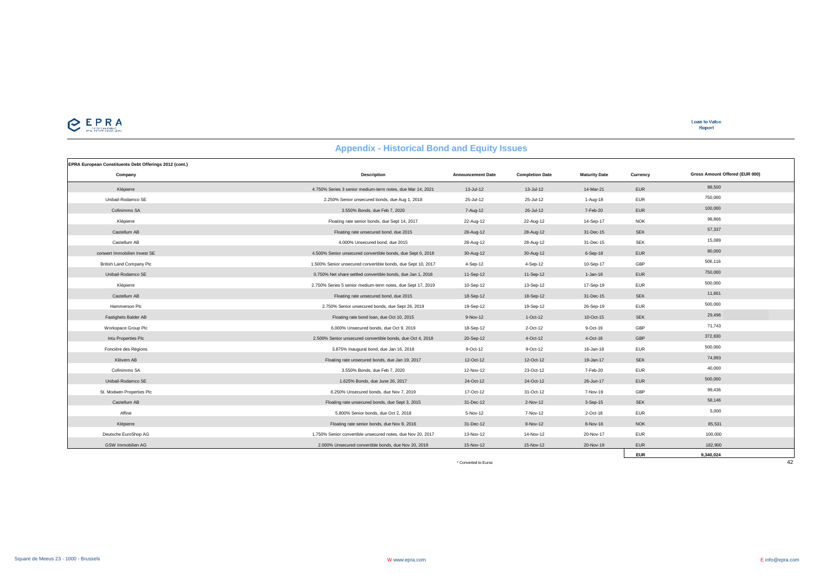

| EPRA European Constituents Debt Offerings 2012 (cont.) |                                                              |                          |                        |                      |            |                                |
|--------------------------------------------------------|--------------------------------------------------------------|--------------------------|------------------------|----------------------|------------|--------------------------------|
| Company                                                | <b>Description</b>                                           | <b>Announcement Date</b> | <b>Completion Date</b> | <b>Maturity Date</b> | Currency   | Gross Amount Offered (EUR 000) |
| Klépierre                                              | 4.750% Series 3 senior medium-term notes, due Mar 14, 2021   | 13-Jul-12                | 13-Jul-12              | 14-Mar-21            | <b>EUR</b> | 88,500                         |
| Unibail-Rodamco SE                                     | 2.250% Senior unsecured bonds, due Aug 1, 2018               | 25-Jul-12                | 25-Jul-12              | 1-Aug-18             | <b>EUR</b> | 750,000                        |
| Cofinimmo SA                                           | 3.550% Bonds, due Feb 7, 2020                                | 7-Aug-12                 | 26-Jul-12              | 7-Feb-20             | <b>EUR</b> | 100,000                        |
| Klépierre                                              | Floating rate senior bonds, due Sept 14, 2017                | 22-Aug-12                | 22-Aug-12              | 14-Sep-17            | <b>NOK</b> | 98,866                         |
| Castellum AB                                           | Floating rate unsecured bond, due 2015                       | 28-Aug-12                | 28-Aug-12              | 31-Dec-15            | <b>SEK</b> | 57,337                         |
| Castellum AB                                           | 4.000% Unsecured bond, due 2015                              | 28-Aug-12                | 28-Aug-12              | 31-Dec-15            | <b>SEK</b> | 15,089                         |
| conwert Immobilien Invest SE                           | 4.500% Senior unsecured convertible bonds, due Sept 6, 2018  | 30-Aug-12                | 30-Aug-12              | $6-Sep-18$           | <b>EUR</b> | 80,000                         |
| <b>British Land Company Plc</b>                        | 1.500% Senior unsecured convertible bonds, due Sept 10, 2017 | 4-Sep-12                 | 4-Sep-12               | 10-Sep-17            | GBP        | 506,116                        |
| Unibail-Rodamco SE                                     | 0.750% Net share settled convertible bonds, due Jan 1, 2018  | 11-Sep-12                | 11-Sep-12              | $1 - Jan-18$         | <b>EUR</b> | 750,000                        |
| Klépierre                                              | 2.750% Series 5 senior medium-term notes, due Sept 17, 2019  | 10-Sep-12                | 13-Sep-12              | 17-Sep-19            | <b>EUR</b> | 500,000                        |
| Castellum AB                                           | Floating rate unsecured bond, due 2015                       | 18-Sep-12                | 18-Sep-12              | 31-Dec-15            | <b>SEK</b> | 11,661                         |
| Hammerson Plc                                          | 2.750% Senior unsecured bonds, due Sept 26, 2019             | 19-Sep-12                | 19-Sep-12              | 26-Sep-19            | <b>EUR</b> | 500,000                        |
| Fastighets Balder AB                                   | Floating rate bond loan, due Oct 10, 2015                    | 9-Nov-12                 | $1-Oct-12$             | 10-Oct-15            | <b>SEK</b> | 29,496                         |
| Workspace Group Plc                                    | 6.000% Unsecured bonds, due Oct 9, 2019                      | 18-Sep-12                | 2-Oct-12               | 9-Oct-19             | GBP        | 71,743                         |
| Intu Properties Plc                                    | 2.500% Senior unsecured convertible bonds, due Oct 4, 2018   | 20-Sep-12                | 4-Oct-12               | 4-Oct-18             | <b>GBP</b> | 372,830                        |
| Foncière des Régions                                   | 3.875% Inaugural bond, due Jan 16, 2018                      | 9-Oct-12                 | 9-Oct-12               | 16-Jan-18            | <b>EUR</b> | 500,000                        |
| Klövern AB                                             | Floating rate unsecured bonds, due Jan 19, 2017              | 12-Oct-12                | 12-Oct-12              | 19-Jan-17            | <b>SEK</b> | 74,993                         |
| Cofinimmo SA                                           | 3.550% Bonds, due Feb 7, 2020                                | 12-Nov-12                | 23-Oct-12              | 7-Feb-20             | <b>EUR</b> | 40,000                         |
| Unibail-Rodamco SE                                     | 1.625% Bonds, due June 26, 2017                              | 24-Oct-12                | 24-Oct-12              | 26-Jun-17            | <b>EUR</b> | 500,000                        |
| St. Modwen Properties Plc                              | 6.250% Unsecured bonds, due Nov 7, 2019                      | 17-Oct-12                | 31-Oct-12              | 7-Nov-19             | GBP        | 99,436                         |
| Castellum AB                                           | Floating rate unsecured bonds, due Sept 3, 2015              | 31-Dec-12                | 2-Nov-12               | 3-Sep-15             | <b>SEK</b> | 58,146                         |
| Affine                                                 | 5.800% Senior bonds, due Oct 2, 2018                         | 5-Nov-12                 | 7-Nov-12               | 2-Oct-18             | <b>EUR</b> | 5,000                          |
| Klépierre                                              | Floating rate senior bonds, due Nov 8, 2016                  | 31-Dec-12                | 8-Nov-12               | 8-Nov-16             | <b>NOK</b> | 85,531                         |
| Deutsche EuroShop AG                                   | 1.750% Senior convertible unsecured notes, due Nov 20, 2017  | 13-Nov-12                | 14-Nov-12              | 20-Nov-17            | <b>EUR</b> | 100,000                        |
| GSW Immobilien AG                                      | 2.000% Unsecured convertible bonds, due Nov 20, 2019         | 15-Nov-12                | 15-Nov-12              | 20-Nov-19            | <b>EUR</b> | 182,900                        |
|                                                        |                                                              |                          |                        |                      | <b>EUR</b> | 9,340,024                      |
|                                                        |                                                              | * Converted to Euros     |                        |                      |            | 42                             |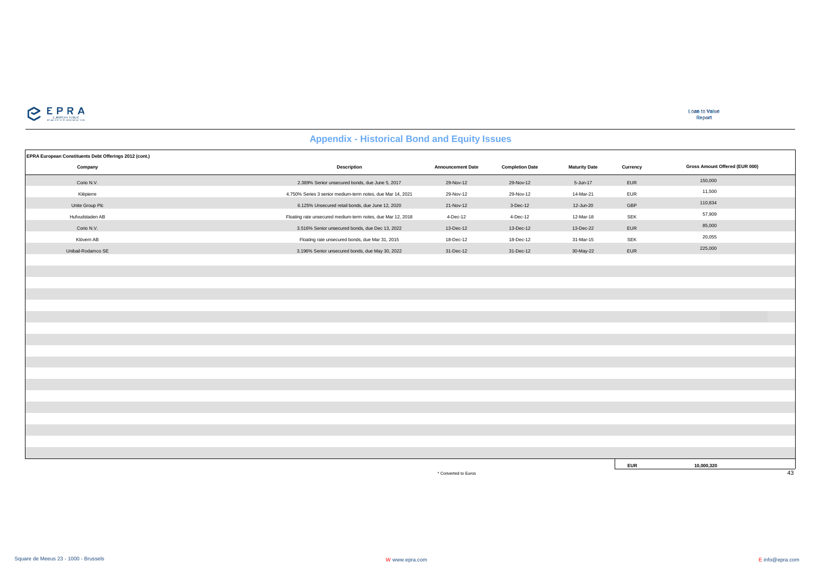

| EPRA European Constituents Debt Offerings 2012 (cont.) |                                                             |                          |                        |                      |            |                                |
|--------------------------------------------------------|-------------------------------------------------------------|--------------------------|------------------------|----------------------|------------|--------------------------------|
| Company                                                | <b>Description</b>                                          | <b>Announcement Date</b> | <b>Completion Date</b> | <b>Maturity Date</b> | Currency   | Gross Amount Offered (EUR 000) |
| Corio N.V.                                             | 2.389% Senior unsecured bonds, due June 5, 2017             | 29-Nov-12                | 29-Nov-12              | 5-Jun-17             | EUR        | 150,000                        |
| Klépierre                                              | 4.750% Series 3 senior medium-term notes, due Mar 14, 2021  | 29-Nov-12                | 29-Nov-12              | 14-Mar-21            | <b>EUR</b> | 11,500                         |
| Unite Group Plc                                        | 6.125% Unsecured retail bonds, due June 12, 2020            | 21-Nov-12                | 3-Dec-12               | 12-Jun-20            | GBP        | 110,834                        |
| Hufvudstaden AB                                        | Floating rate unsecured medium-term notes, due Mar 12, 2018 | 4-Dec-12                 | 4-Dec-12               | 12-Mar-18            | SEK        | 57,909                         |
| Corio N.V.                                             | 3.516% Senior unsecured bonds, due Dec 13, 2022             | 13-Dec-12                | 13-Dec-12              | 13-Dec-22            | EUR        | 85,000                         |
| Klövern AB                                             | Floating rate unsecured bonds, due Mar 31, 2015             | 18-Dec-12                | 18-Dec-12              | 31-Mar-15            | <b>SEK</b> | 20,055                         |
| Unibail-Rodamco SE                                     | 3.196% Senior unsecured bonds, due May 30, 2022             | 31-Dec-12                | 31-Dec-12              | 30-May-22            | EUR        | 225,000                        |
|                                                        |                                                             |                          |                        |                      |            |                                |
|                                                        |                                                             |                          |                        |                      |            |                                |
|                                                        |                                                             |                          |                        |                      |            |                                |
|                                                        |                                                             |                          |                        |                      |            |                                |
|                                                        |                                                             |                          |                        |                      |            |                                |
|                                                        |                                                             |                          |                        |                      |            |                                |
|                                                        |                                                             |                          |                        |                      |            |                                |
|                                                        |                                                             |                          |                        |                      |            |                                |
|                                                        |                                                             |                          |                        |                      |            |                                |
|                                                        |                                                             |                          |                        |                      |            |                                |
|                                                        |                                                             |                          |                        |                      |            |                                |
|                                                        |                                                             |                          |                        |                      |            |                                |
|                                                        |                                                             |                          |                        |                      |            |                                |
|                                                        |                                                             |                          |                        |                      |            |                                |
|                                                        |                                                             |                          |                        |                      |            |                                |
|                                                        |                                                             |                          |                        |                      |            |                                |
|                                                        |                                                             |                          |                        |                      |            |                                |
|                                                        |                                                             |                          |                        |                      |            |                                |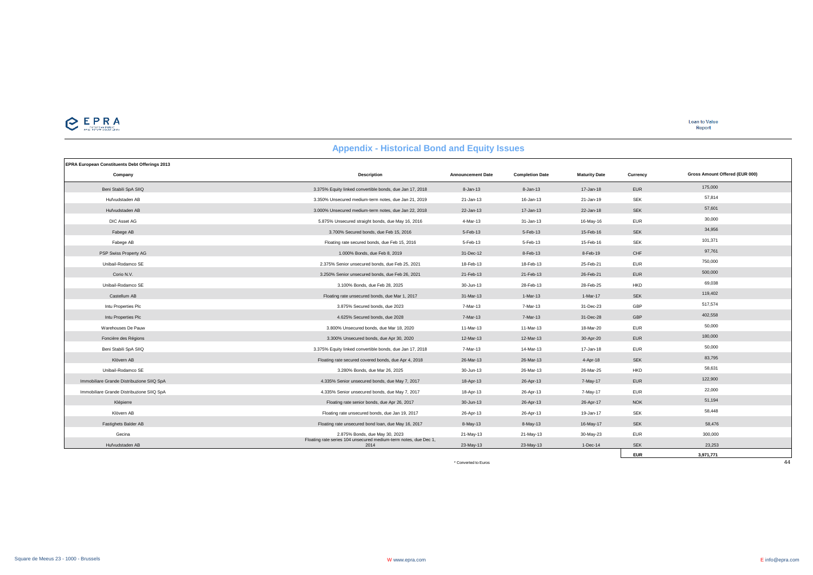

**EUR 3,971,771**

| <b>Appendix - Historical Dolla and Equity Issues</b> |                                                                          |                          |                        |                      |            |                                |  |  |
|------------------------------------------------------|--------------------------------------------------------------------------|--------------------------|------------------------|----------------------|------------|--------------------------------|--|--|
| EPRA European Constituents Debt Offerings 2013       |                                                                          |                          |                        |                      |            |                                |  |  |
| Company                                              | <b>Description</b>                                                       | <b>Announcement Date</b> | <b>Completion Date</b> | <b>Maturity Date</b> | Currency   | Gross Amount Offered (EUR 000) |  |  |
| Beni Stabili SpA SIIQ                                | 3.375% Equity linked convertible bonds, due Jan 17, 2018                 | $8 - Jan-13$             | 8-Jan-13               | 17-Jan-18            | <b>EUR</b> | 175,000                        |  |  |
| Hufvudstaden AB                                      | 3.350% Unsecured medium-term notes, due Jan 21, 2019                     | 21-Jan-13                | 16-Jan-13              | 21-Jan-19            | SEK        | 57,814                         |  |  |
| Hufvudstaden AB                                      | 3.000% Unsecured medium-term notes, due Jan 22, 2018                     | 22-Jan-13                | 17-Jan-13              | 22-Jan-18            | <b>SEK</b> | 57,601                         |  |  |
| DIC Asset AG                                         | 5.875% Unsecured straight bonds, due May 16, 2016                        | 4-Mar-13                 | 31-Jan-13              | 16-May-16            | <b>EUR</b> | 30,000                         |  |  |
| Fabege AB                                            | 3.700% Secured bonds, due Feb 15, 2016                                   | 5-Feb-13                 | 5-Feb-13               | 15-Feb-16            | <b>SEK</b> | 34,956                         |  |  |
| Fabege AB                                            | Floating rate secured bonds, due Feb 15, 2016                            | 5-Feb-13                 | 5-Feb-13               | 15-Feb-16            | <b>SEK</b> | 101,371                        |  |  |
| PSP Swiss Property AG                                | 1.000% Bonds, due Feb 8, 2019                                            | 31-Dec-12                | 8-Feb-13               | 8-Feb-19             | CHF        | 97,761                         |  |  |
| Unibail-Rodamco SE                                   | 2.375% Senior unsecured bonds, due Feb 25, 2021                          | 18-Feb-13                | 18-Feb-13              | 25-Feb-21            | <b>EUR</b> | 750,000                        |  |  |
| Corio N.V.                                           | 3.250% Senior unsecured bonds, due Feb 26, 2021                          | 21-Feb-13                | 21-Feb-13              | 26-Feb-21            | <b>EUR</b> | 500,000                        |  |  |
| Unibail-Rodamco SE                                   | 3.100% Bonds, due Feb 28, 2025                                           | 30-Jun-13                | 28-Feb-13              | 28-Feb-25            | <b>HKD</b> | 69,038                         |  |  |
| Castellum AB                                         | Floating rate unsecured bonds, due Mar 1, 2017                           | 31-Mar-13                | 1-Mar-13               | 1-Mar-17             | <b>SEK</b> | 119,402                        |  |  |
| Intu Properties Plc                                  | 3.875% Secured bonds, due 2023                                           | 7-Mar-13                 | 7-Mar-13               | 31-Dec-23            | GBP        | 517,574                        |  |  |
| Intu Properties Plc                                  | 4.625% Secured bonds, due 2028                                           | 7-Mar-13                 | 7-Mar-13               | 31-Dec-28            | GBP        | 402,558                        |  |  |
| Warehouses De Pauw                                   | 3.800% Unsecured bonds, due Mar 18, 2020                                 | 11-Mar-13                | 11-Mar-13              | 18-Mar-20            | <b>EUR</b> | 50,000                         |  |  |
| Foncière des Régions                                 | 3.300% Unsecured bonds, due Apr 30, 2020                                 | 12-Mar-13                | 12-Mar-13              | 30-Apr-20            | <b>EUR</b> | 180,000                        |  |  |
| Beni Stabili SpA SIIQ                                | 3.375% Equity linked convertible bonds, due Jan 17, 2018                 | 7-Mar-13                 | 14-Mar-13              | 17-Jan-18            | <b>EUR</b> | 50,000                         |  |  |
| Klövern AB                                           | Floating rate secured covered bonds, due Apr 4, 2018                     | 26-Mar-13                | 26-Mar-13              | 4-Apr-18             | <b>SEK</b> | 83,795                         |  |  |
| Unibail-Rodamco SE                                   | 3.280% Bonds, due Mar 26, 2025                                           | 30-Jun-13                | 26-Mar-13              | 26-Mar-25            | <b>HKD</b> | 58,631                         |  |  |
| Immobiliare Grande Distribuzione SIIQ SpA            | 4.335% Senior unsecured bonds, due May 7, 2017                           | 18-Apr-13                | 26-Apr-13              | 7-May-17             | <b>EUR</b> | 122,900                        |  |  |
| Immobiliare Grande Distribuzione SIIQ SpA            | 4.335% Senior unsecured bonds, due May 7, 2017                           | 18-Apr-13                | 26-Apr-13              | 7-May-17             | <b>EUR</b> | 22,000                         |  |  |
| Klépierre                                            | Floating rate senior bonds, due Apr 26, 2017                             | 30-Jun-13                | 26-Apr-13              | 26-Apr-17            | <b>NOK</b> | 51,194                         |  |  |
| Klövern AB                                           | Floating rate unsecured bonds, due Jan 19, 2017                          | 26-Apr-13                | 26-Apr-13              | 19-Jan-17            | <b>SEK</b> | 58,448                         |  |  |
| Fastighets Balder AB                                 | Floating rate unsecured bond loan, due May 16, 2017                      | 8-May-13                 | 8-May-13               | 16-May-17            | <b>SEK</b> | 58,476                         |  |  |
| Gecina                                               | 2.875% Bonds, due May 30, 2023                                           | 21-May-13                | 21-May-13              | 30-May-23            | <b>EUR</b> | 300,000                        |  |  |
| Hufvudstaden AB                                      | Floating rate series 104 unsecured medium-term notes, due Dec 1,<br>2014 | 23-May-13                | 23-May-13              | $1-Dec-14$           | <b>SEK</b> | 23,253                         |  |  |

#### **Appendix - Historical Bond and Equity Issues**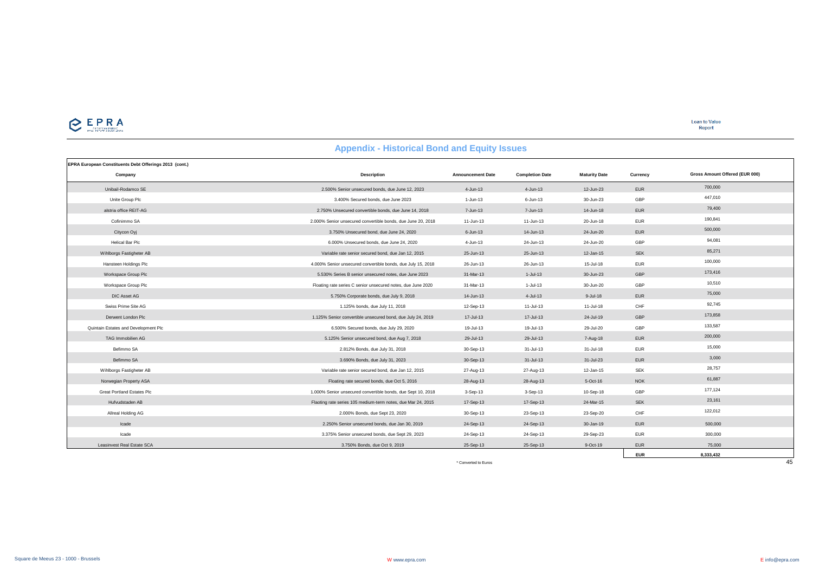

| EPRA European Constituents Debt Offerings 2013 (cont.) |                                                              |                          |                        |                      |            |                                |
|--------------------------------------------------------|--------------------------------------------------------------|--------------------------|------------------------|----------------------|------------|--------------------------------|
| Company                                                | <b>Description</b>                                           | <b>Announcement Date</b> | <b>Completion Date</b> | <b>Maturity Date</b> | Currency   | Gross Amount Offered (EUR 000) |
| Unibail-Rodamco SE                                     | 2.500% Senior unsecured bonds, due June 12, 2023             | $4 - Jun-13$             | 4-Jun-13               | 12-Jun-23            | <b>EUR</b> | 700,000                        |
| Unite Group Plc                                        | 3.400% Secured bonds, due June 2023                          | 1-Jun-13                 | $6$ -Jun-13            | 30-Jun-23            | GBP        | 447,010                        |
| alstria office REIT-AG                                 | 2.750% Unsecured convertible bonds, due June 14, 2018        | 7-Jun-13                 | 7-Jun-13               | 14-Jun-18            | <b>EUR</b> | 79,400                         |
| Cofinimmo SA                                           | 2,000% Senior unsecured convertible bonds, due June 20, 2018 | $11 - Jun-13$            | 11-Jun-13              | 20-Jun-18            | <b>EUR</b> | 190,841                        |
| Citycon Oyj                                            | 3.750% Unsecured bond, due June 24, 2020                     | $6 - Jun-13$             | 14-Jun-13              | 24-Jun-20            | <b>EUR</b> | 500,000                        |
| Helical Bar Plc                                        | 6,000% Unsecured bonds, due June 24, 2020                    | 4-Jun-13                 | 24-Jun-13              | 24-Jun-20            | GBP        | 94,081                         |
| Wihlborgs Fastigheter AB                               | Variable rate senior secured bond, due Jan 12, 2015          | 25-Jun-13                | 25-Jun-13              | 12-Jan-15            | <b>SEK</b> | 85,271                         |
| Hansteen Holdings Plc                                  | 4.000% Senior unsecured convertible bonds, due July 15, 2018 | 26-Jun-13                | 26-Jun-13              | 15-Jul-18            | <b>EUR</b> | 100,000                        |
| Workspace Group Plc                                    | 5.530% Series B senior unsecured notes, due June 2023        | 31-Mar-13                | $1-Jul-13$             | 30-Jun-23            | GBP        | 173,416                        |
| Workspace Group Plc                                    | Floating rate series C senior unsecured notes, due June 2020 | 31-Mar-13                | 1-Jul-13               | 30-Jun-20            | GBP        | 10,510                         |
| DIC Asset AG                                           | 5.750% Corporate bonds, due July 9, 2018                     | 14-Jun-13                | 4-Jul-13               | $9 -$ Jul-18         | <b>EUR</b> | 75,000                         |
| Swiss Prime Site AG                                    | 1.125% bonds, due July 11, 2018                              | 12-Sep-13                | 11-Jul-13              | 11-Jul-18            | CHF        | 92.745                         |
| Derwent London Plc                                     | 1.125% Senior convertible unsecured bond, due July 24, 2019  | 17-Jul-13                | 17-Jul-13              | 24-Jul-19            | GBP        | 173,858                        |
| Quintain Estates and Development Plc                   | 6.500% Secured bonds, due July 29, 2020                      | 19-Jul-13                | 19-Jul-13              | 29-Jul-20            | GBP        | 133,587                        |
| TAG Immobilien AG                                      | 5.125% Senior unsecured bond, due Aug 7, 2018                | 29-Jul-13                | 29-Jul-13              | 7-Aug-18             | <b>EUR</b> | 200,000                        |
| Befimmo SA                                             | 2.812% Bonds, due July 31, 2018                              | 30-Sep-13                | 31-Jul-13              | 31-Jul-18            | <b>EUR</b> | 15,000                         |
| Befimmo SA                                             | 3.690% Bonds, due July 31, 2023                              | 30-Sep-13                | $31 -$ Jul-13          | 31-Jul-23            | <b>EUR</b> | 3.000                          |
| Wihlborgs Fastigheter AB                               | Variable rate senior secured bond, due Jan 12, 2015          | 27-Aug-13                | 27-Aug-13              | 12-Jan-15            | <b>SEK</b> | 28,757                         |
| Norwegian Property ASA                                 | Floating rate secured bonds, due Oct 5, 2016                 | 28-Aug-13                | 28-Aug-13              | 5-Oct-16             | <b>NOK</b> | 61,887                         |
| <b>Great Portland Estates Plc</b>                      | 1.000% Senior unsecured convertible bonds, due Sept 10, 2018 | 3-Sep-13                 | $3-Sep-13$             | 10-Sep-18            | GBP        | 177,124                        |
| Hufvudstaden AB                                        | Flaoting rate series 105 medium-term notes, due Mar 24, 2015 | 17-Sep-13                | 17-Sep-13              | 24-Mar-15            | <b>SEK</b> | 23,161                         |
| Allreal Holding AG                                     | 2.000% Bonds, due Sept 23, 2020                              | 30-Sep-13                | 23-Sep-13              | 23-Sep-20            | CHF        | 122,012                        |
| Icade                                                  | 2.250% Senior unsecured bonds, due Jan 30, 2019              | 24-Sep-13                | 24-Sep-13              | 30-Jan-19            | <b>EUR</b> | 500,000                        |
| Icade                                                  | 3.375% Senior unsecured bonds, due Sept 29, 2023             | 24-Sep-13                | 24-Sep-13              | 29-Sep-23            | <b>EUR</b> | 300,000                        |
| Leasinvest Real Estate SCA                             | 3.750% Bonds, due Oct 9, 2019                                | 25-Sep-13                | 25-Sep-13              | 9-Oct-19             | <b>EUR</b> | 75,000                         |
|                                                        |                                                              |                          |                        |                      | <b>EUR</b> | 8,333,432                      |
|                                                        |                                                              | * Converted to Euros     |                        |                      |            | 45                             |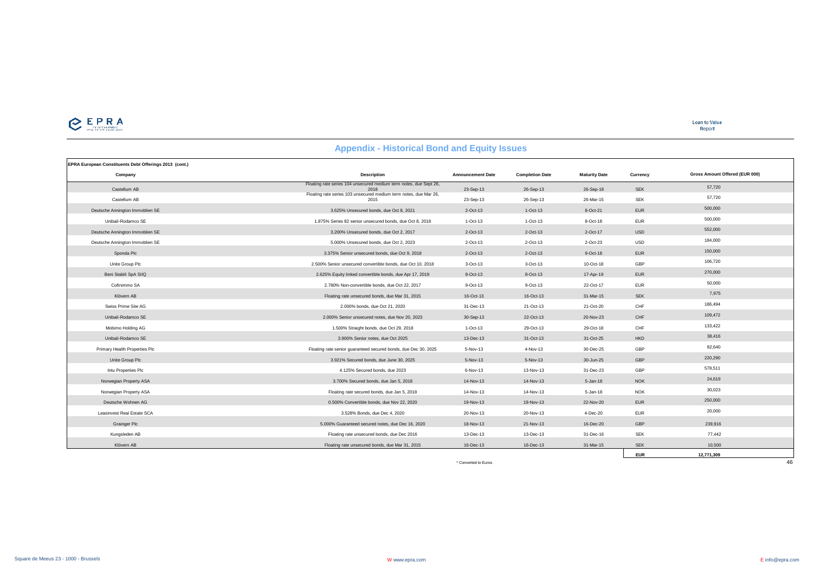

**Loan to Value** Report

**EUR 12,771,309**

#### **EPRA European Constituents Debt Offerings 2013 (cont.) Company Description Announcement Date Completion Date Maturity Date Currency** Castellum AB Floating rate series 104 unsecured medium term notes, due Sept 26, <sup>2018</sup> 23-Sep-13 26-Sep-13 26-Sep-18 SEK 57,720 Castellum AB Floating rate series 103 unsecured medium term notes, due Mar 26, <sup>2015</sup> 23-Sep-13 26-Sep-13 26-Mar-15 SEK 57,720 Deutsche Annington Immoblien SE 3.625% Unsecured bonds, due Oct 8, 2021 2-Oct-13 1-Oct-13 8-Oct-21 EUR 500,000 Unibail-Rodamco SE 1.875% Series 82 senior unsecured bonds, due Oct 8, 2018 1-Oct-13 1-Oct-13 8-Oct-18 EUR 500,000 Deutsche Annington Immoblien SE 3.200% Unsecured bonds, due Oct 2, 2017 2-Oct-13 2-Oct-13 2-Oct-17 USD 552,000 Deutsche Annington Immoblien SE 5.000% Unsecured bonds, due Oct 2, 2023 2-Oct-13 2-Oct-13 2-Oct-23 USD 184,000 Sponda Plc 3.375% Senior unsecured bonds, due Oct 9, 2018 2-Oct-13 2-Oct-13 9-Oct-18 EUR 150,000 Unite Group Plc 2.500% Senior unsecured convertible bonds, due Oct 10, 2018 3-Oct-13 3-Oct-13 10-Oct-18 GBP 106,720 Beni Stabili SpA SIIQ 2.625% Equity linked convertible bonds, due Apr 17, 2019 8-Oct-13 8-Oct-13 17-Apr-19 EUR 270,000 Cofinimmo SA 2.780% Non-convertible bonds, due Oct 22, 2017 9-Oct-13 9-Oct-13 22-Oct-17 EUR 50,000 Klövern AB Floating rate unsecured bonds, due Mar 31, 2015 16-Oct-13 16-Oct-13 31-Mar-15 SEK 7,975 Swiss Prime Site AG 2.000% bonds, due Oct 21, 2020 31-Dec-13 21-Oct-13 21-Oct-20 CHF 186,494 Unibail-Rodamco SE 2.000% Senior unsecured notes, due Nov 20, 2023 30-Sep-13 22-Oct-13 20-Nov-23 CHF 109,472 Mobimo Holding AG **1.500 1.500 Account 1.500 Account 1.500 Account 1133,422** 1.500 % Straight bonds, due Oct 29, 2018 1-Oct-13 29-Oct-13 29-Oct-18 CHF 133,422 Unibail-Rodamco SE 2003 2003 Senior notes, due Oct 2025 13-Dec-13 31-Oct-13 31-Oct-25 HKD 38,416 38,416 Primary Health Properties Plc **Floating rate Senior duaranteed secured bonds**, due Dec 30, 2025 5-Nov-13 4-Nov-13 30-Dec-25 GBP 82,640 Unite Group Plc 3.921% Secured bonds, due June 30, 2025 5-Nov-13 5-Nov-13 30-Jun-25 GBP 220,290 Intu Properties Plc 4.125% Secured bonds, due 2023 6-Nov-13 13-Nov-13 31-Dec-23 GBP 578,511 Norwegian Property ASA 3.700% Secured bonds, due Jan 5, 2018 14-Nov-13 14-Nov-13 5-Jan-18 NOK 24,619 Norwegian Property ASA Floating rate secured bonds, due Jan 5, 2018 14-Nov-13 14-Nov-13 5-Jan-18 NOK 30,023 Deutsche Wohnen AG 0.500% Convertible bonds, due Nov 22, 2020 19-Nov-13 19-Nov-13 22-Nov-20 EUR 250,000 Leasinvest Real Estate SCA 3.528% Bonds, due Dec 4, 2020 20-Nov-13 20-Nov-13 4-Dec-20 EUR 20,000 Grainger Plc 5.000 Suitable 1,000 Suitable of the Dec 16, 2020 18-Nov-13 21-Nov-13 21-Nov-13 16-Dec-20 GBP 239,916 Kungsleden AB Floating rate unsecured bonds, due Dec 2016 13-Dec-13 13-Dec-13 31-Dec-16 SEK SEK 77,442 Klövern AB SEK SEK STATE UNIVERSITED FLOATING RATE UNIVERSITED AT A SERVER AND THE DEC-13 16-Dec-13 31-Mar-15 SEK SEK 10,500 **Gross Amount Offered (EUR 000)**

**Appendix - Historical Bond and Equity Issues**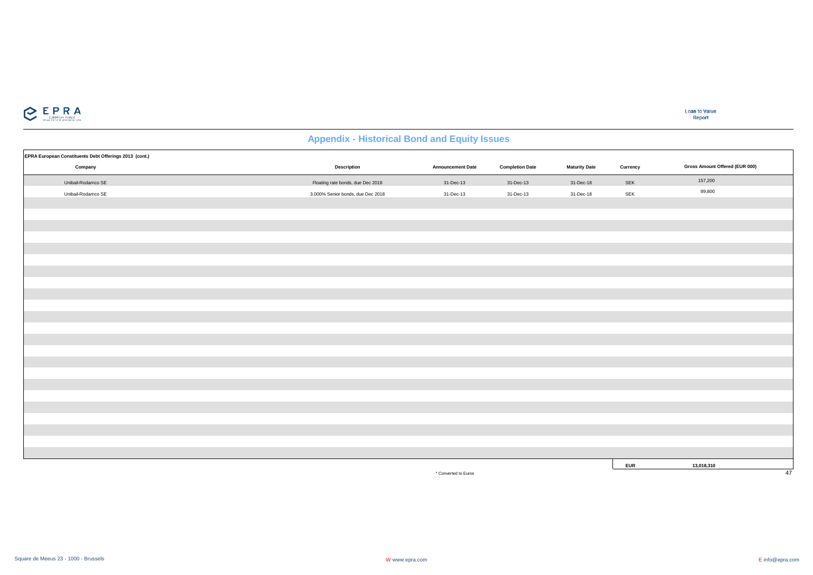

| EPRA European Constituents Debt Offerings 2013 (cont.) |                                   |                          |                        |                      |            |                                |
|--------------------------------------------------------|-----------------------------------|--------------------------|------------------------|----------------------|------------|--------------------------------|
| Company                                                | <b>Description</b>                | <b>Announcement Date</b> | <b>Completion Date</b> | <b>Maturity Date</b> | Currency   | Gross Amount Offered (EUR 000) |
| Unibail-Rodamco SE                                     | Floating rate bonds, due Dec 2018 | 31-Dec-13                | 31-Dec-13              | 31-Dec-18            | SEK        | 157,200                        |
| Unibail-Rodamco SE                                     | 3.000% Senior bonds, due Dec 2018 | 31-Dec-13                | 31-Dec-13              | 31-Dec-18            | SEK        | 89,800                         |
|                                                        |                                   |                          |                        |                      |            |                                |
|                                                        |                                   |                          |                        |                      |            |                                |
|                                                        |                                   |                          |                        |                      |            |                                |
|                                                        |                                   |                          |                        |                      |            |                                |
|                                                        |                                   |                          |                        |                      |            |                                |
|                                                        |                                   |                          |                        |                      |            |                                |
|                                                        |                                   |                          |                        |                      |            |                                |
|                                                        |                                   |                          |                        |                      |            |                                |
|                                                        |                                   |                          |                        |                      |            |                                |
|                                                        |                                   |                          |                        |                      |            |                                |
|                                                        |                                   |                          |                        |                      |            |                                |
|                                                        |                                   |                          |                        |                      |            |                                |
|                                                        |                                   |                          |                        |                      |            |                                |
|                                                        |                                   |                          |                        |                      |            |                                |
|                                                        |                                   |                          |                        |                      |            |                                |
|                                                        |                                   |                          |                        |                      |            |                                |
|                                                        |                                   |                          |                        |                      |            |                                |
|                                                        |                                   |                          |                        |                      |            |                                |
|                                                        |                                   |                          |                        |                      |            |                                |
|                                                        |                                   |                          |                        |                      |            |                                |
|                                                        |                                   |                          |                        |                      |            |                                |
|                                                        |                                   |                          |                        |                      |            |                                |
|                                                        |                                   |                          |                        |                      |            |                                |
|                                                        |                                   |                          |                        |                      | <b>EUR</b> | 13,018,310                     |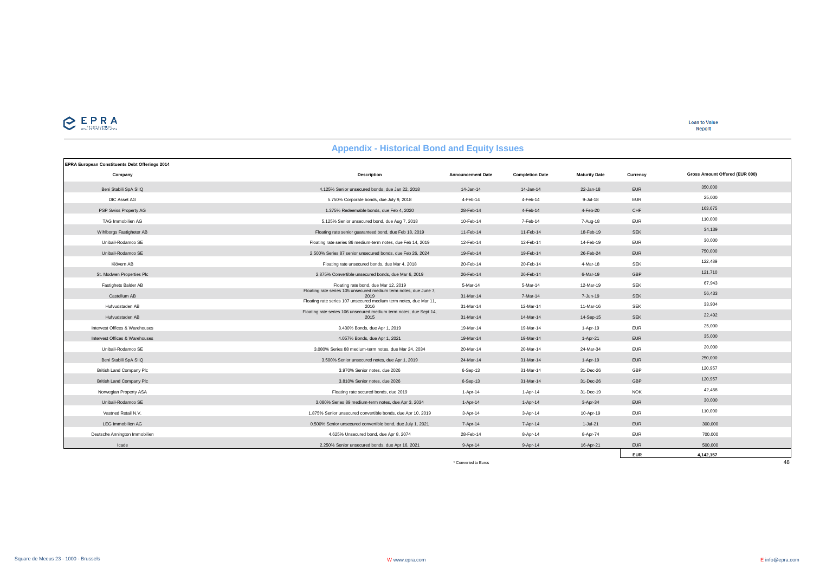# $\sum_{\text{min}}$

**Loan to Value** Report

**EUR 4,142,157**

#### **EPRA European Constituents Debt Offerings 2014 Company Description Announcement Date Completion Date Maturity Date Currency** Beni Stabili SpA SIIQ 4.125% Senior unsecured bonds, due Jan 22, 2018 14-Jan-14 14-Jan-14 22-Jan-18 EUR 350,000 DIC Asset AG 5.750% Corporate bonds, due July 9, 2018 4-Feb-14 4-Feb-14 9-Jul-18 EUR 25,000 PSP Swiss Property AG 1.375% Redeemable bonds, due Feb 4, 2020 28-Feb-14 4-Feb-14 4-Feb-20 CHF 163,675  $5.125\% \text{ Senior unsecured bond, due Aug 7, 2018} \text{10-Feb-14} \text{7-Feb-14} \text{7-Feb-14} \text{7-Alg-18} \text{EUR} \text{10-Feb-14} \text{10-Feb-14} \text{11-Feb-14} \text{12-Feb-14} \text{13-Feb-14} \text{14-Feb-14} \text{15-Feb-14} \text{16-Feb-14} \text{17-Feb-14} \text{18-Feb-14} \text{19-Feb-14} \text{19-Feb-14$ Wihlborgs Fastigheter AB Floating rate senior guaranteed bond, due Feb 18, 2019 11-Feb-14 11-Feb-14 18-Feb-19 SEK 34,139 Unibail-Rodamco SE Floating rate series 86 medium-term notes, due Feb 14, 2019 12-Feb-14 12-Feb-14 14-Feb-19 EUR 30,000 Unibail-Rodamco SE 2.500% Series 87 senior unsecured bonds, due Feb 26, 2024 19-Feb-14 19-Feb-14 26-Feb-24 EUR 750,000 Klövern AB Floating rate unsecured bonds, due Mar 4, 2018 20-Feb-14 20-Feb-14 4-Mar-18 SEK 122,489 St. Modwen Properties Plc 2.875% Convertible unsecured bonds, due Mar 6, 2019 26-Feb-14 26-Feb-14 6-Mar-19 GBP 121,710 Floating rate bond, due Mar 12, 2019 5-Mar-14 5-Mar-14 5-Mar-14 12-Mar-19 SEK 67,943<br>Floating rate series 105 unsecured medium term notes, due June 7, the series 105 unsecured medium term notes, due June 7, Castellum AB <sup>2019</sup> 31-Mar-14 7-Mar-14 7-Jun-19 SEK 56,433 Hufvudstaden AB Floating rate series 107 unsecured medium term notes, due Mar 11, <sup>2016</sup> 31-Mar-14 12-Mar-14 11-Mar-16 SEK 33,904 Hufvudstaden AB Floating rate series 106 unsecured medium term notes, due Sept 14, <sup>2015</sup> 31-Mar-14 14-Mar-14 14-Sep-15 SEK 22,492 Intervest Offices & Warehouses 3.430% Bonds, due Apr 1, 2019 19-Mar-14 19-Mar-14 1-Apr-19 EUR 25,000 Intervest Offices & Warehouses 4.057% Bonds, due Apr 1, 2021 19-Mar-14 19-Mar-14 1-Apr-21 EUR 35,000 Unibail-Rodamco SE 3.080% Series 88 medium-term notes, due Mar 24, 2034 20-Mar-14 20-Mar-14 24-Mar-34 EUR 20,000 Beni Stabili SpA SIIQ 3.500% Senior unsecured notes, due Apr 1, 2019 24-Mar-14 31-Mar-14 1-Apr-19 EUR 250,000 British Land Company Plc 3.970% Senior notes, due 2026 6-Sep-13 31-Mar-14 31-Dec-26 GBP 120,957 British Land Company Plc 3.810% Senior notes, due 2026 8-Sep-13 31-Mar-14 31-Dec-26 GBP 120,957 Norwegian Property ASA **Floating rate secured bonds, due 2019** 1-Apr-14 1-Apr-14 31-Dec-19 NOK 42,458 Unibail-Rodamco SE 3.080% Series 89 medium-term notes, due Apr 3, 2034 1-Apr-14 1-Apr-14 3-Apr-34 EUR 30,000 Vastned Retail N.V. 1.875% Senior unsecured convertible bonds, due Apr 10, 2019 3-Apr-14 3-Apr-14 10-Apr-19 EUR 110,000 **Gross Amount Offered (EUR 000)**

**Appendix - Historical Bond and Equity Issues**

\* Converted to Euros 48

LEG Immobilien AG 0.500% Senior unsecured convertible bond, due July 1, 2021 7-Apr-14 7-Apr-14 1-Jul-21 EUR 300,000 Deutsche Annington Immobilien 4.625% Unsecured bond, due Apr 8, 2074 28-Feb-14 8-Apr-14 8-Apr-74 EUR 700,000 Icade 2.250% Senior unsecured bonds, due Apr 16, 2021 9-Apr-14 9-Apr-14 9-Apr-14 16-Apr-21 EUR 500,000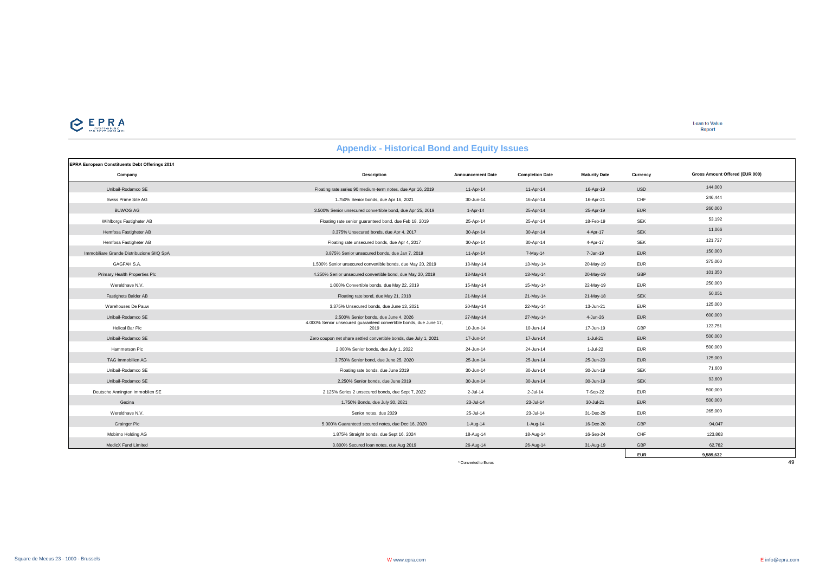

| <b>EPRA European Constituents Debt Offerings 2014</b> |                                                                            |                          |                        |                      |            |                                |
|-------------------------------------------------------|----------------------------------------------------------------------------|--------------------------|------------------------|----------------------|------------|--------------------------------|
| Company                                               | <b>Description</b>                                                         | <b>Announcement Date</b> | <b>Completion Date</b> | <b>Maturity Date</b> | Currency   | Gross Amount Offered (EUR 000) |
| Unibail-Rodamco SE                                    | Floating rate series 90 medium-term notes, due Apr 16, 2019                | 11-Apr-14                | 11-Apr-14              | 16-Apr-19            | <b>USD</b> | 144,000                        |
| Swiss Prime Site AG                                   | 1.750% Senior bonds, due Apr 16, 2021                                      | 30-Jun-14                | 16-Apr-14              | 16-Apr-21            | CHF        | 246,444                        |
| <b>BUWOG AG</b>                                       | 3.500% Senior unsecured convertible bond, due Apr 25, 2019                 | $1-Apr-14$               | 25-Apr-14              | 25-Apr-19            | <b>EUR</b> | 260,000                        |
| Wihlborgs Fastigheter AB                              | Floating rate senior guaranteed bond, due Feb 18, 2019                     | 25-Apr-14                | 25-Apr-14              | 18-Feb-19            | <b>SEK</b> | 53,192                         |
| Hemfosa Fastigheter AB                                | 3.375% Unsecured bonds, due Apr 4, 2017                                    | 30-Apr-14                | 30-Apr-14              | 4-Apr-17             | <b>SEK</b> | 11,066                         |
| Hemfosa Fastigheter AB                                | Floating rate unsecured bonds, due Apr 4, 2017                             | 30-Apr-14                | 30-Apr-14              | 4-Apr-17             | <b>SEK</b> | 121,727                        |
| Immobiliare Grande Distribuzione SIIQ SpA             | 3.875% Senior unsecured bonds, due Jan 7, 2019                             | 11-Apr-14                | 7-May-14               | 7-Jan-19             | <b>EUR</b> | 150,000                        |
| GAGFAH S.A.                                           | 1.500% Senior unsecured convertible bonds, due May 20, 2019                | 13-May-14                | 13-May-14              | 20-May-19            | <b>EUR</b> | 375,000                        |
| Primary Health Properties Plc                         | 4.250% Senior unsecured convertible bond, due May 20, 2019                 | 13-May-14                | 13-May-14              | 20-May-19            | GBP        | 101,350                        |
| Wereldhave N.V.                                       | 1.000% Convertible bonds, due May 22, 2019                                 | 15-May-14                | 15-May-14              | 22-May-19            | <b>EUR</b> | 250,000                        |
| Fastighets Balder AB                                  | Floating rate bond, due May 21, 2018                                       | 21-May-14                | 21-May-14              | 21-May-18            | <b>SEK</b> | 50,051                         |
| Warehouses De Pauw                                    | 3.375% Unsecured bonds, due June 13, 2021                                  | 20-May-14                | 22-May-14              | 13-Jun-21            | <b>EUR</b> | 125,000                        |
| Unibail-Rodamco SE                                    | 2.500% Senior bonds, due June 4, 2026                                      | 27-May-14                | 27-May-14              | 4-Jun-26             | <b>EUR</b> | 600,000                        |
| Helical Bar Plc                                       | 4.000% Senior unsecured quaranteed convertible bonds, due June 17,<br>2019 | 10-Jun-14                | 10-Jun-14              | 17-Jun-19            | GBP        | 123,751                        |
| Unibail-Rodamco SE                                    | Zero coupon net share settled convertible bonds, due July 1, 2021          | 17-Jun-14                | 17-Jun-14              | $1-Jul-21$           | <b>EUR</b> | 500,000                        |
| Hammerson Plc                                         | 2.000% Senior bonds, due July 1, 2022                                      | 24-Jun-14                | 24-Jun-14              | 1-Jul-22             | <b>EUR</b> | 500,000                        |
| TAG Immobilien AG                                     | 3.750% Senior bond, due June 25, 2020                                      | 25-Jun-14                | 25-Jun-14              | 25-Jun-20            | <b>EUR</b> | 125,000                        |
| Unibail-Rodamco SE                                    | Floating rate bonds, due June 2019                                         | 30-Jun-14                | 30-Jun-14              | 30-Jun-19            | <b>SEK</b> | 71,600                         |
| Unibail-Rodamco SE                                    | 2.250% Senior bonds, due June 2019                                         | 30-Jun-14                | 30-Jun-14              | 30-Jun-19            | <b>SEK</b> | 93,600                         |
| Deutsche Annington Immoblien SE                       | 2.125% Series 2 unsecured bonds, due Sept 7, 2022                          | $2 -$ Jul-14             | $2$ -Jul-14            | 7-Sep-22             | <b>EUR</b> | 500,000                        |
| Gecina                                                | 1.750% Bonds, due July 30, 2021                                            | 23-Jul-14                | 23-Jul-14              | 30-Jul-21            | <b>EUR</b> | 500,000                        |
| Wereldhave N.V.                                       | Senior notes, due 2029                                                     | 25-Jul-14                | 23-Jul-14              | 31-Dec-29            | <b>EUR</b> | 265,000                        |
| <b>Grainger Plc</b>                                   | 5.000% Guaranteed secured notes, due Dec 16, 2020                          | $1-Auq-14$               | $1-Auq-14$             | 16-Dec-20            | GBP        | 94,047                         |
| Mobimo Holding AG                                     | 1.875% Straight bonds, due Sept 16, 2024                                   | 18-Aug-14                | 18-Aug-14              | 16-Sep-24            | CHF        | 123,863                        |
| MedicX Fund Limited                                   | 3.800% Secured Ioan notes, due Aug 2019                                    | 26-Aug-14                | 26-Aug-14              | 31-Aug-19            | GBP        | 62.782                         |
|                                                       |                                                                            |                          |                        |                      | <b>EUR</b> | 9.589.632                      |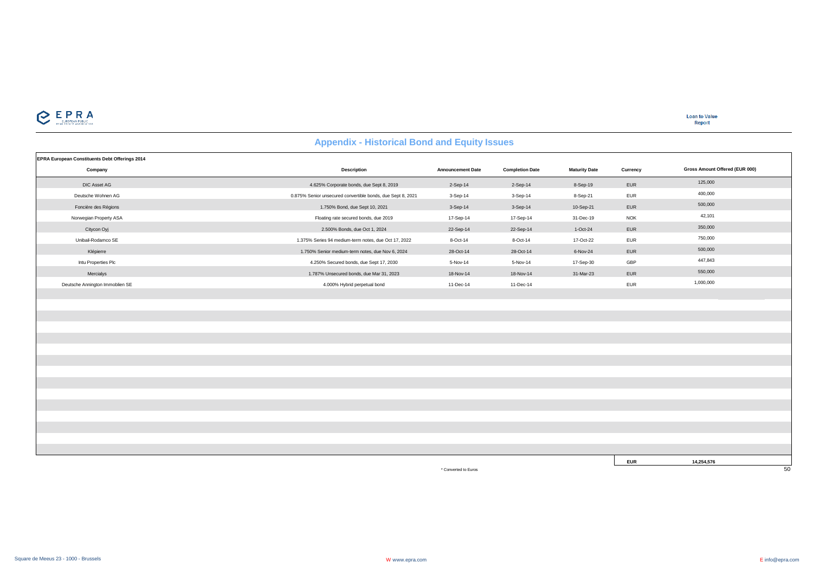

**Loan to Value**<br>Report

#### **Appendix - Historical Bond and Equity Issues**

| EPRA European Constituents Debt Offerings 2014 |                                                             | <b>Announcement Date</b> |                        |                      |            | Gross Amount Offered (EUR 000) |
|------------------------------------------------|-------------------------------------------------------------|--------------------------|------------------------|----------------------|------------|--------------------------------|
| Company                                        | <b>Description</b>                                          |                          | <b>Completion Date</b> | <b>Maturity Date</b> | Currency   |                                |
| DIC Asset AG                                   | 4.625% Corporate bonds, due Sept 8, 2019                    | 2-Sep-14                 | 2-Sep-14               | 8-Sep-19             | EUR        | 125,000                        |
| Deutsche Wohnen AG                             | 0.875% Senior unsecured convertible bonds, due Sept 8, 2021 | 3-Sep-14                 | 3-Sep-14               | 8-Sep-21             | EUR        | 400,000                        |
| Foncière des Régions                           | 1.750% Bond, due Sept 10, 2021                              | 3-Sep-14                 | 3-Sep-14               | 10-Sep-21            | EUR        | 500,000                        |
| Norwegian Property ASA                         | Floating rate secured bonds, due 2019                       | 17-Sep-14                | 17-Sep-14              | 31-Dec-19            | <b>NOK</b> | 42,101                         |
| Citycon Oyj                                    | 2.500% Bonds, due Oct 1, 2024                               | 22-Sep-14                | 22-Sep-14              | 1-Oct-24             | EUR        | 350,000                        |
| Unibail-Rodamco SE                             | 1.375% Series 94 medium-term notes, due Oct 17, 2022        | 8-Oct-14                 | 8-Oct-14               | 17-Oct-22            | EUR        | 750,000                        |
| Klépierre                                      | 1.750% Senior medium-term notes, due Nov 6, 2024            | 28-Oct-14                | 28-Oct-14              | 6-Nov-24             | EUR        | 500,000                        |
| Intu Properties Plc                            | 4.250% Secured bonds, due Sept 17, 2030                     | 5-Nov-14                 | 5-Nov-14               | 17-Sep-30            | GBP        | 447,843                        |
| Mercialys                                      | 1.787% Unsecured bonds, due Mar 31, 2023                    | 18-Nov-14                | 18-Nov-14              | 31-Mar-23            | EUR        | 550,000                        |
| Deutsche Annington Immoblien SE                | 4.000% Hybrid perpetual bond                                | 11-Dec-14                | 11-Dec-14              |                      | EUR        | 1,000,000                      |
|                                                |                                                             |                          |                        |                      |            |                                |
|                                                |                                                             |                          |                        |                      |            |                                |
|                                                |                                                             |                          |                        |                      |            |                                |
|                                                |                                                             |                          |                        |                      |            |                                |
|                                                |                                                             |                          |                        |                      |            |                                |
|                                                |                                                             |                          |                        |                      |            |                                |
|                                                |                                                             |                          |                        |                      |            |                                |
|                                                |                                                             |                          |                        |                      |            |                                |
|                                                |                                                             |                          |                        |                      |            |                                |
|                                                |                                                             |                          |                        |                      |            |                                |
|                                                |                                                             |                          |                        |                      |            |                                |
|                                                |                                                             |                          |                        |                      |            |                                |
|                                                |                                                             |                          |                        |                      |            |                                |
|                                                |                                                             |                          |                        |                      |            |                                |
|                                                |                                                             |                          |                        |                      |            |                                |
|                                                |                                                             |                          |                        |                      | <b>EUR</b> | 14,254,576                     |
|                                                |                                                             | * Converted to Euros     |                        |                      |            | 50                             |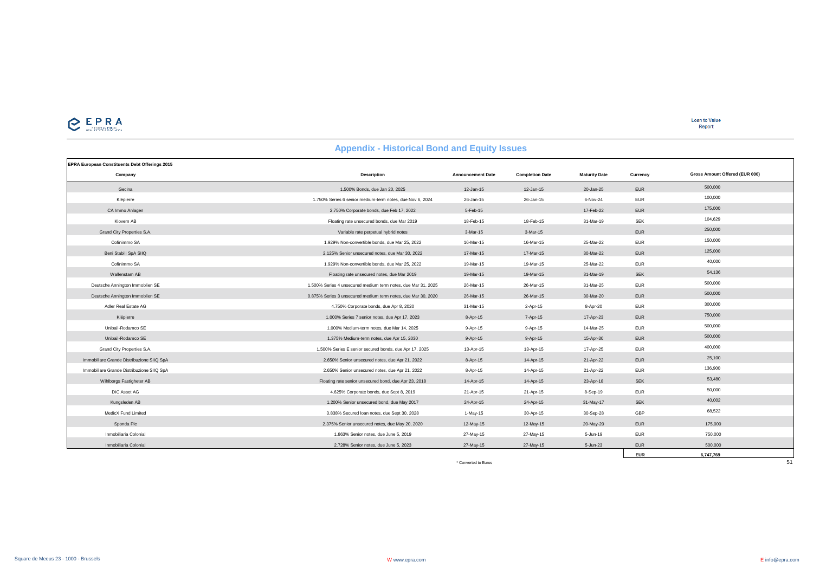

**Loan to Value**<br>Report

# **Appendix - Historical Bond and Equity Issues**

| <b>EPRA European Constituents Debt Offerings 2015</b> |                                                               |                          |                        |                      |            |                                |
|-------------------------------------------------------|---------------------------------------------------------------|--------------------------|------------------------|----------------------|------------|--------------------------------|
| Company                                               | <b>Description</b>                                            | <b>Announcement Date</b> | <b>Completion Date</b> | <b>Maturity Date</b> | Currency   | Gross Amount Offered (EUR 000) |
| Gecina                                                | 1.500% Bonds, due Jan 20, 2025                                | 12-Jan-15                | 12-Jan-15              | 20-Jan-25            | <b>EUR</b> | 500,000                        |
| Klépierre                                             | 1.750% Series 6 senior medium-term notes, due Nov 6, 2024     | 26-Jan-15                | 26-Jan-15              | 6-Nov-24             | <b>EUR</b> | 100,000                        |
| CA Immo Anlagen                                       | 2.750% Corporate bonds, due Feb 17, 2022                      | 5-Feb-15                 |                        | 17-Feb-22            | <b>EUR</b> | 175,000                        |
| Klovern AB                                            | Floating rate unsecured bonds, due Mar 2019                   | 18-Feb-15                | 18-Feb-15              | 31-Mar-19            | <b>SEK</b> | 104,629                        |
| Grand City Properties S.A.                            | Variable rate perpetual hybrid notes                          | 3-Mar-15                 | 3-Mar-15               |                      | <b>EUR</b> | 250,000                        |
| Cofinimmo SA                                          | 1.929% Non-convertible bonds, due Mar 25, 2022                | 16-Mar-15                | 16-Mar-15              | 25-Mar-22            | <b>EUR</b> | 150,000                        |
| Beni Stabili SpA SIIQ                                 | 2.125% Senior unsecured notes, due Mar 30, 2022               | 17-Mar-15                | 17-Mar-15              | 30-Mar-22            | <b>EUR</b> | 125,000                        |
| Cofinimmo SA                                          | 1.929% Non-convertible bonds, due Mar 25, 2022                | 19-Mar-15                | 19-Mar-15              | 25-Mar-22            | <b>EUR</b> | 40,000                         |
| Wallenstam AB                                         | Floating rate unsecured notes, due Mar 2019                   | 19-Mar-15                | 19-Mar-15              | 31-Mar-19            | <b>SEK</b> | 54,136                         |
| Deutsche Annington Immoblien SE                       | 1.500% Series 4 unsecured medium term notes, due Mar 31, 2025 | 26-Mar-15                | 26-Mar-15              | 31-Mar-25            | <b>EUR</b> | 500,000                        |
| Deutsche Annington Immoblien SE                       | 0.875% Series 3 unsecured medium term notes, due Mar 30, 2020 | 26-Mar-15                | 26-Mar-15              | 30-Mar-20            | <b>EUR</b> | 500,000                        |
| Adler Real Estate AG                                  | 4.750% Corporate bonds, due Apr 8, 2020                       | 31-Mar-15                | 2-Apr-15               | 8-Apr-20             | <b>EUR</b> | 300,000                        |
| Klépierre                                             | 1.000% Series 7 senior notes, due Apr 17, 2023                | 8-Apr-15                 | 7-Apr-15               | 17-Apr-23            | <b>EUR</b> | 750,000                        |
| Unibail-Rodamco SE                                    | 1.000% Medium-term notes, due Mar 14, 2025                    | 9-Apr-15                 | 9-Apr-15               | 14-Mar-25            | <b>EUR</b> | 500,000                        |
| Unibail-Rodamco SE                                    | 1.375% Medium-term notes, due Apr 15, 2030                    | $9-Apr-15$               | 9-Apr-15               | 15-Apr-30            | <b>EUR</b> | 500,000                        |
| Grand City Properties S.A.                            | 1.500% Series E senior secured bonds, due Apr 17, 2025        | 13-Apr-15                | 13-Apr-15              | 17-Apr-25            | <b>EUR</b> | 400,000                        |
| Immobiliare Grande Distribuzione SIIQ SpA             | 2.650% Senior unsecured notes, due Apr 21, 2022               | 8-Apr-15                 | 14-Apr-15              | 21-Apr-22            | <b>EUR</b> | 25,100                         |
| Immobiliare Grande Distribuzione SIIQ SpA             | 2.650% Senior unsecured notes, due Apr 21, 2022               | 8-Apr-15                 | 14-Apr-15              | 21-Apr-22            | <b>EUR</b> | 136,900                        |
| Wihlborgs Fastigheter AB                              | Floating rate senior unsecured bond, due Apr 23, 2018         | 14-Apr-15                | 14-Apr-15              | 23-Apr-18            | <b>SEK</b> | 53,480                         |
| DIC Asset AG                                          | 4.625% Corporate bonds, due Sept 8, 2019                      | 21-Apr-15                | 21-Apr-15              | 8-Sep-19             | <b>EUR</b> | 50,000                         |
| Kungsleden AB                                         | 1.200% Senior unsecured bond, due May 2017                    | 24-Apr-15                | 24-Apr-15              | 31-May-17            | <b>SEK</b> | 40,002                         |
| MedicX Fund Limited                                   | 3.838% Secured Ioan notes, due Sept 30, 2028                  | $1-May-15$               | 30-Apr-15              | 30-Sep-28            | GBP        | 68,522                         |
| Sponda Plc                                            | 2.375% Senior unsecured notes, due May 20, 2020               | 12-May-15                | 12-May-15              | 20-May-20            | <b>EUR</b> | 175,000                        |
| Inmobiliaria Colonial                                 | 1.863% Senior notes, due June 5, 2019                         | 27-May-15                | 27-May-15              | 5-Jun-19             | <b>EUR</b> | 750,000                        |
| Inmobiliaria Colonial                                 | 2.728% Senior notes, due June 5, 2023                         | 27-May-15                | 27-May-15              | 5-Jun-23             | <b>EUR</b> | 500,000                        |
|                                                       |                                                               |                          |                        |                      | <b>EUR</b> | 6,747,769                      |
|                                                       |                                                               | * Converted to Euros     |                        |                      |            | 51                             |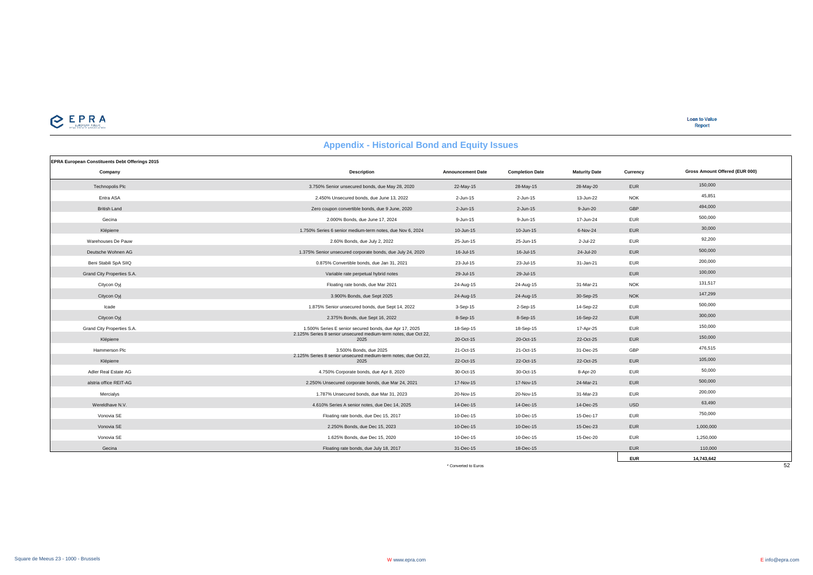

**Loan to Value** Report

| <b>Appendix - Historical Dollu and Equity Issues</b> |                                                                         |                          |                        |                      |            |                                |  |  |
|------------------------------------------------------|-------------------------------------------------------------------------|--------------------------|------------------------|----------------------|------------|--------------------------------|--|--|
| EPRA European Constituents Debt Offerings 2015       |                                                                         |                          |                        |                      |            |                                |  |  |
| Company                                              | <b>Description</b>                                                      | <b>Announcement Date</b> | <b>Completion Date</b> | <b>Maturity Date</b> | Currency   | Gross Amount Offered (EUR 000) |  |  |
| <b>Technopolis Plc</b>                               | 3.750% Senior unsecured bonds, due May 28, 2020                         | 22-May-15                | 28-May-15              | 28-May-20            | <b>EUR</b> | 150,000                        |  |  |
| Entra ASA                                            | 2.450% Unsecured bonds, due June 13, 2022                               | 2-Jun-15                 | 2-Jun-15               | 13-Jun-22            | <b>NOK</b> | 45,851                         |  |  |
| <b>British Land</b>                                  | Zero coupon convertible bonds, due 9 June, 2020                         | 2-Jun-15                 | 2-Jun-15               | 9-Jun-20             | GBP        | 494,000                        |  |  |
| Gecina                                               | 2.000% Bonds, due June 17, 2024                                         | 9-Jun-15                 | 9-Jun-15               | 17-Jun-24            | <b>EUR</b> | 500,000                        |  |  |
| Klépierre                                            | 1.750% Series 6 senior medium-term notes, due Nov 6, 2024               | 10-Jun-15                | 10-Jun-15              | 6-Nov-24             | <b>EUR</b> | 30,000                         |  |  |
| Warehouses De Pauw                                   | 2.60% Bonds, due July 2, 2022                                           | 25-Jun-15                | 25-Jun-15              | 2-Jul-22             | <b>EUR</b> | 92.200                         |  |  |
| Deutsche Wohnen AG                                   | 1.375% Senior unsecured corporate bonds, due July 24, 2020              | 16-Jul-15                | 16-Jul-15              | 24-Jul-20            | <b>EUR</b> | 500,000                        |  |  |
| Beni Stabili SpA SIIQ                                | 0.875% Convertible bonds, due Jan 31, 2021                              | 23-Jul-15                | 23-Jul-15              | 31-Jan-21            | <b>EUR</b> | 200,000                        |  |  |
| Grand City Properties S.A.                           | Variable rate perpetual hybrid notes                                    | 29-Jul-15                | 29-Jul-15              |                      | <b>EUR</b> | 100,000                        |  |  |
| Citycon Oyj                                          | Floating rate bonds, due Mar 2021                                       | 24-Aug-15                | 24-Aug-15              | 31-Mar-21            | <b>NOK</b> | 131,517                        |  |  |
| Citycon Oyj                                          | 3.900% Bonds, due Sept 2025                                             | 24-Aug-15                | 24-Aug-15              | 30-Sep-25            | <b>NOK</b> | 147,299                        |  |  |
| Icade                                                | 1.875% Senior unsecured bonds, due Sept 14, 2022                        | 3-Sep-15                 | $2-Sep-15$             | 14-Sep-22            | <b>EUR</b> | 500,000                        |  |  |
| Citycon Oyj                                          | 2.375% Bonds, due Sept 16, 2022                                         | 8-Sep-15                 | 8-Sep-15               | 16-Sep-22            | <b>EUR</b> | 300,000                        |  |  |
| Grand City Properties S.A.                           | 1.500% Series E senior secured bonds, due Apr 17, 2025                  | 18-Sep-15                | 18-Sep-15              | 17-Apr-25            | <b>EUR</b> | 150,000                        |  |  |
| Klépierre                                            | 2.125% Series 8 senior unsecured medium-term notes, due Oct 22,<br>2025 | 20-Oct-15                | 20-Oct-15              | 22-Oct-25            | <b>EUR</b> | 150,000                        |  |  |
| Hammerson Plc                                        | 3.500% Bonds, due 2025                                                  | 21-Oct-15                | 21-Oct-15              | 31-Dec-25            | GBP        | 476,515                        |  |  |
| Klépierre                                            | 2.125% Series 8 senior unsecured medium-term notes, due Oct 22,<br>2025 | 22-Oct-15                | 22-Oct-15              | 22-Oct-25            | <b>EUR</b> | 105,000                        |  |  |
| Adler Real Estate AG                                 | 4.750% Corporate bonds, due Apr 8, 2020                                 | 30-Oct-15                | 30-Oct-15              | 8-Apr-20             | <b>EUR</b> | 50,000                         |  |  |
| alstria office REIT-AG                               | 2.250% Unsecured corporate bonds, due Mar 24, 2021                      | 17-Nov-15                | 17-Nov-15              | 24-Mar-21            | <b>EUR</b> | 500,000                        |  |  |
| Mercialys                                            | 1.787% Unsecured bonds, due Mar 31, 2023                                | 20-Nov-15                | 20-Nov-15              | 31-Mar-23            | <b>EUR</b> | 200,000                        |  |  |
| Wereldhave N.V.                                      | 4.610% Series A senior notes, due Dec 14, 2025                          | 14-Dec-15                | 14-Dec-15              | 14-Dec-25            | <b>USD</b> | 63,490                         |  |  |
| Vonovia SE                                           | Floating rate bonds, due Dec 15, 2017                                   | 10-Dec-15                | 10-Dec-15              | 15-Dec-17            | <b>EUR</b> | 750,000                        |  |  |
| Vonovia SE                                           | 2.250% Bonds, due Dec 15, 2023                                          | 10-Dec-15                | 10-Dec-15              | 15-Dec-23            | <b>EUR</b> | 1.000.000                      |  |  |
| Vonovia SE                                           | 1.625% Bonds, due Dec 15, 2020                                          | 10-Dec-15                | 10-Dec-15              | 15-Dec-20            | <b>EUR</b> | 1,250,000                      |  |  |
| Gecina                                               | Floating rate bonds, due July 18, 2017                                  | 31-Dec-15                | 18-Dec-15              |                      | <b>EUR</b> | 110,000                        |  |  |
|                                                      |                                                                         |                          |                        |                      | <b>EUR</b> | 14,743,642                     |  |  |

**Appendix - Historical Bond and Equity Issues**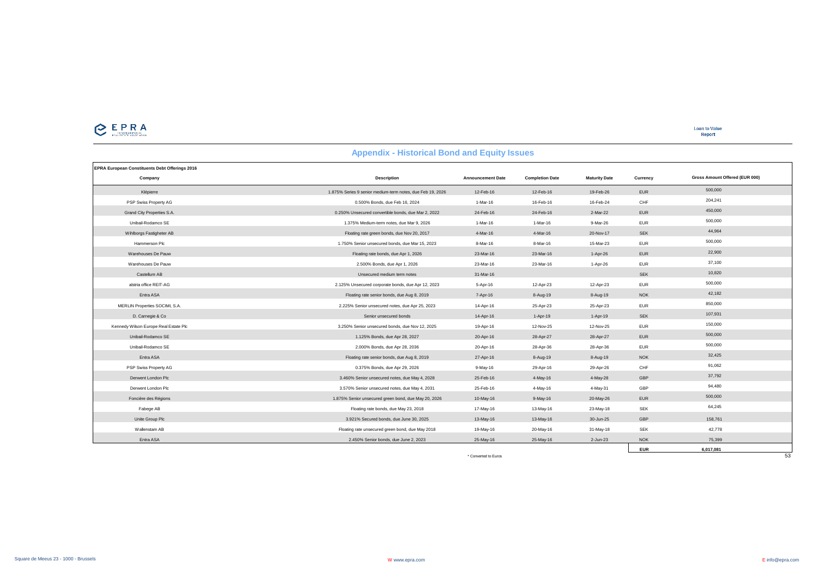| <b>EPRA European Constituents Debt Offerings 2016</b> |                                                            |                          |                        |                      |            |                                |
|-------------------------------------------------------|------------------------------------------------------------|--------------------------|------------------------|----------------------|------------|--------------------------------|
| Company                                               | <b>Description</b>                                         | <b>Announcement Date</b> | <b>Completion Date</b> | <b>Maturity Date</b> | Currency   | Gross Amount Offered (EUR 000) |
| Klépierre                                             | 1.875% Series 9 senior medium-term notes, due Feb 19, 2026 | 12-Feb-16                | 12-Feb-16              | 19-Feb-26            | <b>EUR</b> | 500,000                        |
| PSP Swiss Property AG                                 | 0.500% Bonds, due Feb 16, 2024                             | 1-Mar-16                 | 16-Feb-16              | 16-Feb-24            | CHF        | 204,241                        |
| Grand City Properties S.A.                            | 0.250% Unsecured convertible bonds, due Mar 2, 2022        | 24-Feb-16                | 24-Feb-16              | 2-Mar-22             | <b>EUR</b> | 450,000                        |
| Unibail-Rodamco SE                                    | 1.375% Medium-term notes, due Mar 9, 2026                  | 1-Mar-16                 | 1-Mar-16               | 9-Mar-26             | <b>EUR</b> | 500,000                        |
| Wihlborgs Fastigheter AB                              | Floating rate green bonds, due Nov 20, 2017                | 4-Mar-16                 | 4-Mar-16               | 20-Nov-17            | <b>SEK</b> | 44,964                         |
| Hammerson Plc                                         | 1.750% Senior unsecured bonds, due Mar 15, 2023            | 8-Mar-16                 | 8-Mar-16               | 15-Mar-23            | <b>EUR</b> | 500,000                        |
| Warehouses De Pauw                                    | Floating rate bonds, due Apr 1, 2026                       | 23-Mar-16                | 23-Mar-16              | 1-Apr-26             | <b>EUR</b> | 22,900                         |
| Warehouses De Pauw                                    | 2.500% Bonds, due Apr 1, 2026                              | 23-Mar-16                | 23-Mar-16              | 1-Apr-26             | <b>EUR</b> | 37,100                         |
| Castellum AB                                          | Unsecured medium term notes                                | 31-Mar-16                |                        |                      | <b>SEK</b> | 10,820                         |
| alstria office REIT-AG                                | 2.125% Unsecured corporate bonds, due Apr 12, 2023         | 5-Apr-16                 | 12-Apr-23              | 12-Apr-23            | <b>EUR</b> | 500,000                        |
| Entra ASA                                             | Floating rate senior bonds, due Aug 8, 2019                | 7-Apr-16                 | 8-Aug-19               | 8-Aug-19             | <b>NOK</b> | 42,182                         |
| MERLIN Properties SOCIMI, S.A.                        | 2.225% Senior unsecured notes, due Apr 25, 2023            | 14-Apr-16                | 25-Apr-23              | 25-Apr-23            | <b>EUR</b> | 850,000                        |
| D. Carnegie & Co                                      | Senior unsecured bonds                                     | 14-Apr-16                | $1-Apr-19$             | $1-Apr-19$           | <b>SEK</b> | 107,931                        |
| Kennedy Wilson Europe Real Estate Plc                 | 3.250% Senior unsecured bonds, due Nov 12, 2025            | 19-Apr-16                | 12-Nov-25              | 12-Nov-25            | <b>EUR</b> | 150,000                        |
| Unibail-Rodamco SE                                    | 1.125% Bonds, due Apr 28, 2027                             | 20-Apr-16                | 28-Apr-27              | 28-Apr-27            | <b>EUR</b> | 500,000                        |
| Unibail-Rodamco SE                                    | 2.000% Bonds, due Apr 28, 2036                             | 20-Apr-16                | 28-Apr-36              | 28-Apr-36            | <b>EUR</b> | 500,000                        |
| Entra ASA                                             | Floating rate senior bonds, due Aug 8, 2019                | 27-Apr-16                | 8-Aug-19               | 8-Aug-19             | <b>NOK</b> | 32,425                         |
| PSP Swiss Property AG                                 | 0.375% Bonds, due Apr 29, 2026                             | 9-May-16                 | 29-Apr-16              | 29-Apr-26            | CHF        | 91,062                         |
| Derwent London Plc                                    | 3.460% Senior unsecured notes, due May 4, 2028             | 25-Feb-16                | 4-May-16               | 4-May-28             | GBP        | 37,792                         |
| Derwent London Plc                                    | 3.570% Senior unsecured notes, due May 4, 2031             | 25-Feb-16                | 4-May-16               | 4-May-31             | GBP        | 94,480                         |
| Foncière des Régions                                  | 1.875% Senior unsecured green bond, due May 20, 2026       | 10-May-16                | $9-May-16$             | 20-May-26            | <b>EUR</b> | 500,000                        |
| Fabege AB                                             | Floating rate bonds, due May 23, 2018                      | 17-May-16                | 13-May-16              | 23-May-18            | <b>SEK</b> | 64,245                         |
| Unite Group Plc                                       | 3.921% Secured bonds, due June 30, 2025                    | 13-May-16                | 13-May-16              | 30-Jun-25            | GBP        | 158,761                        |
| Wallenstam AB                                         | Floating rate unsecured green bond, due May 2018           | 19-May-16                | 20-May-16              | 31-May-18            | <b>SEK</b> | 42.778                         |
| Entra ASA                                             | 2.450% Senior bonds, due June 2, 2023                      | 25-May-16                | 25-May-16              | 2-Jun-23             | <b>NOK</b> | 75,399                         |
|                                                       |                                                            |                          |                        |                      | <b>EUR</b> | 6.017.081                      |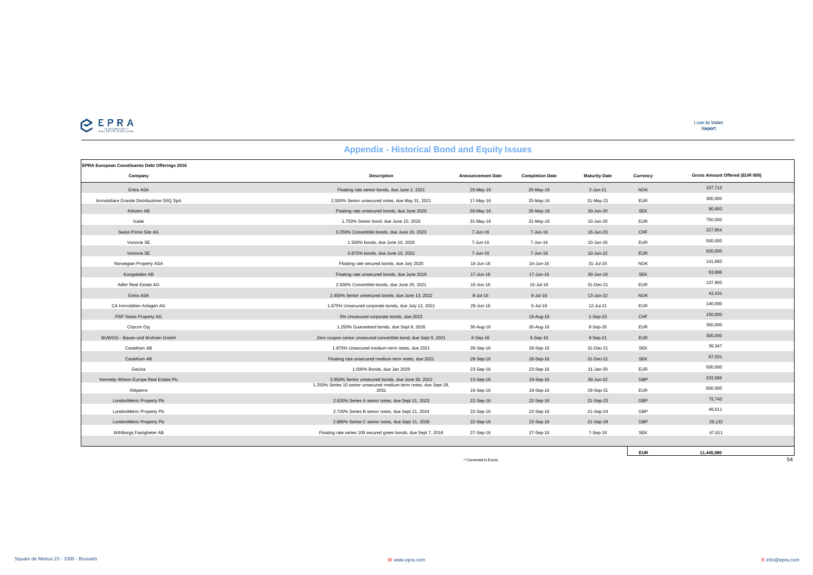

| <b>EPRA European Constituents Debt Offerings 2016</b> |                                                                           |                          |                        |                      |            |                                |
|-------------------------------------------------------|---------------------------------------------------------------------------|--------------------------|------------------------|----------------------|------------|--------------------------------|
| Company                                               | <b>Description</b>                                                        | <b>Announcement Date</b> | <b>Completion Date</b> | <b>Maturity Date</b> | Currency   | Gross Amount Offered (EUR 000) |
| Entra ASA                                             | Floating rate senior bonds, due June 2, 2021                              | 25-May-16                | 25-May-16              | 2-Jun-21             | <b>NOK</b> | 107,713                        |
| Immobiliare Grande Distribuzione SIIQ SpA             | 2.500% Senior unsecured notes, due May 31, 2021                           | 17-May-16                | 25-May-16              | 31-May-21            | <b>EUR</b> | 300,000                        |
| Klövern AB                                            | Floating rate unsecured bonds, due June 2020                              | 26-May-16                | 26-May-16              | 30-Jun-20            | <b>SEK</b> | 80,893                         |
| Icade                                                 | 1.750% Senior bond, due June 10, 2026                                     | 31-May-16                | 31-May-16              | 10-Jun-26            | <b>EUR</b> | 750,000                        |
| Swiss Prime Site AG                                   | 0.250% Convertible bonds, due June 16, 2023                               | 7-Jun-16                 | 7-Jun-16               | 16-Jun-23            | CHF        | 227,854                        |
| Vonovia SE                                            | 1.500% bonds, due June 10, 2026                                           | 7-Jun-16                 | 7-Jun-16               | 10-Jun-26            | <b>EUR</b> | 500,000                        |
| Vonovia SE                                            | 0.875% bonds, due June 10, 2022                                           | 7-Jun-16                 | 7-Jun-16               | 10-Jun-22            | <b>EUR</b> | 500,000                        |
| Norwegian Property ASA                                | Floating rate secured bonds, due July 2020                                | 16-Jun-16                | 16-Jun-16              | 31-Jul-20            | <b>NOK</b> | 141,683                        |
| Kungsleden AB                                         | Floating rate unsecured bonds, due June 2019                              | 17-Jun-16                | 17-Jun-16              | 30-Jun-19            | <b>SEK</b> | 63,896                         |
| Adler Real Estate AG                                  | 2.500% Convertible bonds, due June 29, 2021                               | 10-Jun-16                | 15-Jul-16              | 31-Dec-21            | <b>EUR</b> | 137,900                        |
| Entra ASA                                             | 2.450% Senior unsecured bonds, due June 13, 2022                          | 8-Jul-16                 | $8 -$ Jul-16           | 13-Jun-22            | <b>NOK</b> | 42,431                         |
| CA Immobilien Anlagen AG                              | 1.875% Unsecured corporate bonds, due July 12, 2021                       | 29-Jun-16                | $5 -$ Jul-16           | 12-Jul-21            | <b>EUR</b> | 140,000                        |
| PSP Swiss Property AG                                 | 0% Unsecured corporate bonds, due 2023                                    |                          | 19-Aug-16              | $1-Sep-23$           | CHF        | 150,000                        |
| Citycon Oyj                                           | 1.250% Guaranteed bonds, due Sept 8, 2026                                 | 30-Aug-16                | 30-Aug-16              | 8-Sep-26             | <b>EUR</b> | 350,000                        |
| BUWOG - Bauen und Wohnen GmbH                         | Zero coupon senior unsecured convertible bond, due Sept 9, 2021           | $6-Sep-16$               | $6-Sep-16$             | 9-Sep-21             | <b>EUR</b> | 300,000                        |
| Castellum AB                                          | 1.875% Unsecured medium-term notes, due 2021                              | 28-Sep-16                | 28-Sep-16              | 31-Dec-21            | <b>SEK</b> | 36,347                         |
| Castellum AB                                          | Floating rate unsecured medium term notes, due 2021                       | 28-Sep-16                | 28-Sep-16              | 31-Dec-21            | <b>SEK</b> | 67,501                         |
| Gecina                                                | 1,000% Bonds, due Jan 2029                                                | 23-Sep-16                | 23-Sep-16              | 31-Jan-29            | <b>EUR</b> | 500,000                        |
| Kennedy Wilson Europe Real Estate Plc                 | 3.950% Senior unsecured bonds, due June 30, 2022                          | 13-Sep-16                | 19-Sep-16              | 30-Jun-22            | GBP        | 233,586                        |
| Klépierre                                             | 1.250% Series 10 senior unsecured medium-term notes, due Sept 29,<br>2031 | 19-Sep-16                | 19-Sep-16              | 29-Sep-31            | <b>EUR</b> | 600,000                        |
| LondonMetric Property Plc                             | 2.620% Series A senior notes, due Sept 21, 2023                           | 22-Sep-16                | 22-Sep-16              | 21-Sep-23            | GBP        | 75,743                         |
| LondonMetric Property Plc                             | 2.720% Series B senior notes, due Sept 21, 2024                           | 22-Sep-16                | 22-Sep-16              | 21-Sep-24            | GBP        | 46,611                         |
| LondonMetric Property Plc                             | 2.880% Series C senior notes, due Sept 21, 2028                           | 22-Sep-16                | 22-Sep-16              | 21-Sep-28            | GBP        | 29.132                         |
| Wihlborgs Fastigheter AB                              | Floating rate series 109 secured green bonds, due Sept 7, 2018            | 27-Sep-16                | 27-Sep-16              | 7-Sep-18             | <b>SEK</b> | 47,611                         |
|                                                       |                                                                           |                          |                        |                      |            |                                |
|                                                       |                                                                           |                          |                        |                      | <b>EUR</b> | 11.445.980                     |

\* Converted to Euros 54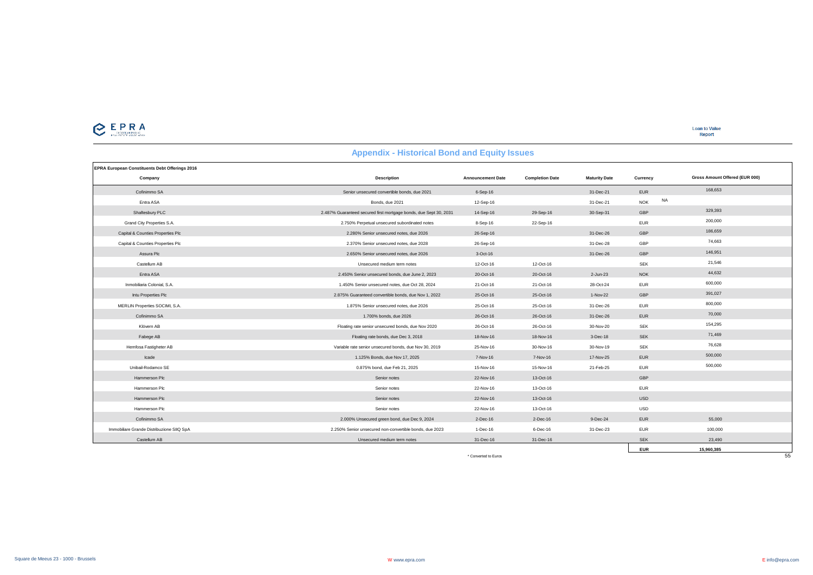

| <b>EPRA European Constituents Debt Offerings 2016</b> |                                                                   |                          |                        |                      |                         |                                |
|-------------------------------------------------------|-------------------------------------------------------------------|--------------------------|------------------------|----------------------|-------------------------|--------------------------------|
| Company                                               | <b>Description</b>                                                | <b>Announcement Date</b> | <b>Completion Date</b> | <b>Maturity Date</b> | Currency                | Gross Amount Offered (EUR 000) |
| Cofinimmo SA                                          | Senior unsecured convertible bonds, due 2021                      | $6-Sep-16$               |                        | 31-Dec-21            | <b>EUR</b>              | 168,653                        |
| Entra ASA                                             | Bonds, due 2021                                                   | 12-Sep-16                |                        | 31-Dec-21            | <b>NA</b><br><b>NOK</b> |                                |
| Shaftesbury PLC                                       | 2.487% Guaranteed secured first mortgage bonds, due Sept 30, 2031 | 14-Sep-16                | 29-Sep-16              | 30-Sep-31            | GBP                     | 329,393                        |
| Grand City Properties S.A.                            | 2.750% Perpetual unsecured subordinated notes                     | $8-$ Sep $-16$           | 22-Sep-16              |                      | <b>EUR</b>              | 200,000                        |
| Capital & Counties Properties Plc                     | 2.280% Senior unsecured notes, due 2026                           | 26-Sep-16                |                        | 31-Dec-26            | GBP                     | 186,659                        |
| Capital & Counties Properties Plc                     | 2.370% Senior unsecured notes, due 2028                           | 26-Sep-16                |                        | 31-Dec-28            | GBP                     | 74,663                         |
| Assura Plc                                            | 2.650% Senior unsecured notes, due 2026                           | $3-Oct-16$               |                        | 31-Dec-26            | GBP                     | 146,951                        |
| Castellum AB                                          | Unsecured medium term notes                                       | 12-Oct-16                | 12-Oct-16              |                      | <b>SEK</b>              | 21,546                         |
| Entra ASA                                             | 2.450% Senior unsecured bonds, due June 2, 2023                   | 20-Oct-16                | 20-Oct-16              | 2-Jun-23             | <b>NOK</b>              | 44,632                         |
| Inmobiliaria Colonial, S.A.                           | 1.450% Senior unsecured notes, due Oct 28, 2024                   | 21-Oct-16                | 21-Oct-16              | 28-Oct-24            | <b>EUR</b>              | 600,000                        |
| Intu Properties Plc                                   | 2.875% Guaranteed convertible bonds, due Nov 1, 2022              | 25-Oct-16                | 25-Oct-16              | 1-Nov-22             | GBP                     | 391,027                        |
| MERLIN Properties SOCIMI, S.A.                        | 1.875% Senior unsecured notes, due 2026                           | 25-Oct-16                | 25-Oct-16              | 31-Dec-26            | <b>EUR</b>              | 800,000                        |
| Cofinimmo SA                                          | 1,700% bonds, due 2026                                            | 26-Oct-16                | 26-Oct-16              | 31-Dec-26            | <b>EUR</b>              | 70,000                         |
| Klövern AB                                            | Floating rate senior unsecured bonds, due Nov 2020                | 26-Oct-16                | 26-Oct-16              | 30-Nov-20            | <b>SEK</b>              | 154,295                        |
| Fabege AB                                             | Floating rate bonds, due Dec 3, 2018                              | 18-Nov-16                | 18-Nov-16              | 3-Dec-18             | <b>SEK</b>              | 71,469                         |
| Hemfosa Fastigheter AB                                | Variable rate senior unsecured bonds, due Nov 30, 2019            | 25-Nov-16                | 30-Nov-16              | 30-Nov-19            | <b>SEK</b>              | 76,628                         |
| Icade                                                 | 1.125% Bonds, due Nov 17, 2025                                    | 7-Nov-16                 | 7-Nov-16               | 17-Nov-25            | <b>EUR</b>              | 500,000                        |
| Unibail-Rodamco SE                                    | 0.875% bond, due Feb 21, 2025                                     | 15-Nov-16                | 15-Nov-16              | 21-Feb-25            | <b>EUR</b>              | 500,000                        |
| Hammerson Plc                                         | Senior notes                                                      | 22-Nov-16                | 13-Oct-16              |                      | GBP                     |                                |
| Hammerson Plc                                         | Senior notes                                                      | 22-Nov-16                | 13-Oct-16              |                      | <b>EUR</b>              |                                |
| Hammerson Plc                                         | Senior notes                                                      | 22-Nov-16                | 13-Oct-16              |                      | <b>USD</b>              |                                |
| Hammerson Plc                                         | Senior notes                                                      | 22-Nov-16                | 13-Oct-16              |                      | <b>USD</b>              |                                |
| Cofinimmo SA                                          | 2.000% Unsecured green bond, due Dec 9, 2024                      | $2$ -Dec-16              | $2$ -Dec-16            | $9-Dec-24$           | <b>EUR</b>              | 55,000                         |
| Immobiliare Grande Distribuzione SIIQ SpA             | 2.250% Senior unsecured non-convertible bonds, due 2023           | $1 - Dec - 16$           | $6$ -Dec-16            | 31-Dec-23            | <b>EUR</b>              | 100,000                        |
| Castellum AB                                          | Unsecured medium term notes                                       | 31-Dec-16                | 31-Dec-16              |                      | <b>SEK</b>              | 23,490                         |
|                                                       |                                                                   |                          |                        |                      | <b>EUR</b>              | 15,960,385                     |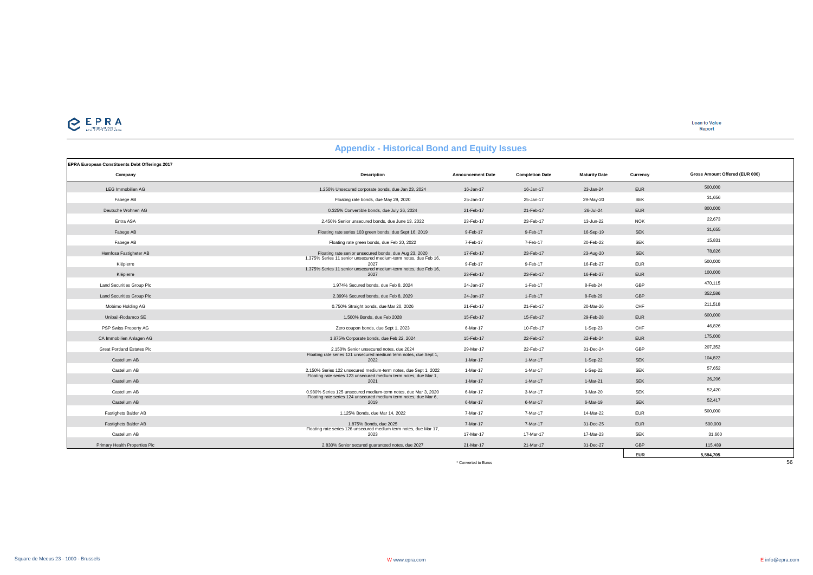

| EPRA European Constituents Debt Offerings 2017 |                                                                           |                          |                        |                      |            |                                |
|------------------------------------------------|---------------------------------------------------------------------------|--------------------------|------------------------|----------------------|------------|--------------------------------|
| Company                                        | <b>Description</b>                                                        | <b>Announcement Date</b> | <b>Completion Date</b> | <b>Maturity Date</b> | Currency   | Gross Amount Offered (EUR 000) |
| <b>LEG Immobilien AG</b>                       | 1.250% Unsecured corporate bonds, due Jan 23, 2024                        | 16-Jan-17                | 16-Jan-17              | 23-Jan-24            | <b>EUR</b> | 500,000                        |
| Fabege AB                                      | Floating rate bonds, due May 29, 2020                                     | 25-Jan-17                | 25-Jan-17              | 29-May-20            | <b>SEK</b> | 31,656                         |
| Deutsche Wohnen AG                             | 0.325% Convertible bonds, due July 26, 2024                               | 21-Feb-17                | 21-Feb-17              | 26-Jul-24            | <b>EUR</b> | 800,000                        |
| Entra ASA                                      | 2.450% Senior unsecured bonds, due June 13, 2022                          | 23-Feb-17                | 23-Feb-17              | 13-Jun-22            | <b>NOK</b> | 22,673                         |
| Fabege AB                                      | Floating rate series 103 green bonds, due Sept 16, 2019                   | 9-Feb-17                 | 9-Feb-17               | 16-Sep-19            | <b>SEK</b> | 31,655                         |
| Fabege AB                                      | Floating rate green bonds, due Feb 20, 2022                               | 7-Feb-17                 | 7-Feb-17               | 20-Feb-22            | <b>SEK</b> | 15,831                         |
| Hemfosa Fastigheter AB                         | Floating rate senior unsecured bonds, due Aug 23, 2020                    | 17-Feb-17                | 23-Feb-17              | 23-Aug-20            | <b>SEK</b> | 78,826                         |
| Klépierre                                      | 1.375% Series 11 senior unsecured medium-term notes, due Feb 16,<br>2027  | 9-Feb-17                 | 9-Feb-17               | 16-Feb-27            | <b>EUR</b> | 500,000                        |
| Klépierre                                      | 1.375% Series 11 senior unsecured medium-term notes, due Feb 16,<br>2027  | 23-Feb-17                | 23-Feb-17              | 16-Feb-27            | <b>EUR</b> | 100,000                        |
| Land Securities Group Plc                      | 1.974% Secured bonds, due Feb 8, 2024                                     | 24-Jan-17                | 1-Feb-17               | 8-Feb-24             | GBP        | 470,115                        |
| <b>Land Securities Group Plc</b>               | 2.399% Secured bonds, due Feb 8, 2029                                     | 24-Jan-17                | 1-Feb-17               | 8-Feb-29             | GBP        | 352,586                        |
| Mobimo Holding AG                              | 0.750% Straight bonds, due Mar 20, 2026                                   | 21-Feb-17                | 21-Feb-17              | 20-Mar-26            | CHF        | 211,518                        |
| Unibail-Rodamco SE                             | 1.500% Bonds, due Feb 2028                                                | 15-Feb-17                | 15-Feb-17              | 29-Feb-28            | <b>EUR</b> | 600,000                        |
| PSP Swiss Property AG                          | Zero coupon bonds, due Sept 1, 2023                                       | 6-Mar-17                 | 10-Feb-17              | $1-Sep-23$           | CHF        | 46,826                         |
| CA Immobilien Anlagen AG                       | 1.875% Corporate bonds, due Feb 22, 2024                                  | 15-Feb-17                | 22-Feb-17              | 22-Feb-24            | <b>EUR</b> | 175,000                        |
| <b>Great Portland Estates Plc</b>              | 2.150% Senior unsecured notes, due 2024                                   | 29-Mar-17                | 22-Feb-17              | 31-Dec-24            | GBP        | 207,352                        |
| Castellum AB                                   | Floating rate series 121 unsecured medium term notes, due Sept 1,<br>2022 | 1-Mar-17                 | 1-Mar-17               | 1-Sep-22             | <b>SEK</b> | 104,822                        |
| Castellum AB                                   | 2.150% Series 122 unsecured medium-term notes, due Sept 1, 2022           | 1-Mar-17                 | 1-Mar-17               | 1-Sep-22             | <b>SEK</b> | 57,652                         |
| Castellum AB                                   | Floating rate series 123 unsecured medium term notes, due Mar 1,<br>2021  | 1-Mar-17                 | 1-Mar-17               | $1-Mar-21$           | <b>SEK</b> | 26,206                         |
| Castellum AB                                   | 0.980% Series 125 unsecured medium-term notes, due Mar 3, 2020            | 6-Mar-17                 | 3-Mar-17               | 3-Mar-20             | <b>SEK</b> | 52,420                         |
| Castellum AB                                   | Floating rate series 124 unsecured medium term notes, due Mar 6,<br>2019  | 6-Mar-17                 | 6-Mar-17               | 6-Mar-19             | <b>SEK</b> | 52,417                         |
| Fastighets Balder AB                           | 1.125% Bonds, due Mar 14, 2022                                            | 7-Mar-17                 | 7-Mar-17               | 14-Mar-22            | <b>EUR</b> | 500,000                        |
| Fastighets Balder AB                           | 1.875% Bonds, due 2025                                                    | 7-Mar-17                 | 7-Mar-17               | 31-Dec-25            | <b>EUR</b> | 500,000                        |
| Castellum AB                                   | Floating rate series 126 unsecured medium term notes, due Mar 17,<br>2023 | 17-Mar-17                | 17-Mar-17              | 17-Mar-23            | <b>SEK</b> | 31,660                         |
| Primary Health Properties Plc                  | 2.830% Senior secured guaranteed notes, due 2027                          | 21-Mar-17                | 21-Mar-17              | 31-Dec-27            | GBP        | 115,489                        |
|                                                |                                                                           |                          |                        |                      | <b>EUR</b> | 5,584,705                      |
|                                                |                                                                           | * Converted to Euros     |                        |                      |            | 56                             |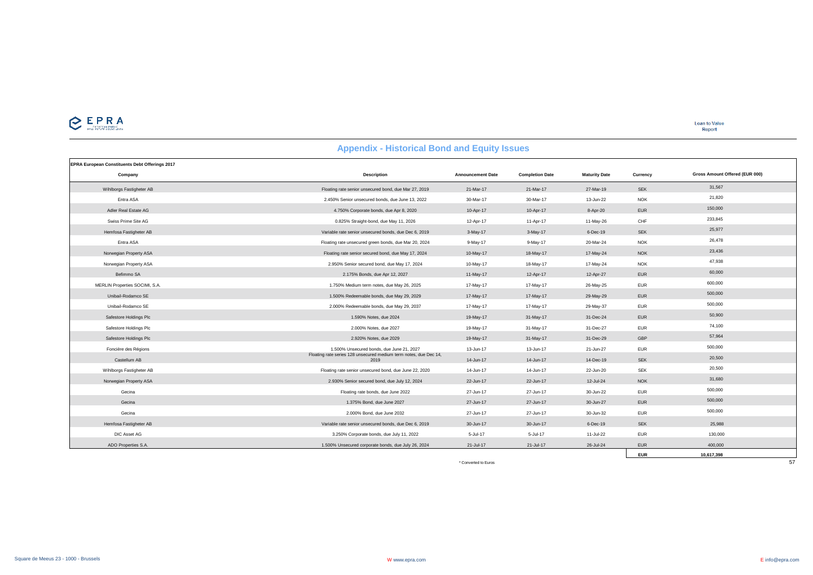

**EUR 10,617,398**

|                                                | <b>Appendix - Historical Bollu and Equity Issues</b>                      |                          |                        |                      |            |                                |
|------------------------------------------------|---------------------------------------------------------------------------|--------------------------|------------------------|----------------------|------------|--------------------------------|
| EPRA European Constituents Debt Offerings 2017 |                                                                           |                          |                        |                      |            |                                |
| Company                                        | <b>Description</b>                                                        | <b>Announcement Date</b> | <b>Completion Date</b> | <b>Maturity Date</b> | Currency   | Gross Amount Offered (EUR 000) |
| Wihlborgs Fastigheter AB                       | Floating rate senior unsecured bond, due Mar 27, 2019                     | 21-Mar-17                | 21-Mar-17              | 27-Mar-19            | <b>SEK</b> | 31,567                         |
| Entra ASA                                      | 2.450% Senior unsecured bonds, due June 13, 2022                          | 30-Mar-17                | 30-Mar-17              | 13-Jun-22            | <b>NOK</b> | 21,820                         |
| Adler Real Estate AG                           | 4.750% Corporate bonds, due Apr 8, 2020                                   | 10-Apr-17                | 10-Apr-17              | 8-Apr-20             | <b>EUR</b> | 150,000                        |
| Swiss Prime Site AG                            | 0.825% Straight-bond, due May 11, 2026                                    | 12-Apr-17                | 11-Apr-17              | 11-May-26            | CHF        | 233,845                        |
| Hemfosa Fastigheter AB                         | Variable rate senior unsecured bonds, due Dec 6, 2019                     | $3-May-17$               | $3-May-17$             | 6-Dec-19             | SEK        | 25,977                         |
| Entra ASA                                      | Floating rate unsecured green bonds, due Mar 20, 2024                     | 9-May-17                 | 9-May-17               | 20-Mar-24            | <b>NOK</b> | 26,478                         |
| Norwegian Property ASA                         | Floating rate senior secured bond, due May 17, 2024                       | 10-May-17                | 18-May-17              | 17-May-24            | <b>NOK</b> | 23,436                         |
| Norwegian Property ASA                         | 2.950% Senior secured bond, due May 17, 2024                              | 10-May-17                | 18-May-17              | 17-May-24            | <b>NOK</b> | 47,938                         |
| Befimmo SA                                     | 2.175% Bonds, due Apr 12, 2027                                            | 11-May-17                | 12-Apr-17              | 12-Apr-27            | <b>EUR</b> | 60,000                         |
| MERLIN Properties SOCIMI, S.A.                 | 1.750% Medium term notes, due May 26, 2025                                | 17-May-17                | 17-May-17              | 26-May-25            | <b>EUR</b> | 600,000                        |
| Unibail-Rodamco SE                             | 1.500% Redeemable bonds, due May 29, 2029                                 | 17-May-17                | 17-May-17              | 29-May-29            | <b>EUR</b> | 500,000                        |
| Unibail-Rodamco SE                             | 2.000% Redeemable bonds, due May 29, 2037                                 | 17-May-17                | 17-May-17              | 29-May-37            | <b>EUR</b> | 500,000                        |
| Safestore Holdings Plc                         | 1.590% Notes, due 2024                                                    | 19-May-17                | 31-May-17              | 31-Dec-24            | <b>EUR</b> | 50,900                         |
| Safestore Holdings Plc                         | 2.000% Notes, due 2027                                                    | 19-May-17                | 31-May-17              | 31-Dec-27            | <b>EUR</b> | 74,100                         |
| Safestore Holdings Plc                         | 2.920% Notes, due 2029                                                    | 19-May-17                | 31-May-17              | 31-Dec-29            | GBP        | 57,964                         |
| Foncière des Régions                           | 1.500% Unsecured bonds, due June 21, 2027                                 | 13-Jun-17                | 13-Jun-17              | 21-Jun-27            | <b>EUR</b> | 500,000                        |
| Castellum AB                                   | Floating rate series 128 unsecured medium term notes, due Dec 14,<br>2019 | 14-Jun-17                | 14-Jun-17              | 14-Dec-19            | <b>SEK</b> | 20,500                         |
| Wihlborgs Fastigheter AB                       | Floating rate senior unsecured bond, due June 22, 2020                    | 14-Jun-17                | 14-Jun-17              | 22-Jun-20            | <b>SEK</b> | 20,500                         |
| Norwegian Property ASA                         | 2.930% Senior secured bond, due July 12, 2024                             | 22-Jun-17                | 22-Jun-17              | 12-Jul-24            | <b>NOK</b> | 31,680                         |
| Gecina                                         | Floating rate bonds, due June 2022                                        | 27-Jun-17                | 27-Jun-17              | 30-Jun-22            | <b>EUR</b> | 500,000                        |
| Gecina                                         | 1.375% Bond, due June 2027                                                | 27-Jun-17                | 27-Jun-17              | 30-Jun-27            | <b>EUR</b> | 500,000                        |
| Gecina                                         | 2.000% Bond, due June 2032                                                | 27-Jun-17                | 27-Jun-17              | 30-Jun-32            | <b>EUR</b> | 500,000                        |
| Hemfosa Fastigheter AB                         | Variable rate senior unsecured bonds, due Dec 6, 2019                     | 30-Jun-17                | 30-Jun-17              | 6-Dec-19             | <b>SEK</b> | 25,988                         |
| DIC Asset AG                                   | 3.250% Corporate bonds, due July 11, 2022                                 | 5-Jul-17                 | 5-Jul-17               | 11-Jul-22            | <b>EUR</b> | 130,000                        |
| ADO Properties S.A.                            | 1.500% Unsecured corporate bonds, due July 26, 2024                       | 21-Jul-17                | 21-Jul-17              | 26-Jul-24            | <b>EUR</b> | 400,000                        |

#### **Appendix - Historical Bond and Equity Issues**

error to the converted to Euros 57<br>The Converted to Euros 57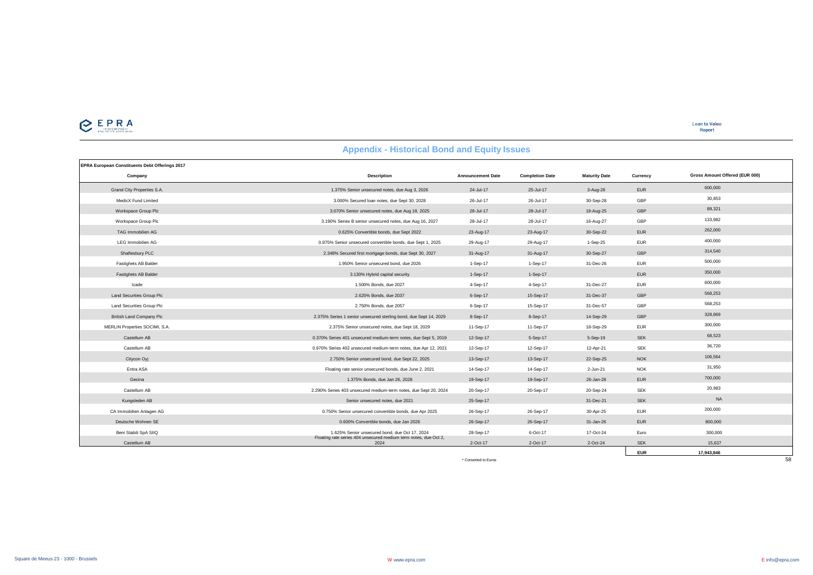# CEPRA

| <b>Appendix - Historical Bond and Equity Issues</b> |  |  |  |  |
|-----------------------------------------------------|--|--|--|--|
|-----------------------------------------------------|--|--|--|--|

| EPRA European Constituents Debt Offerings 2017 |                                                                          |                          |                        |                      |            |                                |
|------------------------------------------------|--------------------------------------------------------------------------|--------------------------|------------------------|----------------------|------------|--------------------------------|
| Company                                        | <b>Description</b>                                                       | <b>Announcement Date</b> | <b>Completion Date</b> | <b>Maturity Date</b> | Currency   | Gross Amount Offered (EUR 000) |
| Grand City Properties S.A.                     | 1.375% Senior unsecured notes, due Aug 3, 2026                           | 24-Jul-17                | 25-Jul-17              | 3-Aug-26             | <b>EUR</b> | 600,000                        |
| MedicX Fund Limited                            | 3.000% Secured Ioan notes, due Sept 30, 2028                             | 26-Jul-17                | 26-Jul-17              | 30-Sep-28            | GBP        | 30.853                         |
| Workspace Group Plc                            | 3.070% Senior unsecured notes, due Aug 18, 2025                          | 28-Jul-17                | 28-Jul-17              | 18-Aug-25            | GBP        | 89,321                         |
| Workspace Group Plc                            | 3.190% Series B senior unsecured notes, due Aug 16, 2027                 | 28-Jul-17                | 28-Jul-17              | 16-Aug-27            | GBP        | 133,982                        |
| TAG Immobilien AG                              | 0.625% Convertible bonds, due Sept 2022                                  | 23-Aug-17                | 23-Aug-17              | 30-Sep-22            | <b>EUR</b> | 262,000                        |
| <b>LEG Immobilien AG</b>                       | 0.875% Senior unsecured convertible bonds, due Sept 1, 2025              | 29-Aug-17                | 29-Aug-17              | 1-Sep-25             | <b>EUR</b> | 400,000                        |
| Shaftesbury PLC                                | 2.348% Secured first mortgage bonds, due Sept 30, 2027                   | 31-Aug-17                | 31-Aug-17              | 30-Sep-27            | GBP        | 314,540                        |
| Fastighets AB Balder                           | 1.950% Senior unsecured bond, due 2026                                   | 1-Sep-17                 | 1-Sep-17               | 31-Dec-26            | <b>EUR</b> | 500,000                        |
| Fastighets AB Balder                           | 3.130% Hybrid capital security                                           | $1-Sep-17$               | $1-Sep-17$             |                      | <b>EUR</b> | 350,000                        |
| Icade                                          | 1,500% Bonds, due 2027                                                   | 4-Sep-17                 | 4-Sep-17               | 31-Dec-27            | <b>EUR</b> | 600,000                        |
| Land Securities Group Plc                      | 2.625% Bonds, due 2037                                                   | 6-Sep-17                 | 15-Sep-17              | 31-Dec-37            | GBP        | 568,253                        |
| Land Securities Group Plc                      | 2.750% Bonds, due 2057                                                   | 6-Sep-17                 | 15-Sep-17              | 31-Dec-57            | GBP        | 568,253                        |
| <b>British Land Company Plc</b>                | 2.375% Series 1 senior unsecured sterling bond, due Sept 14, 2029        | 8-Sep-17                 | 8-Sep-17               | 14-Sep-29            | GBP        | 328,869                        |
| MERLIN Properties SOCIMI, S.A.                 | 2.375% Senior unsecured notes, due Sept 18, 2029                         | 11-Sep-17                | 11-Sep-17              | 18-Sep-29            | <b>EUR</b> | 300,000                        |
| Castellum AB                                   | 0.370% Series 401 unsecured medium-term notes, due Sept 5, 2019          | 12-Sep-17                | 5-Sep-17               | 5-Sep-19             | <b>SEK</b> | 68,523                         |
| Castellum AB                                   | 0.970% Series 402 unsecured medium-term notes, due Apr 12, 2021          | 12-Sep-17                | 12-Sep-17              | 12-Apr-21            | <b>SEK</b> | 36,720                         |
| Citycon Oyj                                    | 2.750% Senior unsecured bond, due Sept 22, 2025                          | 13-Sep-17                | 13-Sep-17              | 22-Sep-25            | <b>NOK</b> | 106.564                        |
| Entra ASA                                      | Floating rate senior unsecured bonds, due June 2, 2021                   | 14-Sep-17                | 14-Sep-17              | 2-Jun-21             | <b>NOK</b> | 31,950                         |
| Gecina                                         | 1.375% Bonds, due Jan 26, 2028                                           | 19-Sep-17                | 19-Sep-17              | 26-Jan-28            | <b>EUR</b> | 700,000                        |
| Castellum AB                                   | 2.290% Series 403 unsecured medium-term notes, due Sept 20, 2024         | 20-Sep-17                | 20-Sep-17              | 20-Sep-24            | <b>SEK</b> | 20,983                         |
| Kungsleden AB                                  | Senior unsecured notes, due 2021                                         | 25-Sep-17                |                        | 31-Dec-21            | <b>SEK</b> | <b>NA</b>                      |
| CA Immobilien Anlagen AG                       | 0.750% Senior unsecured convertible bonds, due Apr 2025                  | 26-Sep-17                | 26-Sep-17              | 30-Apr-25            | <b>EUR</b> | 200,000                        |
| Deutsche Wohnen SE                             | 0.600% Convertible bonds, due Jan 2026                                   | 26-Sep-17                | 26-Sep-17              | 31-Jan-26            | <b>EUR</b> | 800,000                        |
| Beni Stabili SpA SIIQ                          | 1.625% Senior unsecured bond, due Oct 17, 2024                           | 28-Sep-17                | 6-Oct-17               | 17-Oct-24            | Euro       | 300,000                        |
| Castellum AB                                   | Floating rate series 404 unsecured medium term notes, due Oct 2,<br>2024 | 2-Oct-17                 | 2-Oct-17               | 2-Oct-24             | <b>SEK</b> | 15.637                         |
|                                                |                                                                          |                          |                        |                      | <b>EUR</b> | 17.943.846                     |

EUR 17,943,846<br>\* Converted to Euros 58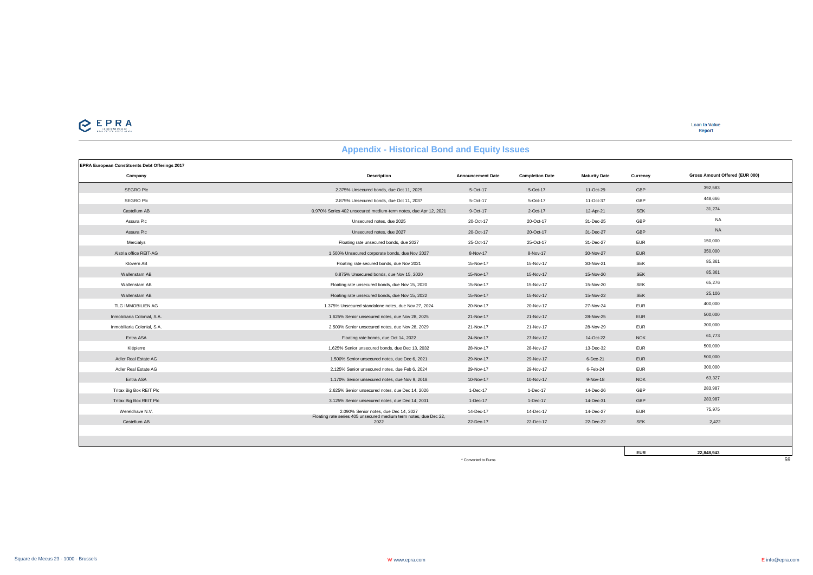

**EUR 22,848,943**

| <b>Appendix - Historical Bond and Equity Issues</b> |  |  |  |  |
|-----------------------------------------------------|--|--|--|--|
|-----------------------------------------------------|--|--|--|--|

| EPRA European Constituents Debt Offerings 2017 |                                                                           |                          |                        |                      |            |                                |
|------------------------------------------------|---------------------------------------------------------------------------|--------------------------|------------------------|----------------------|------------|--------------------------------|
| Company                                        | <b>Description</b>                                                        | <b>Announcement Date</b> | <b>Completion Date</b> | <b>Maturity Date</b> | Currency   | Gross Amount Offered (EUR 000) |
| SEGRO Plc                                      | 2.375% Unsecured bonds, due Oct 11, 2029                                  | 5-Oct-17                 | 5-Oct-17               | 11-Oct-29            | GBP        | 392,583                        |
| SEGRO Plc                                      | 2.875% Unsecured bonds, due Oct 11, 2037                                  | 5-Oct-17                 | 5-Oct-17               | 11-Oct-37            | GBP        | 448.666                        |
| Castellum AB                                   | 0.970% Series 402 unsecured medium-term notes, due Apr 12, 2021           | 9-Oct-17                 | 2-Oct-17               | 12-Apr-21            | <b>SEK</b> | 31,274                         |
| Assura Plc                                     | Unsecured notes, due 2025                                                 | 20-Oct-17                | 20-Oct-17              | 31-Dec-25            | GBP        | <b>NA</b>                      |
| Assura Plc                                     | Unsecured notes, due 2027                                                 | 20-Oct-17                | 20-Oct-17              | 31-Dec-27            | GBP        | <b>NA</b>                      |
| Mercialvs                                      | Floating rate unsecured bonds, due 2027                                   | 25-Oct-17                | 25-Oct-17              | 31-Dec-27            | <b>EUR</b> | 150,000                        |
| Alstria office REIT-AG                         | 1.500% Unsecured corporate bonds, due Nov 2027                            | 8-Nov-17                 | 8-Nov-17               | 30-Nov-27            | <b>EUR</b> | 350,000                        |
| Klövern AB                                     | Floating rate secured bonds, due Nov 2021                                 | 15-Nov-17                | 15-Nov-17              | 30-Nov-21            | <b>SEK</b> | 85,361                         |
| Wallenstam AB                                  | 0.875% Unsecured bonds, due Nov 15, 2020                                  | 15-Nov-17                | 15-Nov-17              | 15-Nov-20            | <b>SEK</b> | 85,361                         |
| Wallenstam AB                                  | Floating rate unsecured bonds, due Nov 15, 2020                           | 15-Nov-17                | 15-Nov-17              | 15-Nov-20            | <b>SEK</b> | 65,276                         |
| Wallenstam AB                                  | Floating rate unsecured bonds, due Nov 15, 2022                           | 15-Nov-17                | 15-Nov-17              | 15-Nov-22            | <b>SEK</b> | 25,106                         |
| TLG IMMOBILIEN AG                              | 1.375% Unsecured standalone notes, due Nov 27, 2024                       | 20-Nov-17                | 20-Nov-17              | 27-Nov-24            | <b>EUR</b> | 400,000                        |
| Inmobiliaria Colonial, S.A.                    | 1.625% Senior unsecured notes, due Nov 28, 2025                           | 21-Nov-17                | 21-Nov-17              | 28-Nov-25            | <b>EUR</b> | 500,000                        |
| Inmobiliaria Colonial, S.A.                    | 2.500% Senior unsecured notes, due Nov 28, 2029                           | 21-Nov-17                | 21-Nov-17              | 28-Nov-29            | <b>EUR</b> | 300,000                        |
| Entra ASA                                      | Floating rate bonds, due Oct 14, 2022                                     | 24-Nov-17                | 27-Nov-17              | 14-Oct-22            | <b>NOK</b> | 61,773                         |
| Klépierre                                      | 1.625% Senior unsecured bonds, due Dec 13, 2032                           | 28-Nov-17                | 28-Nov-17              | 13-Dec-32            | <b>EUR</b> | 500,000                        |
| Adler Real Estate AG                           | 1.500% Senior unsecured notes, due Dec 6, 2021                            | 29-Nov-17                | 29-Nov-17              | 6-Dec-21             | <b>EUR</b> | 500,000                        |
| Adler Real Estate AG                           | 2.125% Senior unsecured notes, due Feb 6, 2024                            | 29-Nov-17                | 29-Nov-17              | 6-Feb-24             | <b>EUR</b> | 300,000                        |
| Entra ASA                                      | 1.170% Senior unsecured notes, due Nov 9, 2018                            | 10-Nov-17                | 10-Nov-17              | 9-Nov-18             | <b>NOK</b> | 63,327                         |
| Tritax Big Box REIT Plc                        | 2.625% Senior unsecured notes, due Dec 14, 2026                           | 1-Dec-17                 | 1-Dec-17               | 14-Dec-26            | GBP        | 283,987                        |
| Tritax Big Box REIT Plc                        | 3.125% Senior unsecured notes, due Dec 14, 2031                           | 1-Dec-17                 | 1-Dec-17               | 14-Dec-31            | GBP        | 283,987                        |
| Wereldhave N.V.                                | 2.090% Senior notes, due Dec 14, 2027                                     | 14-Dec-17                | 14-Dec-17              | 14-Dec-27            | <b>EUR</b> | 75,975                         |
| Castellum AB                                   | Floating rate series 405 unsecured medium term notes, due Dec 22,<br>2022 | 22-Dec-17                | 22-Dec-17              | 22-Dec-22            | <b>SEK</b> | 2,422                          |
|                                                |                                                                           |                          |                        |                      |            |                                |
|                                                |                                                                           |                          |                        |                      |            |                                |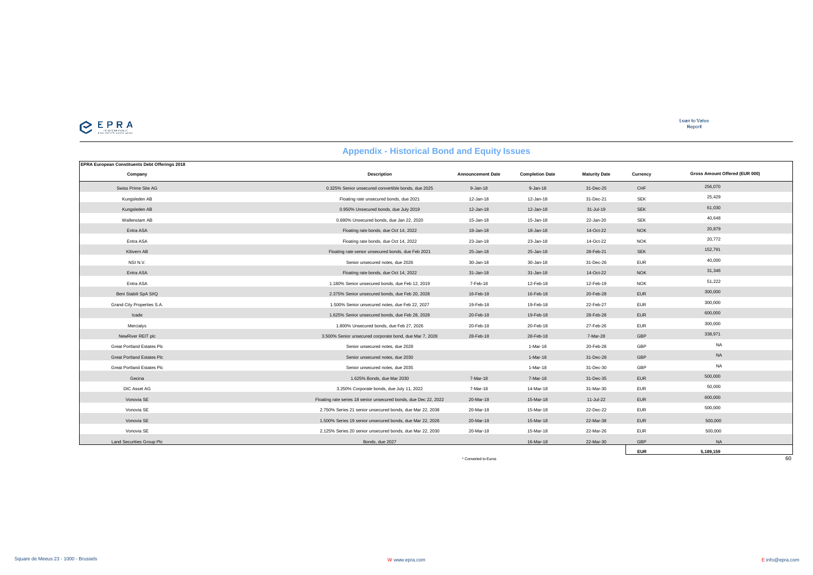| <b>Appendix - Historical Bond and Equity Issues</b> |  |  |  |
|-----------------------------------------------------|--|--|--|
|-----------------------------------------------------|--|--|--|

| EPRA European Constituents Debt Offerings 2018 |                                                                  |                          |                        |                      |            |                                |
|------------------------------------------------|------------------------------------------------------------------|--------------------------|------------------------|----------------------|------------|--------------------------------|
| Company                                        | <b>Description</b>                                               | <b>Announcement Date</b> | <b>Completion Date</b> | <b>Maturity Date</b> | Currency   | Gross Amount Offered (EUR 000) |
| Swiss Prime Site AG                            | 0.325% Senior unsecured convertible bonds, due 2025              | $9 - Jan-18$             | $9 - Jan-18$           | 31-Dec-25            | CHF        | 256,070                        |
| Kungsleden AB                                  | Floating rate unsecured bonds, due 2021                          | 12-Jan-18                | 12-Jan-18              | 31-Dec-21            | <b>SEK</b> | 25,429                         |
| Kungsleden AB                                  | 0.950% Unsecured bonds, due July 2019                            | 12-Jan-18                | 12-Jan-18              | 31-Jul-19            | <b>SEK</b> | 61,030                         |
| Wallenstam AB                                  | 0.680% Unsecured bonds, due Jan 22, 2020                         | 15-Jan-18                | 15-Jan-18              | 22-Jan-20            | <b>SEK</b> | 40.648                         |
| Entra ASA                                      | Floating rate bonds, due Oct 14, 2022                            | 18-Jan-18                | 18-Jan-18              | 14-Oct-22            | <b>NOK</b> | 20,879                         |
| Entra ASA                                      | Floating rate bonds, due Oct 14, 2022                            | 23-Jan-18                | 23-Jan-18              | 14-Oct-22            | <b>NOK</b> | 20,772                         |
| Klövern AB                                     | Floating rate senior unsecured bonds, due Feb 2021               | 25-Jan-18                | 25-Jan-18              | 28-Feb-21            | <b>SEK</b> | 152,791                        |
| NSI N.V.                                       | Senior unsecured notes, due 2026                                 | 30-Jan-18                | 30-Jan-18              | 31-Dec-26            | <b>EUR</b> | 40,000                         |
| Entra ASA                                      | Floating rate bonds, due Oct 14, 2022                            | 31-Jan-18                | 31-Jan-18              | 14-Oct-22            | <b>NOK</b> | 31,346                         |
| Entra ASA                                      | 1.180% Senior unsecured bonds, due Feb 12, 2019                  | 7-Feb-18                 | 12-Feb-18              | 12-Feb-19            | <b>NOK</b> | 51,222                         |
| Beni Stabili SpA SIIQ                          | 2.375% Senior unsecured bonds, due Feb 20, 2028                  | 16-Feb-18                | 16-Feb-18              | 20-Feb-28            | <b>EUR</b> | 300,000                        |
| Grand City Properties S.A.                     | 1.500% Senior unsecured notes, due Feb 22, 2027                  | 19-Feb-18                | 19-Feb-18              | 22-Feb-27            | <b>EUR</b> | 300,000                        |
| Icade                                          | 1.625% Senior unsecured bonds, due Feb 28, 2028                  | 20-Feb-18                | 19-Feb-18              | 28-Feb-28            | <b>EUR</b> | 600,000                        |
| Mercialys                                      | 1.800% Unsecured bonds, due Feb 27, 2026                         | 20-Feb-18                | 20-Feb-18              | 27-Feb-26            | <b>EUR</b> | 300,000                        |
| NewRiver REIT plc                              | 3.500% Senior unsecured corporate bond, due Mar 7, 2028          | 28-Feb-18                | 28-Feb-18              | 7-Mar-28             | GBP        | 338,971                        |
| <b>Great Portland Estates Plc</b>              | Senior unsecured notes, due 2028                                 |                          | 1-Mar-18               | 20-Feb-28            | GBP        | <b>NA</b>                      |
| <b>Great Portland Estates Plc</b>              | Senior unsecured notes, due 2030                                 |                          | 1-Mar-18               | 31-Dec-28            | GBP        | <b>NA</b>                      |
| <b>Great Portland Estates Plc</b>              | Senior unsecured notes, due 2035                                 |                          | 1-Mar-18               | 31-Dec-30            | GBP        | <b>NA</b>                      |
| Gecina                                         | 1.625% Bonds, due Mar 2030                                       | 7-Mar-18                 | 7-Mar-18               | 31-Dec-35            | <b>EUR</b> | 500,000                        |
| DIC Asset AG                                   | 3.250% Corporate bonds, due July 11, 2022                        | 7-Mar-18                 | 14-Mar-18              | 31-Mar-30            | <b>EUR</b> | 50,000                         |
| Vonovia SE                                     | Floating rate series 18 senior unsecured bonds, due Dec 22, 2022 | 20-Mar-18                | 15-Mar-18              | 11-Jul-22            | <b>EUR</b> | 600,000                        |
| Vonovia SE                                     | 2.750% Series 21 senior unsecured bonds, due Mar 22, 2038        | 20-Mar-18                | 15-Mar-18              | 22-Dec-22            | <b>EUR</b> | 500,000                        |
| Vonovia SE                                     | 1.500% Series 19 senior unsecured bonds, due Mar 22, 2026        | 20-Mar-18                | 15-Mar-18              | 22-Mar-38            | <b>EUR</b> | 500,000                        |
| Vonovia SE                                     | 2.125% Series 20 senior unsecured bonds, due Mar 22, 2030        | 20-Mar-18                | 15-Mar-18              | 22-Mar-26            | <b>EUR</b> | 500,000                        |
| Land Securities Group Plc                      | Bonds, due 2027                                                  |                          | 16-Mar-18              | 22-Mar-30            | GBP        | <b>NA</b>                      |
|                                                |                                                                  |                          |                        |                      | <b>EUR</b> | 5,189,159                      |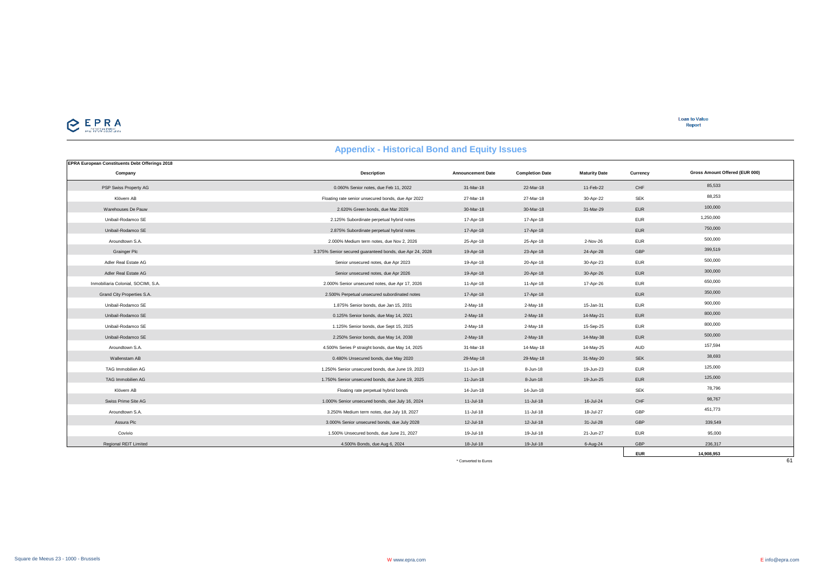

**Loan to Value** Report

## **Appendix - Historical Bond and Equity Issues**

| <b>EPRA European Constituents Debt Offerings 2018</b> |                                                          |                          |                        |                      |            |                                |
|-------------------------------------------------------|----------------------------------------------------------|--------------------------|------------------------|----------------------|------------|--------------------------------|
| Company                                               | <b>Description</b>                                       | <b>Announcement Date</b> | <b>Completion Date</b> | <b>Maturity Date</b> | Currency   | Gross Amount Offered (EUR 000) |
| PSP Swiss Property AG                                 | 0.060% Senior notes, due Feb 11, 2022                    | 31-Mar-18                | 22-Mar-18              | 11-Feb-22            | CHF        | 85,533                         |
| Klövern AB                                            | Floating rate senior unsecured bonds, due Apr 2022       | 27-Mar-18                | 27-Mar-18              | 30-Apr-22            | <b>SEK</b> | 88,253                         |
| Warehouses De Pauw                                    | 2.620% Green bonds, due Mar 2029                         | 30-Mar-18                | 30-Mar-18              | 31-Mar-29            | <b>EUR</b> | 100,000                        |
| Unibail-Rodamco SE                                    | 2.125% Subordinate perpetual hybrid notes                | 17-Apr-18                | 17-Apr-18              |                      | <b>EUR</b> | 1,250,000                      |
| Unibail-Rodamco SE                                    | 2.875% Subordinate perpetual hybrid notes                | 17-Apr-18                | 17-Apr-18              |                      | <b>EUR</b> | 750,000                        |
| Aroundtown S.A.                                       | 2.000% Medium term notes, due Nov 2, 2026                | 25-Apr-18                | 25-Apr-18              | 2-Nov-26             | <b>EUR</b> | 500,000                        |
| <b>Grainger Plc</b>                                   | 3.375% Senior secured quaranteed bonds, due Apr 24, 2028 | 19-Apr-18                | 23-Apr-18              | 24-Apr-28            | GBP        | 399,519                        |
| Adler Real Estate AG                                  | Senior unsecured notes, due Apr 2023                     | 19-Apr-18                | 20-Apr-18              | 30-Apr-23            | <b>EUR</b> | 500,000                        |
| Adler Real Estate AG                                  | Senior unsecured notes, due Apr 2026                     | 19-Apr-18                | 20-Apr-18              | 30-Apr-26            | <b>EUR</b> | 300,000                        |
| Inmobiliaria Colonial, SOCIMI, S.A.                   | 2.000% Senior unsecured notes, due Apr 17, 2026          | 11-Apr-18                | 11-Apr-18              | 17-Apr-26            | <b>EUR</b> | 650,000                        |
| Grand City Properties S.A.                            | 2.500% Perpetual unsecured subordinated notes            | 17-Apr-18                | 17-Apr-18              |                      | <b>EUR</b> | 350,000                        |
| Unibail-Rodamco SE                                    | 1.875% Senior bonds, due Jan 15, 2031                    | $2-May-18$               | 2-May-18               | 15-Jan-31            | <b>EUR</b> | 900,000                        |
| Unibail-Rodamco SE                                    | 0.125% Senior bonds, due May 14, 2021                    | $2-May-18$               | 2-May-18               | 14-May-21            | <b>EUR</b> | 800,000                        |
| Unibail-Rodamco SE                                    | 1.125% Senior bonds, due Sept 15, 2025                   | $2-May-18$               | 2-May-18               | 15-Sep-25            | <b>EUR</b> | 800,000                        |
| Unibail-Rodamco SE                                    | 2.250% Senior bonds, due May 14, 2038                    | $2-May-18$               | 2-May-18               | 14-May-38            | <b>EUR</b> | 500,000                        |
| Aroundtown S.A.                                       | 4.500% Series P straight bonds, due May 14, 2025         | 31-Mar-18                | 14-May-18              | 14-May-25            | AUD        | 157,594                        |
| Wallenstam AB                                         | 0.480% Unsecured bonds, due May 2020                     | 29-May-18                | 29-May-18              | 31-May-20            | <b>SEK</b> | 38,693                         |
| TAG Immobilien AG                                     | 1.250% Senior unsecured bonds, due June 19, 2023         | 11-Jun-18                | 8-Jun-18               | 19-Jun-23            | <b>EUR</b> | 125,000                        |
| TAG Immobilien AG                                     | 1.750% Senior unsecured bonds, due June 19, 2025         | 11-Jun-18                | 8-Jun-18               | 19-Jun-25            | <b>EUR</b> | 125,000                        |
| Klövern AB                                            | Floating rate perpetual hybrid bonds                     | 14-Jun-18                | 14-Jun-18              |                      | SEK        | 78,796                         |
| Swiss Prime Site AG                                   | 1.000% Senior unsecured bonds, due July 16, 2024         | $11-Jul-18$              | 11-Jul-18              | 16-Jul-24            | CHF        | 98,767                         |
| Aroundtown S.A.                                       | 3.250% Medium term notes, due July 18, 2027              | 11-Jul-18                | 11-Jul-18              | 18-Jul-27            | GBP        | 451,773                        |
| Assura Plc                                            | 3.000% Senior unsecured bonds, due July 2028             | 12-Jul-18                | 12-Jul-18              | 31-Jul-28            | GBP        | 339,549                        |
| Covivio                                               | 1.500% Unsecured bonds, due June 21, 2027                | 19-Jul-18                | 19-Jul-18              | 21-Jun-27            | <b>EUR</b> | 95,000                         |
| <b>Regional REIT Limited</b>                          | 4.500% Bonds, due Aug 6, 2024                            | 18-Jul-18                | 19-Jul-18              | 6-Aug-24             | GBP        | 236,317                        |
|                                                       |                                                          |                          |                        |                      | <b>EUR</b> | 14,908,953                     |
|                                                       |                                                          | * Converted to Euros     |                        |                      |            | 61                             |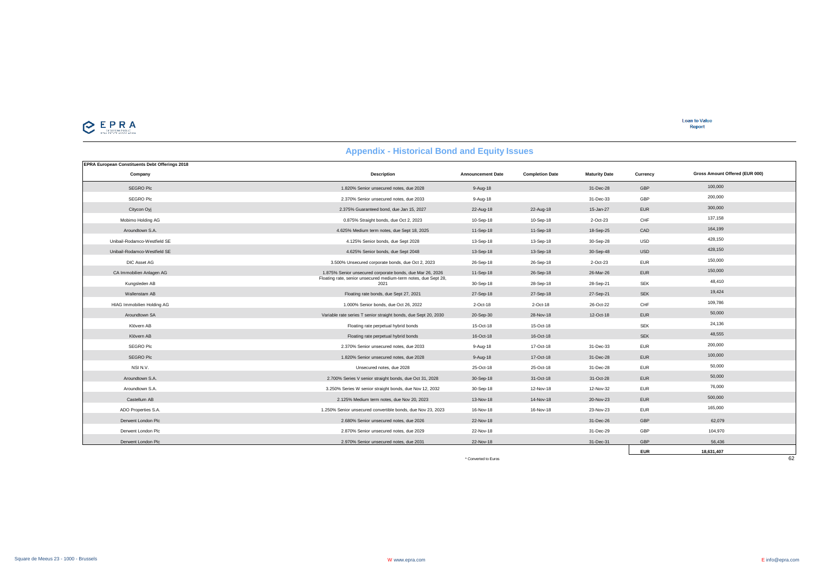

| <b>EPRA European Constituents Debt Offerings 2018</b> |                                                                         |                          |                        |                      |            |                                |
|-------------------------------------------------------|-------------------------------------------------------------------------|--------------------------|------------------------|----------------------|------------|--------------------------------|
| Company                                               | <b>Description</b>                                                      | <b>Announcement Date</b> | <b>Completion Date</b> | <b>Maturity Date</b> | Currency   | Gross Amount Offered (EUR 000) |
| SEGRO Plc                                             | 1.820% Senior unsecured notes, due 2028                                 | 9-Aug-18                 |                        | 31-Dec-28            | GBP        | 100,000                        |
| SEGRO Plc                                             | 2.370% Senior unsecured notes, due 2033                                 | 9-Aug-18                 |                        | 31-Dec-33            | GBP        | 200,000                        |
| Citycon Oyj                                           | 2.375% Guaranteed bond, due Jan 15, 2027                                | 22-Aug-18                | 22-Aug-18              | 15-Jan-27            | <b>EUR</b> | 300,000                        |
| Mobimo Holding AG                                     | 0.875% Straight bonds, due Oct 2, 2023                                  | 10-Sep-18                | 10-Sep-18              | 2-Oct-23             | CHF        | 137.158                        |
| Aroundtown S.A.                                       | 4.625% Medium term notes, due Sept 18, 2025                             | 11-Sep-18                | 11-Sep-18              | 18-Sep-25            | CAD        | 164,199                        |
| Unibail-Rodamco-Westfield SE                          | 4.125% Senior bonds, due Sept 2028                                      | 13-Sep-18                | 13-Sep-18              | 30-Sep-28            | <b>USD</b> | 428,150                        |
| Unibail-Rodamco-Westfield SE                          | 4.625% Senior bonds, due Sept 2048                                      | 13-Sep-18                | 13-Sep-18              | 30-Sep-48            | <b>USD</b> | 428,150                        |
| DIC Asset AG                                          | 3.500% Unsecured corporate bonds, due Oct 2, 2023                       | 26-Sep-18                | 26-Sep-18              | 2-Oct-23             | <b>EUR</b> | 150,000                        |
| CA Immobilien Anlagen AG                              | 1.875% Senior unsecured corporate bonds, due Mar 26, 2026               | 11-Sep-18                | 26-Sep-18              | 26-Mar-26            | <b>EUR</b> | 150,000                        |
| Kungsleden AB                                         | Floating rate, senior unsecured medium-term notes, due Sept 28,<br>2021 | 30-Sep-18                | 28-Sep-18              | 28-Sep-21            | <b>SEK</b> | 48,410                         |
| Wallenstam AB                                         | Floating rate bonds, due Sept 27, 2021                                  | 27-Sep-18                | 27-Sep-18              | 27-Sep-21            | <b>SEK</b> | 19,424                         |
| <b>HIAG Immobilien Holding AG</b>                     | 1.000% Senior bonds, due Oct 26, 2022                                   | 2-Oct-18                 | 2-Oct-18               | 26-Oct-22            | CHF        | 109,786                        |
| Aroundtown SA                                         | Variable rate series T senior straight bonds, due Sept 20, 2030         | 20-Sep-30                | 28-Nov-18              | 12-Oct-18            | <b>EUR</b> | 50,000                         |
| Klövern AB                                            | Floating rate perpetual hybrid bonds                                    | 15-Oct-18                | 15-Oct-18              |                      | <b>SEK</b> | 24,136                         |
| Klövern AB                                            | Floating rate perpetual hybrid bonds                                    | 16-Oct-18                | 16-Oct-18              |                      | <b>SEK</b> | 48,555                         |
| SEGRO Plc                                             | 2.370% Senior unsecured notes, due 2033                                 | 9-Aug-18                 | 17-Oct-18              | 31-Dec-33            | <b>EUR</b> | 200,000                        |
| <b>SEGRO Plc</b>                                      | 1.820% Senior unsecured notes, due 2028                                 | $9-Auq-18$               | 17-Oct-18              | 31-Dec-28            | <b>EUR</b> | 100,000                        |
| NSI N.V.                                              | Unsecured notes, due 2028                                               | 25-Oct-18                | 25-Oct-18              | 31-Dec-28            | <b>EUR</b> | 50,000                         |
| Aroundtown S.A.                                       | 2.700% Series V senior straight bonds, due Oct 31, 2028                 | 30-Sep-18                | 31-Oct-18              | 31-Oct-28            | <b>EUR</b> | 50,000                         |
| Aroundtown S.A.                                       | 3.250% Series W senior straight bonds, due Nov 12, 2032                 | 30-Sep-18                | 12-Nov-18              | 12-Nov-32            | <b>EUR</b> | 76,000                         |
| Castellum AB                                          | 2.125% Medium term notes, due Nov 20, 2023                              | 13-Nov-18                | 14-Nov-18              | 20-Nov-23            | <b>EUR</b> | 500,000                        |
| ADO Properties S.A.                                   | 1.250% Senior unsecured convertible bonds, due Nov 23, 2023             | 16-Nov-18                | 16-Nov-18              | 23-Nov-23            | <b>EUR</b> | 165,000                        |
| Derwent London Plc                                    | 2.680% Senior unsecured notes, due 2026                                 | 22-Nov-18                |                        | 31-Dec-26            | GBP        | 62,079                         |
| Derwent London Plc                                    | 2.870% Senior unsecured notes, due 2029                                 | 22-Nov-18                |                        | 31-Dec-29            | GBP        | 104,970                        |
| Derwent London Plc                                    | 2.970% Senior unsecured notes, due 2031                                 | 22-Nov-18                |                        | 31-Dec-31            | GBP        | 56.436                         |
|                                                       |                                                                         |                          |                        |                      | <b>EUR</b> | 18.631.407                     |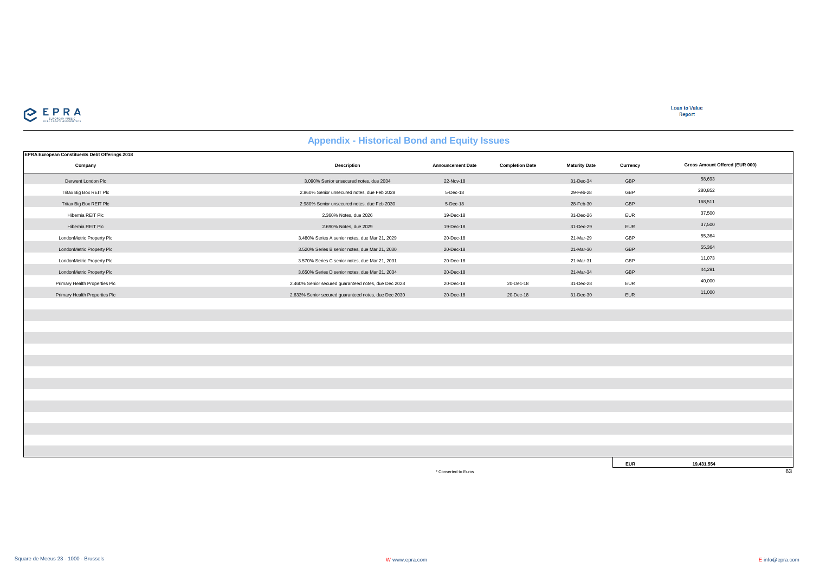

**Loan to Value**<br>Report

# **Appendix - Historical Bond and Equity Issues**

| <b>EPRA European Constituents Debt Offerings 2018</b> |                                                      |                          |                        |                      |            |                                |
|-------------------------------------------------------|------------------------------------------------------|--------------------------|------------------------|----------------------|------------|--------------------------------|
| Company                                               | Description                                          | <b>Announcement Date</b> | <b>Completion Date</b> | <b>Maturity Date</b> | Currency   | Gross Amount Offered (EUR 000) |
| Derwent London Plc                                    | 3.090% Senior unsecured notes, due 2034              | 22-Nov-18                |                        | 31-Dec-34            | GBP        | 58,693                         |
| Tritax Big Box REIT Plc                               | 2.860% Senior unsecured notes, due Feb 2028          | 5-Dec-18                 |                        | 29-Feb-28            | GBP        | 280,852                        |
| Tritax Big Box REIT Plc                               | 2.980% Senior unsecured notes, due Feb 2030          | 5-Dec-18                 |                        | 28-Feb-30            | GBP        | 168,511                        |
| Hibernia REIT Plc                                     | 2.360% Notes, due 2026                               | 19-Dec-18                |                        | 31-Dec-26            | <b>EUR</b> | 37,500                         |
| Hibernia REIT Plc                                     | 2.690% Notes, due 2029                               | 19-Dec-18                |                        | 31-Dec-29            | EUR        | 37,500                         |
| LondonMetric Property Plc                             | 3.480% Series A senior notes, due Mar 21, 2029       | 20-Dec-18                |                        | 21-Mar-29            | GBP        | 55,364                         |
| LondonMetric Property Plc                             | 3.520% Series B senior notes, due Mar 21, 2030       | 20-Dec-18                |                        | 21-Mar-30            | GBP        | 55,364                         |
| LondonMetric Property Plc                             | 3.570% Series C senior notes, due Mar 21, 2031       | 20-Dec-18                |                        | 21-Mar-31            | GBP        | 11,073                         |
| LondonMetric Property Plc                             | 3.650% Series D senior notes, due Mar 21, 2034       | 20-Dec-18                |                        | 21-Mar-34            | GBP        | 44,291                         |
| Primary Health Properties Plc                         | 2.460% Senior secured guaranteed notes, due Dec 2028 | 20-Dec-18                | 20-Dec-18              | 31-Dec-28            | <b>EUR</b> | 40,000                         |
| Primary Health Properties Plc                         | 2.633% Senior secured guaranteed notes, due Dec 2030 | 20-Dec-18                | 20-Dec-18              | 31-Dec-30            | EUR        | 11,000                         |
|                                                       |                                                      |                          |                        |                      |            |                                |
|                                                       |                                                      |                          |                        |                      |            |                                |
|                                                       |                                                      |                          |                        |                      |            |                                |
|                                                       |                                                      |                          |                        |                      |            |                                |
|                                                       |                                                      |                          |                        |                      |            |                                |
|                                                       |                                                      |                          |                        |                      |            |                                |
|                                                       |                                                      |                          |                        |                      |            |                                |
|                                                       |                                                      |                          |                        |                      |            |                                |
|                                                       |                                                      |                          |                        |                      |            |                                |
|                                                       |                                                      |                          |                        |                      |            |                                |
|                                                       |                                                      |                          |                        |                      |            |                                |
|                                                       |                                                      |                          |                        |                      |            |                                |
|                                                       |                                                      |                          |                        |                      |            |                                |
|                                                       |                                                      |                          |                        |                      |            |                                |
|                                                       |                                                      |                          |                        |                      |            |                                |

\* Converted to Euros 63

**EUR 19,431,554**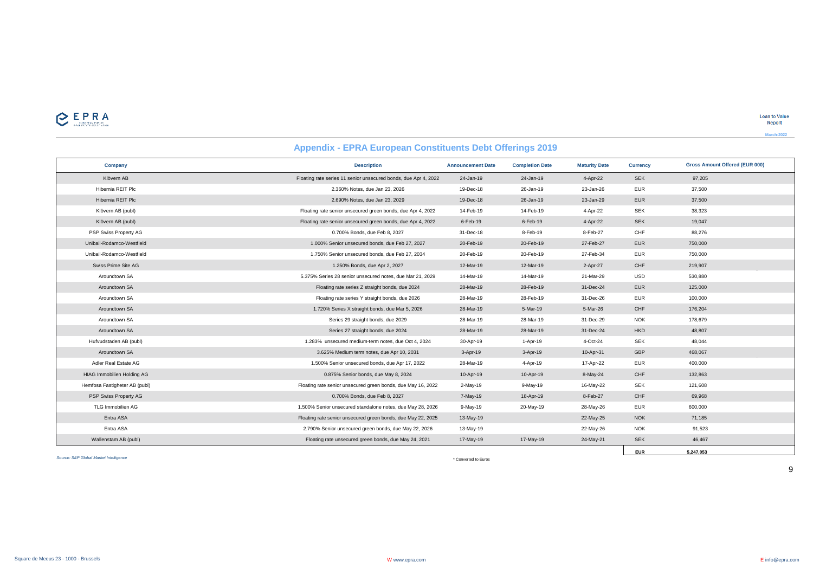

|                                   | <b>Appendix - EPRA European Constituents Debt Offerings 2019</b> |                          |                        |                      |                 |                                       |
|-----------------------------------|------------------------------------------------------------------|--------------------------|------------------------|----------------------|-----------------|---------------------------------------|
| Company                           | <b>Description</b>                                               | <b>Announcement Date</b> | <b>Completion Date</b> | <b>Maturity Date</b> | <b>Currency</b> | <b>Gross Amount Offered (EUR 000)</b> |
| Klövern AB                        | Floating rate series 11 senior unsecured bonds, due Apr 4, 2022  | 24-Jan-19                | 24-Jan-19              | 4-Apr-22             | <b>SEK</b>      | 97,205                                |
| Hibernia REIT Plc                 | 2.360% Notes, due Jan 23, 2026                                   | 19-Dec-18                | 26-Jan-19              | 23-Jan-26            | <b>EUR</b>      | 37,500                                |
| Hibernia REIT Plc                 | 2.690% Notes, due Jan 23, 2029                                   | 19-Dec-18                | 26-Jan-19              | 23-Jan-29            | <b>EUR</b>      | 37,500                                |
| Klövern AB (publ)                 | Floating rate senior unsecured green bonds, due Apr 4, 2022      | 14-Feb-19                | 14-Feb-19              | 4-Apr-22             | <b>SEK</b>      | 38,323                                |
| Klövern AB (publ)                 | Floating rate senior unsecured green bonds, due Apr 4, 2022      | 6-Feb-19                 | 6-Feb-19               | 4-Apr-22             | <b>SEK</b>      | 19,047                                |
| PSP Swiss Property AG             | 0.700% Bonds, due Feb 8, 2027                                    | 31-Dec-18                | 8-Feb-19               | 8-Feb-27             | CHF             | 88,276                                |
| Unibail-Rodamco-Westfield         | 1.000% Senior unsecured bonds, due Feb 27, 2027                  | 20-Feb-19                | 20-Feb-19              | 27-Feb-27            | <b>EUR</b>      | 750,000                               |
| Unibail-Rodamco-Westfield         | 1.750% Senior unsecured bonds, due Feb 27, 2034                  | 20-Feb-19                | 20-Feb-19              | 27-Feb-34            | <b>EUR</b>      | 750,000                               |
| Swiss Prime Site AG               | 1.250% Bonds, due Apr 2, 2027                                    | 12-Mar-19                | 12-Mar-19              | 2-Apr-27             | CHF             | 219,907                               |
| Aroundtown SA                     | 5.375% Series 28 senior unsecured notes, due Mar 21, 2029        | 14-Mar-19                | 14-Mar-19              | 21-Mar-29            | <b>USD</b>      | 530,880                               |
| Aroundtown SA                     | Floating rate series Z straight bonds, due 2024                  | 28-Mar-19                | 28-Feb-19              | 31-Dec-24            | <b>EUR</b>      | 125,000                               |
| Aroundtown SA                     | Floating rate series Y straight bonds, due 2026                  | 28-Mar-19                | 28-Feb-19              | 31-Dec-26            | <b>EUR</b>      | 100,000                               |
| Aroundtown SA                     | 1.720% Series X straight bonds, due Mar 5, 2026                  | 28-Mar-19                | 5-Mar-19               | 5-Mar-26             | CHF             | 176,204                               |
| Aroundtown SA                     | Series 29 straight bonds, due 2029                               | 28-Mar-19                | 28-Mar-19              | 31-Dec-29            | <b>NOK</b>      | 178,679                               |
| Aroundtown SA                     | Series 27 straight bonds, due 2024                               | 28-Mar-19                | 28-Mar-19              | 31-Dec-24            | <b>HKD</b>      | 48,807                                |
| Hufvudstaden AB (publ)            | 1.283% unsecured medium-term notes, due Oct 4, 2024              | 30-Apr-19                | 1-Apr-19               | 4-Oct-24             | <b>SEK</b>      | 48,044                                |
| Aroundtown SA                     | 3.625% Medium term notes, due Apr 10, 2031                       | $3 - Apr-19$             | 3-Apr-19               | 10-Apr-31            | GBP             | 468,067                               |
| Adler Real Estate AG              | 1.500% Senior unsecured bonds, due Apr 17, 2022                  | 28-Mar-19                | 4-Apr-19               | 17-Apr-22            | <b>EUR</b>      | 400,000                               |
| <b>HIAG Immobilien Holding AG</b> | 0.875% Senior bonds, due May 8, 2024                             | 10-Apr-19                | 10-Apr-19              | 8-May-24             | CHF             | 132,863                               |

*Source: S&P Global Market Intelligence*

\* Converted to Euros

9

**EUR 5,247,053**

Hemfosa Fastigheter AB (publ) **Figure 121,608** Floating rate senior unsecured green bonds, due May 16, 2022 2-May-19 9-May-19 16-May-22 SEK 121,608 PSP Swiss Property AG 0.700% Bonds, due Feb 8, 2027 7-May-19 18-Apr-19 8-Feb-27 CHF 69,968 TLG Immobilien AG 1.500% Senior unsecured standalone notes, due May 28, 2026 9-May-19 20-May-19 28-May-26 EUR 600,000 Entra ASA Floating rate senior unsecured green bonds, due May 22, 2025 13-May-19 22-May-25 NOK 71,185 Entra ASA 2.790% Senior unsecured green bonds, due May 22, 2026 13-May-19 22-May-26 22-May-26 NOK 91,523 Wallenstam AB (publ) Floating rate unsecured green bonds, due May 24, 2021 17-May-19 17-May-19 24-May-21 SEK 46,467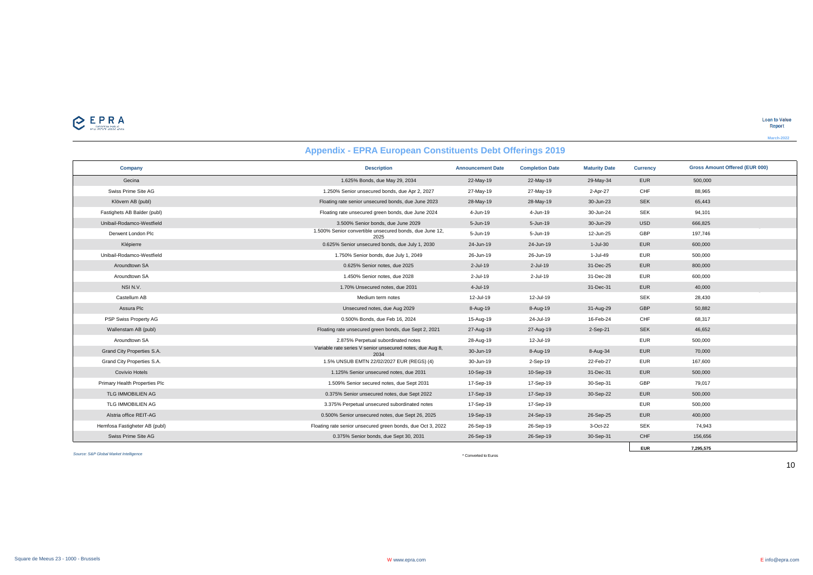| Company                       | <b>Description</b>                                                | <b>Announcement Date</b> | <b>Completion Date</b> | <b>Maturity Date</b> | <b>Currency</b> | <b>Gross Amount Offered (EUR 000)</b> |  |
|-------------------------------|-------------------------------------------------------------------|--------------------------|------------------------|----------------------|-----------------|---------------------------------------|--|
| Gecina                        | 1.625% Bonds, due May 29, 2034                                    | 22-May-19                | 22-May-19              | 29-May-34            | <b>EUR</b>      | 500,000                               |  |
| Swiss Prime Site AG           | 1.250% Senior unsecured bonds, due Apr 2, 2027                    | 27-May-19                | 27-May-19              | 2-Apr-27             | CHF             | 88,965                                |  |
| Klövern AB (publ)             | Floating rate senior unsecured bonds, due June 2023               | 28-May-19                | 28-May-19              | 30-Jun-23            | <b>SEK</b>      | 65,443                                |  |
| Fastighets AB Balder (publ)   | Floating rate unsecured green bonds, due June 2024                | 4-Jun-19                 | 4-Jun-19               | 30-Jun-24            | <b>SEK</b>      | 94,101                                |  |
| Unibail-Rodamco-Westfield     | 3.500% Senior bonds, due June 2029                                | 5-Jun-19                 | 5-Jun-19               | 30-Jun-29            | <b>USD</b>      | 666,825                               |  |
| Derwent London Plc            | 1.500% Senior convertible unsecured bonds, due June 12,<br>2025   | 5-Jun-19                 | 5-Jun-19               | 12-Jun-25            | GBP             | 197,746                               |  |
| Klépierre                     | 0.625% Senior unsecured bonds, due July 1, 2030                   | 24-Jun-19                | 24-Jun-19              | 1-Jul-30             | <b>EUR</b>      | 600,000                               |  |
| Unibail-Rodamco-Westfield     | 1.750% Senior bonds, due July 1, 2049                             | 26-Jun-19                | 26-Jun-19              | 1-Jul-49             | <b>EUR</b>      | 500,000                               |  |
| Aroundtown SA                 | 0.625% Senior notes, due 2025                                     | 2-Jul-19                 | 2-Jul-19               | 31-Dec-25            | <b>EUR</b>      | 800,000                               |  |
| Aroundtown SA                 | 1.450% Senior notes, due 2028                                     | 2-Jul-19                 | 2-Jul-19               | 31-Dec-28            | <b>EUR</b>      | 600,000                               |  |
| NSI N.V.                      | 1.70% Unsecured notes, due 2031                                   | 4-Jul-19                 |                        | 31-Dec-31            | <b>EUR</b>      | 40,000                                |  |
| Castellum AB                  | Medium term notes                                                 | 12-Jul-19                | 12-Jul-19              |                      | <b>SEK</b>      | 28,430                                |  |
| Assura Plc                    | Unsecured notes, due Aug 2029                                     | 8-Aug-19                 | 8-Aug-19               | 31-Aug-29            | GBP             | 50,882                                |  |
| PSP Swiss Property AG         | 0.500% Bonds, due Feb 16, 2024                                    | 15-Aug-19                | 24-Jul-19              | 16-Feb-24            | CHF             | 68,317                                |  |
| Wallenstam AB (publ)          | Floating rate unsecured green bonds, due Sept 2, 2021             | 27-Aug-19                | 27-Aug-19              | 2-Sep-21             | <b>SEK</b>      | 46,652                                |  |
| Aroundtown SA                 | 2.875% Perpetual subordinated notes                               | 28-Aug-19                | 12-Jul-19              |                      | <b>EUR</b>      | 500,000                               |  |
| Grand City Properties S.A.    | Variable rate series V senior unsecured notes, due Aug 8,<br>2034 | 30-Jun-19                | 8-Aug-19               | 8-Aug-34             | <b>EUR</b>      | 70,000                                |  |
| Grand City Properties S.A.    | 1.5% UNSUB EMTN 22/02/2027 EUR (REGS) (4)                         | 30-Jun-19                | 2-Sep-19               | 22-Feb-27            | EUR             | 167,600                               |  |
| <b>Covivio Hotels</b>         | 1.125% Senior unsecured notes, due 2031                           | 10-Sep-19                | 10-Sep-19              | 31-Dec-31            | <b>EUR</b>      | 500,000                               |  |
| Primary Health Properties Plc | 1.509% Senior secured notes, due Sept 2031                        | 17-Sep-19                | 17-Sep-19              | 30-Sep-31            | GBP             | 79,017                                |  |
| TLG IMMOBILIEN AG             | 0.375% Senior unsecured notes, due Sept 2022                      | 17-Sep-19                | 17-Sep-19              | 30-Sep-22            | <b>EUR</b>      | 500,000                               |  |
| TLG IMMOBILIEN AG             | 3.375% Perpetual unsecured subordinated notes                     | 17-Sep-19                | 17-Sep-19              |                      | EUR             | 500,000                               |  |
| Alstria office REIT-AG        | 0.500% Senior unsecured notes, due Sept 26, 2025                  | 19-Sep-19                | 24-Sep-19              | 26-Sep-25            | <b>EUR</b>      | 400,000                               |  |
| Hemfosa Fastigheter AB (publ) | Floating rate senior unsecured green bonds, due Oct 3, 2022       | 26-Sep-19                | 26-Sep-19              | 3-Oct-22             | <b>SEK</b>      | 74,943                                |  |
| Swiss Prime Site AG           | 0.375% Senior bonds, due Sept 30, 2031                            | 26-Sep-19                | 26-Sep-19              | 30-Sep-31            | CHF             | 156,656                               |  |
|                               |                                                                   |                          |                        |                      | <b>EUR</b>      | 7.295.575                             |  |

# **Appendix - EPRA European Constituents Debt Offerings 2019**

*Source: S&P Global Market Intelligence*

\* Converted to Euros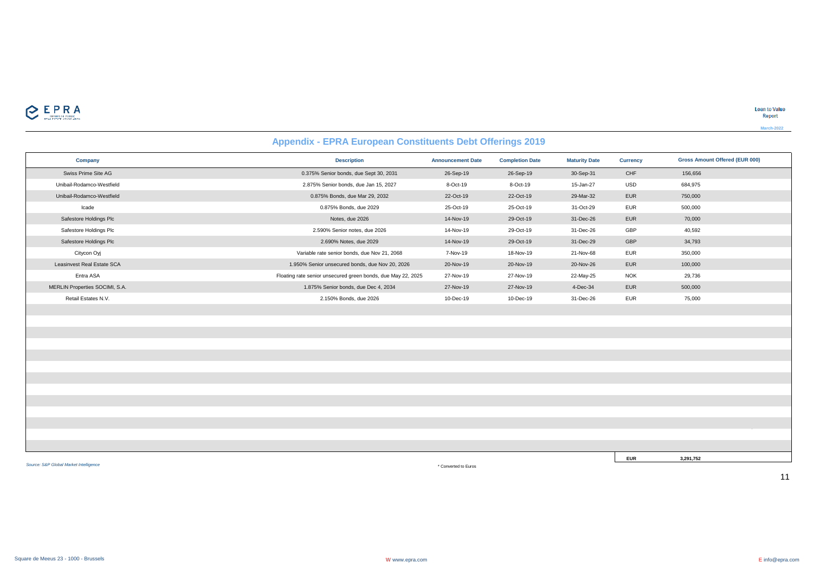

# **Appendix - EPRA European Constituents Debt Offerings 2019**

| Company                        | <b>Description</b>                                           | <b>Announcement Date</b> | <b>Completion Date</b> | <b>Maturity Date</b> | <b>Currency</b> | <b>Gross Amount Offered (EUR 000)</b> |
|--------------------------------|--------------------------------------------------------------|--------------------------|------------------------|----------------------|-----------------|---------------------------------------|
| Swiss Prime Site AG            | 0.375% Senior bonds, due Sept 30, 2031                       | 26-Sep-19                | 26-Sep-19              | 30-Sep-31            | CHF             | 156,656                               |
| Unibail-Rodamco-Westfield      | 2.875% Senior bonds, due Jan 15, 2027                        | 8-Oct-19                 | 8-Oct-19               | 15-Jan-27            | <b>USD</b>      | 684,975                               |
| Unibail-Rodamco-Westfield      | 0.875% Bonds, due Mar 29, 2032                               | 22-Oct-19                | 22-Oct-19              | 29-Mar-32            | <b>EUR</b>      | 750,000                               |
| Icade                          | 0.875% Bonds, due 2029                                       | 25-Oct-19                | 25-Oct-19              | 31-Oct-29            | EUR             | 500,000                               |
| Safestore Holdings Plc         | Notes, due 2026                                              | 14-Nov-19                | 29-Oct-19              | 31-Dec-26            | EUR             | 70,000                                |
| Safestore Holdings Plc         | 2.590% Senior notes, due 2026                                | 14-Nov-19                | 29-Oct-19              | 31-Dec-26            | GBP             | 40,592                                |
| Safestore Holdings Plc         | 2.690% Notes, due 2029                                       | 14-Nov-19                | 29-Oct-19              | 31-Dec-29            | GBP             | 34,793                                |
| Citycon Oyj                    | Variable rate senior bonds, due Nov 21, 2068                 | 7-Nov-19                 | 18-Nov-19              | 21-Nov-68            | EUR             | 350,000                               |
| Leasinvest Real Estate SCA     | 1.950% Senior unsecured bonds, due Nov 20, 2026              | 20-Nov-19                | 20-Nov-19              | 20-Nov-26            | EUR             | 100,000                               |
| Entra ASA                      | Floating rate senior unsecured green bonds, due May 22, 2025 | 27-Nov-19                | 27-Nov-19              | 22-May-25            | <b>NOK</b>      | 29,736                                |
| MERLIN Properties SOCIMI, S.A. | 1.875% Senior bonds, due Dec 4, 2034                         | 27-Nov-19                | 27-Nov-19              | 4-Dec-34             | EUR             | 500,000                               |
| Retail Estates N.V.            | 2.150% Bonds, due 2026                                       | 10-Dec-19                | 10-Dec-19              | 31-Dec-26            | <b>EUR</b>      | 75,000                                |
|                                |                                                              |                          |                        |                      |                 |                                       |
|                                |                                                              |                          |                        |                      |                 |                                       |
|                                |                                                              |                          |                        |                      |                 |                                       |
|                                |                                                              |                          |                        |                      |                 |                                       |
|                                |                                                              |                          |                        |                      |                 |                                       |
|                                |                                                              |                          |                        |                      |                 |                                       |
|                                |                                                              |                          |                        |                      |                 |                                       |
|                                |                                                              |                          |                        |                      |                 |                                       |
|                                |                                                              |                          |                        |                      |                 |                                       |
|                                |                                                              |                          |                        |                      |                 |                                       |
|                                |                                                              |                          |                        |                      |                 |                                       |
|                                |                                                              |                          |                        |                      |                 |                                       |
|                                |                                                              |                          |                        |                      |                 |                                       |
|                                |                                                              |                          |                        |                      | <b>EUR</b>      | 3,291,752                             |

*Source: S&P Global Market Intelligence*

\* Converted to Euros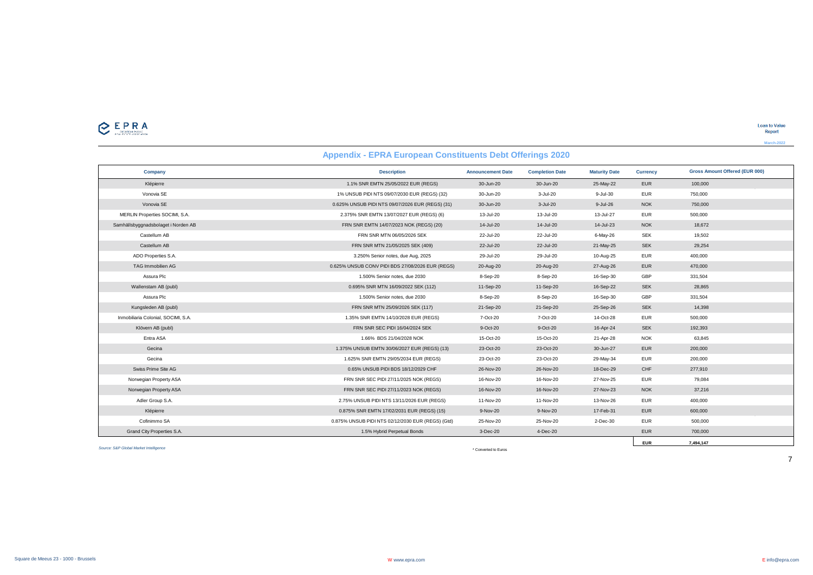|                                     | <b>Appendix - EPRA European Constituents Debt Offerings 2020</b> |                          |                        |                      |                 |                                       |
|-------------------------------------|------------------------------------------------------------------|--------------------------|------------------------|----------------------|-----------------|---------------------------------------|
| Company                             | <b>Description</b>                                               | <b>Announcement Date</b> | <b>Completion Date</b> | <b>Maturity Date</b> | <b>Currency</b> | <b>Gross Amount Offered (EUR 000)</b> |
| Klépierre                           | 1.1% SNR EMTN 25/05/2022 EUR (REGS)                              | 30-Jun-20                | 30-Jun-20              | 25-May-22            | <b>EUR</b>      | 100,000                               |
| Vonovia SE                          | 1% UNSUB PIDI NTS 09/07/2030 EUR (REGS) (32)                     | 30-Jun-20                | 3-Jul-20               | 9-Jul-30             | <b>EUR</b>      | 750,000                               |
| Vonovia SE                          | 0.625% UNSUB PIDI NTS 09/07/2026 EUR (REGS) (31)                 | 30-Jun-20                | 3-Jul-20               | 9-Jul-26             | <b>NOK</b>      | 750,000                               |
| MERLIN Properties SOCIMI, S.A.      | 2.375% SNR EMTN 13/07/2027 EUR (REGS) (6)                        | 13-Jul-20                | 13-Jul-20              | 13-Jul-27            | <b>EUR</b>      | 500,000                               |
| Samhällsbyggnadsbolaget i Norden AB | FRN SNR EMTN 14/07/2023 NOK (REGS) (20)                          | 14-Jul-20                | 14-Jul-20              | 14-Jul-23            | <b>NOK</b>      | 18,672                                |
| Castellum AB                        | FRN SNR MTN 06/05/2026 SEK                                       | 22-Jul-20                | 22-Jul-20              | 6-May-26             | <b>SEK</b>      | 19,502                                |
| Castellum AB                        | FRN SNR MTN 21/05/2025 SEK (409)                                 | 22-Jul-20                | 22-Jul-20              | 21-May-25            | <b>SEK</b>      | 29,254                                |
| ADO Properties S.A.                 | 3.250% Senior notes, due Aug, 2025                               | 29-Jul-20                | 29-Jul-20              | 10-Aug-25            | <b>EUR</b>      | 400,000                               |
| TAG Immobilien AG                   | 0.625% UNSUB CONV PIDI BDS 27/08/2026 EUR (REGS)                 | 20-Aug-20                | 20-Aug-20              | 27-Aug-26            | <b>EUR</b>      | 470,000                               |
| Assura Plc                          | 1.500% Senior notes, due 2030                                    | 8-Sep-20                 | 8-Sep-20               | 16-Sep-30            | GBP             | 331,504                               |
| Wallenstam AB (publ)                | 0.695% SNR MTN 16/09/2022 SEK (112)                              | 11-Sep-20                | 11-Sep-20              | 16-Sep-22            | <b>SEK</b>      | 28,865                                |
| Assura Plc                          | 1.500% Senior notes, due 2030                                    | 8-Sep-20                 | 8-Sep-20               | 16-Sep-30            | GBP             | 331,504                               |
| Kungsleden AB (publ)                | FRN SNR MTN 25/09/2026 SEK (117)                                 | 21-Sep-20                | 21-Sep-20              | 25-Sep-26            | <b>SEK</b>      | 14,398                                |
| Inmobiliaria Colonial, SOCIMI, S.A. | 1.35% SNR EMTN 14/10/2028 EUR (REGS)                             | 7-Oct-20                 | 7-Oct-20               | 14-Oct-28            | <b>EUR</b>      | 500,000                               |
| Klövern AB (publ)                   | FRN SNR SEC PIDI 16/04/2024 SEK                                  | 9-Oct-20                 | 9-Oct-20               | 16-Apr-24            | <b>SEK</b>      | 192,393                               |
| Entra ASA                           | 1.66% BDS 21/04/2028 NOK                                         | 15-Oct-20                | 15-Oct-20              | 21-Apr-28            | <b>NOK</b>      | 63,845                                |
| Gecina                              | 1.375% UNSUB EMTN 30/06/2027 EUR (REGS) (13)                     | 23-Oct-20                | 23-Oct-20              | 30-Jun-27            | <b>EUR</b>      | 200,000                               |
| Gecina                              | 1.625% SNR EMTN 29/05/2034 EUR (REGS)                            | 23-Oct-20                | 23-Oct-20              | 29-May-34            | <b>EUR</b>      | 200,000                               |
| Swiss Prime Site AG                 | 0.65% UNSUB PIDI BDS 18/12/2029 CHF                              | 26-Nov-20                | 26-Nov-20              | 18-Dec-29            | CHF             | 277,910                               |
| Norwegian Property ASA              | FRN SNR SEC PIDI 27/11/2025 NOK (REGS)                           | 16-Nov-20                | 16-Nov-20              | 27-Nov-25            | <b>EUR</b>      | 79,084                                |
| Norwegian Property ASA              | FRN SNR SEC PIDI 27/11/2023 NOK (REGS)                           | 16-Nov-20                | 16-Nov-20              | 27-Nov-23            | <b>NOK</b>      | 37,216                                |
| Adler Group S.A.                    | 2.75% UNSUB PIDI NTS 13/11/2026 EUR (REGS)                       | 11-Nov-20                | 11-Nov-20              | 13-Nov-26            | <b>EUR</b>      | 400,000                               |
| Klépierre                           | 0.875% SNR EMTN 17/02/2031 EUR (REGS) (15)                       | 9-Nov-20                 | 9-Nov-20               | 17-Feb-31            | <b>EUR</b>      | 600,000                               |
| Cofinimmo SA                        | 0.875% UNSUB PIDI NTS 02/12/2030 EUR (REGS) (Gtd)                | 25-Nov-20                | 25-Nov-20              | 2-Dec-30             | <b>EUR</b>      | 500,000                               |
| Grand City Properties S.A.          | 1.5% Hybrid Perpetual Bonds                                      | 3-Dec-20                 | 4-Dec-20               |                      | <b>EUR</b>      | 700,000                               |

*Source: S&P Global Market Intelligence*

\* Converted to Euros

7

**EUR 7,494,147**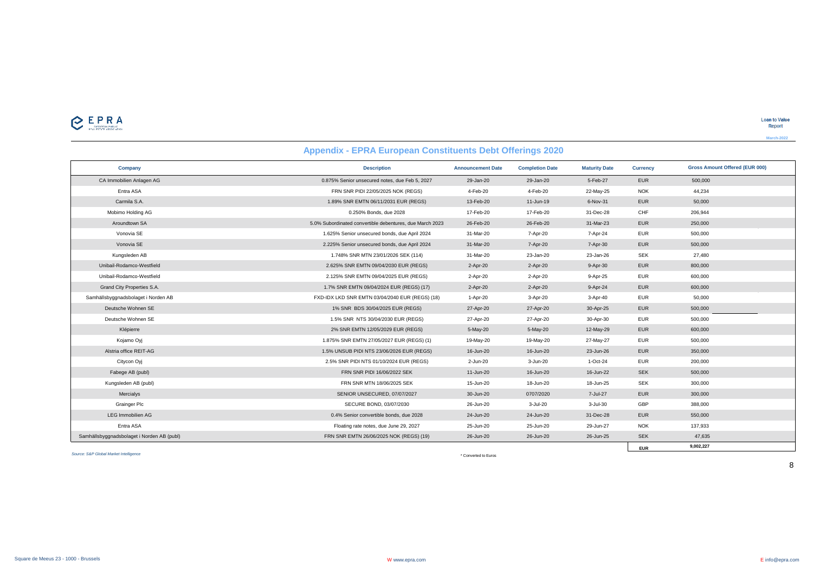| Company                                    | <b>Description</b>                                       | <b>Announcement Date</b> | <b>Completion Date</b> | <b>Maturity Date</b> | <b>Currency</b> | <b>Gross Amount Offered (EUR 000)</b> |
|--------------------------------------------|----------------------------------------------------------|--------------------------|------------------------|----------------------|-----------------|---------------------------------------|
| CA Immobilien Anlagen AG                   | 0.875% Senior unsecured notes, due Feb 5, 2027           | 29-Jan-20                | 29-Jan-20              | 5-Feb-27             | <b>EUR</b>      | 500,000                               |
| Entra ASA                                  | FRN SNR PIDI 22/05/2025 NOK (REGS)                       | 4-Feb-20                 | 4-Feb-20               | 22-May-25            | <b>NOK</b>      | 44,234                                |
| Carmila S.A.                               | 1.89% SNR EMTN 06/11/2031 EUR (REGS)                     | 13-Feb-20                | 11-Jun-19              | 6-Nov-31             | <b>EUR</b>      | 50,000                                |
| Mobimo Holding AG                          | 0.250% Bonds, due 2028                                   | 17-Feb-20                | 17-Feb-20              | 31-Dec-28            | CHF             | 206,944                               |
| Aroundtown SA                              | 5.0% Subordinated convertible debentures, due March 2023 | 26-Feb-20                | 26-Feb-20              | 31-Mar-23            | <b>EUR</b>      | 250,000                               |
| Vonovia SE                                 | 1.625% Senior unsecured bonds, due April 2024            | 31-Mar-20                | 7-Apr-20               | 7-Apr-24             | <b>EUR</b>      | 500,000                               |
| Vonovia SE                                 | 2.225% Senior unsecured bonds, due April 2024            | 31-Mar-20                | 7-Apr-20               | 7-Apr-30             | <b>EUR</b>      | 500,000                               |
| Kungsleden AB                              | 1.748% SNR MTN 23/01/2026 SEK (114)                      | 31-Mar-20                | 23-Jan-20              | 23-Jan-26            | <b>SEK</b>      | 27,480                                |
| Unibail-Rodamco-Westfield                  | 2.625% SNR EMTN 09/04/2030 EUR (REGS)                    | 2-Apr-20                 | 2-Apr-20               | 9-Apr-30             | <b>EUR</b>      | 800,000                               |
| Unibail-Rodamco-Westfield                  | 2.125% SNR EMTN 09/04/2025 EUR (REGS)                    | 2-Apr-20                 | 2-Apr-20               | 9-Apr-25             | <b>EUR</b>      | 600,000                               |
| Grand City Properties S.A.                 | 1.7% SNR EMTN 09/04/2024 EUR (REGS) (17)                 | 2-Apr-20                 | 2-Apr-20               | 9-Apr-24             | <b>EUR</b>      | 600,000                               |
| Samhällsbyggnadsbolaget i Norden AB        | FXD-IDX LKD SNR EMTN 03/04/2040 EUR (REGS) (18)          | 1-Apr-20                 | 3-Apr-20               | 3-Apr-40             | <b>EUR</b>      | 50,000                                |
| Deutsche Wohnen SE                         | 1% SNR BDS 30/04/2025 EUR (REGS)                         | 27-Apr-20                | 27-Apr-20              | 30-Apr-25            | <b>EUR</b>      | 500,000                               |
| Deutsche Wohnen SE                         | 1.5% SNR NTS 30/04/2030 EUR (REGS)                       | 27-Apr-20                | 27-Apr-20              | 30-Apr-30            | <b>EUR</b>      | 500,000                               |
| Klépierre                                  | 2% SNR EMTN 12/05/2029 EUR (REGS)                        | 5-May-20                 | 5-May-20               | 12-May-29            | <b>EUR</b>      | 600,000                               |
| Kojamo Oyj                                 | 1.875% SNR EMTN 27/05/2027 EUR (REGS) (1)                | 19-May-20                | 19-May-20              | 27-May-27            | <b>EUR</b>      | 500,000                               |
| Alstria office REIT-AG                     | 1.5% UNSUB PIDI NTS 23/06/2026 EUR (REGS)                | 16-Jun-20                | 16-Jun-20              | 23-Jun-26            | <b>EUR</b>      | 350,000                               |
| Citycon Oyj                                | 2.5% SNR PIDI NTS 01/10/2024 EUR (REGS)                  | 2-Jun-20                 | 3-Jun-20               | 1-Oct-24             | <b>EUR</b>      | 200,000                               |
| Fabege AB (publ)                           | FRN SNR PIDI 16/06/2022 SEK                              | 11-Jun-20                | 16-Jun-20              | 16-Jun-22            | <b>SEK</b>      | 500,000                               |
| Kungsleden AB (publ)                       | FRN SNR MTN 18/06/2025 SEK                               | 15-Jun-20                | 18-Jun-20              | 18-Jun-25            | <b>SEK</b>      | 300,000                               |
| Mercialys                                  | SENIOR UNSECURED, 07/07/2027                             | 30-Jun-20                | 0707/2020              | 7-Jul-27             | <b>EUR</b>      | 300,000                               |
| <b>Grainger Plc</b>                        | SECURE BOND, 03/07/2030                                  | 26-Jun-20                | 3-Jul-20               | $3 -$ Jul $-30$      | GBP             | 388,000                               |
| <b>LEG Immobilien AG</b>                   | 0.4% Senior convertible bonds, due 2028                  | 24-Jun-20                | 24-Jun-20              | 31-Dec-28            | <b>EUR</b>      | 550,000                               |
| Entra ASA                                  | Floating rate notes, due June 29, 2027                   | 25-Jun-20                | 25-Jun-20              | 29-Jun-27            | <b>NOK</b>      | 137,933                               |
| Samhällsbyggnadsbolaget i Norden AB (publ) | FRN SNR EMTN 26/06/2025 NOK (REGS) (19)                  | 26-Jun-20                | 26-Jun-20              | 26-Jun-25            | <b>SEK</b>      | 47,635                                |
|                                            |                                                          |                          |                        |                      | <b>EUR</b>      | 9,002,227                             |

## **Appendix - EPRA European Constituents Debt Offerings 2020**

*Source: S&P Global Market Intelligence*

\* Converted to Euros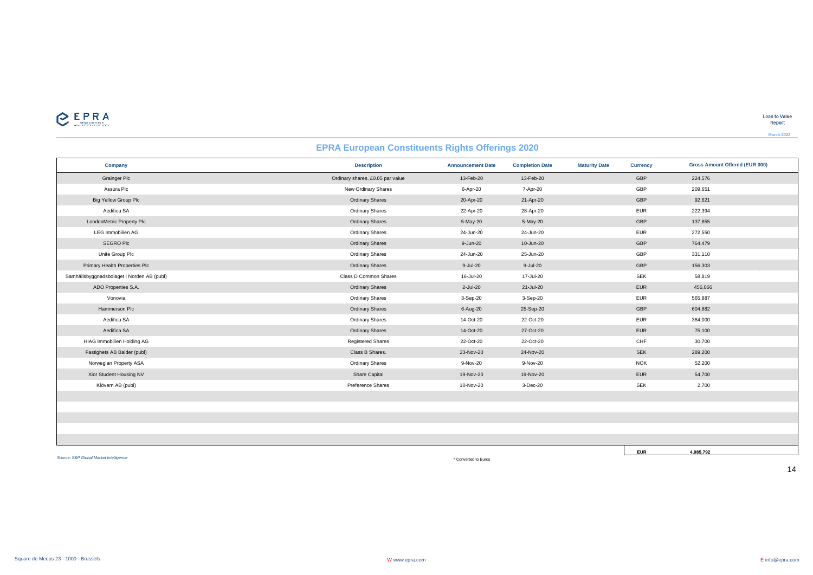

## **EPRA European Constituents Rights Offerings 2020**

| Company                                    | <b>Description</b>               | <b>Announcement Date</b> | <b>Completion Date</b> | <b>Maturity Date</b> | <b>Currency</b> | <b>Gross Amount Offered (EUR 000)</b> |
|--------------------------------------------|----------------------------------|--------------------------|------------------------|----------------------|-----------------|---------------------------------------|
| <b>Grainger Plc</b>                        | Ordinary shares, £0.05 par value | 13-Feb-20                | 13-Feb-20              |                      | GBP             | 224,576                               |
| Assura Plc                                 | New Ordinary Shares              | 6-Apr-20                 | 7-Apr-20               |                      | GBP             | 209,651                               |
| Big Yellow Group Plc                       | <b>Ordinary Shares</b>           | 20-Apr-20                | 21-Apr-20              |                      | GBP             | 92,621                                |
| Aedifica SA                                | <b>Ordinary Shares</b>           | 22-Apr-20                | 28-Apr-20              |                      | <b>EUR</b>      | 222,394                               |
| LondonMetric Property Plc                  | <b>Ordinary Shares</b>           | 5-May-20                 | 5-May-20               |                      | GBP             | 137,855                               |
| <b>LEG Immobilien AG</b>                   | <b>Ordinary Shares</b>           | 24-Jun-20                | 24-Jun-20              |                      | <b>EUR</b>      | 272,550                               |
| SEGRO Plc                                  | <b>Ordinary Shares</b>           | 9-Jun-20                 | 10-Jun-20              |                      | GBP             | 764,479                               |
| Unite Group Plc                            | <b>Ordinary Shares</b>           | 24-Jun-20                | 25-Jun-20              |                      | GBP             | 331,110                               |
| Primary Health Properties Plc              | <b>Ordinary Shares</b>           | 9-Jul-20                 | 9-Jul-20               |                      | GBP             | 156,303                               |
| Samhällsbyggnadsbolaget i Norden AB (publ) | Class D Common Shares            | 16-Jul-20                | 17-Jul-20              |                      | <b>SEK</b>      | 58,819                                |
| ADO Properties S.A.                        | <b>Ordinary Shares</b>           | 2-Jul-20                 | 21-Jul-20              |                      | <b>EUR</b>      | 456,066                               |
| Vonovia                                    | <b>Ordinary Shares</b>           | 3-Sep-20                 | 3-Sep-20               |                      | <b>EUR</b>      | 565,887                               |
| Hammerson Plc                              | <b>Ordinary Shares</b>           | 6-Aug-20                 | 25-Sep-20              |                      | GBP             | 604,882                               |
| Aedifica SA                                | <b>Ordinary Shares</b>           | 14-Oct-20                | 22-Oct-20              |                      | <b>EUR</b>      | 384,000                               |
| Aedifica SA                                | <b>Ordinary Shares</b>           | 14-Oct-20                | 27-Oct-20              |                      | EUR             | 75,100                                |
| HIAG Immobilien Holding AG                 | <b>Registered Shares</b>         | 22-Oct-20                | 22-Oct-20              |                      | CHF             | 30,700                                |
| Fastighets AB Balder (publ)                | Class B Shares.                  | 23-Nov-20                | 24-Nov-20              |                      | <b>SEK</b>      | 289,200                               |
| Norwegian Property ASA                     | <b>Ordinary Shares</b>           | 9-Nov-20                 | 9-Nov-20               |                      | <b>NOK</b>      | 52,200                                |
| Xior Student Housing NV                    | Share Capital                    | 19-Nov-20                | 19-Nov-20              |                      | <b>EUR</b>      | 54,700                                |
| Klövern AB (publ)                          | Preference Shares                | 10-Nov-20                | 3-Dec-20               |                      | <b>SEK</b>      | 2,700                                 |
|                                            |                                  |                          |                        |                      |                 |                                       |
|                                            |                                  |                          |                        |                      |                 |                                       |
|                                            |                                  |                          |                        |                      |                 |                                       |

*Source: S&P Global Market Intelligence*

\* Converted to Euros

**EUR 4,985,792**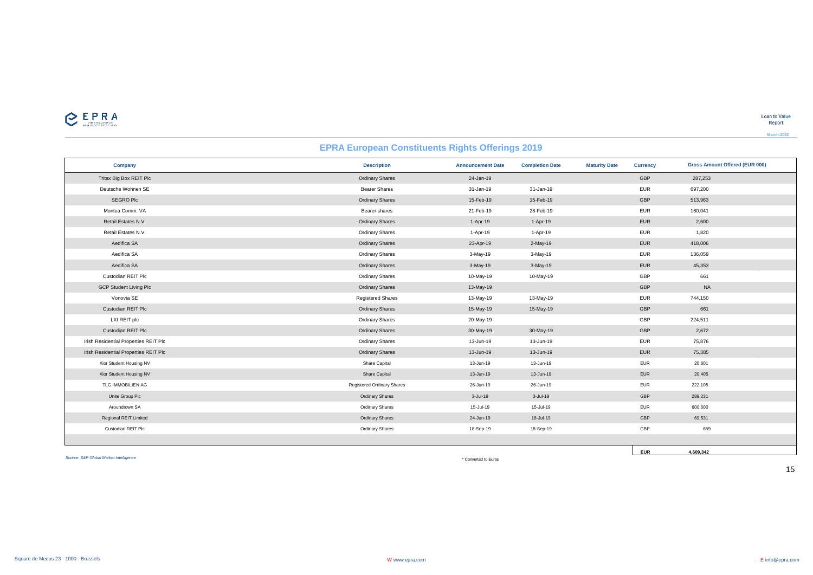

| <b>EPRA European Constituents Rights Offerings 2019</b> |                            |                          |                        |                      |                 |                                       |
|---------------------------------------------------------|----------------------------|--------------------------|------------------------|----------------------|-----------------|---------------------------------------|
| Company                                                 | <b>Description</b>         | <b>Announcement Date</b> | <b>Completion Date</b> | <b>Maturity Date</b> | <b>Currency</b> | <b>Gross Amount Offered (EUR 000)</b> |
| Tritax Big Box REIT Plc                                 | <b>Ordinary Shares</b>     | 24-Jan-19                |                        |                      | GBP             | 287,253                               |
| Deutsche Wohnen SE                                      | <b>Bearer Shares</b>       | 31-Jan-19                | 31-Jan-19              |                      | <b>EUR</b>      | 697,200                               |
| SEGRO Plc                                               | <b>Ordinary Shares</b>     | 15-Feb-19                | 15-Feb-19              |                      | GBP             | 513,963                               |
| Montea Comm. VA                                         | Bearer shares              | 21-Feb-19                | 28-Feb-19              |                      | <b>EUR</b>      | 160,041                               |
| Retail Estates N.V.                                     | <b>Ordinary Shares</b>     | 1-Apr-19                 | 1-Apr-19               |                      | <b>EUR</b>      | 2,600                                 |
| Retail Estates N.V.                                     | <b>Ordinary Shares</b>     | 1-Apr-19                 | 1-Apr-19               |                      | <b>EUR</b>      | 1,820                                 |
| Aedifica SA                                             | <b>Ordinary Shares</b>     | 23-Apr-19                | 2-May-19               |                      | <b>EUR</b>      | 418,006                               |
| Aedifica SA                                             | <b>Ordinary Shares</b>     | 3-May-19                 | 3-May-19               |                      | <b>EUR</b>      | 136,059                               |
| Aedifica SA                                             | <b>Ordinary Shares</b>     | 3-May-19                 | 3-May-19               |                      | <b>EUR</b>      | 45,353                                |
| Custodian REIT Plc                                      | <b>Ordinary Shares</b>     | 10-May-19                | 10-May-19              |                      | GBP             | 661                                   |
| <b>GCP Student Living Plc</b>                           | <b>Ordinary Shares</b>     | 13-May-19                |                        |                      | GBP             | <b>NA</b>                             |
| Vonovia SE                                              | <b>Registered Shares</b>   | 13-May-19                | 13-May-19              |                      | <b>EUR</b>      | 744,150                               |
| Custodian REIT Plc                                      | <b>Ordinary Shares</b>     | 15-May-19                | 15-May-19              |                      | GBP             | 661                                   |
| LXI REIT plc                                            | <b>Ordinary Shares</b>     | 20-May-19                |                        |                      | GBP             | 224,511                               |
| Custodian REIT Plc                                      | <b>Ordinary Shares</b>     | 30-May-19                | 30-May-19              |                      | GBP             | 2,672                                 |
| Irish Residential Properties REIT Plc                   | <b>Ordinary Shares</b>     | 13-Jun-19                | 13-Jun-19              |                      | <b>EUR</b>      | 75,876                                |
| Irish Residential Properties REIT Plc                   | <b>Ordinary Shares</b>     | 13-Jun-19                | 13-Jun-19              |                      | <b>EUR</b>      | 75,385                                |
| Xior Student Housing NV                                 | Share Capital              | 13-Jun-19                | 13-Jun-19              |                      | <b>EUR</b>      | 20,601                                |
| Xior Student Housing NV                                 | Share Capital              | 13-Jun-19                | 13-Jun-19              |                      | <b>EUR</b>      | 20,405                                |
| TLG IMMOBILIEN AG                                       | Registered Ordinary Shares | 26-Jun-19                | 26-Jun-19              |                      | <b>EUR</b>      | 222,105                               |
| Unite Group Plc                                         | <b>Ordinary Shares</b>     | 3-Jul-19                 | 3-Jul-19               |                      | GBP             | 289,231                               |
| Aroundtown SA                                           | <b>Ordinary Shares</b>     | 15-Jul-19                | 15-Jul-19              |                      | <b>EUR</b>      | 600,600                               |
| Regional REIT Limited                                   | <b>Ordinary Shares</b>     | 24-Jun-19                | 18-Jul-19              |                      | GBP             | 69,531                                |
| Custodian REIT Plc                                      | <b>Ordinary Shares</b>     | 18-Sep-19                | 18-Sep-19              |                      | GBP             | 659                                   |
|                                                         |                            |                          |                        |                      |                 |                                       |

*Source: S&P Global Market Intelligence*

\* Converted to Euros

15

**EUR 4,609,342**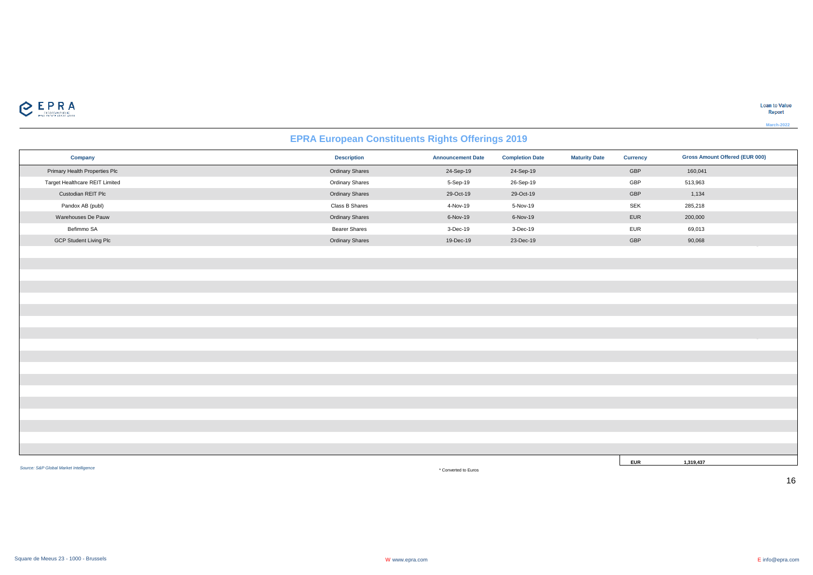

# **EPRA European Constituents Rights Offerings 2019**

|                                | - 17                 | $\tilde{\phantom{a}}$    | $\sim$                 |                      |                 |                                       |
|--------------------------------|----------------------|--------------------------|------------------------|----------------------|-----------------|---------------------------------------|
| Company                        | <b>Description</b>   | <b>Announcement Date</b> | <b>Completion Date</b> | <b>Maturity Date</b> | <b>Currency</b> | <b>Gross Amount Offered (EUR 000)</b> |
| Primary Health Properties Plc  | Ordinary Shares      | 24-Sep-19                | 24-Sep-19              |                      | GBP             | 160,041                               |
| Target Healthcare REIT Limited | Ordinary Shares      | 5-Sep-19                 | 26-Sep-19              |                      | GBP             | 513,963                               |
| Custodian REIT Plc             | Ordinary Shares      | 29-Oct-19                | 29-Oct-19              |                      | GBP             | 1,134                                 |
| Pandox AB (publ)               | Class B Shares       | 4-Nov-19                 | 5-Nov-19               |                      | SEK             | 285,218                               |
| Warehouses De Pauw             | Ordinary Shares      | 6-Nov-19                 | 6-Nov-19               |                      | EUR             | 200,000                               |
| Befimmo SA                     | <b>Bearer Shares</b> | 3-Dec-19                 | 3-Dec-19               |                      | EUR             | 69,013                                |
| <b>GCP Student Living Plc</b>  | Ordinary Shares      | 19-Dec-19                | 23-Dec-19              |                      | GBP             | 90,068                                |
|                                |                      |                          |                        |                      |                 |                                       |
|                                |                      |                          |                        |                      |                 |                                       |
|                                |                      |                          |                        |                      |                 |                                       |
|                                |                      |                          |                        |                      |                 |                                       |
|                                |                      |                          |                        |                      |                 |                                       |
|                                |                      |                          |                        |                      |                 |                                       |
|                                |                      |                          |                        |                      |                 |                                       |
|                                |                      |                          |                        |                      |                 |                                       |
|                                |                      |                          |                        |                      |                 |                                       |
|                                |                      |                          |                        |                      |                 |                                       |
|                                |                      |                          |                        |                      |                 |                                       |
|                                |                      |                          |                        |                      |                 |                                       |
|                                |                      |                          |                        |                      |                 |                                       |
|                                |                      |                          |                        |                      |                 |                                       |
|                                |                      |                          |                        |                      |                 |                                       |
|                                |                      |                          |                        |                      |                 |                                       |
|                                |                      |                          |                        |                      |                 |                                       |
|                                |                      |                          |                        |                      |                 |                                       |
|                                |                      |                          |                        |                      | <b>EUR</b>      | 1,319,437                             |

*Source: S&P Global Market Intelligence*

\* Converted to Euros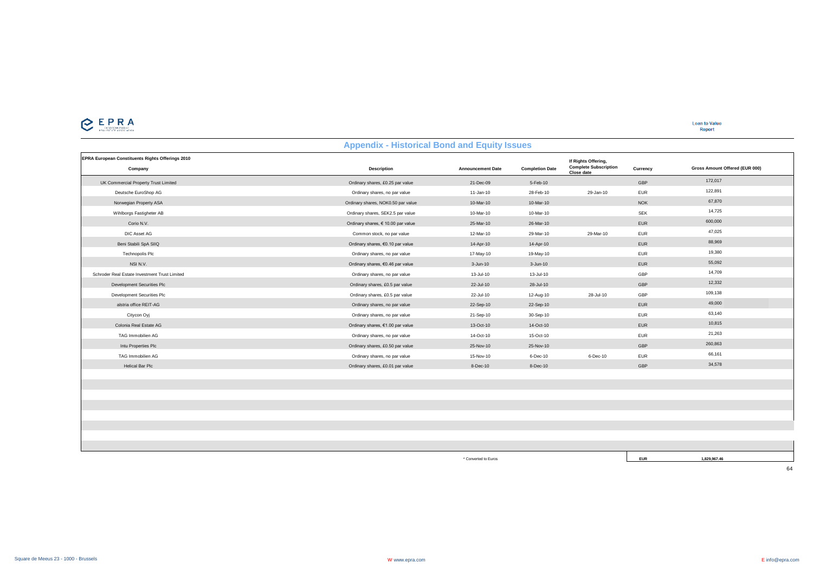**Loan to Value**<br>Report

|                                                             | <b>Appendix - Historical Bond and Equity Issues</b> |                          |                        |                                                                   |            |                                |  |
|-------------------------------------------------------------|-----------------------------------------------------|--------------------------|------------------------|-------------------------------------------------------------------|------------|--------------------------------|--|
| EPRA European Constituents Rights Offerings 2010<br>Company | <b>Description</b>                                  | <b>Announcement Date</b> | <b>Completion Date</b> | If Rights Offering,<br><b>Complete Subscription</b><br>Close date | Currency   | Gross Amount Offered (EUR 000) |  |
| UK Commercial Property Trust Limited                        | Ordinary shares, £0.25 par value                    | 21-Dec-09                | 5-Feb-10               |                                                                   | GBP        | 172,017                        |  |
| Deutsche EuroShop AG                                        | Ordinary shares, no par value                       | 11-Jan-10                | 28-Feb-10              | 29-Jan-10                                                         | <b>EUR</b> | 122,891                        |  |
| Norwegian Property ASA                                      | Ordinary shares, NOK0.50 par value                  | 10-Mar-10                | 10-Mar-10              |                                                                   | <b>NOK</b> | 67,870                         |  |
| Wihlborgs Fastigheter AB                                    | Ordinary shares, SEK2.5 par value                   | 10-Mar-10                | 10-Mar-10              |                                                                   | <b>SEK</b> | 14,725                         |  |
| Corio N.V.                                                  | Ordinary shares, € 10.00 par value                  | 25-Mar-10                | 26-Mar-10              |                                                                   | <b>EUR</b> | 600,000                        |  |
| DIC Asset AG                                                | Common stock, no par value                          | 12-Mar-10                | 29-Mar-10              | 29-Mar-10                                                         | <b>EUR</b> | 47,025                         |  |
| Beni Stabili SpA SIIQ                                       | Ordinary shares, €0.10 par value                    | 14-Apr-10                | 14-Apr-10              |                                                                   | <b>EUR</b> | 88,969                         |  |
| Technopolis Plc                                             | Ordinary shares, no par value                       | 17-May-10                | 19-May-10              |                                                                   | <b>EUR</b> | 19,380                         |  |
| NSI N.V.                                                    | Ordinary shares, €0.46 par value                    | 3-Jun-10                 | $3 - Jun-10$           |                                                                   | <b>EUR</b> | 55,092                         |  |
| Schroder Real Estate Investment Trust Limited               | Ordinary shares, no par value                       | 13-Jul-10                | 13-Jul-10              |                                                                   | GBP        | 14,709                         |  |
| Development Securities Plc                                  | Ordinary shares, £0.5 par value                     | 22-Jul-10                | 28-Jul-10              |                                                                   | GBP        | 12,332                         |  |
| Development Securities Plc                                  | Ordinary shares, £0.5 par value                     | 22-Jul-10                | 12-Aug-10              | 28-Jul-10                                                         | GBP        | 109,138                        |  |
| alstria office REIT-AG                                      | Ordinary shares, no par value                       | 22-Sep-10                | 22-Sep-10              |                                                                   | <b>EUR</b> | 49,000                         |  |
| Citycon Oyj                                                 | Ordinary shares, no par value                       | 21-Sep-10                | 30-Sep-10              |                                                                   | <b>EUR</b> | 63,140                         |  |
| Colonia Real Estate AG                                      | Ordinary shares, €1.00 par value                    | 13-Oct-10                | 14-Oct-10              |                                                                   | EUR        | 10,815                         |  |
| TAG Immobilien AG                                           | Ordinary shares, no par value                       | 14-Oct-10                | 15-Oct-10              |                                                                   | <b>EUR</b> | 21,263                         |  |
| Intu Properties Plc                                         | Ordinary shares, £0.50 par value                    | 25-Nov-10                | 25-Nov-10              |                                                                   | GBP        | 260,863                        |  |
| TAG Immobilien AG                                           | Ordinary shares, no par value                       | 15-Nov-10                | 6-Dec-10               | 6-Dec-10                                                          | <b>EUR</b> | 66,161                         |  |
| Helical Bar Plc                                             | Ordinary shares, £0.01 par value                    | 8-Dec-10                 | 8-Dec-10               |                                                                   | GBP        | 34,578                         |  |
|                                                             |                                                     |                          |                        |                                                                   |            |                                |  |
|                                                             |                                                     |                          |                        |                                                                   |            |                                |  |
|                                                             |                                                     |                          |                        |                                                                   |            |                                |  |
|                                                             |                                                     |                          |                        |                                                                   |            |                                |  |
|                                                             |                                                     |                          |                        |                                                                   |            |                                |  |
|                                                             |                                                     |                          |                        |                                                                   |            |                                |  |
|                                                             |                                                     |                          |                        |                                                                   |            |                                |  |
|                                                             |                                                     |                          |                        |                                                                   |            |                                |  |

\* Converted to Euros **EUR 1,829,967.46**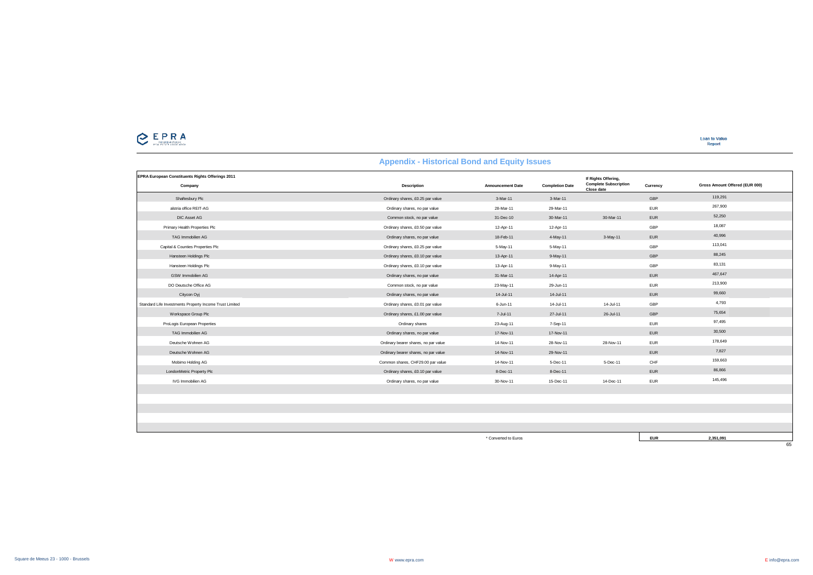

| EPRA European Constituents Rights Offerings 2011<br>Company | <b>Description</b>                   | <b>Announcement Date</b> | <b>Completion Date</b> | If Rights Offering,<br><b>Complete Subscription</b><br>Close date | Currency   | Gross Amount Offered (EUR 000) |  |
|-------------------------------------------------------------|--------------------------------------|--------------------------|------------------------|-------------------------------------------------------------------|------------|--------------------------------|--|
| Shaftesbury Plc                                             | Ordinary shares, £0.25 par value     | 3-Mar-11                 | 3-Mar-11               |                                                                   | GBP        | 119,291                        |  |
| alstria office REIT-AG                                      | Ordinary shares, no par value        | 28-Mar-11                | 29-Mar-11              |                                                                   | <b>EUR</b> | 267,900                        |  |
| DIC Asset AG                                                | Common stock, no par value           | 31-Dec-10                | 30-Mar-11              | 30-Mar-11                                                         | EUR        | 52,250                         |  |
| Primary Health Properties Plc                               | Ordinary shares, £0.50 par value     | 12-Apr-11                | 12-Apr-11              |                                                                   | GBP        | 18,087                         |  |
| TAG Immobilien AG                                           | Ordinary shares, no par value        | 18-Feb-11                | 4-May-11               | 3-May-11                                                          | <b>EUR</b> | 40,996                         |  |
| Capital & Counties Properties Plc                           | Ordinary shares, £0.25 par value     | 5-May-11                 | 5-May-11               |                                                                   | GBP        | 113,041                        |  |
| Hansteen Holdings Plc                                       | Ordinary shares, £0.10 par value     | 13-Apr-11                | 9-May-11               |                                                                   | GBP        | 88,245                         |  |
| Hansteen Holdings Plc                                       | Ordinary shares, £0.10 par value     | 13-Apr-11                | 9-May-11               |                                                                   | GBP        | 83,131                         |  |
| GSW Immobilien AG                                           | Ordinary shares, no par value        | 31-Mar-11                | 14-Apr-11              |                                                                   | EUR        | 467,647                        |  |
| DO Deutsche Office AG                                       | Common stock, no par value           | 23-May-11                | 29-Jun-11              |                                                                   | <b>EUR</b> | 213,900                        |  |
| Citycon Oyj                                                 | Ordinary shares, no par value        | 14-Jul-11                | 14-Jul-11              |                                                                   | <b>EUR</b> | 99,660                         |  |
| Standard Life Investments Property Income Trust Limited     | Ordinary shares, £0.01 par value     | 6-Jun-11                 | 14-Jul-11              | 14-Jul-11                                                         | GBP        | 4,793                          |  |
| Workspace Group Plc                                         | Ordinary shares, £1.00 par value     | 7-Jul-11                 | 27-Jul-11              | 26-Jul-11                                                         | GBP        | 75,654                         |  |
| ProLogis European Properties                                | Ordinary shares                      | 23-Aug-11                | 7-Sep-11               |                                                                   | <b>EUR</b> | 97,495                         |  |
| TAG Immobilien AG                                           | Ordinary shares, no par value        | 17-Nov-11                | 17-Nov-11              |                                                                   | <b>EUR</b> | 30,500                         |  |
| Deutsche Wohnen AG                                          | Ordinary bearer shares, no par value | 14-Nov-11                | 28-Nov-11              | 28-Nov-11                                                         | <b>EUR</b> | 178,649                        |  |
| Deutsche Wohnen AG                                          | Ordinary bearer shares, no par value | 14-Nov-11                | 29-Nov-11              |                                                                   | <b>EUR</b> | 7,827                          |  |
| Mobimo Holding AG                                           | Common shares, CHF29.00 par value    | 14-Nov-11                | 5-Dec-11               | 5-Dec-11                                                          | CHF        | 159,663                        |  |
| LondonMetric Property Plc                                   | Ordinary shares, £0.10 par value     | 8-Dec-11                 | 8-Dec-11               |                                                                   | <b>EUR</b> | 86,866                         |  |
| IVG Immobilien AG                                           | Ordinary shares, no par value        | 30-Nov-11                | 15-Dec-11              | 14-Dec-11                                                         | <b>EUR</b> | 145,496                        |  |
|                                                             |                                      |                          |                        |                                                                   |            |                                |  |
|                                                             |                                      |                          |                        |                                                                   |            |                                |  |
|                                                             |                                      |                          |                        |                                                                   |            |                                |  |
|                                                             |                                      |                          |                        |                                                                   |            |                                |  |
|                                                             |                                      |                          |                        |                                                                   |            |                                |  |

\* Converted to Euros **EUR 2,351,091**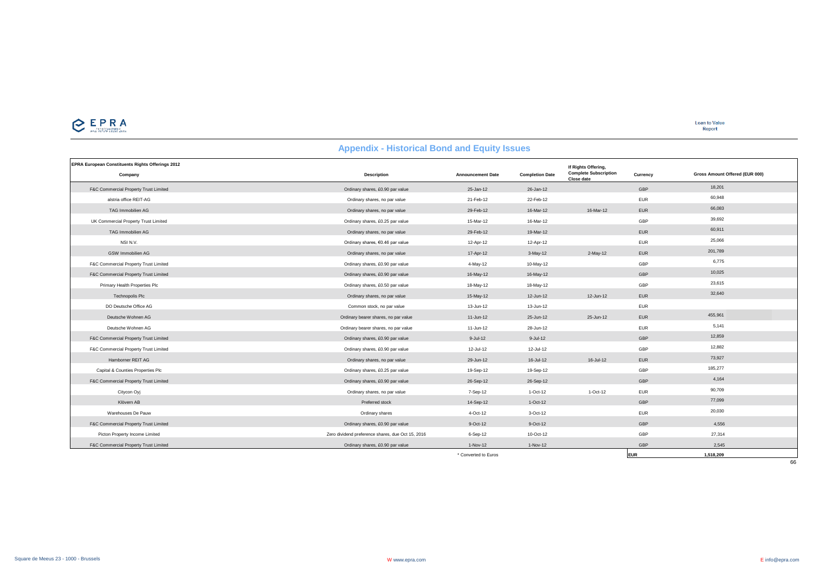

**Loan to Value** Report

#### **EPRA European Constituents Rights Offerings 2012 Company Description Announcement Date Completion Date Currency** F&C Commercial Property Trust Limited Ordinary shares, £0.90 par value 25-Jan-12 26-Jan-12 GBP 18,201 alstria office REIT-AG Ordinary shares, no par value 21-Feb-12 22-Feb-12 EUR 60,948 TAG Immobilien AG Ordinary shares, no par value 29-Feb-12 16-Mar-12 16-Mar-12 EUR 66,083 16-Mar-12 EUR 66,083 UK Commercial Property Trust Limited States Commercial Property Trust Limited States (20.25 par value 15-Mar-12 16-Mar-12 16-Mar-12 16-Mar-12 16-Mar-12 GBP 39,692 TAG Immobilien AG Ordinary shares, no par value 29-Feb-12 19-Mar-12 19-Mar-12 EUR 20-Feb-12 19-Mar-12 29-Feb-12 29-Feb-12 29-Feb-12 29-Feb-12 29-Feb-12 29-Feb-12 29-Feb-12 29-Feb-12 29-Feb-12 29-Feb-12 29-Feb-12 29-Feb-12 NSI N.V. 25,066 par value 12-Apr-12 12-Apr-12 12-Apr-12 12-Apr-12 12-Apr-12 EUR 25,066 GSW Immobilien AG Ordinary shares, no par value 17-Apr-12 3-May-12 2-May-12 EUR 201,789 F&C Commercial Property Trust Limited 6,775 Communical Communical Communication of the Communical Communical Communication of the Communical Property Trust Limited 6,775 Communical Communication of the Communical Property F&C Commercial Property Trust Limited Ordinary shares, £0.90 par value 16-May-12 16-May-12 GBP 10,025 Primary Health Properties Plc Contracts Plc Contracts Contracts Contracts of Dredinary shares, £0.50 par value 18-May-12 18-May-12 18-May-12 (GBP 23,615 Technopolis Plc 2006 and the Cordinary shares, no par value 15-May-12 12-Jun-12 12-Jun-12 EUR 32,640 DO Deutsche Office AG Common stock, no par value 13-Jun-12 13-Jun-12 EUR Deutsche Wohnen AG Ordinary bearer shares, no par value 11-Jun-12 25-Jun-12 25-Jun-12 EUR 455,961 Deutsche Wohnen AG Ordinary bearer shares, no par value 11-Jun-12 28-Jun-12 EUR 5,141 F&C Commercial Property Trust Limited Ordinary shares, £0.90 par value 9-Jul-12 9-Jul-12 GBP 12,859 F&C Commercial Property Trust Limited Ordinary shares, £0.90 par value 12-Jul-12 12-Jul-12 GBP 12,882 Hamborner REIT AG Ordinary shares, no par value 29-Jun-12 16-Jul-12 16-Jul-12 EUR 73,927 Capital & Counties Properties Plc Capital Accounts Contained a contained by the Capital School of the Capital School of the Capital Accounts of the Capital Accounts of the Capital Accounts of the Capital Accounts of the Ca F&C Commercial Property Trust Limited Ordinary shares, £0.90 par value 26-Sep-12 26-Sep-12 GBP 4,164 Citycon Oyj Citycon Oyj Citycon Ordinary shares, no par value **7-Sep-12** 1-Oct-12 1-Oct-12 1-Oct-12 EUR 90,709 Klövern AB Preferred stock 14-Sep-12 1-Oct-12 GBP 77,099 warehouses De Pauw **Calculary Section 20,030** Ordinary shares 4-Oct-12 3-Oct-12 3-Oct-12 3-Oct-12 EUR 20,030 F&C Commercial Property Trust Limited Ordinary shares, £0.90 par value 9-Oct-12 9-Oct-12 GBP 4,556 Picton Property Income Limited CBP 27,314 Cero dividend preference shares, due Oct 15, 2016 6-Sep-12 10-Oct-12 10-Oct-12 GBP 27,314 F&C Commercial Property Trust Limited Subsection Commercial Property Trust Limited Subsection Commercial Property Trust Limited Subsection 2,545 par value 2,545 par value 2,545 par value 1-Nov-12 1-Nov-12 1-Nov-12 5-45 par **If Rights Offering, Complete Subscription Close date Gross Amount Offered (EUR 000) Appendix - Historical Bond and Equity Issues**

\* Converted to Euros **EUR 1,518,209**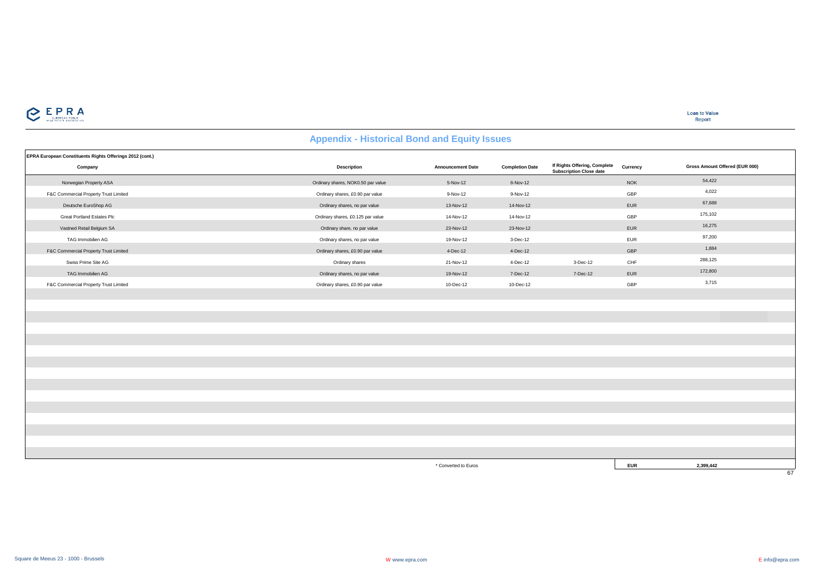

**Loan to Value** Report

#### **Appendix - Historical Bond and Equity Issues**

| EPRA European Constituents Rights Offerings 2012 (cont.) |                                    |                          |                        |                                                                |            |                                |
|----------------------------------------------------------|------------------------------------|--------------------------|------------------------|----------------------------------------------------------------|------------|--------------------------------|
| Company                                                  | <b>Description</b>                 | <b>Announcement Date</b> | <b>Completion Date</b> | If Rights Offering, Complete<br><b>Subscription Close date</b> | Currency   | Gross Amount Offered (EUR 000) |
| Norwegian Property ASA                                   | Ordinary shares, NOK0.50 par value | 5-Nov-12                 | 6-Nov-12               |                                                                | <b>NOK</b> | 54,422                         |
| F&C Commercial Property Trust Limited                    | Ordinary shares, £0.90 par value   | 9-Nov-12                 | 9-Nov-12               |                                                                | GBP        | 4,022                          |
| Deutsche EuroShop AG                                     | Ordinary shares, no par value      | 13-Nov-12                | 14-Nov-12              |                                                                | EUR        | 67,688                         |
| Great Portland Estates Plc                               | Ordinary shares, £0.125 par value  | 14-Nov-12                | 14-Nov-12              |                                                                | GBP        | 175,102                        |
| Vastned Retail Belgium SA                                | Ordinary share, no par value       | 23-Nov-12                | 23-Nov-12              |                                                                | <b>EUR</b> | 16,275                         |
| TAG Immobilien AG                                        | Ordinary shares, no par value      | 19-Nov-12                | 3-Dec-12               |                                                                | EUR        | 97,200                         |
| F&C Commercial Property Trust Limited                    | Ordinary shares, £0.90 par value   | 4-Dec-12                 | 4-Dec-12               |                                                                | GBP        | 1,884                          |
| Swiss Prime Site AG                                      | Ordinary shares                    | 21-Nov-12                | 4-Dec-12               | 3-Dec-12                                                       | CHF        | 288,125                        |
| TAG Immobilien AG                                        | Ordinary shares, no par value      | 19-Nov-12                | 7-Dec-12               | 7-Dec-12                                                       | EUR        | 172,800                        |
| F&C Commercial Property Trust Limited                    | Ordinary shares, £0.90 par value   | 10-Dec-12                | 10-Dec-12              |                                                                | GBP        | 3,715                          |
|                                                          |                                    |                          |                        |                                                                |            |                                |
|                                                          |                                    |                          |                        |                                                                |            |                                |
|                                                          |                                    |                          |                        |                                                                |            |                                |
|                                                          |                                    |                          |                        |                                                                |            |                                |
|                                                          |                                    |                          |                        |                                                                |            |                                |
|                                                          |                                    |                          |                        |                                                                |            |                                |
|                                                          |                                    |                          |                        |                                                                |            |                                |
|                                                          |                                    |                          |                        |                                                                |            |                                |
|                                                          |                                    |                          |                        |                                                                |            |                                |
|                                                          |                                    |                          |                        |                                                                |            |                                |
|                                                          |                                    |                          |                        |                                                                |            |                                |
|                                                          |                                    |                          |                        |                                                                |            |                                |
|                                                          |                                    |                          |                        |                                                                |            |                                |
|                                                          |                                    |                          |                        |                                                                |            |                                |
|                                                          |                                    |                          |                        |                                                                |            |                                |
|                                                          |                                    | * Converted to Euros     |                        |                                                                | <b>EUR</b> | 2,399,442                      |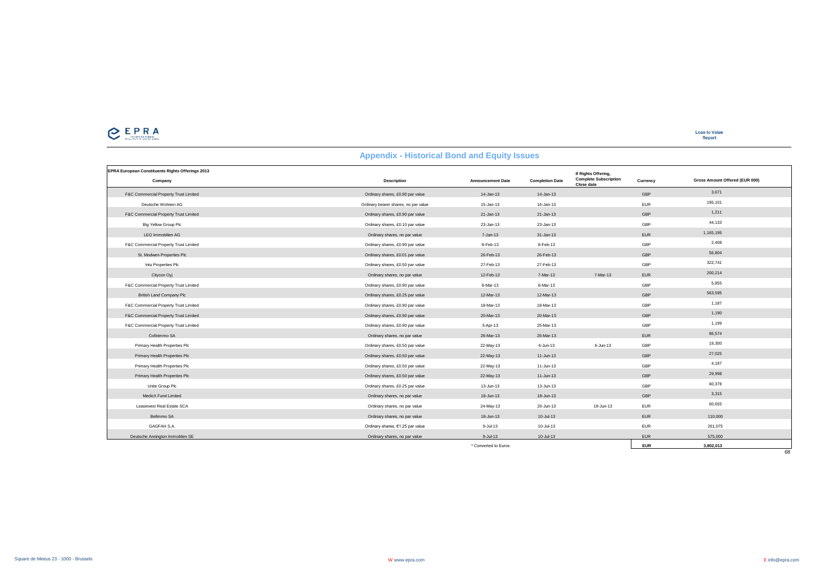# CEPRA

| <b>EPRA European Constituents Rights Offerings 2013</b> |                                      |                          |                        |                                                                   |            |                                |
|---------------------------------------------------------|--------------------------------------|--------------------------|------------------------|-------------------------------------------------------------------|------------|--------------------------------|
| Company                                                 | <b>Description</b>                   | <b>Announcement Date</b> | <b>Completion Date</b> | If Rights Offering,<br><b>Complete Subscription</b><br>Close date | Currency   | Gross Amount Offered (EUR 000) |
| F&C Commercial Property Trust Limited                   | Ordinary shares, £0.90 par value     | $14 - Jan-13$            | 14-Jan-13              |                                                                   | GBP        | 3,671                          |
| Deutsche Wohnen AG                                      | Ordinary bearer shares, no par value | $15 - Jan-13$            | 16-Jan-13              |                                                                   | <b>EUR</b> | 195,101                        |
| F&C Commercial Property Trust Limited                   | Ordinary shares, £0.90 par value     | $21 - Jan-13$            | 21-Jan-13              |                                                                   | GBP        | 1,211                          |
| Big Yellow Group Plc                                    | Ordinary shares, £0.10 par value     | 23-Jan-13                | 23-Jan-13              |                                                                   | GBP        | 44,133                         |
| LEG Immobilien AG                                       | Ordinary shares, no par value        | 7-Jan-13                 | 31-Jan-13              |                                                                   | <b>EUR</b> | 1,165,195                      |
| F&C Commercial Property Trust Limited                   | Ordinary shares, £0.90 par value     | 8-Feb-13                 | 8-Feb-13               |                                                                   | GBP        | 2.408                          |
| St. Modwen Properties Plc                               | Ordinary shares, £0.01 par value     | 26-Feb-13                | 26-Feb-13              |                                                                   | GBP        | 56,804                         |
| Intu Properties Plc                                     | Ordinary shares, £0.50 par value     | 27-Feb-13                | 27-Feb-13              |                                                                   | GBP        | 322,741                        |
| Citycon Oyj                                             | Ordinary shares, no par value        | 12-Feb-13                | 7-Mar-13               | 7-Mar-13                                                          | <b>EUR</b> | 200,214                        |
| F&C Commercial Property Trust Limited                   | Ordinary shares, £0.90 par value     | 8-Mar-13                 | 8-Mar-13               |                                                                   | GBP        | 5,855                          |
| <b>British Land Company Plc</b>                         | Ordinary shares, £0.25 par value     | 12-Mar-13                | 12-Mar-13              |                                                                   | GBP        | 563,595                        |
| F&C Commercial Property Trust Limited                   | Ordinary shares, £0.90 par value     | 18-Mar-13                | 18-Mar-13              |                                                                   | GBP        | 1,187                          |
| F&C Commercial Property Trust Limited                   | Ordinary shares, £0.90 par value     | 20-Mar-13                | 20-Mar-13              |                                                                   | GBP        | 1,190                          |
| F&C Commercial Property Trust Limited                   | Ordinary shares, £0.90 par value     | 3-Apr-13                 | 25-Mar-13              |                                                                   | GBP        | 1,199                          |
| Cofinimmo SA                                            | Ordinary shares, no par value        | 26-Mar-13                | 26-Mar-13              |                                                                   | <b>EUR</b> | 86,574                         |
| Primary Health Properties Plc                           | Ordinary shares, £0.50 par value     | 22-May-13                | $6 - Jun-13$           | $6 - Jun-13$                                                      | GBP        | 19,300                         |
| Primary Health Properties Plc                           | Ordinary shares, £0.50 par value     | 22-May-13                | 11-Jun-13              |                                                                   | GBP        | 27,025                         |
| Primary Health Properties Plc                           | Ordinary shares, £0.50 par value     | 22-May-13                | 11-Jun-13              |                                                                   | GBP        | 4,187                          |
| Primary Health Properties Plc                           | Ordinary shares, £0.50 par value     | 22-May-13                | 11-Jun-13              |                                                                   | GBP        | 29,998                         |
| Unite Group Plc                                         | Ordinary shares, £0.25 par value     | 13-Jun-13                | 13-Jun-13              |                                                                   | GBP        | 60,378                         |
| MedicX Fund Limited                                     | Ordinary shares, no par value        | 18-Jun-13                | 18-Jun-13              |                                                                   | GBP        | 3,315                          |
| Leasinvest Real Estate SCA                              | Ordinary shares, no par value        | 24-May-13                | 20-Jun-13              | 19-Jun-13                                                         | <b>EUR</b> | 60,655                         |
| Befimmo SA                                              | Ordinary shares, no par value        | 18-Jun-13                | 10-Jul-13              |                                                                   | <b>EUR</b> | 110,000                        |
| GAGFAH S.A.                                             | Ordinary shares, €1.25 par value     | 9-Jul-13                 | $10 -$ Jul-13          |                                                                   | <b>EUR</b> | 261,075                        |
| Deutsche Annington Immoblien SE                         | Ordinary shares, no par value        | $9 -$ Jul-13             | $10 -$ Jul-13          |                                                                   | <b>EUR</b> | 575,000                        |
|                                                         |                                      | * Converted to Euros     |                        |                                                                   | <b>EUR</b> | 3,802,013                      |
|                                                         |                                      |                          |                        |                                                                   |            | 68                             |

#### **Appendix - Historical Bond and Equity Issues**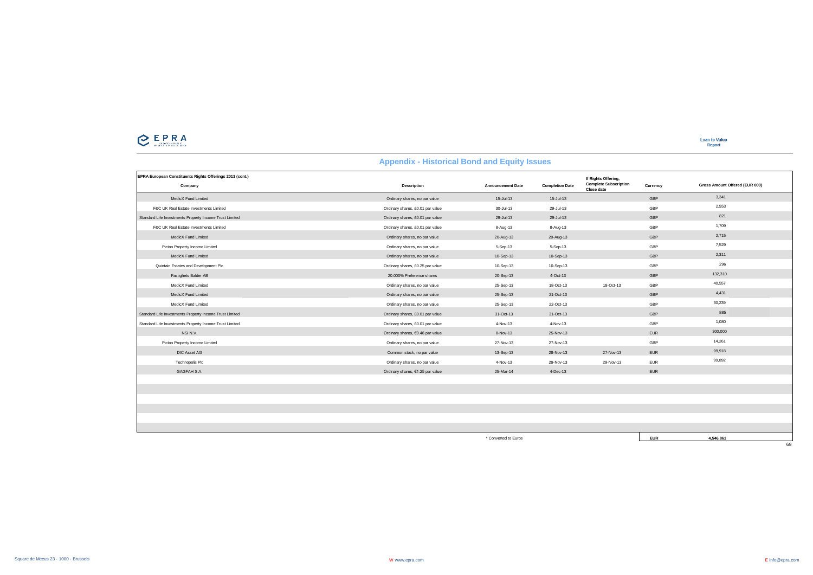

| EPRA European Constituents Rights Offerings 2013 (cont.) |                                  |                          |                        | If Rights Offering,                        |            |                                |
|----------------------------------------------------------|----------------------------------|--------------------------|------------------------|--------------------------------------------|------------|--------------------------------|
| Company                                                  | Description                      | <b>Announcement Date</b> | <b>Completion Date</b> | <b>Complete Subscription</b><br>Close date | Currency   | Gross Amount Offered (EUR 000) |
| MedicX Fund Limited                                      | Ordinary shares, no par value    | 15-Jul-13                | $15 -$ Jul-13          |                                            | GBP        | 3,341                          |
| F&C UK Real Estate Investments Limited                   | Ordinary shares, £0.01 par value | 30-Jul-13                | 29-Jul-13              |                                            | GBP        | 2,553                          |
| Standard Life Investments Property Income Trust Limited  | Ordinary shares, £0.01 par value | 29-Jul-13                | 29-Jul-13              |                                            | GBP        | 821                            |
| F&C UK Real Estate Investments Limited                   | Ordinary shares, £0.01 par value | 8-Aug-13                 | 8-Aug-13               |                                            | GBP        | 1,709                          |
| MedicX Fund Limited                                      | Ordinary shares, no par value    | 20-Aug-13                | 20-Aug-13              |                                            | GBP        | 2.715                          |
| Picton Property Income Limited                           | Ordinary shares, no par value    | 5-Sep-13                 | 5-Sep-13               |                                            | GBP        | 7,529                          |
| MedicX Fund Limited                                      | Ordinary shares, no par value    | 10-Sep-13                | 10-Sep-13              |                                            | GBP        | 2,311                          |
| Quintain Estates and Development Plc                     | Ordinary shares, £0.25 par value | 10-Sep-13                | 10-Sep-13              |                                            | GBP        | 296                            |
| Fastighets Balder AB                                     | 20.000% Preference shares        | 20-Sep-13                | 4-Oct-13               |                                            | GBP        | 132,310                        |
| MedicX Fund Limited                                      | Ordinary shares, no par value    | 25-Sep-13                | 18-Oct-13              | 18-Oct-13                                  | GBP        | 40,557                         |
| MedicX Fund Limited                                      | Ordinary shares, no par value    | 25-Sep-13                | 21-Oct-13              |                                            | GBP        | 4,431                          |
| MedicX Fund Limited                                      | Ordinary shares, no par value    | 25-Sep-13                | 22-Oct-13              |                                            | GBP        | 30,239                         |
| Standard Life Investments Property Income Trust Limited  | Ordinary shares, £0.01 par value | 31-Oct-13                | 31-Oct-13              |                                            | GBP        | 885                            |
| Standard Life Investments Property Income Trust Limited  | Ordinary shares, £0.01 par value | 4-Nov-13                 | 4-Nov-13               |                                            | GBP        | 1,080                          |
| NSI N.V.                                                 | Ordinary shares, €0.46 par value | 8-Nov-13                 | 25-Nov-13              |                                            | <b>EUR</b> | 300,000                        |
| Picton Property Income Limited                           | Ordinary shares, no par value    | 27-Nov-13                | 27-Nov-13              |                                            | GBP        | 14,261                         |
| DIC Asset AG                                             | Common stock, no par value       | 13-Sep-13                | 28-Nov-13              | 27-Nov-13                                  | EUR        | 99,918                         |
| Technopolis Plc                                          | Ordinary shares, no par value    | 4-Nov-13                 | 29-Nov-13              | 29-Nov-13                                  | <b>EUR</b> | 99,892                         |
| GAGFAH S.A.                                              | Ordinary shares, €1.25 par value | 25-Mar-14                | 4-Dec-13               |                                            | EUR        |                                |
|                                                          |                                  |                          |                        |                                            |            |                                |
|                                                          |                                  |                          |                        |                                            |            |                                |
|                                                          |                                  |                          |                        |                                            |            |                                |
|                                                          |                                  |                          |                        |                                            |            |                                |

\* Converted to Euros **EUR 4,546,861**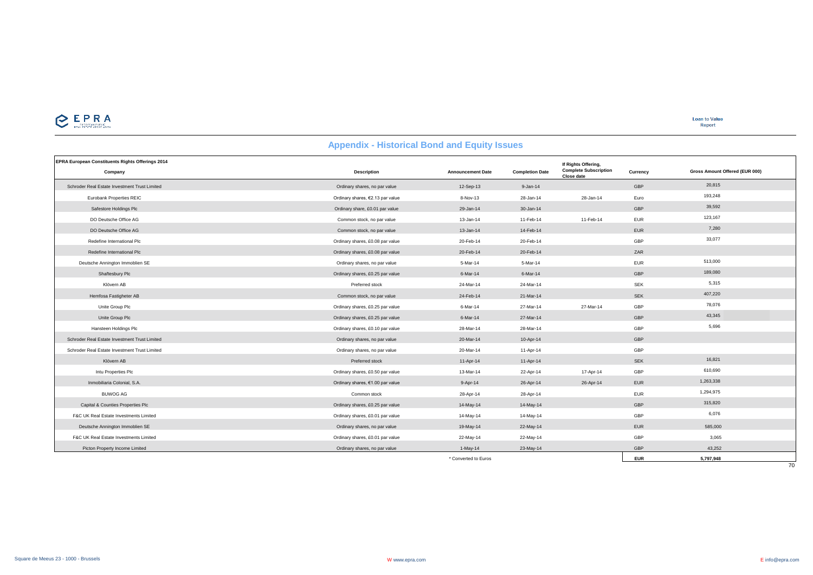

### **EPRA European Constituents Rights Offerings 2014 Company Description Announcement Date Completion Date Currency** Schroder Real Estate Investment Trust Limited Company and Company shares, no par value 12-Sep-13 9-Jan-14 9-Jan-14 GBP 20,815 Eurobank Properties REIC Ordinary shares, €2.13 par value 8-Nov-13 28-Jan-14 28-Jan-14 Euro 193,248 Safestore Holdings Plc Critics Plc Ordinary share, £0.01 par value 29-Jan-14 30-Jan-14 30-Jan-14 GBP 39,592 DO Deutsche Office AG Common stock, no par value 13-Jan-14 11-Feb-14 11-Feb-14 EUR 123,167 DO Deutsche Office AG Common stock, no par value 13-Jan-14 14-Feb-14 14-Feb-14 EUR FUR 1,280 No. 13-Jan-14 14-Feb-14 EUR 7,280 Redefine International Plc Content Content Content Content Content Content of Content Content Content Content Content Content Content Content Content Content Content Content Content Content Content Content Content Content Redefine International Plc Ordinary shares, £0.08 par value 20-Feb-14 20-Feb-14 ZAR Deutsche Annington Immobilen SE **Ordinary Shares, no par value** 5-Mar-14 5-Mar-14 5-Mar-14 EUR 513,000 5-Mar-14 EUR Shaftesbury Plc **Calculary Schares, 20.25 par value** 6-Mar-14 6-Mar-14 6-Mar-14 6-Mar-14 GBP 189,080 189,080 Klövern AB Preferred stock 24-Mar-14 24-Mar-14 SEK 5,315 Hemfosa Fastigheter AB SEK 407,220 AB Common stock, no par value 24-Feb-14 21-Mar-14 21-Mar-14 SEK SEK 407,220 Unite Group Plc Ordinary shares, £0.25 par value 6-Mar-14 27-Mar-14 27-Mar-14 GBP 78,076 Unite Group Plc **Case of Contact Construction** of Critical Actual Construction of Construction of the Construction of the Construction of the Construction of the Construction of the Construction of the Construction of the Hansteen Holdings Plc Ordinary shares, £0.10 par value 28-Mar-14 28-Mar-14 GBP 5,696 Schroder Real Estate Investment Trust Limited Ordinary shares, no par value 20-Mar-14 10-Apr-14 GBP Schroder Real Estate Investment Trust Limited CBP CORP CORPORT CHENNET CHENNET CORPORT ORDINARY Shares, no par value 20-Mar-14 20-Mar-14 11-Apr-14 11-Apr-14 GBP Klövern AB Preferred stock 11-Apr-14 11-Apr-14 SEK 16,821 Intu Properties Plc Ordinary shares, £0.50 par value 13-Mar-14 22-Apr-14 17-Apr-14 GBP 610,690 Inmobiliaria Colonial, S.A. Ordinary shares, €1.00 par value 9-Apr-14 26-Apr-14 26-Apr-14 EUR 1,263,338 BUWOG AG Common stock 28-Apr-14 28-Apr-14 EUR 1,294,975 Capital & Counties Properties Plc Capital Accounts Capital Accounts the Capital Accounts of the Capital Accounts of the Capital Accounts of the Capital Accounts of the Capital Accounts of the Capital Accounts of the Capita F&C UK Real Estate Investments Limited Ordinary shares, £0.01 par value 14-May-14 14-May-14 GBP 6,076 Deutsche Annington Immoblien SE Ordinary shares, no par value 19-May-14 22-May-14 EUR 585,000 F&C UK Real Estate Investments Limited Ordinary shares, £0.01 par value 22-May-14 22-May-14 GBP 3,065 Picton Property Income Limited GBP 32,522 Community of the Community States, no par value 1-May-14 23-May-14 23-May-14 GBP 43,252 **If Rights Offering, Complete Subscription Close date Gross Amount Offered (EUR 000)**

### **Appendix - Historical Bond and Equity Issues**

\* Converted to Euros **EUR 5,797,948**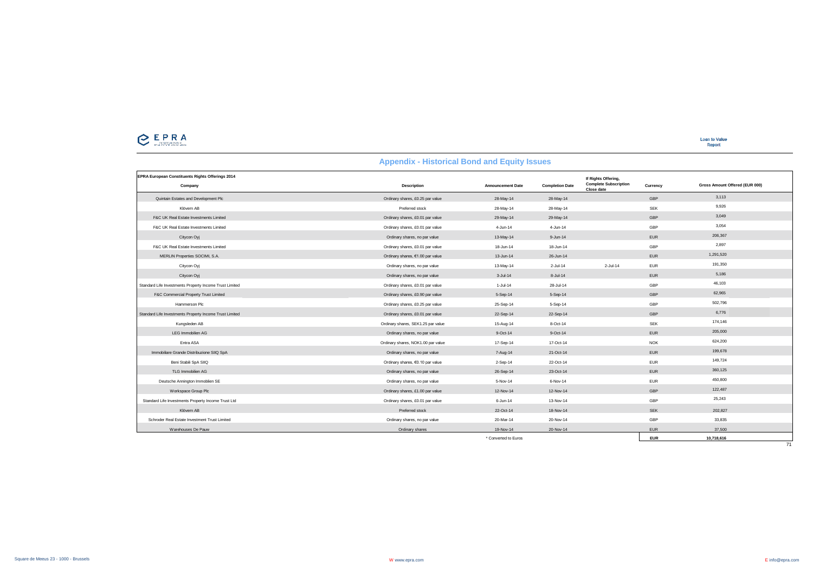

| EPRA European Constituents Rights Offerings 2014<br>Company | Description                        | <b>Announcement Date</b> | <b>Completion Date</b> | If Rights Offering,<br><b>Complete Subscription</b><br>Close date | Currency   | Gross Amount Offered (EUR 000) |
|-------------------------------------------------------------|------------------------------------|--------------------------|------------------------|-------------------------------------------------------------------|------------|--------------------------------|
| Quintain Estates and Development Plc                        | Ordinary shares, £0.25 par value   | 28-May-14                | 28-May-14              |                                                                   | GBP        | 3.113                          |
| Klövern AB                                                  | Preferred stock                    | 28-May-14                | 28-May-14              |                                                                   | <b>SEK</b> | 9,926                          |
| F&C UK Real Estate Investments Limited                      | Ordinary shares, £0.01 par value   | 29-May-14                | 29-May-14              |                                                                   | GBP        | 3,049                          |
| F&C UK Real Estate Investments Limited                      | Ordinary shares, £0.01 par value   | 4-Jun-14                 | 4-Jun-14               |                                                                   | GBP        | 3,054                          |
| Citycon Oyj                                                 | Ordinary shares, no par value      | 13-May-14                | $9 - Jun-14$           |                                                                   | EUR        | 206,367                        |
| F&C UK Real Estate Investments Limited                      | Ordinary shares, £0.01 par value   | 18-Jun-14                | 18-Jun-14              |                                                                   | GBP        | 2.897                          |
| MERLIN Properties SOCIMI, S.A.                              | Ordinary shares, €1.00 par value   | 13-Jun-14                | 26-Jun-14              |                                                                   | EUR        | 1,291,520                      |
| Citycon Oyj                                                 | Ordinary shares, no par value      | 13-May-14                | $2$ -Jul-14            | $2 -$ Jul-14                                                      | EUR        | 191,350                        |
| Citycon Oyj                                                 | Ordinary shares, no par value      | $3 -$ Jul-14             | $8 -$ Jul-14           |                                                                   | <b>EUR</b> | 5,186                          |
| Standard Life Investments Property Income Trust Limited     | Ordinary shares, £0.01 par value   | $1-Jul-14$               | 28-Jul-14              |                                                                   | GBP        | 46,103                         |
| F&C Commercial Property Trust Limited                       | Ordinary shares, £0.90 par value   | 5-Sep-14                 | 5-Sep-14               |                                                                   | GBP        | 62,965                         |
| Hammerson Plc                                               | Ordinary shares, £0.25 par value   | 25-Sep-14                | 5-Sep-14               |                                                                   | GBP        | 502,796                        |
| Standard Life Investments Property Income Trust Limited     | Ordinary shares, £0.01 par value   | 22-Sep-14                | 22-Sep-14              |                                                                   | GBP        | 6,776                          |
| Kungsleden AB                                               | Ordinary shares, SEK1.25 par value | 15-Aug-14                | 8-Oct-14               |                                                                   | <b>SEK</b> | 174,146                        |
| <b>LEG Immobilien AG</b>                                    | Ordinary shares, no par value      | $9-Oct-14$               | $9-Oct-14$             |                                                                   | EUR        | 205,000                        |
| Entra ASA                                                   | Ordinary shares, NOK1.00 par value | 17-Sep-14                | 17-Oct-14              |                                                                   | <b>NOK</b> | 624,200                        |
| Immobiliare Grande Distribuzione SIIQ SpA                   | Ordinary shares, no par value      | 7-Aug-14                 | 21-Oct-14              |                                                                   | EUR        | 199,678                        |
| Beni Stabili SpA SIIQ                                       | Ordinary shares, €0.10 par value   | $2-Sep-14$               | 22-Oct-14              |                                                                   | EUR        | 149,724                        |
| TLG Immobilien AG                                           | Ordinary shares, no par value      | 26-Sep-14                | 23-Oct-14              |                                                                   | EUR        | 360,125                        |
| Deutsche Annington Immoblien SE                             | Ordinary shares, no par value      | 5-Nov-14                 | 6-Nov-14               |                                                                   | EUR        | 450,800                        |
| Workspace Group Plc                                         | Ordinary shares, £1.00 par value   | 12-Nov-14                | 12-Nov-14              |                                                                   | GBP        | 122,487                        |
| Standard Life Investments Property Income Trust Ltd         | Ordinary shares, £0.01 par value   | $6 - Jun-14$             | 13-Nov-14              |                                                                   | GBP        | 25,243                         |
| Klövern AB                                                  | Preferred stock                    | 22-Oct-14                | 18-Nov-14              |                                                                   | <b>SEK</b> | 202,827                        |
| Schroder Real Estate Investment Trust Limited               | Ordinary shares, no par value      | 20-Mar-14                | 20-Nov-14              |                                                                   | GBP        | 33,835                         |
| Warehouses De Pauw                                          | Ordinary shares                    | 19-Nov-14                | 20-Nov-14              |                                                                   | <b>EUR</b> | 37,500                         |
|                                                             |                                    | * Converted to Euros     |                        |                                                                   | <b>EUR</b> | 10.718.616                     |

 $\frac{1}{71}$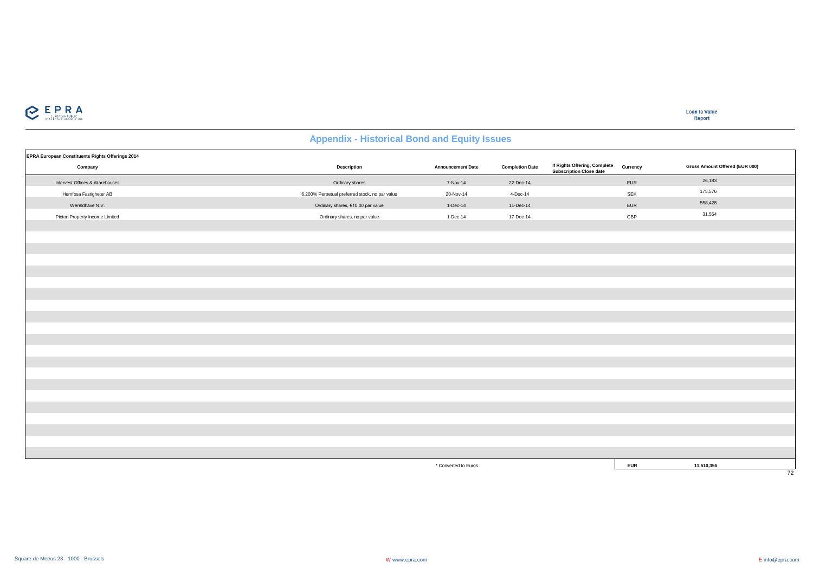

| EPRA European Constituents Rights Offerings 2014 |                                                |                          |                        |                                                                |            |                                |
|--------------------------------------------------|------------------------------------------------|--------------------------|------------------------|----------------------------------------------------------------|------------|--------------------------------|
| Company                                          | <b>Description</b>                             | <b>Announcement Date</b> | <b>Completion Date</b> | If Rights Offering, Complete<br><b>Subscription Close date</b> | Currency   | Gross Amount Offered (EUR 000) |
| Intervest Offices & Warehouses                   | Ordinary shares                                | 7-Nov-14                 | 22-Dec-14              |                                                                | EUR        | 26,183                         |
| Hemfosa Fastigheter AB                           | 6.200% Perpetual preferred stock, no par value | 20-Nov-14                | 4-Dec-14               |                                                                | SEK        | 175,576                        |
| Wereldhave N.V.                                  | Ordinary shares, €10.00 par value              | 1-Dec-14                 | 11-Dec-14              |                                                                | EUR        | 558,428                        |
| Picton Property Income Limited                   | Ordinary shares, no par value                  | 1-Dec-14                 | 17-Dec-14              |                                                                | GBP        | 31,554                         |
|                                                  |                                                |                          |                        |                                                                |            |                                |
|                                                  |                                                |                          |                        |                                                                |            |                                |
|                                                  |                                                |                          |                        |                                                                |            |                                |
|                                                  |                                                |                          |                        |                                                                |            |                                |
|                                                  |                                                |                          |                        |                                                                |            |                                |
|                                                  |                                                |                          |                        |                                                                |            |                                |
|                                                  |                                                |                          |                        |                                                                |            |                                |
|                                                  |                                                |                          |                        |                                                                |            |                                |
|                                                  |                                                |                          |                        |                                                                |            |                                |
|                                                  |                                                |                          |                        |                                                                |            |                                |
|                                                  |                                                |                          |                        |                                                                |            |                                |
|                                                  |                                                |                          |                        |                                                                |            |                                |
|                                                  |                                                |                          |                        |                                                                |            |                                |
|                                                  |                                                |                          |                        |                                                                |            |                                |
|                                                  |                                                |                          |                        |                                                                |            |                                |
|                                                  |                                                |                          |                        |                                                                |            |                                |
|                                                  |                                                |                          |                        |                                                                |            |                                |
|                                                  |                                                |                          |                        |                                                                |            |                                |
|                                                  |                                                |                          |                        |                                                                |            |                                |
|                                                  |                                                |                          |                        |                                                                |            |                                |
|                                                  |                                                |                          |                        |                                                                |            |                                |
|                                                  |                                                | * Converted to Euros     |                        |                                                                | <b>EUR</b> | 11,510,356                     |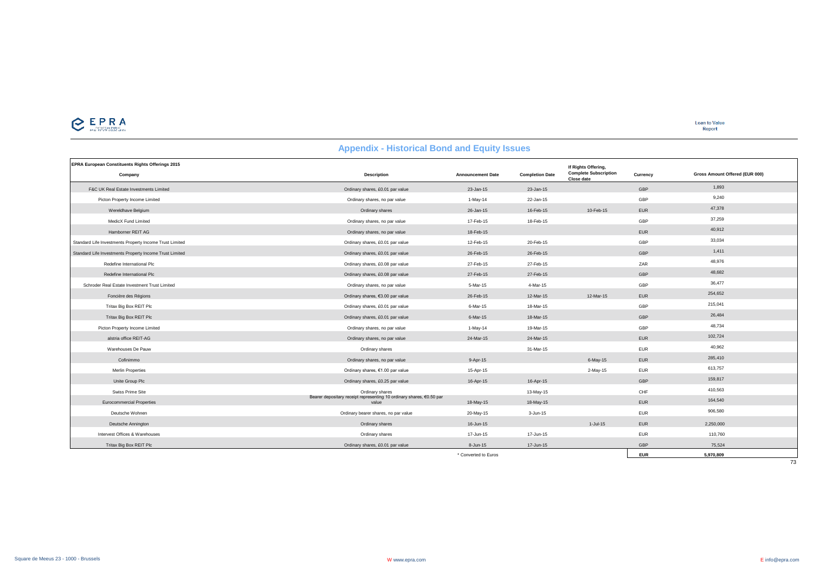# $C$  EPRA

**Loan to Value**<br>Report

| <b>Appendix - Historical Bond and Equity Issues</b>                |                                                                               |                          |                        |                                                                   |            |                                |  |  |
|--------------------------------------------------------------------|-------------------------------------------------------------------------------|--------------------------|------------------------|-------------------------------------------------------------------|------------|--------------------------------|--|--|
| <b>EPRA European Constituents Rights Offerings 2015</b><br>Company | <b>Description</b>                                                            | <b>Announcement Date</b> | <b>Completion Date</b> | If Rights Offering,<br><b>Complete Subscription</b><br>Close date | Currency   | Gross Amount Offered (EUR 000) |  |  |
| F&C UK Real Estate Investments Limited                             | Ordinary shares, £0.01 par value                                              | 23-Jan-15                | 23-Jan-15              |                                                                   | GBP        | 1,893                          |  |  |
| Picton Property Income Limited                                     | Ordinary shares, no par value                                                 | $1-May-14$               | 22-Jan-15              |                                                                   | GBP        | 9,240                          |  |  |
| Wereldhave Belgium                                                 | Ordinary shares                                                               | 26-Jan-15                | 16-Feb-15              | 10-Feb-15                                                         | <b>EUR</b> | 47,378                         |  |  |
| MedicX Fund Limited                                                | Ordinary shares, no par value                                                 | 17-Feb-15                | 18-Feb-15              |                                                                   | GBP        | 37,259                         |  |  |
| Hamborner REIT AG                                                  | Ordinary shares, no par value                                                 | 18-Feb-15                |                        |                                                                   | <b>EUR</b> | 40,912                         |  |  |
| Standard Life Investments Property Income Trust Limited            | Ordinary shares, £0.01 par value                                              | 12-Feb-15                | 20-Feb-15              |                                                                   | GBP        | 33,034                         |  |  |
| Standard Life Investments Property Income Trust Limited            | Ordinary shares, £0.01 par value                                              | 26-Feb-15                | 26-Feb-15              |                                                                   | GBP        | 1,411                          |  |  |
| Redefine International Plc                                         | Ordinary shares, £0.08 par value                                              | 27-Feb-15                | 27-Feb-15              |                                                                   | ZAR        | 48,976                         |  |  |
| Redefine International Plc                                         | Ordinary shares, £0.08 par value                                              | 27-Feb-15                | 27-Feb-15              |                                                                   | GBP        | 48,682                         |  |  |
| Schroder Real Estate Investment Trust Limited                      | Ordinary shares, no par value                                                 | 5-Mar-15                 | 4-Mar-15               |                                                                   | GBP        | 36,477                         |  |  |
| Foncière des Régions                                               | Ordinary shares, €3.00 par value                                              | 26-Feb-15                | 12-Mar-15              | 12-Mar-15                                                         | <b>EUR</b> | 254,652                        |  |  |
| Tritax Big Box REIT Plc                                            | Ordinary shares, £0.01 par value                                              | 6-Mar-15                 | 18-Mar-15              |                                                                   | GBP        | 215,041                        |  |  |
| Tritax Big Box REIT Plc                                            | Ordinary shares, £0.01 par value                                              | 6-Mar-15                 | 18-Mar-15              |                                                                   | GBP        | 26,484                         |  |  |
| Picton Property Income Limited                                     | Ordinary shares, no par value                                                 | 1-May-14                 | 19-Mar-15              |                                                                   | GBP        | 48,734                         |  |  |
| alstria office REIT-AG                                             | Ordinary shares, no par value                                                 | 24-Mar-15                | 24-Mar-15              |                                                                   | <b>EUR</b> | 102,724                        |  |  |
| Warehouses De Pauw                                                 | Ordinary shares                                                               |                          | 31-Mar-15              |                                                                   | <b>EUR</b> | 40,962                         |  |  |
| Cofinimmo                                                          | Ordinary shares, no par value                                                 | 9-Apr-15                 |                        | $6$ -May-15                                                       | <b>EUR</b> | 285,410                        |  |  |
| <b>Merlin Properties</b>                                           | Ordinary shares, €1.00 par value                                              | 15-Apr-15                |                        | 2-May-15                                                          | <b>EUR</b> | 613,757                        |  |  |
| Unite Group Plc                                                    | Ordinary shares, £0.25 par value                                              | 16-Apr-15                | 16-Apr-15              |                                                                   | GBP        | 159,817                        |  |  |
| Swiss Prime Site                                                   | Ordinary shares                                                               |                          | 13-May-15              |                                                                   | CHF        | 410,563                        |  |  |
| <b>Eurocommercial Properties</b>                                   | Bearer depositary receipt representing 10 ordinary shares, €0.50 par<br>value | 18-May-15                | 18-May-15              |                                                                   | <b>EUR</b> | 164,540                        |  |  |
| Deutsche Wohnen                                                    | Ordinary bearer shares, no par value                                          | 20-May-15                | 3-Jun-15               |                                                                   | <b>EUR</b> | 906,580                        |  |  |
| Deutsche Annington                                                 | Ordinary shares                                                               | 16-Jun-15                |                        | $1 -$ Jul-15                                                      | <b>EUR</b> | 2,250,000                      |  |  |
| Intervest Offices & Warehouses                                     | Ordinary shares                                                               | 17-Jun-15                | 17-Jun-15              |                                                                   | <b>EUR</b> | 110,760                        |  |  |
| Tritax Big Box REIT Plc                                            | Ordinary shares, £0.01 par value                                              | 8-Jun-15                 | 17-Jun-15              |                                                                   | GBP        | 75,524                         |  |  |
|                                                                    |                                                                               | * Converted to Euros     |                        |                                                                   | <b>EUR</b> | 5,970,809                      |  |  |

### Square de Meeus 23 - 1000 - Brussels W www.epra.com E info@epra.com

 $\frac{1}{73}$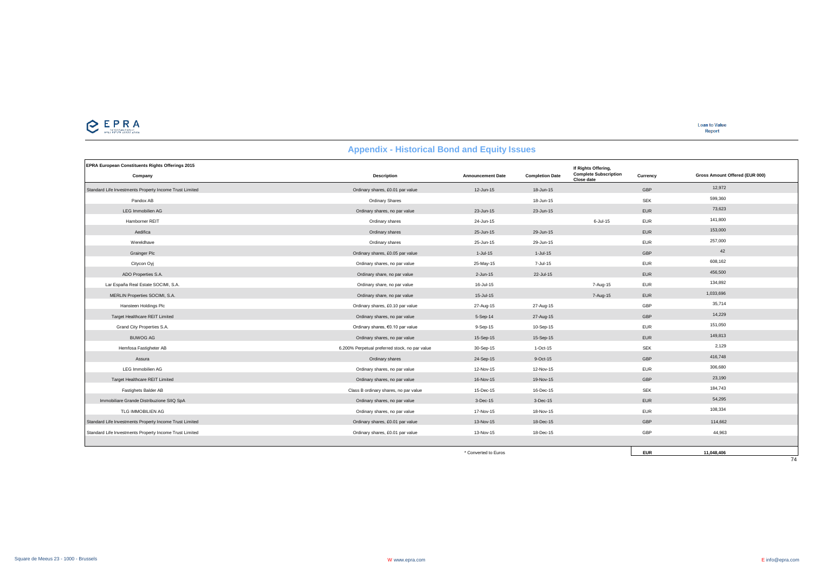

| <b>Appendix - Historical Bond and Equity Issues</b> |  |  |  |  |
|-----------------------------------------------------|--|--|--|--|
|-----------------------------------------------------|--|--|--|--|

| EPRA European Constituents Rights Offerings 2015        |                                                |                          |                        | If Rights Offering.                        |            |                                |
|---------------------------------------------------------|------------------------------------------------|--------------------------|------------------------|--------------------------------------------|------------|--------------------------------|
| Company                                                 | <b>Description</b>                             | <b>Announcement Date</b> | <b>Completion Date</b> | <b>Complete Subscription</b><br>Close date | Currency   | Gross Amount Offered (EUR 000) |
| Standard Life Investments Property Income Trust Limited | Ordinary shares, £0.01 par value               | 12-Jun-15                | 18-Jun-15              |                                            | GBP        | 12,972                         |
| Pandox AB                                               | <b>Ordinary Shares</b>                         |                          | 18-Jun-15              |                                            | <b>SEK</b> | 599,360                        |
| <b>LEG Immobilien AG</b>                                | Ordinary shares, no par value                  | 23-Jun-15                | 23-Jun-15              |                                            | <b>EUR</b> | 73,623                         |
| Hamborner REIT                                          | Ordinary shares                                | 24-Jun-15                |                        | $6 -$ Jul-15                               | <b>EUR</b> | 141,800                        |
| Aedifica                                                | Ordinary shares                                | 25-Jun-15                | 29-Jun-15              |                                            | <b>EUR</b> | 153,000                        |
| Wereldhave                                              | Ordinary shares                                | 25-Jun-15                | 29-Jun-15              |                                            | <b>EUR</b> | 257,000                        |
| <b>Grainger Plc</b>                                     | Ordinary shares, £0.05 par value               | $1-Jul-15$               | $1-Jul-15$             |                                            | GBP        | 42                             |
| Citycon Oyj                                             | Ordinary shares, no par value                  | 25-May-15                | 7-Jul-15               |                                            | <b>EUR</b> | 608,162                        |
| ADO Properties S.A.                                     | Ordinary share, no par value                   | 2-Jun-15                 | 22-Jul-15              |                                            | <b>EUR</b> | 456,500                        |
| Lar España Real Estate SOCIMI, S.A.                     | Ordinary share, no par value                   | 16-Jul-15                |                        | 7-Aug-15                                   | <b>EUR</b> | 134,892                        |
| MERLIN Properties SOCIMI, S.A.                          | Ordinary share, no par value                   | 15-Jul-15                |                        | 7-Aug-15                                   | <b>EUR</b> | 1,033,696                      |
| Hansteen Holdings Plc                                   | Ordinary shares, £0.10 par value               | 27-Aug-15                | 27-Aug-15              |                                            | GBP        | 35,714                         |
| Target Healthcare REIT Limited                          | Ordinary shares, no par value                  | 5-Sep-14                 | 27-Aug-15              |                                            | GBP        | 14,229                         |
| Grand City Properties S.A.                              | Ordinary shares, €0.10 par value               | 9-Sep-15                 | 10-Sep-15              |                                            | <b>EUR</b> | 151,050                        |
| <b>BUWOG AG</b>                                         | Ordinary shares, no par value                  | 15-Sep-15                | 15-Sep-15              |                                            | <b>EUR</b> | 149,813                        |
| Hemfosa Fastigheter AB                                  | 6.200% Perpetual preferred stock, no par value | 30-Sep-15                | $1-Oct-15$             |                                            | <b>SEK</b> | 2,129                          |
| Assura                                                  | Ordinary shares                                | 24-Sep-15                | $9-Oct-15$             |                                            | GBP        | 416,748                        |
| <b>LEG Immobilien AG</b>                                | Ordinary shares, no par value                  | 12-Nov-15                | 12-Nov-15              |                                            | <b>EUR</b> | 306,680                        |
| Target Healthcare REIT Limited                          | Ordinary shares, no par value                  | 16-Nov-15                | 19-Nov-15              |                                            | GBP        | 23,190                         |
| Fastighets Balder AB                                    | Class B ordinary shares, no par value          | 15-Dec-15                | 16-Dec-15              |                                            | <b>SEK</b> | 184,743                        |
| Immobiliare Grande Distribuzione SIIQ SpA               | Ordinary shares, no par value                  | 3-Dec-15                 | 3-Dec-15               |                                            | <b>EUR</b> | 54,295                         |
| TLG IMMOBILIEN AG                                       | Ordinary shares, no par value                  | 17-Nov-15                | 18-Nov-15              |                                            | <b>EUR</b> | 108,334                        |
| Standard Life Investments Property Income Trust Limited | Ordinary shares, £0.01 par value               | 13-Nov-15                | 18-Dec-15              |                                            | GBP        | 114,662                        |
| Standard Life Investments Property Income Trust Limited | Ordinary shares, £0.01 par value               | 13-Nov-15                | 18-Dec-15              |                                            | GBP        | 44,963                         |
|                                                         |                                                |                          |                        |                                            |            |                                |

\* Converted to Euros **EUR 11,048,406**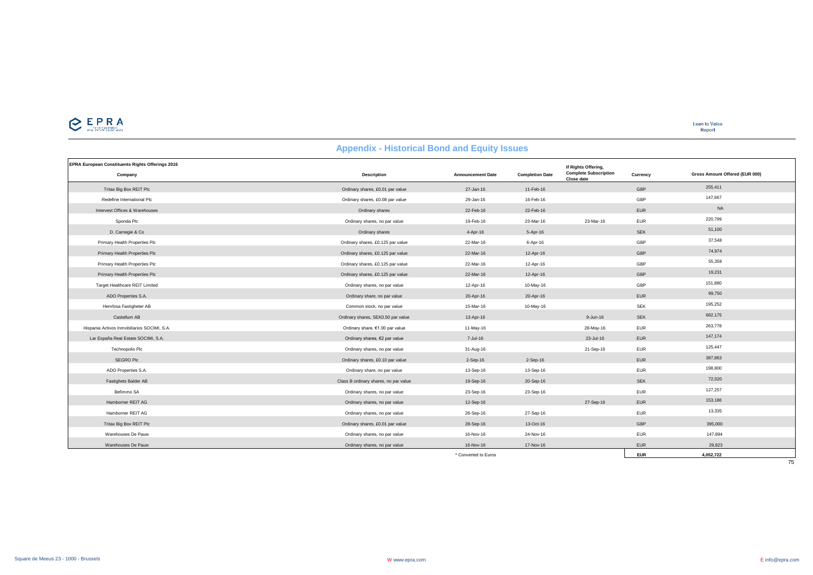

**Loan to Value**<br>Report

# **Appendix - Historical Bond and Equity Issues**

| <b>EPRA European Constituents Rights Offerings 2016</b><br>Company | Description                           | <b>Announcement Date</b> | <b>Completion Date</b> | If Rights Offering,<br><b>Complete Subscription</b><br>Close date | Currency   | Gross Amount Offered (EUR 000) |
|--------------------------------------------------------------------|---------------------------------------|--------------------------|------------------------|-------------------------------------------------------------------|------------|--------------------------------|
| Tritax Big Box REIT Plc                                            | Ordinary shares, £0.01 par value      | 27-Jan-16                | 11-Feb-16              |                                                                   | GBP        | 255,411                        |
| Redefine International Plc                                         | Ordinary shares, £0.08 par value      | 29-Jan-16                | 16-Feb-16              |                                                                   | GBP        | 147,667                        |
| Intervest Offices & Warehouses                                     | Ordinary shares                       | 22-Feb-16                | 22-Feb-16              |                                                                   | <b>EUR</b> | <b>NA</b>                      |
| Sponda Plc                                                         | Ordinary shares, no par value         | 19-Feb-16                | 23-Mar-16              | 23-Mar-16                                                         | <b>EUR</b> | 220,799                        |
| D. Carnegie & Co                                                   | Ordinary shares                       | 4-Apr-16                 | 5-Apr-16               |                                                                   | <b>SEK</b> | 51,100                         |
| Primary Health Properties Plc                                      | Ordinary shares, £0.125 par value     | 22-Mar-16                | 6-Apr-16               |                                                                   | GBP        | 37,548                         |
| Primary Health Properties Plc                                      | Ordinary shares, £0.125 par value     | 22-Mar-16                | 12-Apr-16              |                                                                   | GBP        | 74,974                         |
| Primary Health Properties Plc                                      | Ordinary shares, £0.125 par value     | 22-Mar-16                | 12-Apr-16              |                                                                   | GBP        | 55,359                         |
| Primary Health Properties Plc                                      | Ordinary shares, £0.125 par value     | 22-Mar-16                | 12-Apr-16              |                                                                   | GBP        | 19,231                         |
| Target Healthcare REIT Limited                                     | Ordinary shares, no par value         | 12-Apr-16                | 10-May-16              |                                                                   | GBP        | 151,880                        |
| ADO Properties S.A.                                                | Ordinary share, no par value          | 20-Apr-16                | 20-Apr-16              |                                                                   | <b>EUR</b> | 99,750                         |
| Hemfosa Fastigheter AB                                             | Common stock, no par value            | 15-Mar-16                | 10-May-16              |                                                                   | <b>SEK</b> | 195,252                        |
| Castellum AB                                                       | Ordinary shares, SEK0.50 par value    | 13-Apr-16                |                        | $9 - Jun-16$                                                      | <b>SEK</b> | 682,175                        |
| Hispania Activos Inmobiliarios SOCIMI, S.A.                        | Ordinary share, €1.00 par value       | 11-May-16                |                        | 28-May-16                                                         | <b>EUR</b> | 263,778                        |
| Lar España Real Estate SOCIMI, S.A.                                | Ordinary shares, €2 par value         | 7-Jul-16                 |                        | 23-Jul-16                                                         | <b>EUR</b> | 147,174                        |
| <b>Technopolis Plc</b>                                             | Ordinary shares, no par value         | 31-Aug-16                |                        | 21-Sep-16                                                         | <b>EUR</b> | 125,447                        |
| SEGRO Plc                                                          | Ordinary shares, £0.10 par value      | $2-Sep-16$               | 2-Sep-16               |                                                                   | <b>EUR</b> | 387,863                        |
| ADO Properties S.A.                                                | Ordinary share, no par value          | 13-Sep-16                | 13-Sep-16              |                                                                   | <b>EUR</b> | 198,800                        |
| Fastighets Balder AB                                               | Class B ordinary shares, no par value | 19-Sep-16                | 20-Sep-16              |                                                                   | <b>SEK</b> | 72,020                         |
| Befimmo SA                                                         | Ordinary shares, no par value         | 23-Sep-16                | 23-Sep-16              |                                                                   | <b>EUR</b> | 127,257                        |
| Hamborner REIT AG                                                  | Ordinary shares, no par value         | 12-Sep-16                |                        | 27-Sep-16                                                         | <b>EUR</b> | 153,186                        |
| Hamborner REIT AG                                                  | Ordinary shares, no par value         | 26-Sep-16                | 27-Sep-16              |                                                                   | <b>EUR</b> | 13,335                         |
| Tritax Big Box REIT Plc                                            | Ordinary shares, £0.01 par value      | 28-Sep-16                | 13-Oct-16              |                                                                   | GBP        | 395,000                        |
| Warehouses De Pauw                                                 | Ordinary shares, no par value         | 16-Nov-16                | 24-Nov-16              |                                                                   | <b>EUR</b> | 147,894                        |
| Warehouses De Pauw                                                 | Ordinary shares, no par value         | 16-Nov-16                | 17-Nov-16              |                                                                   | <b>EUR</b> | 29,823                         |
|                                                                    |                                       | * Converted to Euros     |                        |                                                                   | <b>EUR</b> | 4,052,722                      |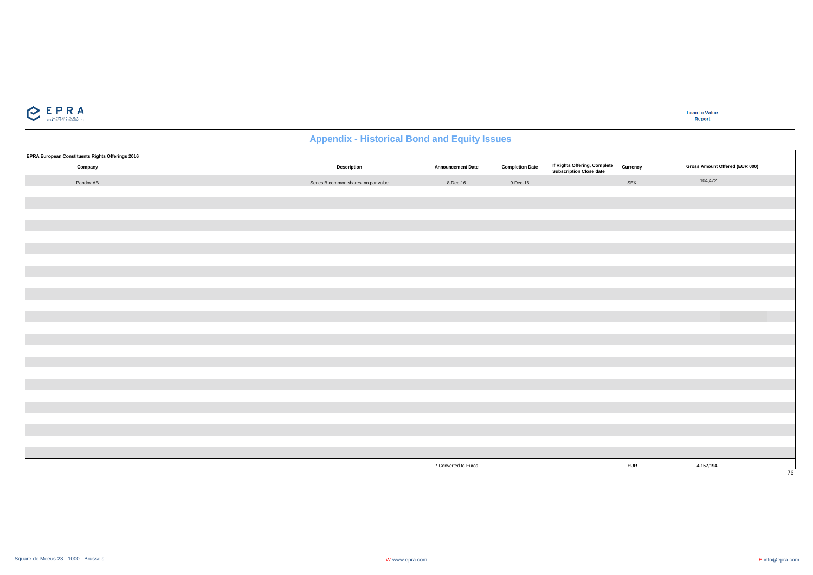

| EPRA European Constituents Rights Offerings 2016 |                                      |                          |                        |                                                         |            |                                |
|--------------------------------------------------|--------------------------------------|--------------------------|------------------------|---------------------------------------------------------|------------|--------------------------------|
| Company                                          | Description                          | <b>Announcement Date</b> | <b>Completion Date</b> | If Rights Offering, Complete<br>Subscription Close date | Currency   | Gross Amount Offered (EUR 000) |
| Pandox AB                                        | Series B common shares, no par value | 8-Dec-16                 | $9-Dec-16$             |                                                         | SEK        | 104,472                        |
|                                                  |                                      |                          |                        |                                                         |            |                                |
|                                                  |                                      |                          |                        |                                                         |            |                                |
|                                                  |                                      |                          |                        |                                                         |            |                                |
|                                                  |                                      |                          |                        |                                                         |            |                                |
|                                                  |                                      |                          |                        |                                                         |            |                                |
|                                                  |                                      |                          |                        |                                                         |            |                                |
|                                                  |                                      |                          |                        |                                                         |            |                                |
|                                                  |                                      |                          |                        |                                                         |            |                                |
|                                                  |                                      |                          |                        |                                                         |            |                                |
|                                                  |                                      |                          |                        |                                                         |            |                                |
|                                                  |                                      |                          |                        |                                                         |            |                                |
|                                                  |                                      |                          |                        |                                                         |            |                                |
|                                                  |                                      |                          |                        |                                                         |            |                                |
|                                                  |                                      |                          |                        |                                                         |            |                                |
|                                                  |                                      |                          |                        |                                                         |            |                                |
|                                                  |                                      |                          |                        |                                                         |            |                                |
|                                                  |                                      |                          |                        |                                                         |            |                                |
|                                                  |                                      |                          |                        |                                                         |            |                                |
|                                                  |                                      |                          |                        |                                                         |            |                                |
|                                                  |                                      |                          |                        |                                                         |            |                                |
|                                                  |                                      |                          |                        |                                                         |            |                                |
|                                                  |                                      |                          |                        |                                                         |            |                                |
|                                                  |                                      |                          |                        |                                                         |            |                                |
|                                                  |                                      | * Converted to Euros     |                        |                                                         | <b>EUR</b> | 4,157,194                      |
|                                                  |                                      |                          |                        |                                                         |            | 76                             |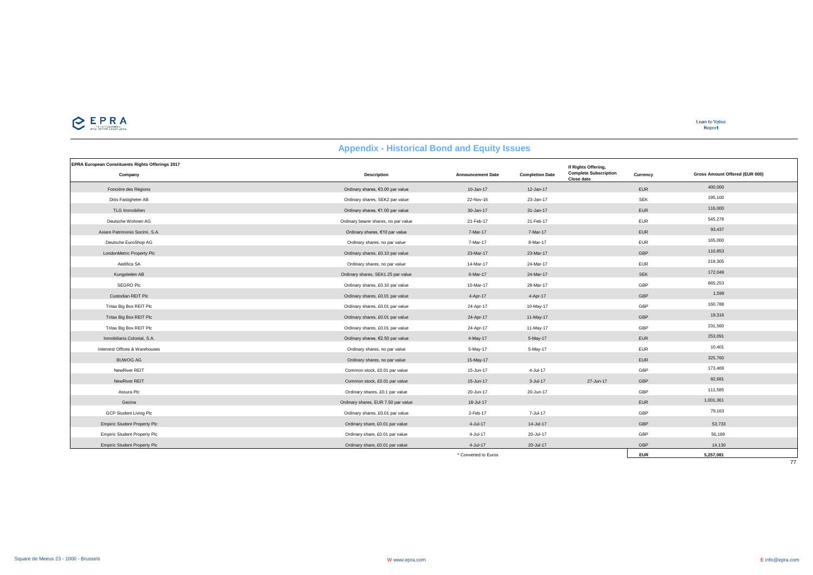# $\sum_{\text{minimize}}$

**Loan to Value**<br>Report

|                                                             | <b>Appendix - Historical Dollu and Equity Issues</b> |                          |                        |                                                                   |            |                                |
|-------------------------------------------------------------|------------------------------------------------------|--------------------------|------------------------|-------------------------------------------------------------------|------------|--------------------------------|
| EPRA European Constituents Rights Offerings 2017<br>Company | <b>Description</b>                                   | <b>Announcement Date</b> | <b>Completion Date</b> | If Rights Offering,<br><b>Complete Subscription</b><br>Close date | Currency   | Gross Amount Offered (EUR 000) |
| Foncière des Régions                                        | Ordinary shares, €3.00 par value                     | $10 - Jan-17$            | 12-Jan-17              |                                                                   | EUR        | 400,000                        |
| Diös Fastigheter AB                                         | Ordinary shares, SEK2 par value                      | 22-Nov-16                | 23-Jan-17              |                                                                   | <b>SEK</b> | 195,100                        |
| TLG Immobilien                                              | Ordinary shares, €1.00 par value                     | 30-Jan-17                | 31-Jan-17              |                                                                   | <b>EUR</b> | 116,000                        |
| Deutsche Wohnen AG                                          | Ordinary bearer shares, no par value                 | 21-Feb-17                | 21-Feb-17              |                                                                   | <b>EUR</b> | 545,278                        |
| Axiare Patrimonio Socimi, S.A.                              | Ordinary shares, €10 par value                       | 7-Mar-17                 | 7-Mar-17               |                                                                   | EUR        | 93,437                         |
| Deutsche EuroShop AG                                        | Ordinary shares, no par value                        | 7-Mar-17                 | 8-Mar-17               |                                                                   | <b>EUR</b> | 165,000                        |
| LondonMetric Property Plc                                   | Ordinary shares, £0.10 par value                     | 23-Mar-17                | 23-Mar-17              |                                                                   | GBP        | 110,853                        |
| Aedifica SA                                                 | Ordinary shares, no par value                        | 14-Mar-17                | 24-Mar-17              |                                                                   | <b>EUR</b> | 219,305                        |
| Kungsleden AB                                               | Ordinary shares, SEK1.25 par value                   | 6-Mar-17                 | 24-Mar-17              |                                                                   | SEK        | 172,049                        |
| SEGRO Plc                                                   | Ordinary shares, £0.10 par value                     | 10-Mar-17                | 28-Mar-17              |                                                                   | GBP        | 665,253                        |
| Custodian REIT Plc                                          | Ordinary shares, £0.01 par value                     | 4-Apr-17                 | 4-Apr-17               |                                                                   | GBP        | 1,599                          |
| Tritax Big Box REIT Plc                                     | Ordinary shares, £0.01 par value                     | 24-Apr-17                | 10-May-17              |                                                                   | GBP        | 160,788                        |
| Tritax Big Box REIT Plc                                     | Ordinary shares, £0.01 par value                     | 24-Apr-17                | 11-May-17              |                                                                   | GBP        | 19,316                         |
| Tritax Big Box REIT Plc                                     | Ordinary shares, £0.01 par value                     | 24-Apr-17                | 11-May-17              |                                                                   | GBP        | 231,560                        |
| Inmobiliaria Colonial, S.A.                                 | Ordinary shares, €2.50 par value                     | 4-May-17                 | 5-May-17               |                                                                   | EUR        | 253,091                        |
| Intervest Offices & Warehouses                              | Ordinary shares, no par value                        | 5-May-17                 | 5-May-17               |                                                                   | <b>EUR</b> | 10,401                         |
| <b>BUWOG AG</b>                                             | Ordinary shares, no par value                        | 15-May-17                |                        |                                                                   | <b>EUR</b> | 325,760                        |
| NewRiver REIT                                               | Common stock, £0.01 par value                        | 15-Jun-17                | 4-Jul-17               |                                                                   | GBP        | 173,469                        |
| NewRiver REIT                                               | Common stock, £0.01 par value                        | 15-Jun-17                | 3-Jul-17               | 27-Jun-17                                                         | GBP        | 82,681                         |
| Assura Plc                                                  | Ordinary shares, £0.1 par value                      | 20-Jun-17                | 20-Jun-17              |                                                                   | GBP        | 111,585                        |
| Gecina                                                      | Ordinary shares, EUR 7.50 par value                  | 18-Jul-17                |                        |                                                                   | EUR        | 1,001,361                      |
| GCP Student Living Plc                                      | Ordinary shares, £0.01 par value                     | 2-Feb-17                 | 7-Jul-17               |                                                                   | GBP        | 79,163                         |
| <b>Empiric Student Property Plc</b>                         | Ordinary share, £0.01 par value                      | 4-Jul-17                 | 14-Jul-17              |                                                                   | GBP        | 53,733                         |
| <b>Empiric Student Property Plc</b>                         | Ordinary share, £0.01 par value                      | 4-Jul-17                 | 20-Jul-17              |                                                                   | GBP        | 56,169                         |
| <b>Empiric Student Property Plc</b>                         | Ordinary share, £0.01 par value                      | 4-Jul-17                 | 20-Jul-17              |                                                                   | GBP        | 14,130                         |
|                                                             |                                                      | * Converted to Euros     |                        |                                                                   | <b>EUR</b> | 5,257,081                      |

### **Appendix - Historical Bond and Equity Issues**

 $\frac{1}{77}$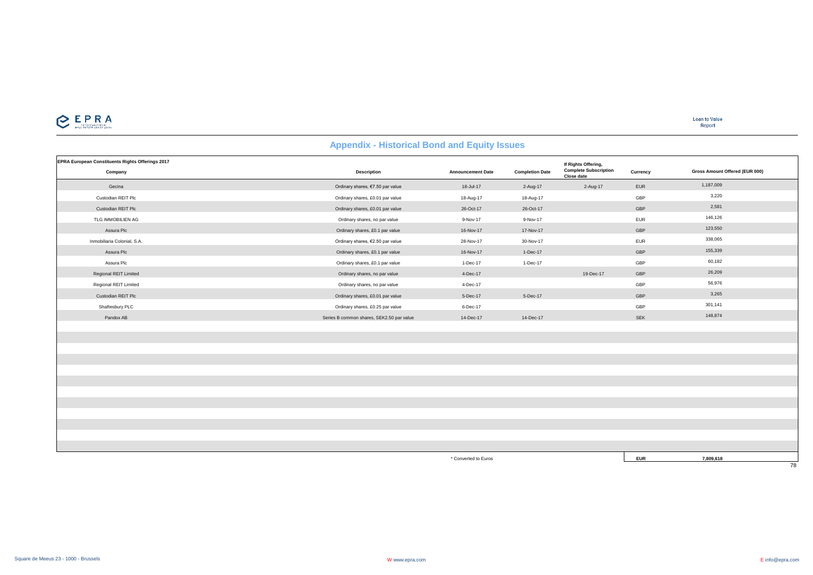

**Loan to Value** Report

# **EPRA European Constituents Rights Offerings 2017 Company Description Announcement Date Completion Date Currency Complete Subscription Close date** Gecina Ordinary shares, €7.50 par value 18-Jul-17 2-Aug-17 2-Aug-17 EUR 1,187,009 Custodian REIT Plc Ordinary shares, £0.01 par value 18-Aug-17 18-Aug-17 GBP 3,220 Custodian REIT Plc Ordinary shares, £0.01 par value 26-Oct-17 26-Oct-17 GBP 2,581 TLG IMMOBILIEN AG CHARAGE DESCRIPTION Ordinary shares, no par value 9-Nov-17 9-Nov-17 9-Nov-17 EUR EUR 146,126 Assura Plc Ordinary shares, £0.1 par value 16-Nov-17 17-Nov-17 GBP 123,550 Inmobiliaria Colonial, S.A. Ordinary shares, €2.50 par value 28-Nov-17 30-Nov-17 EUR 338,065 Assura Plc Ordinary shares, £0.1 par value 16-Nov-17 1-Dec-17 GBP 155,339 Assura Plc Cordinary shares, £0.1 par value 1-Dec-17 1-Dec-17 1-Dec-17 GBP 60.182 Regional REIT Limited Controller Controller Controller Controller Controller Controller Controller Controller Controller Controller Controller Controller Controller Controller Controller Controller Controller Controller Co Regional REIT Limited Cases and the S6,976 contract of the S6,976 contract of the S6,976 contract of the S6,976 contract of the S6,976 contract of the S6,976 contract of the S6,976 contract of the S6,976 contract of the S6 Custodian REIT Plc Ordinary shares, £0.01 par value 5-Dec-17 5-Dec-17 GBP 3,265 Shaftesbury PLC Ordinary shares, £0.25 par value 6-Dec-17 GBP 301,141 Pandox AB Series B common shares, SEK2.50 par value 14-Dec-17 14-Dec-17 14-Dec-17 SEK SEK 148,874 **If Rights Offering, Gross Amount Offered (EUR 000)**

**Appendix - Historical Bond and Equity Issues**

\* Converted to Euros **EUR 7,809,618**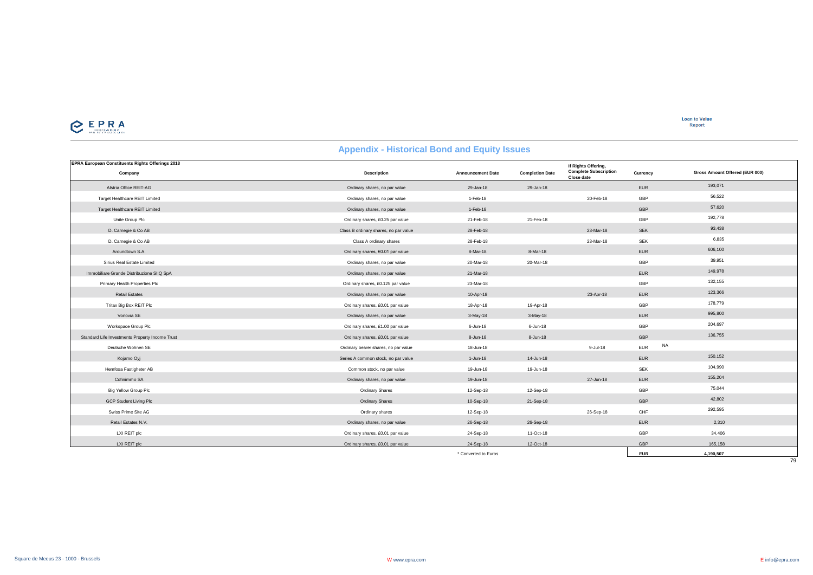

**Loan to Value** Report

## **Appendix - Historical Bond and Equity Issues**

| <b>EPRA European Constituents Rights Offerings 2018</b> | . .                                   |                          |                        |                                                                   |                         |                                |
|---------------------------------------------------------|---------------------------------------|--------------------------|------------------------|-------------------------------------------------------------------|-------------------------|--------------------------------|
| Company                                                 | <b>Description</b>                    | <b>Announcement Date</b> | <b>Completion Date</b> | If Rights Offering,<br><b>Complete Subscription</b><br>Close date | Currency                | Gross Amount Offered (EUR 000) |
| Alstria Office REIT-AG                                  | Ordinary shares, no par value         | 29-Jan-18                | 29-Jan-18              |                                                                   | EUR                     | 193,071                        |
| Target Healthcare REIT Limited                          | Ordinary shares, no par value         | 1-Feb-18                 |                        | 20-Feb-18                                                         | GBP                     | 56,522                         |
| Target Healthcare REIT Limited                          | Ordinary shares, no par value         | 1-Feb-18                 |                        |                                                                   | GBP                     | 57,620                         |
| Unite Group Plc                                         | Ordinary shares, £0.25 par value      | 21-Feb-18                | 21-Feb-18              |                                                                   | GBP                     | 192,778                        |
| D. Carnegie & Co AB                                     | Class B ordinary shares, no par value | 28-Feb-18                |                        | 23-Mar-18                                                         | <b>SEK</b>              | 93,438                         |
| D. Carnegie & Co AB                                     | Class A ordinary shares               | 28-Feb-18                |                        | 23-Mar-18                                                         | <b>SEK</b>              | 6,835                          |
| Aroundtown S.A.                                         | Ordinary shares, €0.01 par value      | 8-Mar-18                 | 8-Mar-18               |                                                                   | <b>EUR</b>              | 606,100                        |
| Sirius Real Estate Limited                              | Ordinary shares, no par value         | 20-Mar-18                | 20-Mar-18              |                                                                   | GBP                     | 39,951                         |
| Immobiliare Grande Distribuzione SIIQ SpA               | Ordinary shares, no par value         | 21-Mar-18                |                        |                                                                   | EUR                     | 149,978                        |
| Primary Health Properties Plc                           | Ordinary shares, £0.125 par value     | 23-Mar-18                |                        |                                                                   | GBP                     | 132,155                        |
| <b>Retail Estates</b>                                   | Ordinary shares, no par value         | 10-Apr-18                |                        | 23-Apr-18                                                         | <b>EUR</b>              | 123,366                        |
| Tritax Big Box REIT Plc                                 | Ordinary shares, £0.01 par value      | 18-Apr-18                | 19-Apr-18              |                                                                   | GBP                     | 178,779                        |
| Vonovia SE                                              | Ordinary shares, no par value         | $3-May-18$               | $3-May-18$             |                                                                   | <b>EUR</b>              | 995,800                        |
| Workspace Group Plc                                     | Ordinary shares, £1.00 par value      | $6 - Jun-18$             | 6-Jun-18               |                                                                   | GBP                     | 204,697                        |
| Standard Life Investments Property Income Trust         | Ordinary shares, £0.01 par value      | 8-Jun-18                 | 8-Jun-18               |                                                                   | GBP                     | 136,755                        |
| Deutsche Wohnen SE                                      | Ordinary bearer shares, no par value  | 18-Jun-18                |                        | 9-Jul-18                                                          | <b>NA</b><br><b>EUR</b> |                                |
| Kojamo Oyj                                              | Series A common stock, no par value   | $1-Jun-18$               | 14-Jun-18              |                                                                   | EUR                     | 150,152                        |
| Hemfosa Fastigheter AB                                  | Common stock, no par value            | 19-Jun-18                | 19-Jun-18              |                                                                   | SEK                     | 104,990                        |
| Cofinimmo SA                                            | Ordinary shares, no par value         | 19-Jun-18                |                        | 27-Jun-18                                                         | <b>EUR</b>              | 155,204                        |
| Big Yellow Group Plc                                    | <b>Ordinary Shares</b>                | 12-Sep-18                | 12-Sep-18              |                                                                   | GBP                     | 75,044                         |
| GCP Student Living Plc                                  | <b>Ordinary Shares</b>                | 10-Sep-18                | 21-Sep-18              |                                                                   | GBP                     | 42,802                         |
| Swiss Prime Site AG                                     | Ordinary shares                       | 12-Sep-18                |                        | 26-Sep-18                                                         | CHF                     | 292,595                        |
| Retail Estates N.V.                                     | Ordinary shares, no par value         | 26-Sep-18                | 26-Sep-18              |                                                                   | EUR                     | 2,310                          |
| LXI REIT plc                                            | Ordinary shares, £0.01 par value      | 24-Sep-18                | 11-Oct-18              |                                                                   | GBP                     | 34,406                         |
| LXI REIT plc                                            | Ordinary shares, £0.01 par value      | 24-Sep-18                | 12-Oct-18              |                                                                   | GBP                     | 165,158                        |
|                                                         |                                       | * Converted to Euros     |                        |                                                                   | <b>EUR</b>              | 4,190,507                      |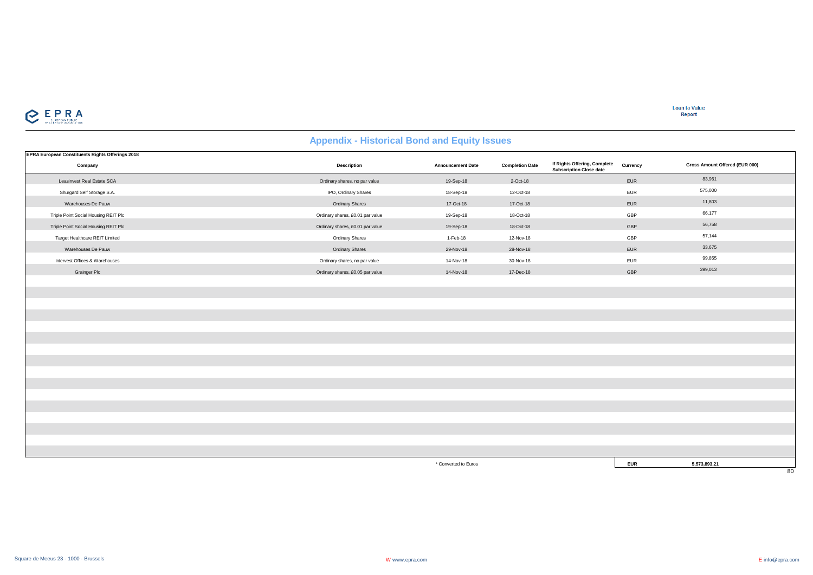

| EPRA European Constituents Rights Offerings 2018 |                                  |                          |                        |                                                                |            |                                |
|--------------------------------------------------|----------------------------------|--------------------------|------------------------|----------------------------------------------------------------|------------|--------------------------------|
| Company                                          | Description                      | <b>Announcement Date</b> | <b>Completion Date</b> | If Rights Offering, Complete<br><b>Subscription Close date</b> | Currency   | Gross Amount Offered (EUR 000) |
| Leasinvest Real Estate SCA                       | Ordinary shares, no par value    | 19-Sep-18                | 2-Oct-18               |                                                                | EUR        | 83,961                         |
| Shurgard Self Storage S.A.                       | IPO, Ordinary Shares             | 18-Sep-18                | 12-Oct-18              |                                                                | EUR        | 575,000                        |
| Warehouses De Pauw                               | Ordinary Shares                  | 17-Oct-18                | 17-Oct-18              |                                                                | EUR        | 11,803                         |
| Triple Point Social Housing REIT Plc             | Ordinary shares, £0.01 par value | 19-Sep-18                | 18-Oct-18              |                                                                | GBP        | 66,177                         |
| Triple Point Social Housing REIT Plc             | Ordinary shares, £0.01 par value | 19-Sep-18                | 18-Oct-18              |                                                                | GBP        | 56,758                         |
| Target Healthcare REIT Limited                   | Ordinary Shares                  | 1-Feb-18                 | 12-Nov-18              |                                                                | GBP        | 57,144                         |
| Warehouses De Pauw                               | Ordinary Shares                  | 29-Nov-18                | 28-Nov-18              |                                                                | <b>EUR</b> | 33,675                         |
| Intervest Offices & Warehouses                   | Ordinary shares, no par value    | 14-Nov-18                | 30-Nov-18              |                                                                | <b>EUR</b> | 99,855                         |
| <b>Grainger Plc</b>                              | Ordinary shares, £0.05 par value | 14-Nov-18                | 17-Dec-18              |                                                                | GBP        | 399,013                        |
|                                                  |                                  |                          |                        |                                                                |            |                                |
|                                                  |                                  |                          |                        |                                                                |            |                                |
|                                                  |                                  |                          |                        |                                                                |            |                                |
|                                                  |                                  |                          |                        |                                                                |            |                                |
|                                                  |                                  |                          |                        |                                                                |            |                                |
|                                                  |                                  |                          |                        |                                                                |            |                                |
|                                                  |                                  |                          |                        |                                                                |            |                                |
|                                                  |                                  |                          |                        |                                                                |            |                                |
|                                                  |                                  |                          |                        |                                                                |            |                                |
|                                                  |                                  |                          |                        |                                                                |            |                                |
|                                                  |                                  |                          |                        |                                                                |            |                                |
|                                                  |                                  |                          |                        |                                                                |            |                                |
|                                                  |                                  |                          |                        |                                                                |            |                                |
|                                                  |                                  |                          |                        |                                                                |            |                                |
|                                                  |                                  |                          |                        |                                                                |            |                                |
|                                                  |                                  |                          |                        |                                                                |            |                                |
|                                                  |                                  | * Converted to Euros     |                        |                                                                | <b>EUR</b> | 5,573,893.21                   |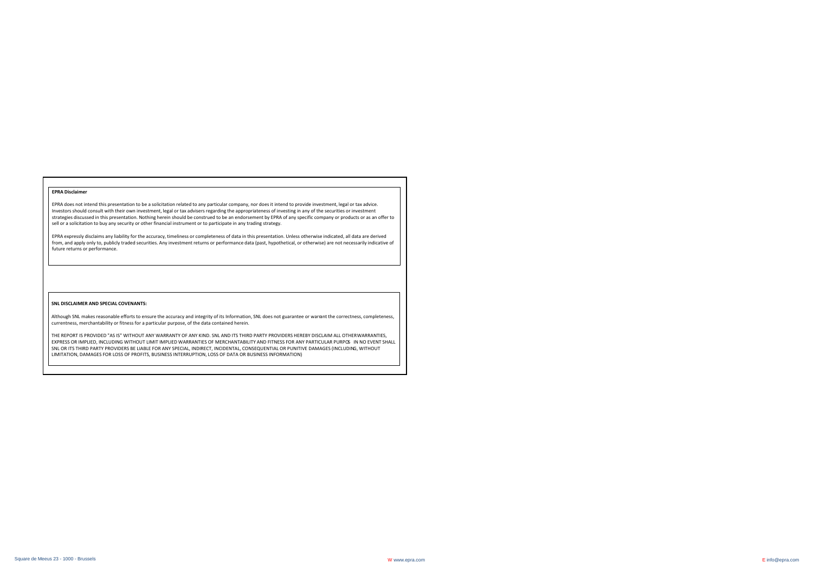#### **EPRA Disclaimer**

EPRA does not intend this presentation to be a solicitation related to any particular company, nor does it intend to provide investment, legal or tax advice. Investors should consult with their own investment, legal or tax advisers regarding the appropriateness of investing in any of the securities or investment strategies discussed in this presentation. Nothing herein should be construed to be an endorsement by EPRA of any specific company or products or as an offer to sell or a solicitation to buy any security or other financial instrument or to participate in any trading strategy.

EPRA expressly disclaims any liability for the accuracy, timeliness or completeness of data in this presentation. Unless otherwise indicated, all data are derived from, and apply only to, publicly traded securities. Any investment returns or performance data (past, hypothetical, or otherwise) are not necessarily indicative of future returns or performance.

#### **SNL DISCLAIMER AND SPECIAL COVENANTS:**

Although SNL makes reasonable efforts to ensure the accuracy and integrity of its Information, SNL does not guarantee or warrant the correctness, completeness, currentness, merchantability or fitness for a particular purpose, of the data contained herein.

THE REPORT IS PROVIDED "AS IS" WITHOUT ANY WARRANTY OF ANY KIND. SNL AND ITS THIRD PARTY PROVIDERS HEREBY DISCLAIM ALL OTHER WARRANTIES, EXPRESS OR IMPLIED, INCLUDING WITHOUT LIMIT IMPLIED WARRANTIES OF MERCHANTABILITY AND FITNESS FOR ANY PARTICULAR PURPOS IN NO EVENT SHALL SNL OR ITS THIRD PARTY PROVIDERS BE LIABLE FOR ANY SPECIAL, INDIRECT, INCIDENTAL, CONSEQUENTIAL OR PUNITIVE DAMAGES (INCLUDING, WITHOUT LIMITATION, DAMAGES FOR LOSS OF PROFITS, BUSINESS INTERRUPTION, LOSS OF DATA OR BUSINESS INFORMATION)